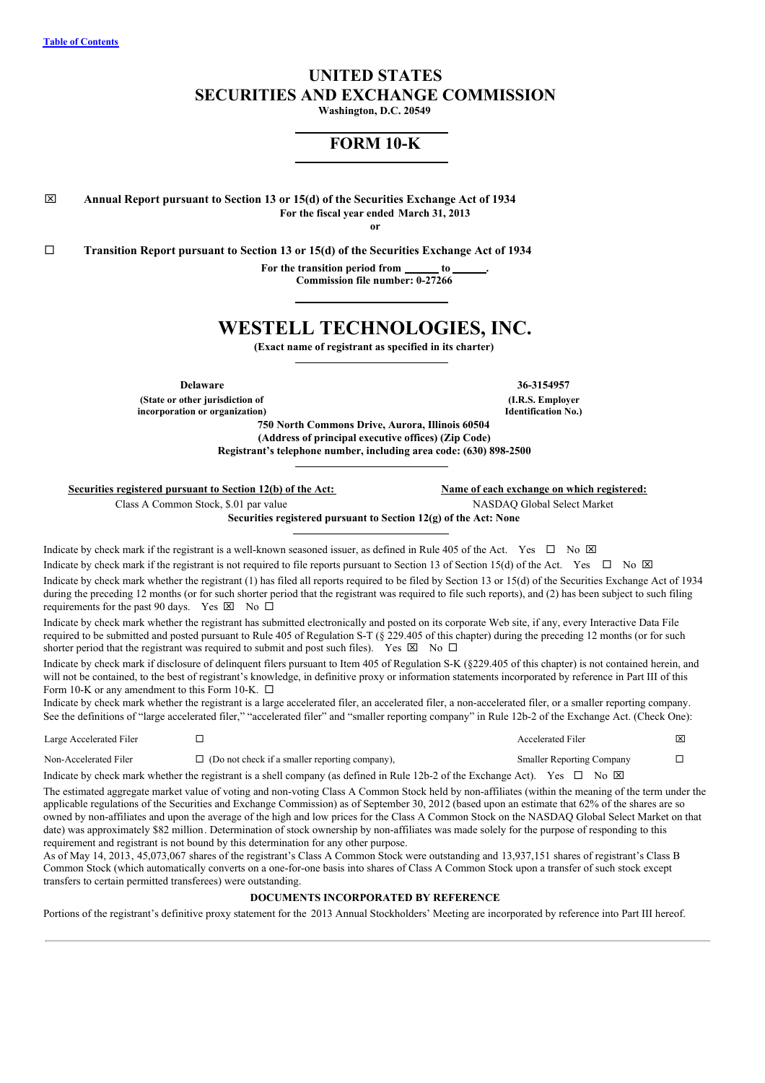# **UNITED STATES SECURITIES AND EXCHANGE COMMISSION**

**Washington, D.C. 20549**

## **FORM 10-K**

x **Annual Report pursuant to Section 13 or 15(d) of the Securities Exchange Act of 1934 For the fiscal year ended March 31, 2013**

**or**

¨ **Transition Report pursuant to Section 13 or 15(d) of the Securities Exchange Act of 1934**

**For the transition period from to . Commission file number: 0-27266**

# **WESTELL TECHNOLOGIES, INC.**

**(Exact name of registrant as specified in its charter)**

**Registrant's telephone number, including area code: (630) 898-2500**

**(State or other jurisdiction of incorporation or organization)**

**Delaware 36-3154957 (I.R.S. Employer Identification No.)**

**Securities registered pursuant to Section 12(b) of the Act: Name of each exchange on which registered:**

Class A Common Stock, \$.01 par value NASDAQ Global Select Market

**Securities registered pursuant to Section 12(g) of the Act: None**

Indicate by check mark if the registrant is a well-known seasoned issuer, as defined in Rule 405 of the Act. Yes  $\Box$  No  $\boxtimes$ 

Indicate by check mark if the registrant is not required to file reports pursuant to Section 13 of Section 15(d) of the Act. Yes  $\Box$  No  $\boxtimes$ Indicate by check mark whether the registrant (1) has filed all reports required to be filed by Section 13 or 15(d) of the Securities Exchange Act of 1934 during the preceding 12 months (or for such shorter period that the registrant was required to file such reports), and (2) has been subject to such filing requirements for the past 90 days. Yes  $\boxtimes$  No  $\square$ 

Indicate by check mark whether the registrant has submitted electronically and posted on its corporate Web site, if any, every Interactive Data File required to be submitted and posted pursuant to Rule 405 of Regulation S-T (§ 229.405 of this chapter) during the preceding 12 months (or for such shorter period that the registrant was required to submit and post such files). Yes  $\boxtimes$  No  $\Box$ 

Indicate by check mark if disclosure of delinquent filers pursuant to Item 405 of Regulation S-K (§229.405 of this chapter) is not contained herein, and will not be contained, to the best of registrant's knowledge, in definitive proxy or information statements incorporated by reference in Part III of this Form 10-K or any amendment to this Form 10-K.  $\square$ 

Indicate by check mark whether the registrant is a large accelerated filer, an accelerated filer, a non-accelerated filer, or a smaller reporting company. See the definitions of "large accelerated filer," "accelerated filer" and "smaller reporting company" in Rule 12b-2 of the Exchange Act. (Check One):

| Large Accelerated Filer |                                                       | Accelerated Filer                |  |
|-------------------------|-------------------------------------------------------|----------------------------------|--|
| Non-Accelerated Filer   | $\Box$ (Do not check if a smaller reporting company), | <b>Smaller Reporting Company</b> |  |

Indicate by check mark whether the registrant is a shell company (as defined in Rule 12b-2 of the Exchange Act). Yes  $\Box$  No  $\boxtimes$ 

The estimated aggregate market value of voting and non-voting Class A Common Stock held by non-affiliates (within the meaning of the term under the applicable regulations of the Securities and Exchange Commission) as of September 30, 2012 (based upon an estimate that 62% of the shares are so owned by non-affiliates and upon the average of the high and low prices for the Class A Common Stock on the NASDAQ Global Select Market on that date) was approximately \$82 million. Determination of stock ownership by non-affiliates was made solely for the purpose of responding to this requirement and registrant is not bound by this determination for any other purpose.

As of May 14, 2013, 45,073,067 shares of the registrant's Class A Common Stock were outstanding and 13,937,151 shares of registrant's Class B Common Stock (which automatically converts on a one-for-one basis into shares of Class A Common Stock upon a transfer of such stock except transfers to certain permitted transferees) were outstanding.

#### **DOCUMENTS INCORPORATED BY REFERENCE**

Portions of the registrant's definitive proxy statement for the 2013 Annual Stockholders' Meeting are incorporated by reference into Part III hereof.

**750 North Commons Drive, Aurora, Illinois 60504 (Address of principal executive offices) (Zip Code)**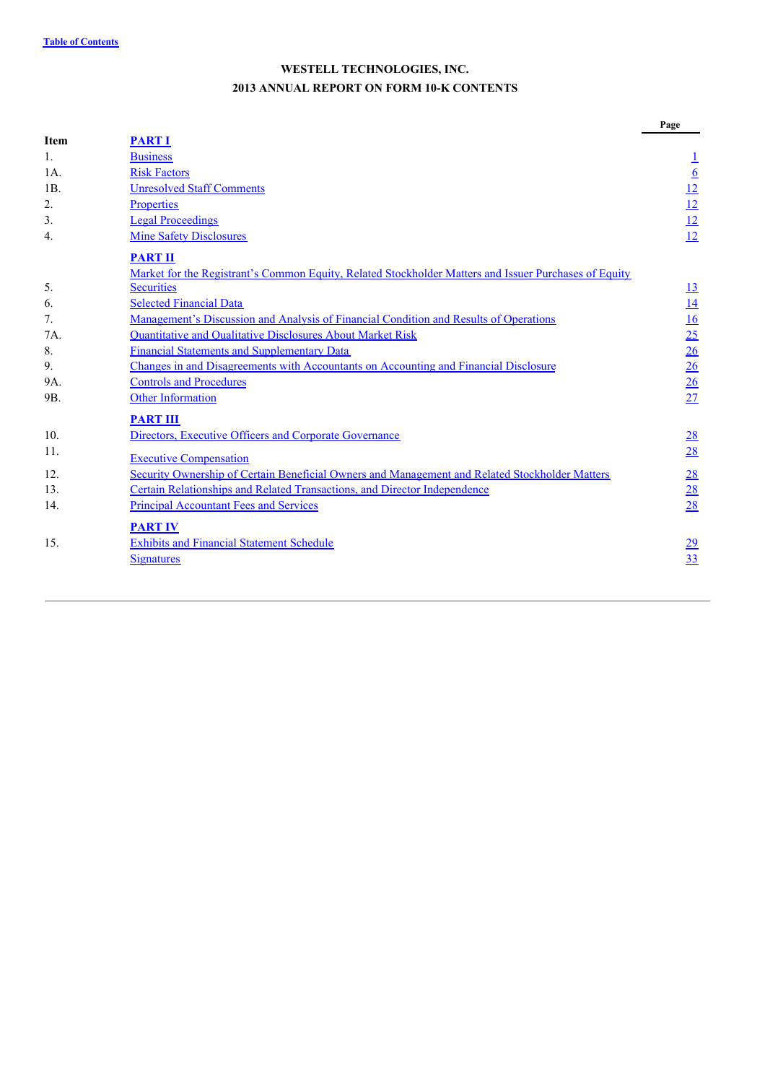# **WESTELL TECHNOLOGIES, INC. 2013 ANNUAL REPORT ON FORM 10-K CONTENTS**

|      |                                                                                                       | Page                                                  |
|------|-------------------------------------------------------------------------------------------------------|-------------------------------------------------------|
| Item | <b>PART I</b>                                                                                         |                                                       |
| 1.   | <b>Business</b>                                                                                       |                                                       |
| 1A.  | <b>Risk Factors</b>                                                                                   |                                                       |
| 1B.  | <b>Unresolved Staff Comments</b>                                                                      |                                                       |
| 2.   | Properties                                                                                            | $rac{1}{6}$<br>$rac{12}{12}$<br>$rac{12}{12}$         |
| 3.   | <b>Legal Proceedings</b>                                                                              |                                                       |
| 4.   | <b>Mine Safety Disclosures</b>                                                                        | 12                                                    |
|      | <b>PART II</b>                                                                                        |                                                       |
|      | Market for the Registrant's Common Equity, Related Stockholder Matters and Issuer Purchases of Equity |                                                       |
| 5.   | <b>Securities</b>                                                                                     | 13                                                    |
| 6.   | <b>Selected Financial Data</b>                                                                        | 14                                                    |
| 7.   | Management's Discussion and Analysis of Financial Condition and Results of Operations                 |                                                       |
| 7A.  | Quantitative and Qualitative Disclosures About Market Risk                                            |                                                       |
| 8.   | <b>Financial Statements and Supplementary Data</b>                                                    |                                                       |
| 9.   | Changes in and Disagreements with Accountants on Accounting and Financial Disclosure                  |                                                       |
| 9A.  | <b>Controls and Procedures</b>                                                                        | $\frac{16}{25}$<br>$\frac{25}{26}$<br>$\frac{26}{26}$ |
| 9B.  | <b>Other Information</b>                                                                              | 27                                                    |
|      | <b>PART III</b>                                                                                       |                                                       |
| 10.  | Directors, Executive Officers and Corporate Governance                                                | 28                                                    |
| 11.  | <b>Executive Compensation</b>                                                                         | 28                                                    |
| 12.  | Security Ownership of Certain Beneficial Owners and Management and Related Stockholder Matters        | $\frac{28}{2}$                                        |
| 13.  | Certain Relationships and Related Transactions, and Director Independence                             | $\frac{28}{2}$                                        |
| 14.  | <b>Principal Accountant Fees and Services</b>                                                         | 28                                                    |
|      | <b>PART IV</b>                                                                                        |                                                       |
| 15.  | <b>Exhibits and Financial Statement Schedule</b>                                                      | 29                                                    |
|      | <b>Signatures</b>                                                                                     | 33                                                    |
|      |                                                                                                       |                                                       |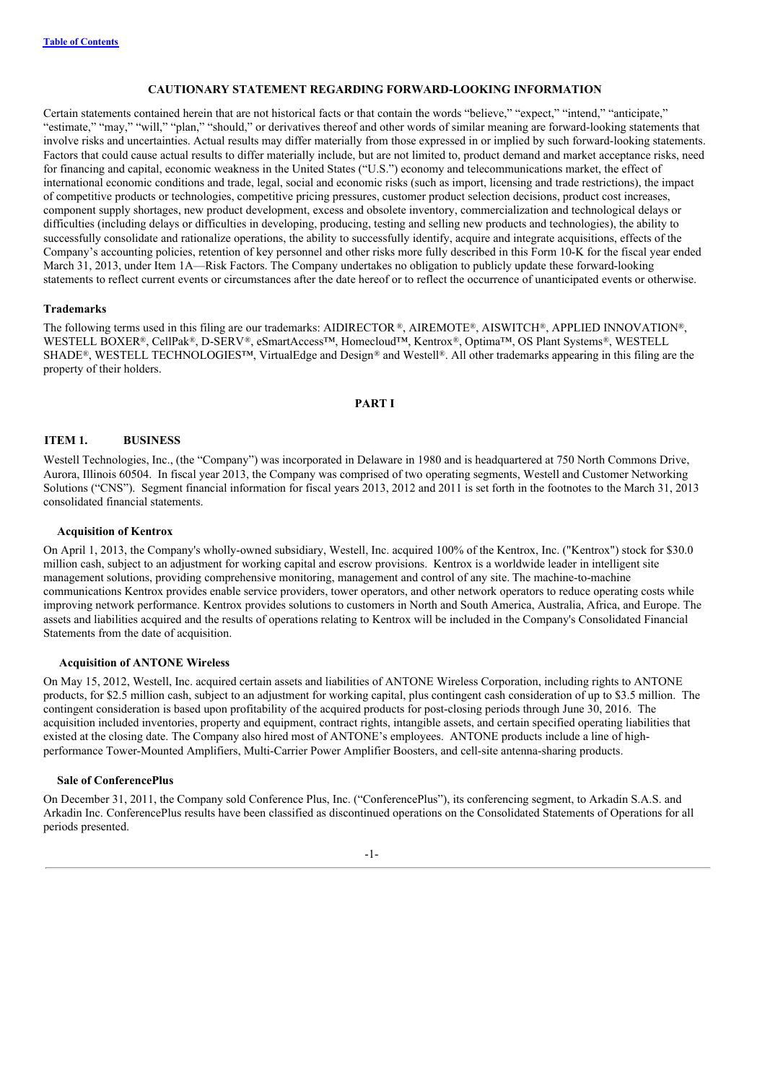#### **CAUTIONARY STATEMENT REGARDING FORWARD-LOOKING INFORMATION**

Certain statements contained herein that are not historical facts or that contain the words "believe," "expect," "intend," "anticipate," "estimate," "may," "will," "plan," "should," or derivatives thereof and other words of similar meaning are forward-looking statements that involve risks and uncertainties. Actual results may differ materially from those expressed in or implied by such forward-looking statements. Factors that could cause actual results to differ materially include, but are not limited to, product demand and market acceptance risks, need for financing and capital, economic weakness in the United States ("U.S.") economy and telecommunications market, the effect of international economic conditions and trade, legal, social and economic risks (such as import, licensing and trade restrictions), the impact of competitive products or technologies, competitive pricing pressures, customer product selection decisions, product cost increases, component supply shortages, new product development, excess and obsolete inventory, commercialization and technological delays or difficulties (including delays or difficulties in developing, producing, testing and selling new products and technologies), the ability to successfully consolidate and rationalize operations, the ability to successfully identify, acquire and integrate acquisitions, effects of the Company's accounting policies, retention of key personnel and other risks more fully described in this Form 10-K for the fiscal year ended March 31, 2013, under Item 1A—Risk Factors. The Company undertakes no obligation to publicly update these forward-looking statements to reflect current events or circumstances after the date hereof or to reflect the occurrence of unanticipated events or otherwise.

#### **Trademarks**

The following terms used in this filing are our trademarks: AIDIRECTOR ®, AIREMOTE®, AISWITCH®, APPLIED INNOVATION®, WESTELL BOXER®, CellPak®, D-SERV®, eSmartAccess™, Homecloud™, Kentrox®, Optima™, OS Plant Systems®, WESTELL SHADE®, WESTELL TECHNOLOGIES™, VirtualEdge and Design® and Westell®. All other trademarks appearing in this filing are the property of their holders.

#### **PART I**

#### **ITEM 1. BUSINESS**

Westell Technologies, Inc., (the "Company") was incorporated in Delaware in 1980 and is headquartered at 750 North Commons Drive, Aurora, Illinois 60504. In fiscal year 2013, the Company was comprised of two operating segments, Westell and Customer Networking Solutions ("CNS"). Segment financial information for fiscal years 2013, 2012 and 2011 is set forth in the footnotes to the March 31, 2013 consolidated financial statements.

#### **Acquisition of Kentrox**

On April 1, 2013, the Company's wholly-owned subsidiary, Westell, Inc. acquired 100% of the Kentrox, Inc. ("Kentrox") stock for \$30.0 million cash, subject to an adjustment for working capital and escrow provisions. Kentrox is a worldwide leader in intelligent site management solutions, providing comprehensive monitoring, management and control of any site. The machine-to-machine communications Kentrox provides enable service providers, tower operators, and other network operators to reduce operating costs while improving network performance. Kentrox provides solutions to customers in North and South America, Australia, Africa, and Europe. The assets and liabilities acquired and the results of operations relating to Kentrox will be included in the Company's Consolidated Financial Statements from the date of acquisition.

#### **Acquisition of ANTONE Wireless**

On May 15, 2012, Westell, Inc. acquired certain assets and liabilities of ANTONE Wireless Corporation, including rights to ANTONE products, for \$2.5 million cash, subject to an adjustment for working capital, plus contingent cash consideration of up to \$3.5 million. The contingent consideration is based upon profitability of the acquired products for post-closing periods through June 30, 2016. The acquisition included inventories, property and equipment, contract rights, intangible assets, and certain specified operating liabilities that existed at the closing date. The Company also hired most of ANTONE's employees. ANTONE products include a line of highperformance Tower-Mounted Amplifiers, Multi-Carrier Power Amplifier Boosters, and cell-site antenna-sharing products.

#### **Sale of ConferencePlus**

On December 31, 2011, the Company sold Conference Plus, Inc. ("ConferencePlus"), its conferencing segment, to Arkadin S.A.S. and Arkadin Inc. ConferencePlus results have been classified as discontinued operations on the Consolidated Statements of Operations for all periods presented.

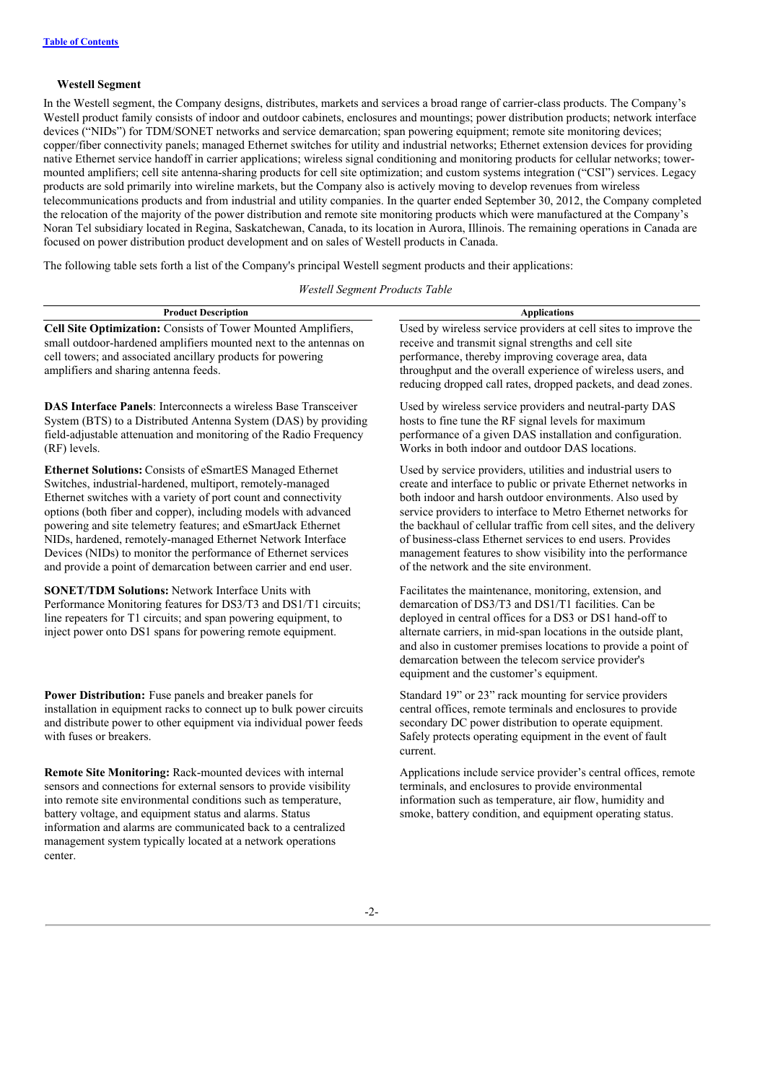#### **Westell Segment**

In the Westell segment, the Company designs, distributes, markets and services a broad range of carrier-class products. The Company's Westell product family consists of indoor and outdoor cabinets, enclosures and mountings; power distribution products; network interface devices ("NIDs") for TDM/SONET networks and service demarcation; span powering equipment; remote site monitoring devices; copper/fiber connectivity panels; managed Ethernet switches for utility and industrial networks; Ethernet extension devices for providing native Ethernet service handoff in carrier applications; wireless signal conditioning and monitoring products for cellular networks; towermounted amplifiers; cell site antenna-sharing products for cell site optimization; and custom systems integration ("CSI") services. Legacy products are sold primarily into wireline markets, but the Company also is actively moving to develop revenues from wireless telecommunications products and from industrial and utility companies. In the quarter ended September 30, 2012, the Company completed the relocation of the majority of the power distribution and remote site monitoring products which were manufactured at the Company's Noran Tel subsidiary located in Regina, Saskatchewan, Canada, to its location in Aurora, Illinois. The remaining operations in Canada are focused on power distribution product development and on sales of Westell products in Canada.

The following table sets forth a list of the Company's principal Westell segment products and their applications:

*Westell Segment Products Table*

| <b>Product Description</b>                                                                                                                                                                                                                                                                                                                                                                                                                                                                                                                 | <b>Applications</b>                                                                                                                                                                                                                                                                                                                                                                                                                                                                                        |  |  |  |  |  |  |  |
|--------------------------------------------------------------------------------------------------------------------------------------------------------------------------------------------------------------------------------------------------------------------------------------------------------------------------------------------------------------------------------------------------------------------------------------------------------------------------------------------------------------------------------------------|------------------------------------------------------------------------------------------------------------------------------------------------------------------------------------------------------------------------------------------------------------------------------------------------------------------------------------------------------------------------------------------------------------------------------------------------------------------------------------------------------------|--|--|--|--|--|--|--|
| Cell Site Optimization: Consists of Tower Mounted Amplifiers,<br>small outdoor-hardened amplifiers mounted next to the antennas on<br>cell towers; and associated ancillary products for powering<br>amplifiers and sharing antenna feeds.                                                                                                                                                                                                                                                                                                 | Used by wireless service providers at cell sites to improve the<br>receive and transmit signal strengths and cell site<br>performance, thereby improving coverage area, data<br>throughput and the overall experience of wireless users, and<br>reducing dropped call rates, dropped packets, and dead zones.                                                                                                                                                                                              |  |  |  |  |  |  |  |
| <b>DAS Interface Panels:</b> Interconnects a wireless Base Transceiver<br>System (BTS) to a Distributed Antenna System (DAS) by providing<br>field-adjustable attenuation and monitoring of the Radio Frequency<br>(RF) levels.                                                                                                                                                                                                                                                                                                            | Used by wireless service providers and neutral-party DAS<br>hosts to fine tune the RF signal levels for maximum<br>performance of a given DAS installation and configuration.<br>Works in both indoor and outdoor DAS locations.                                                                                                                                                                                                                                                                           |  |  |  |  |  |  |  |
| <b>Ethernet Solutions:</b> Consists of eSmartES Managed Ethernet<br>Switches, industrial-hardened, multiport, remotely-managed<br>Ethernet switches with a variety of port count and connectivity<br>options (both fiber and copper), including models with advanced<br>powering and site telemetry features; and eSmartJack Ethernet<br>NIDs, hardened, remotely-managed Ethernet Network Interface<br>Devices (NIDs) to monitor the performance of Ethernet services<br>and provide a point of demarcation between carrier and end user. | Used by service providers, utilities and industrial users to<br>create and interface to public or private Ethernet networks in<br>both indoor and harsh outdoor environments. Also used by<br>service providers to interface to Metro Ethernet networks for<br>the backhaul of cellular traffic from cell sites, and the delivery<br>of business-class Ethernet services to end users. Provides<br>management features to show visibility into the performance<br>of the network and the site environment. |  |  |  |  |  |  |  |
| <b>SONET/TDM Solutions: Network Interface Units with</b><br>Performance Monitoring features for DS3/T3 and DS1/T1 circuits;<br>line repeaters for T1 circuits; and span powering equipment, to<br>inject power onto DS1 spans for powering remote equipment.                                                                                                                                                                                                                                                                               | Facilitates the maintenance, monitoring, extension, and<br>demarcation of DS3/T3 and DS1/T1 facilities. Can be<br>deployed in central offices for a DS3 or DS1 hand-off to<br>alternate carriers, in mid-span locations in the outside plant,<br>and also in customer premises locations to provide a point of<br>demarcation between the telecom service provider's<br>equipment and the customer's equipment.                                                                                            |  |  |  |  |  |  |  |
| Power Distribution: Fuse panels and breaker panels for<br>installation in equipment racks to connect up to bulk power circuits<br>and distribute power to other equipment via individual power feeds<br>with fuses or breakers.                                                                                                                                                                                                                                                                                                            | Standard 19" or 23" rack mounting for service providers<br>central offices, remote terminals and enclosures to provide<br>secondary DC power distribution to operate equipment.<br>Safely protects operating equipment in the event of fault<br>current.                                                                                                                                                                                                                                                   |  |  |  |  |  |  |  |
|                                                                                                                                                                                                                                                                                                                                                                                                                                                                                                                                            |                                                                                                                                                                                                                                                                                                                                                                                                                                                                                                            |  |  |  |  |  |  |  |

**Remote Site Monitoring:** Rack-mounted devices with internal sensors and connections for external sensors to provide visibility into remote site environmental conditions such as temperature, battery voltage, and equipment status and alarms. Status information and alarms are communicated back to a centralized management system typically located at a network operations center.

Applications include service provider's central offices, remote terminals, and enclosures to provide environmental information such as temperature, air flow, humidity and smoke, battery condition, and equipment operating status.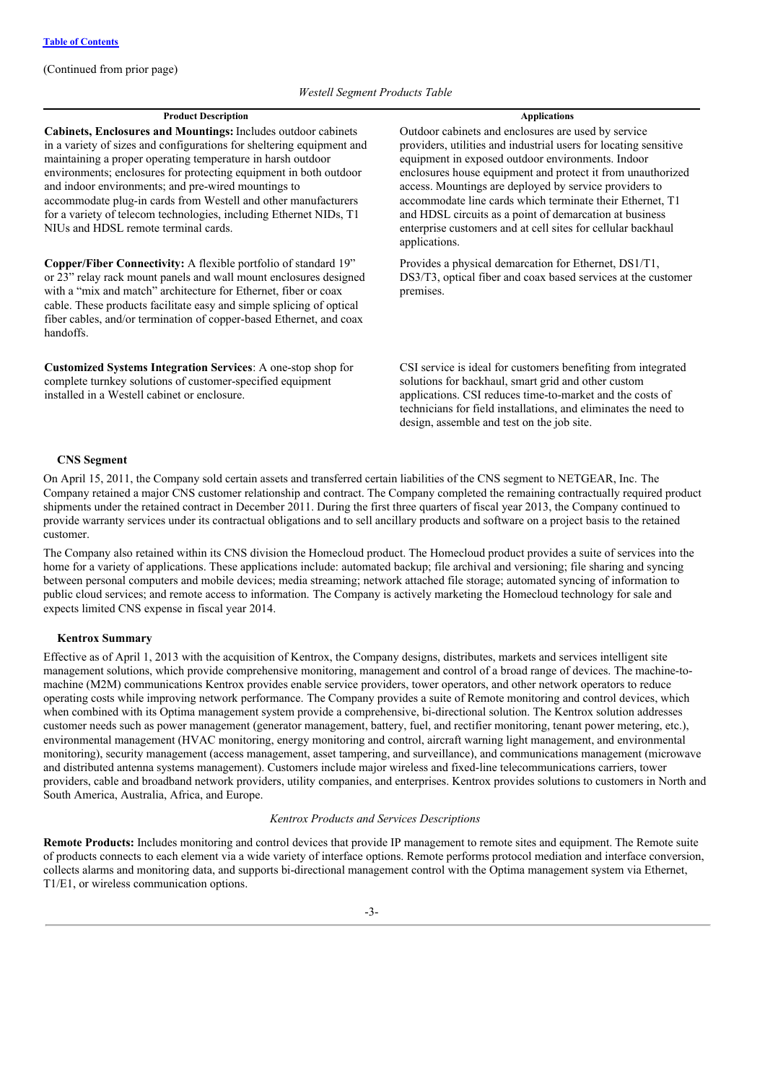(Continued from prior page)

#### **Product Description Applications**

**Cabinets, Enclosures and Mountings:** Includes outdoor cabinets in a variety of sizes and configurations for sheltering equipment and maintaining a proper operating temperature in harsh outdoor environments; enclosures for protecting equipment in both outdoor and indoor environments; and pre-wired mountings to accommodate plug-in cards from Westell and other manufacturers for a variety of telecom technologies, including Ethernet NIDs, T1 NIUs and HDSL remote terminal cards.

**Copper/Fiber Connectivity:** A flexible portfolio of standard 19" or 23" relay rack mount panels and wall mount enclosures designed with a "mix and match" architecture for Ethernet, fiber or coax cable. These products facilitate easy and simple splicing of optical fiber cables, and/or termination of copper-based Ethernet, and coax handoffs.

**Customized Systems Integration Services**: A one-stop shop for complete turnkey solutions of customer-specified equipment installed in a Westell cabinet or enclosure.

Outdoor cabinets and enclosures are used by service providers, utilities and industrial users for locating sensitive equipment in exposed outdoor environments. Indoor enclosures house equipment and protect it from unauthorized access. Mountings are deployed by service providers to accommodate line cards which terminate their Ethernet, T1 and HDSL circuits as a point of demarcation at business enterprise customers and at cell sites for cellular backhaul applications.

Provides a physical demarcation for Ethernet, DS1/T1, DS3/T3, optical fiber and coax based services at the customer premises.

CSI service is ideal for customers benefiting from integrated solutions for backhaul, smart grid and other custom applications. CSI reduces time-to-market and the costs of technicians for field installations, and eliminates the need to design, assemble and test on the job site.

#### **CNS Segment**

On April 15, 2011, the Company sold certain assets and transferred certain liabilities of the CNS segment to NETGEAR, Inc. The Company retained a major CNS customer relationship and contract. The Company completed the remaining contractually required product shipments under the retained contract in December 2011. During the first three quarters of fiscal year 2013, the Company continued to provide warranty services under its contractual obligations and to sell ancillary products and software on a project basis to the retained customer.

The Company also retained within its CNS division the Homecloud product. The Homecloud product provides a suite of services into the home for a variety of applications. These applications include: automated backup; file archival and versioning; file sharing and syncing between personal computers and mobile devices; media streaming; network attached file storage; automated syncing of information to public cloud services; and remote access to information. The Company is actively marketing the Homecloud technology for sale and expects limited CNS expense in fiscal year 2014.

#### **Kentrox Summary**

Effective as of April 1, 2013 with the acquisition of Kentrox, the Company designs, distributes, markets and services intelligent site management solutions, which provide comprehensive monitoring, management and control of a broad range of devices. The machine-tomachine (M2M) communications Kentrox provides enable service providers, tower operators, and other network operators to reduce operating costs while improving network performance. The Company provides a suite of Remote monitoring and control devices, which when combined with its Optima management system provide a comprehensive, bi-directional solution. The Kentrox solution addresses customer needs such as power management (generator management, battery, fuel, and rectifier monitoring, tenant power metering, etc.), environmental management (HVAC monitoring, energy monitoring and control, aircraft warning light management, and environmental monitoring), security management (access management, asset tampering, and surveillance), and communications management (microwave and distributed antenna systems management). Customers include major wireless and fixed-line telecommunications carriers, tower providers, cable and broadband network providers, utility companies, and enterprises. Kentrox provides solutions to customers in North and South America, Australia, Africa, and Europe.

#### *Kentrox Products and Services Descriptions*

**Remote Products:** Includes monitoring and control devices that provide IP management to remote sites and equipment. The Remote suite of products connects to each element via a wide variety of interface options. Remote performs protocol mediation and interface conversion, collects alarms and monitoring data, and supports bi-directional management control with the Optima management system via Ethernet, T1/E1, or wireless communication options.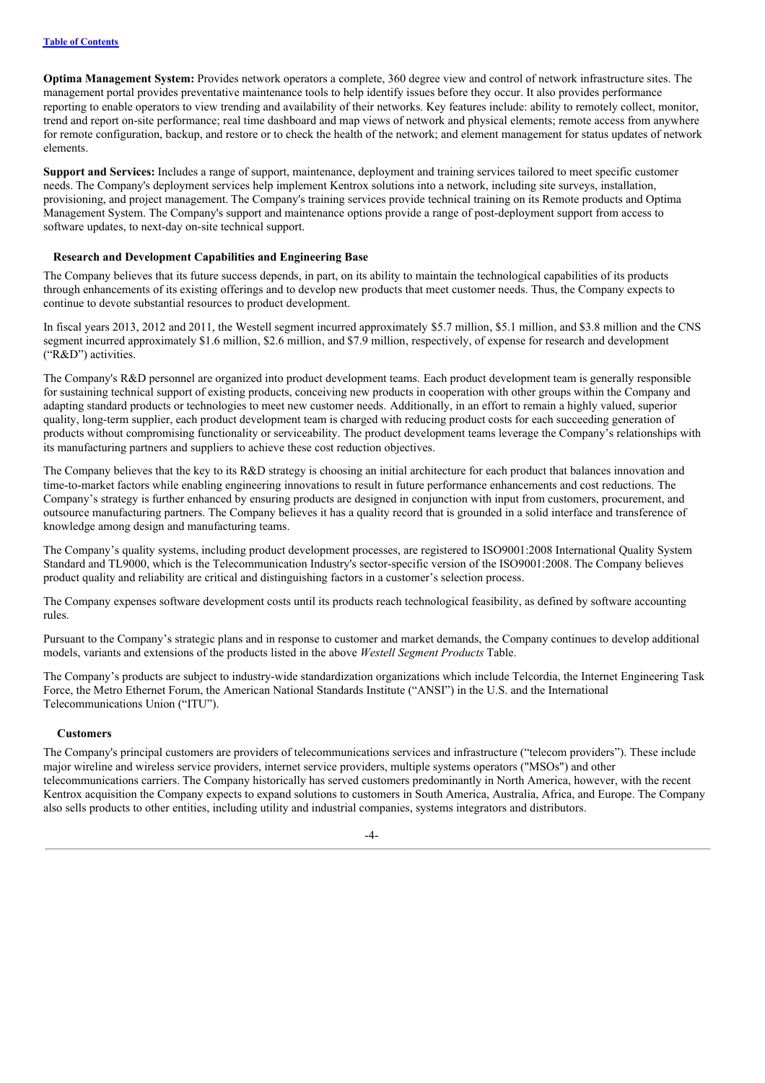**Optima Management System:** Provides network operators a complete, 360 degree view and control of network infrastructure sites. The management portal provides preventative maintenance tools to help identify issues before they occur. It also provides performance reporting to enable operators to view trending and availability of their networks. Key features include: ability to remotely collect, monitor, trend and report on-site performance; real time dashboard and map views of network and physical elements; remote access from anywhere for remote configuration, backup, and restore or to check the health of the network; and element management for status updates of network elements.

**Support and Services:** Includes a range of support, maintenance, deployment and training services tailored to meet specific customer needs. The Company's deployment services help implement Kentrox solutions into a network, including site surveys, installation, provisioning, and project management. The Company's training services provide technical training on its Remote products and Optima Management System. The Company's support and maintenance options provide a range of post-deployment support from access to software updates, to next-day on-site technical support.

#### **Research and Development Capabilities and Engineering Base**

The Company believes that its future success depends, in part, on its ability to maintain the technological capabilities of its products through enhancements of its existing offerings and to develop new products that meet customer needs. Thus, the Company expects to continue to devote substantial resources to product development.

In fiscal years 2013, 2012 and 2011, the Westell segment incurred approximately \$5.7 million, \$5.1 million, and \$3.8 million and the CNS segment incurred approximately \$1.6 million, \$2.6 million, and \$7.9 million, respectively, of expense for research and development ("R&D") activities.

The Company's R&D personnel are organized into product development teams. Each product development team is generally responsible for sustaining technical support of existing products, conceiving new products in cooperation with other groups within the Company and adapting standard products or technologies to meet new customer needs. Additionally, in an effort to remain a highly valued, superior quality, long-term supplier, each product development team is charged with reducing product costs for each succeeding generation of products without compromising functionality or serviceability. The product development teams leverage the Company's relationships with its manufacturing partners and suppliers to achieve these cost reduction objectives.

The Company believes that the key to its R&D strategy is choosing an initial architecture for each product that balances innovation and time-to-market factors while enabling engineering innovations to result in future performance enhancements and cost reductions. The Company's strategy is further enhanced by ensuring products are designed in conjunction with input from customers, procurement, and outsource manufacturing partners. The Company believes it has a quality record that is grounded in a solid interface and transference of knowledge among design and manufacturing teams.

The Company's quality systems, including product development processes, are registered to ISO9001:2008 International Quality System Standard and TL9000, which is the Telecommunication Industry's sector-specific version of the ISO9001:2008. The Company believes product quality and reliability are critical and distinguishing factors in a customer's selection process.

The Company expenses software development costs until its products reach technological feasibility, as defined by software accounting rules.

Pursuant to the Company's strategic plans and in response to customer and market demands, the Company continues to develop additional models, variants and extensions of the products listed in the above *Westell Segment Products* Table.

The Company's products are subject to industry-wide standardization organizations which include Telcordia, the Internet Engineering Task Force, the Metro Ethernet Forum, the American National Standards Institute ("ANSI") in the U.S. and the International Telecommunications Union ("ITU").

#### **Customers**

The Company's principal customers are providers of telecommunications services and infrastructure ("telecom providers"). These include major wireline and wireless service providers, internet service providers, multiple systems operators ("MSOs") and other telecommunications carriers. The Company historically has served customers predominantly in North America, however, with the recent Kentrox acquisition the Company expects to expand solutions to customers in South America, Australia, Africa, and Europe. The Company also sells products to other entities, including utility and industrial companies, systems integrators and distributors.

-4-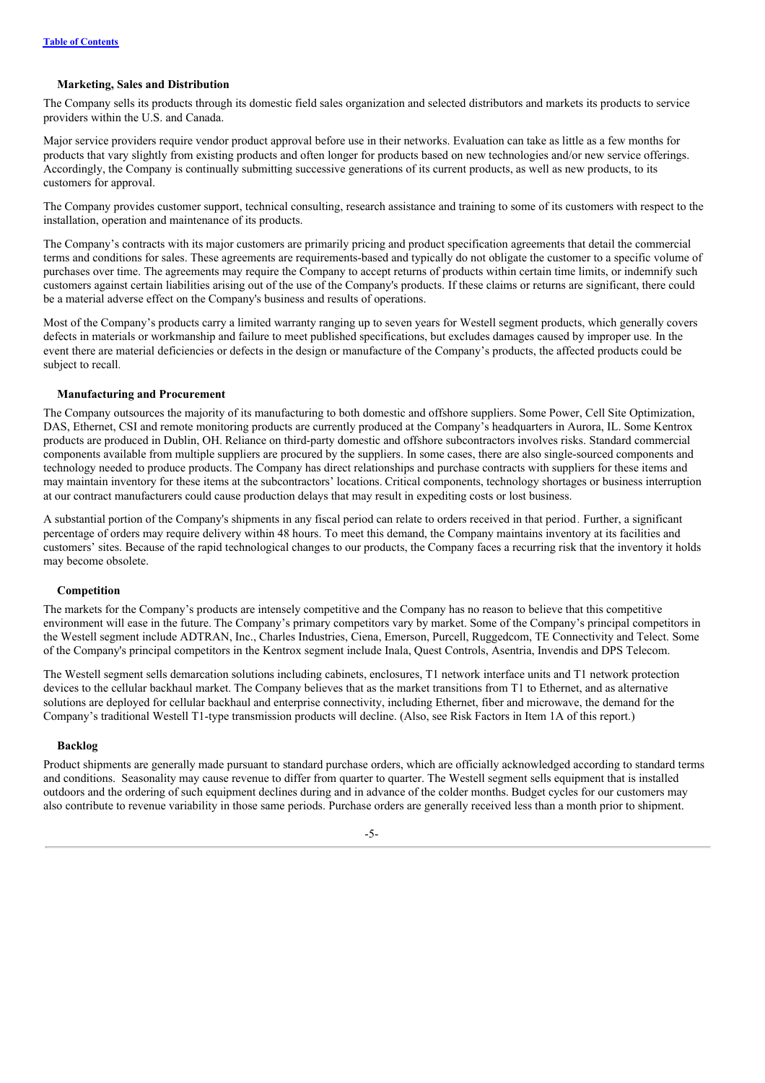#### **Marketing, Sales and Distribution**

The Company sells its products through its domestic field sales organization and selected distributors and markets its products to service providers within the U.S. and Canada.

Major service providers require vendor product approval before use in their networks. Evaluation can take as little as a few months for products that vary slightly from existing products and often longer for products based on new technologies and/or new service offerings. Accordingly, the Company is continually submitting successive generations of its current products, as well as new products, to its customers for approval.

The Company provides customer support, technical consulting, research assistance and training to some of its customers with respect to the installation, operation and maintenance of its products.

The Company's contracts with its major customers are primarily pricing and product specification agreements that detail the commercial terms and conditions for sales. These agreements are requirements-based and typically do not obligate the customer to a specific volume of purchases over time. The agreements may require the Company to accept returns of products within certain time limits, or indemnify such customers against certain liabilities arising out of the use of the Company's products. If these claims or returns are significant, there could be a material adverse effect on the Company's business and results of operations.

Most of the Company's products carry a limited warranty ranging up to seven years for Westell segment products, which generally covers defects in materials or workmanship and failure to meet published specifications, but excludes damages caused by improper use*.* In the event there are material deficiencies or defects in the design or manufacture of the Company's products, the affected products could be subject to recall*.*

#### **Manufacturing and Procurement**

The Company outsources the majority of its manufacturing to both domestic and offshore suppliers. Some Power, Cell Site Optimization, DAS, Ethernet, CSI and remote monitoring products are currently produced at the Company's headquarters in Aurora, IL. Some Kentrox products are produced in Dublin, OH. Reliance on third-party domestic and offshore subcontractors involves risks. Standard commercial components available from multiple suppliers are procured by the suppliers. In some cases, there are also single-sourced components and technology needed to produce products. The Company has direct relationships and purchase contracts with suppliers for these items and may maintain inventory for these items at the subcontractors' locations. Critical components, technology shortages or business interruption at our contract manufacturers could cause production delays that may result in expediting costs or lost business.

A substantial portion of the Company's shipments in any fiscal period can relate to orders received in that period*.* Further, a significant percentage of orders may require delivery within 48 hours. To meet this demand, the Company maintains inventory at its facilities and customers' sites. Because of the rapid technological changes to our products, the Company faces a recurring risk that the inventory it holds may become obsolete.

#### **Competition**

The markets for the Company's products are intensely competitive and the Company has no reason to believe that this competitive environment will ease in the future. The Company's primary competitors vary by market. Some of the Company's principal competitors in the Westell segment include ADTRAN, Inc., Charles Industries, Ciena, Emerson, Purcell, Ruggedcom, TE Connectivity and Telect. Some of the Company's principal competitors in the Kentrox segment include Inala, Quest Controls, Asentria, Invendis and DPS Telecom.

The Westell segment sells demarcation solutions including cabinets, enclosures, T1 network interface units and T1 network protection devices to the cellular backhaul market. The Company believes that as the market transitions from T1 to Ethernet, and as alternative solutions are deployed for cellular backhaul and enterprise connectivity, including Ethernet, fiber and microwave, the demand for the Company's traditional Westell T1-type transmission products will decline. (Also, see Risk Factors in Item 1A of this report.)

#### **Backlog**

Product shipments are generally made pursuant to standard purchase orders, which are officially acknowledged according to standard terms and conditions. Seasonality may cause revenue to differ from quarter to quarter. The Westell segment sells equipment that is installed outdoors and the ordering of such equipment declines during and in advance of the colder months. Budget cycles for our customers may also contribute to revenue variability in those same periods. Purchase orders are generally received less than a month prior to shipment.

-5-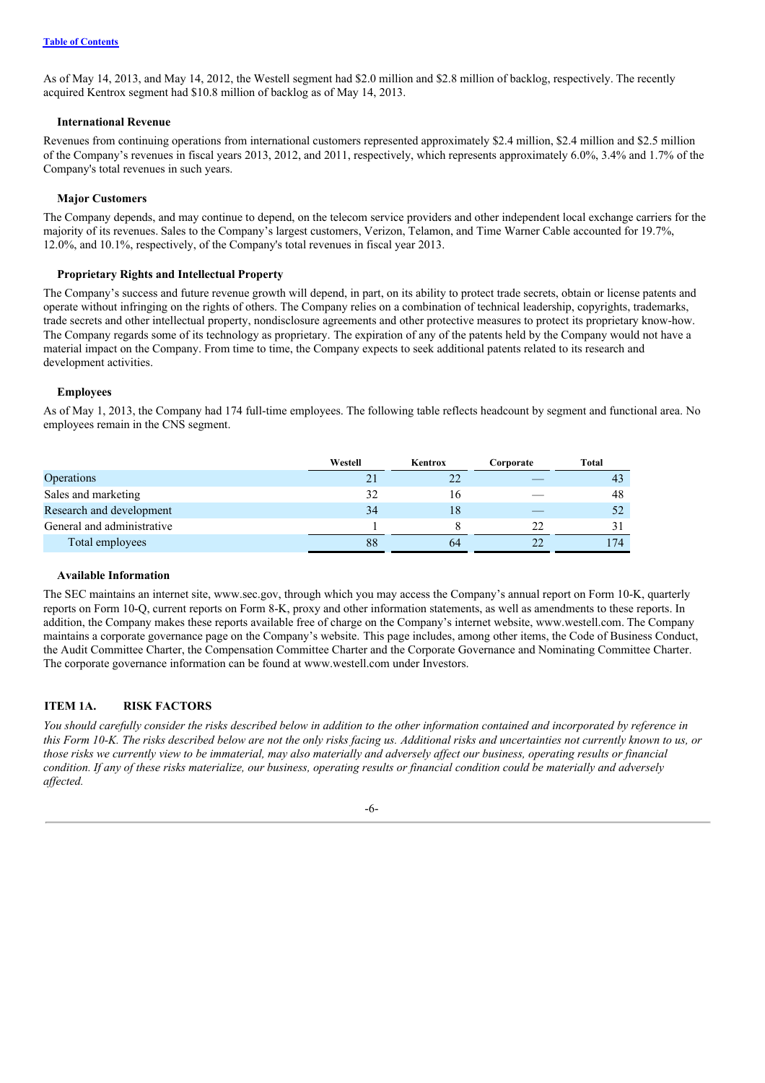As of May 14, 2013, and May 14, 2012, the Westell segment had \$2.0 million and \$2.8 million of backlog, respectively. The recently acquired Kentrox segment had \$10.8 million of backlog as of May 14, 2013.

#### **International Revenue**

Revenues from continuing operations from international customers represented approximately \$2.4 million, \$2.4 million and \$2.5 million of the Company's revenues in fiscal years 2013, 2012, and 2011, respectively, which represents approximately 6.0%, 3.4% and 1.7% of the Company's total revenues in such years.

## **Major Customers**

The Company depends, and may continue to depend, on the telecom service providers and other independent local exchange carriers for the majority of its revenues. Sales to the Company's largest customers, Verizon, Telamon, and Time Warner Cable accounted for 19.7%, 12.0%, and 10.1%, respectively, of the Company's total revenues in fiscal year 2013.

## **Proprietary Rights and Intellectual Property**

The Company's success and future revenue growth will depend, in part, on its ability to protect trade secrets, obtain or license patents and operate without infringing on the rights of others. The Company relies on a combination of technical leadership, copyrights, trademarks, trade secrets and other intellectual property, nondisclosure agreements and other protective measures to protect its proprietary know-how. The Company regards some of its technology as proprietary. The expiration of any of the patents held by the Company would not have a material impact on the Company. From time to time, the Company expects to seek additional patents related to its research and development activities.

#### **Employees**

As of May 1, 2013, the Company had 174 full-time employees. The following table reflects headcount by segment and functional area. No employees remain in the CNS segment.

|                            | Westell | Kentrox | Corporate | Total |
|----------------------------|---------|---------|-----------|-------|
| Operations                 | 21      | 22      |           | 43    |
| Sales and marketing        | 32      | 16      |           | 48    |
| Research and development   | 34      |         |           | 52    |
| General and administrative |         |         | 22        | 31    |
| Total employees            | 88      | 64      |           | 174   |

#### **Available Information**

The SEC maintains an internet site, www.sec.gov, through which you may access the Company's annual report on Form 10-K, quarterly reports on Form 10-Q, current reports on Form 8-K, proxy and other information statements, as well as amendments to these reports. In addition, the Company makes these reports available free of charge on the Company's internet website, www.westell.com. The Company maintains a corporate governance page on the Company's website. This page includes, among other items, the Code of Business Conduct, the Audit Committee Charter, the Compensation Committee Charter and the Corporate Governance and Nominating Committee Charter. The corporate governance information can be found at www.westell.com under Investors.

## **ITEM 1A. RISK FACTORS**

You should carefully consider the risks described below in addition to the other information contained and incorporated by reference in this Form 10-K. The risks described below are not the only risks facing us. Additional risks and uncertainties not currently known to us, or those risks we currently view to be immaterial, may also materially and adversely affect our business, operating results or financial condition. If any of these risks materialize, our business, operating results or financial condition could be materially and adversely *af ected.*

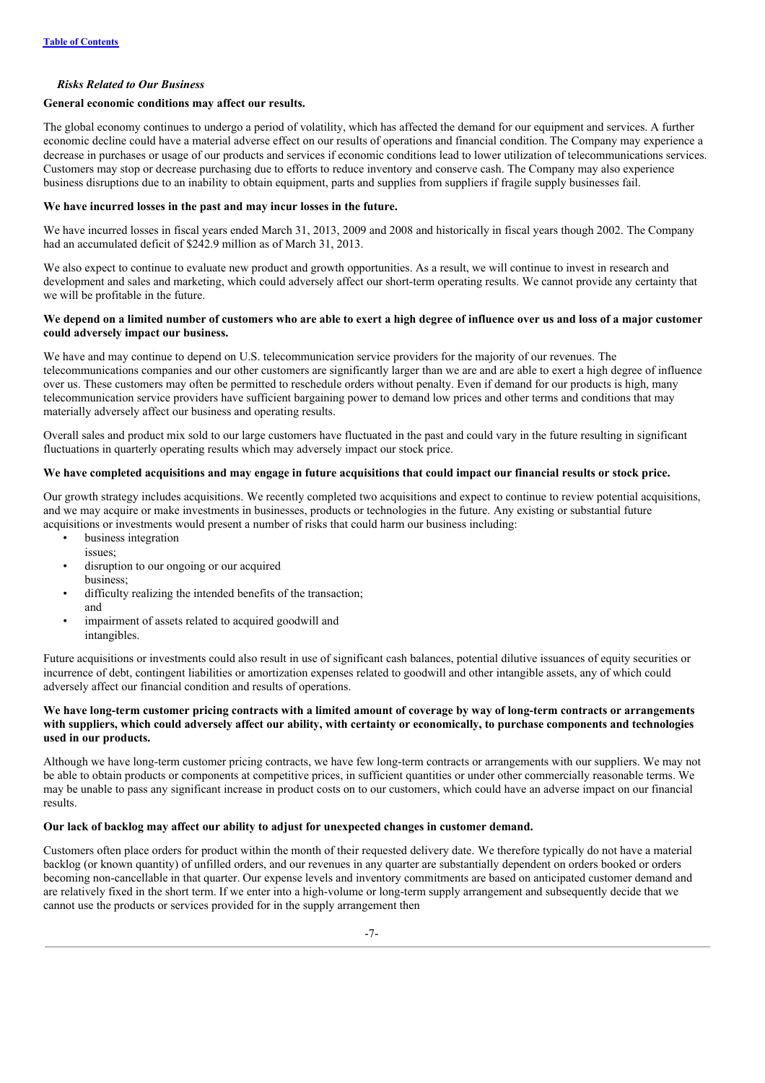## *Risks Related to Our Business*

## **General economic conditions may affect our results.**

The global economy continues to undergo a period of volatility, which has affected the demand for our equipment and services. A further economic decline could have a material adverse effect on our results of operations and financial condition. The Company may experience a decrease in purchases or usage of our products and services if economic conditions lead to lower utilization of telecommunications services. Customers may stop or decrease purchasing due to efforts to reduce inventory and conserve cash. The Company may also experience business disruptions due to an inability to obtain equipment, parts and supplies from suppliers if fragile supply businesses fail.

#### **We have incurred losses in the past and may incur losses in the future.**

We have incurred losses in fiscal years ended March 31, 2013, 2009 and 2008 and historically in fiscal years though 2002. The Company had an accumulated deficit of \$242.9 million as of March 31, 2013.

We also expect to continue to evaluate new product and growth opportunities. As a result, we will continue to invest in research and development and sales and marketing, which could adversely affect our short-term operating results. We cannot provide any certainty that we will be profitable in the future.

## We depend on a limited number of customers who are able to exert a high degree of influence over us and loss of a major customer **could adversely impact our business.**

We have and may continue to depend on U.S. telecommunication service providers for the majority of our revenues. The telecommunications companies and our other customers are significantly larger than we are and are able to exert a high degree of influence over us. These customers may often be permitted to reschedule orders without penalty. Even if demand for our products is high, many telecommunication service providers have sufficient bargaining power to demand low prices and other terms and conditions that may materially adversely affect our business and operating results.

Overall sales and product mix sold to our large customers have fluctuated in the past and could vary in the future resulting in significant fluctuations in quarterly operating results which may adversely impact our stock price.

## We have completed acquisitions and may engage in future acquisitions that could impact our financial results or stock price.

Our growth strategy includes acquisitions. We recently completed two acquisitions and expect to continue to review potential acquisitions, and we may acquire or make investments in businesses, products or technologies in the future. Any existing or substantial future acquisitions or investments would present a number of risks that could harm our business including:

- business integration
	- issues;
- disruption to our ongoing or our acquired business;
- difficulty realizing the intended benefits of the transaction; and
- impairment of assets related to acquired goodwill and intangibles.

Future acquisitions or investments could also result in use of significant cash balances, potential dilutive issuances of equity securities or incurrence of debt, contingent liabilities or amortization expenses related to goodwill and other intangible assets, any of which could adversely affect our financial condition and results of operations.

## We have long-term customer pricing contracts with a limited amount of coverage by way of long-term contracts or arrangements with suppliers, which could adversely affect our ability, with certainty or economically, to purchase components and technologies **used in our products.**

Although we have long-term customer pricing contracts, we have few long-term contracts or arrangements with our suppliers. We may not be able to obtain products or components at competitive prices, in sufficient quantities or under other commercially reasonable terms. We may be unable to pass any significant increase in product costs on to our customers, which could have an adverse impact on our financial results.

## **Our lack of backlog may affect our ability to adjust for unexpected changes in customer demand.**

Customers often place orders for product within the month of their requested delivery date. We therefore typically do not have a material backlog (or known quantity) of unfilled orders, and our revenues in any quarter are substantially dependent on orders booked or orders becoming non-cancellable in that quarter. Our expense levels and inventory commitments are based on anticipated customer demand and are relatively fixed in the short term. If we enter into a high-volume or long-term supply arrangement and subsequently decide that we cannot use the products or services provided for in the supply arrangement then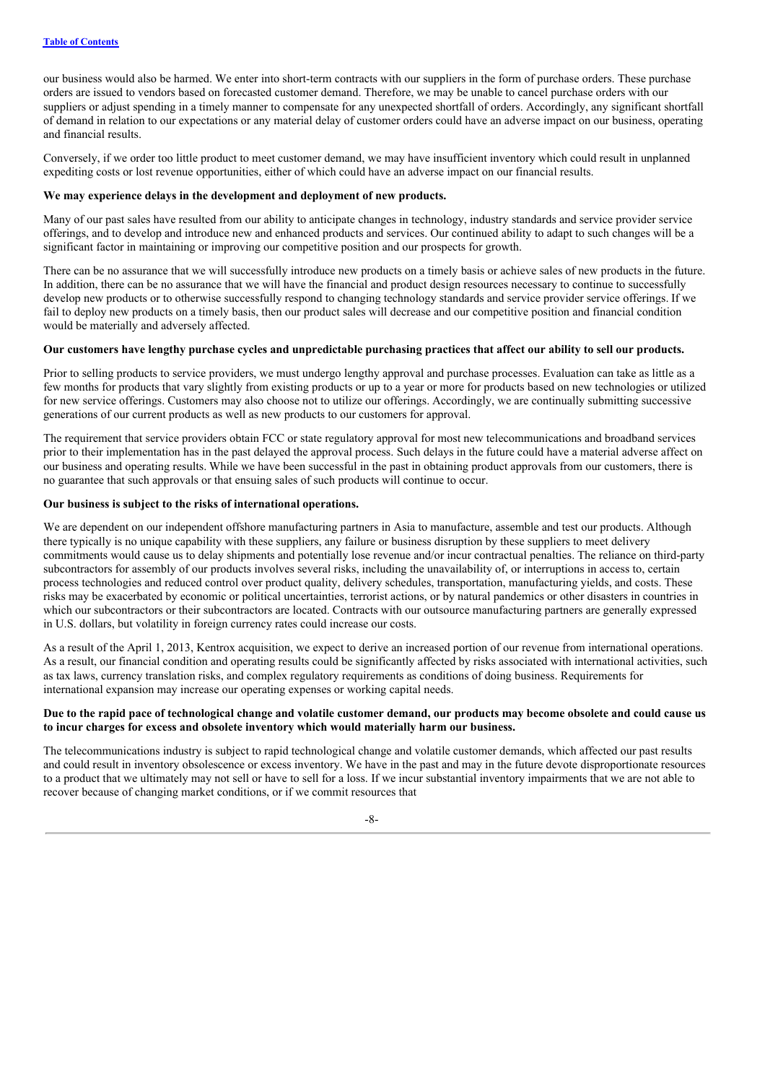our business would also be harmed. We enter into short-term contracts with our suppliers in the form of purchase orders. These purchase orders are issued to vendors based on forecasted customer demand. Therefore, we may be unable to cancel purchase orders with our suppliers or adjust spending in a timely manner to compensate for any unexpected shortfall of orders. Accordingly, any significant shortfall of demand in relation to our expectations or any material delay of customer orders could have an adverse impact on our business, operating and financial results.

Conversely, if we order too little product to meet customer demand, we may have insufficient inventory which could result in unplanned expediting costs or lost revenue opportunities, either of which could have an adverse impact on our financial results.

#### **We may experience delays in the development and deployment of new products.**

Many of our past sales have resulted from our ability to anticipate changes in technology, industry standards and service provider service offerings, and to develop and introduce new and enhanced products and services. Our continued ability to adapt to such changes will be a significant factor in maintaining or improving our competitive position and our prospects for growth.

There can be no assurance that we will successfully introduce new products on a timely basis or achieve sales of new products in the future. In addition, there can be no assurance that we will have the financial and product design resources necessary to continue to successfully develop new products or to otherwise successfully respond to changing technology standards and service provider service offerings. If we fail to deploy new products on a timely basis, then our product sales will decrease and our competitive position and financial condition would be materially and adversely affected.

## Our customers have lengthy purchase cycles and unpredictable purchasing practices that affect our ability to sell our products.

Prior to selling products to service providers, we must undergo lengthy approval and purchase processes. Evaluation can take as little as a few months for products that vary slightly from existing products or up to a year or more for products based on new technologies or utilized for new service offerings. Customers may also choose not to utilize our offerings. Accordingly, we are continually submitting successive generations of our current products as well as new products to our customers for approval.

The requirement that service providers obtain FCC or state regulatory approval for most new telecommunications and broadband services prior to their implementation has in the past delayed the approval process. Such delays in the future could have a material adverse affect on our business and operating results. While we have been successful in the past in obtaining product approvals from our customers, there is no guarantee that such approvals or that ensuing sales of such products will continue to occur.

## **Our business is subject to the risks of international operations.**

We are dependent on our independent offshore manufacturing partners in Asia to manufacture, assemble and test our products. Although there typically is no unique capability with these suppliers, any failure or business disruption by these suppliers to meet delivery commitments would cause us to delay shipments and potentially lose revenue and/or incur contractual penalties. The reliance on third-party subcontractors for assembly of our products involves several risks, including the unavailability of, or interruptions in access to, certain process technologies and reduced control over product quality, delivery schedules, transportation, manufacturing yields, and costs. These risks may be exacerbated by economic or political uncertainties, terrorist actions, or by natural pandemics or other disasters in countries in which our subcontractors or their subcontractors are located. Contracts with our outsource manufacturing partners are generally expressed in U.S. dollars, but volatility in foreign currency rates could increase our costs.

As a result of the April 1, 2013, Kentrox acquisition, we expect to derive an increased portion of our revenue from international operations. As a result, our financial condition and operating results could be significantly affected by risks associated with international activities, such as tax laws, currency translation risks, and complex regulatory requirements as conditions of doing business. Requirements for international expansion may increase our operating expenses or working capital needs.

#### Due to the rapid pace of technological change and volatile customer demand, our products may become obsolete and could cause us **to incur charges for excess and obsolete inventory which would materially harm our business.**

The telecommunications industry is subject to rapid technological change and volatile customer demands, which affected our past results and could result in inventory obsolescence or excess inventory. We have in the past and may in the future devote disproportionate resources to a product that we ultimately may not sell or have to sell for a loss. If we incur substantial inventory impairments that we are not able to recover because of changing market conditions, or if we commit resources that

-8-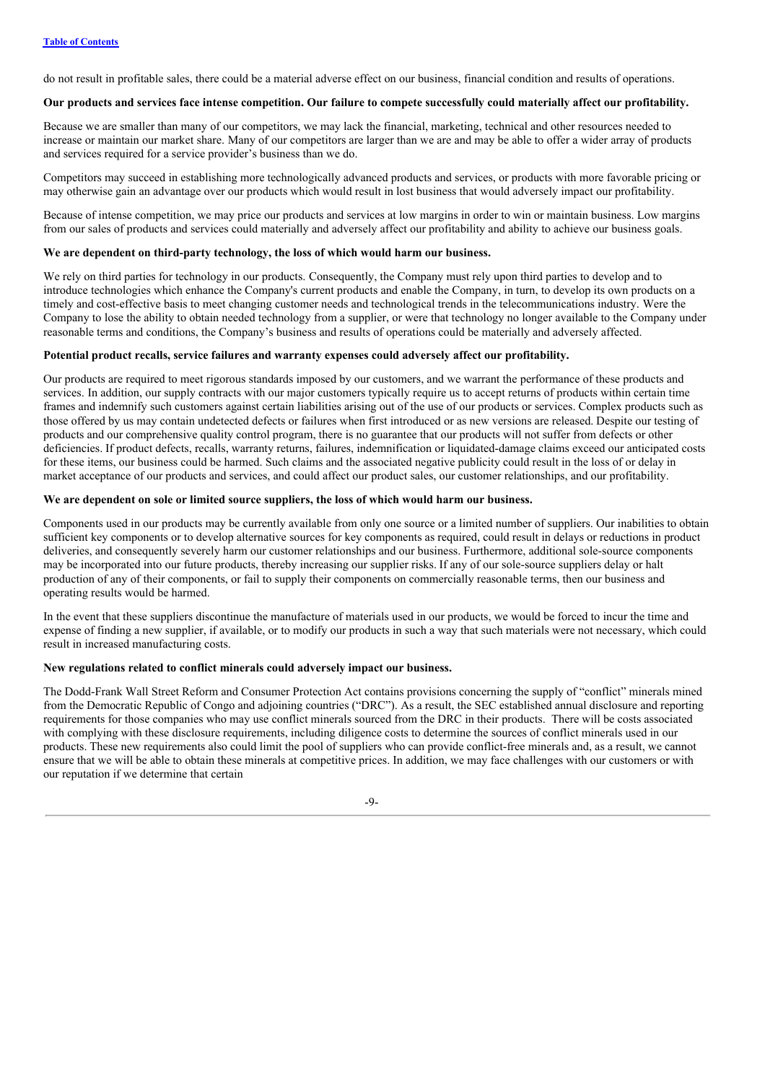do not result in profitable sales, there could be a material adverse effect on our business, financial condition and results of operations.

#### Our products and services face intense competition. Our failure to compete successfully could materially affect our profitability.

Because we are smaller than many of our competitors, we may lack the financial, marketing, technical and other resources needed to increase or maintain our market share. Many of our competitors are larger than we are and may be able to offer a wider array of products and services required for a service provider's business than we do.

Competitors may succeed in establishing more technologically advanced products and services, or products with more favorable pricing or may otherwise gain an advantage over our products which would result in lost business that would adversely impact our profitability.

Because of intense competition, we may price our products and services at low margins in order to win or maintain business. Low margins from our sales of products and services could materially and adversely affect our profitability and ability to achieve our business goals.

#### **We are dependent on third-party technology, the loss of which would harm our business.**

We rely on third parties for technology in our products. Consequently, the Company must rely upon third parties to develop and to introduce technologies which enhance the Company's current products and enable the Company, in turn, to develop its own products on a timely and cost-effective basis to meet changing customer needs and technological trends in the telecommunications industry. Were the Company to lose the ability to obtain needed technology from a supplier, or were that technology no longer available to the Company under reasonable terms and conditions, the Company's business and results of operations could be materially and adversely affected.

#### **Potential product recalls, service failures and warranty expenses could adversely affect our profitability.**

Our products are required to meet rigorous standards imposed by our customers, and we warrant the performance of these products and services. In addition, our supply contracts with our major customers typically require us to accept returns of products within certain time frames and indemnify such customers against certain liabilities arising out of the use of our products or services. Complex products such as those offered by us may contain undetected defects or failures when first introduced or as new versions are released. Despite our testing of products and our comprehensive quality control program, there is no guarantee that our products will not suffer from defects or other deficiencies. If product defects, recalls, warranty returns, failures, indemnification or liquidated-damage claims exceed our anticipated costs for these items, our business could be harmed. Such claims and the associated negative publicity could result in the loss of or delay in market acceptance of our products and services, and could affect our product sales, our customer relationships, and our profitability.

## **We are dependent on sole or limited source suppliers, the loss of which would harm our business.**

Components used in our products may be currently available from only one source or a limited number of suppliers. Our inabilities to obtain sufficient key components or to develop alternative sources for key components as required, could result in delays or reductions in product deliveries, and consequently severely harm our customer relationships and our business. Furthermore, additional sole-source components may be incorporated into our future products, thereby increasing our supplier risks. If any of our sole-source suppliers delay or halt production of any of their components, or fail to supply their components on commercially reasonable terms, then our business and operating results would be harmed.

In the event that these suppliers discontinue the manufacture of materials used in our products, we would be forced to incur the time and expense of finding a new supplier, if available, or to modify our products in such a way that such materials were not necessary, which could result in increased manufacturing costs.

## **New regulations related to conflict minerals could adversely impact our business.**

The Dodd-Frank Wall Street Reform and Consumer Protection Act contains provisions concerning the supply of "conflict" minerals mined from the Democratic Republic of Congo and adjoining countries ("DRC"). As a result, the SEC established annual disclosure and reporting requirements for those companies who may use conflict minerals sourced from the DRC in their products. There will be costs associated with complying with these disclosure requirements, including diligence costs to determine the sources of conflict minerals used in our products. These new requirements also could limit the pool of suppliers who can provide conflict-free minerals and, as a result, we cannot ensure that we will be able to obtain these minerals at competitive prices. In addition, we may face challenges with our customers or with our reputation if we determine that certain

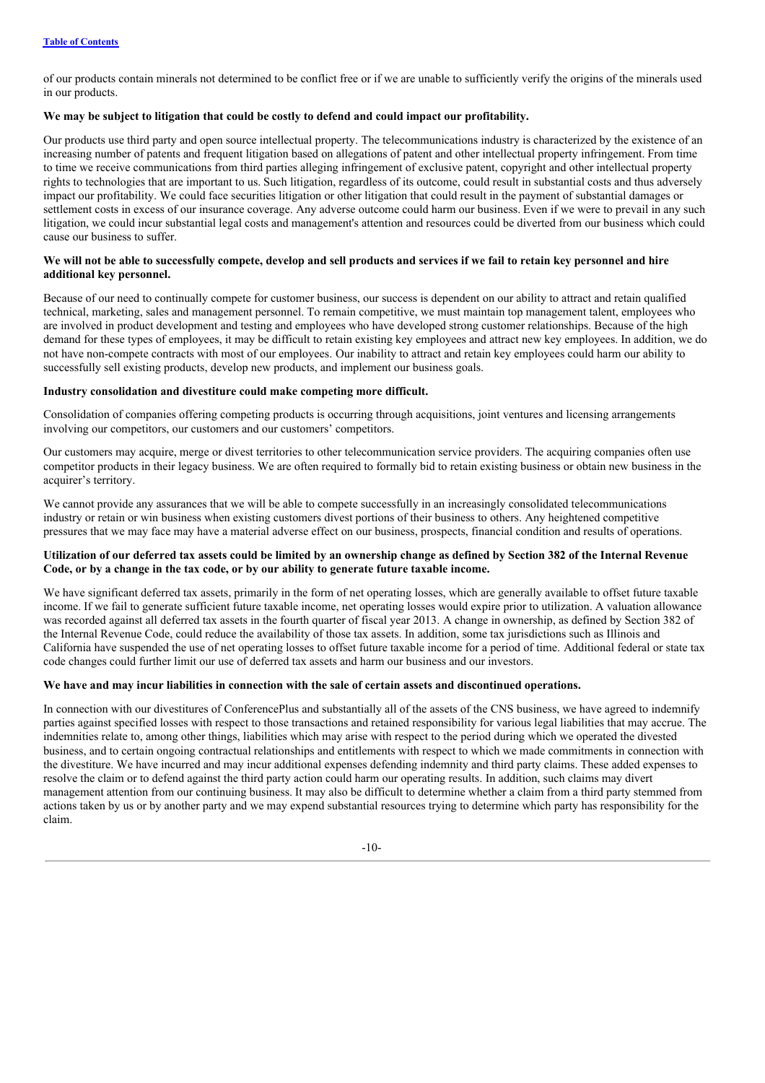of our products contain minerals not determined to be conflict free or if we are unable to sufficiently verify the origins of the minerals used in our products.

## **We may be subject to litigation that could be costly to defend and could impact our profitability.**

Our products use third party and open source intellectual property. The telecommunications industry is characterized by the existence of an increasing number of patents and frequent litigation based on allegations of patent and other intellectual property infringement. From time to time we receive communications from third parties alleging infringement of exclusive patent, copyright and other intellectual property rights to technologies that are important to us. Such litigation, regardless of its outcome, could result in substantial costs and thus adversely impact our profitability. We could face securities litigation or other litigation that could result in the payment of substantial damages or settlement costs in excess of our insurance coverage. Any adverse outcome could harm our business. Even if we were to prevail in any such litigation, we could incur substantial legal costs and management's attention and resources could be diverted from our business which could cause our business to suffer.

## We will not be able to successfully compete, develop and sell products and services if we fail to retain key personnel and hire **additional key personnel.**

Because of our need to continually compete for customer business, our success is dependent on our ability to attract and retain qualified technical, marketing, sales and management personnel. To remain competitive, we must maintain top management talent, employees who are involved in product development and testing and employees who have developed strong customer relationships. Because of the high demand for these types of employees, it may be difficult to retain existing key employees and attract new key employees. In addition, we do not have non-compete contracts with most of our employees. Our inability to attract and retain key employees could harm our ability to successfully sell existing products, develop new products, and implement our business goals.

#### **Industry consolidation and divestiture could make competing more difficult.**

Consolidation of companies offering competing products is occurring through acquisitions, joint ventures and licensing arrangements involving our competitors, our customers and our customers' competitors.

Our customers may acquire, merge or divest territories to other telecommunication service providers. The acquiring companies often use competitor products in their legacy business. We are often required to formally bid to retain existing business or obtain new business in the acquirer's territory.

We cannot provide any assurances that we will be able to compete successfully in an increasingly consolidated telecommunications industry or retain or win business when existing customers divest portions of their business to others. Any heightened competitive pressures that we may face may have a material adverse effect on our business, prospects, financial condition and results of operations.

#### Utilization of our deferred tax assets could be limited by an ownership change as defined by Section 382 of the Internal Revenue **Code, or by a change in the tax code, or by our ability to generate future taxable income.**

We have significant deferred tax assets, primarily in the form of net operating losses, which are generally available to offset future taxable income. If we fail to generate sufficient future taxable income, net operating losses would expire prior to utilization. A valuation allowance was recorded against all deferred tax assets in the fourth quarter of fiscal year 2013. A change in ownership, as defined by Section 382 of the Internal Revenue Code, could reduce the availability of those tax assets. In addition, some tax jurisdictions such as Illinois and California have suspended the use of net operating losses to offset future taxable income for a period of time. Additional federal or state tax code changes could further limit our use of deferred tax assets and harm our business and our investors.

## We have and may incur liabilities in connection with the sale of certain assets and discontinued operations.

In connection with our divestitures of ConferencePlus and substantially all of the assets of the CNS business, we have agreed to indemnify parties against specified losses with respect to those transactions and retained responsibility for various legal liabilities that may accrue. The indemnities relate to, among other things, liabilities which may arise with respect to the period during which we operated the divested business, and to certain ongoing contractual relationships and entitlements with respect to which we made commitments in connection with the divestiture. We have incurred and may incur additional expenses defending indemnity and third party claims. These added expenses to resolve the claim or to defend against the third party action could harm our operating results. In addition, such claims may divert management attention from our continuing business. It may also be difficult to determine whether a claim from a third party stemmed from actions taken by us or by another party and we may expend substantial resources trying to determine which party has responsibility for the claim.

-10-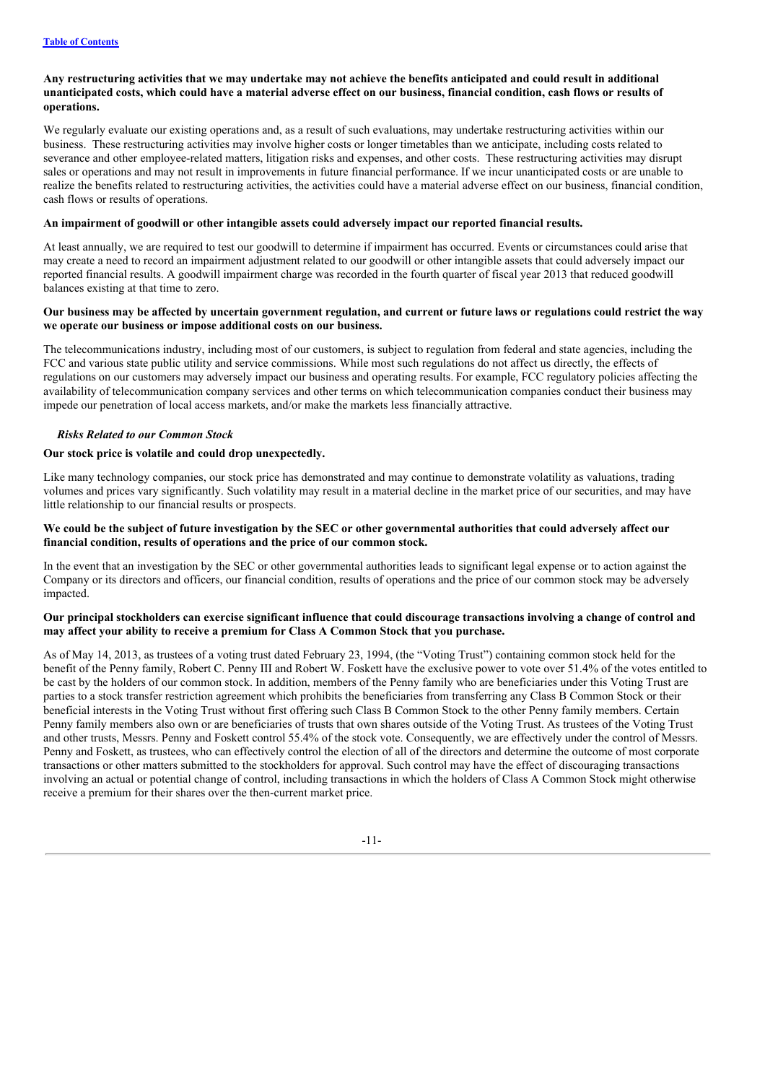## Any restructuring activities that we may undertake may not achieve the benefits anticipated and could result in additional unanticipated costs, which could have a material adverse effect on our business, financial condition, cash flows or results of **operations.**

We regularly evaluate our existing operations and, as a result of such evaluations, may undertake restructuring activities within our business. These restructuring activities may involve higher costs or longer timetables than we anticipate, including costs related to severance and other employee-related matters, litigation risks and expenses, and other costs. These restructuring activities may disrupt sales or operations and may not result in improvements in future financial performance. If we incur unanticipated costs or are unable to realize the benefits related to restructuring activities, the activities could have a material adverse effect on our business, financial condition, cash flows or results of operations.

## **An impairment of goodwill or other intangible assets could adversely impact our reported financial results.**

At least annually, we are required to test our goodwill to determine if impairment has occurred. Events or circumstances could arise that may create a need to record an impairment adjustment related to our goodwill or other intangible assets that could adversely impact our reported financial results. A goodwill impairment charge was recorded in the fourth quarter of fiscal year 2013 that reduced goodwill balances existing at that time to zero.

#### Our business may be affected by uncertain government regulation, and current or future laws or regulations could restrict the way **we operate our business or impose additional costs on our business.**

The telecommunications industry, including most of our customers, is subject to regulation from federal and state agencies, including the FCC and various state public utility and service commissions. While most such regulations do not affect us directly, the effects of regulations on our customers may adversely impact our business and operating results. For example, FCC regulatory policies affecting the availability of telecommunication company services and other terms on which telecommunication companies conduct their business may impede our penetration of local access markets, and/or make the markets less financially attractive.

## *Risks Related to our Common Stock*

## **Our stock price is volatile and could drop unexpectedly.**

Like many technology companies, our stock price has demonstrated and may continue to demonstrate volatility as valuations, trading volumes and prices vary significantly. Such volatility may result in a material decline in the market price of our securities, and may have little relationship to our financial results or prospects.

## We could be the subject of future investigation by the SEC or other governmental authorities that could adversely affect our **financial condition, results of operations and the price of our common stock.**

In the event that an investigation by the SEC or other governmental authorities leads to significant legal expense or to action against the Company or its directors and officers, our financial condition, results of operations and the price of our common stock may be adversely impacted.

## Our principal stockholders can exercise significant influence that could discourage transactions involving a change of control and **may affect your ability to receive a premium for Class A Common Stock that you purchase.**

As of May 14, 2013, as trustees of a voting trust dated February 23, 1994, (the "Voting Trust") containing common stock held for the benefit of the Penny family, Robert C. Penny III and Robert W. Foskett have the exclusive power to vote over 51.4% of the votes entitled to be cast by the holders of our common stock. In addition, members of the Penny family who are beneficiaries under this Voting Trust are parties to a stock transfer restriction agreement which prohibits the beneficiaries from transferring any Class B Common Stock or their beneficial interests in the Voting Trust without first offering such Class B Common Stock to the other Penny family members. Certain Penny family members also own or are beneficiaries of trusts that own shares outside of the Voting Trust. As trustees of the Voting Trust and other trusts, Messrs. Penny and Foskett control 55.4% of the stock vote. Consequently, we are effectively under the control of Messrs. Penny and Foskett, as trustees, who can effectively control the election of all of the directors and determine the outcome of most corporate transactions or other matters submitted to the stockholders for approval. Such control may have the effect of discouraging transactions involving an actual or potential change of control, including transactions in which the holders of Class A Common Stock might otherwise receive a premium for their shares over the then-current market price.

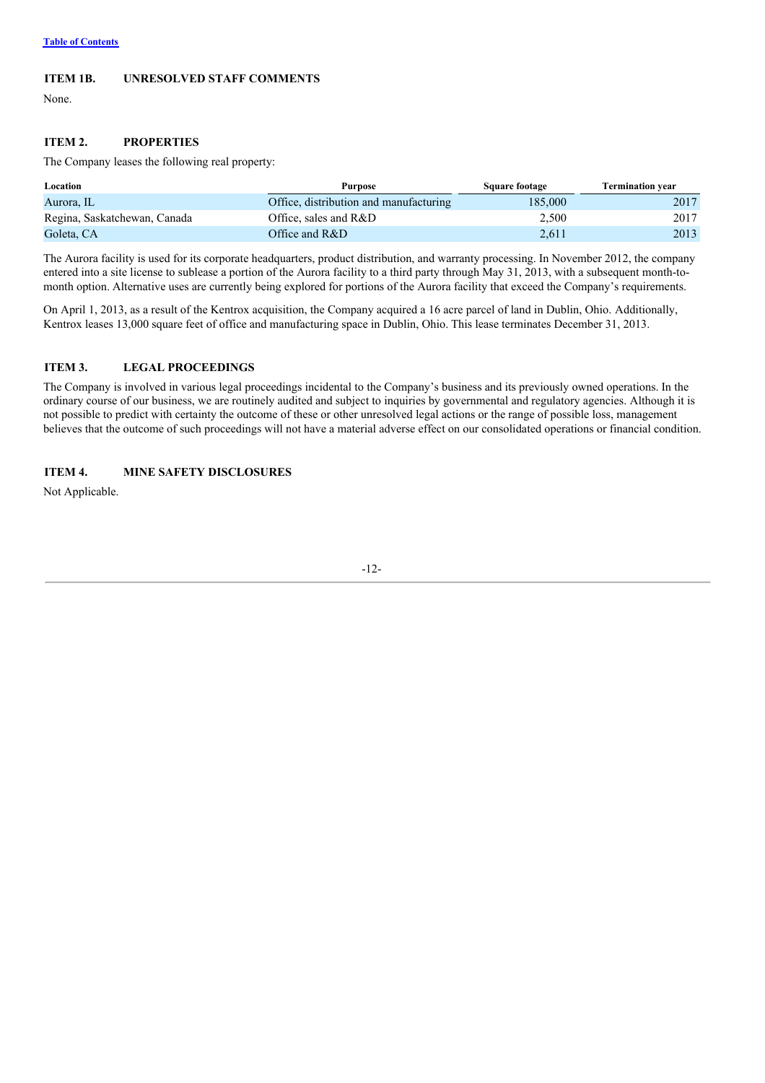## **ITEM 1B. UNRESOLVED STAFF COMMENTS**

None.

## **ITEM 2. PROPERTIES**

The Company leases the following real property:

| Location                     | Purpose                                | Square footage | <b>Termination vear</b> |  |  |  |
|------------------------------|----------------------------------------|----------------|-------------------------|--|--|--|
| Aurora, IL                   | Office, distribution and manufacturing | 185,000        | 2017                    |  |  |  |
| Regina, Saskatchewan, Canada | Office, sales and $R&D$                | 2.500          | 2017                    |  |  |  |
| Goleta, CA                   | Office and R&D                         | 2.611          | 2013                    |  |  |  |

The Aurora facility is used for its corporate headquarters, product distribution, and warranty processing. In November 2012, the company entered into a site license to sublease a portion of the Aurora facility to a third party through May 31, 2013, with a subsequent month-tomonth option. Alternative uses are currently being explored for portions of the Aurora facility that exceed the Company's requirements.

On April 1, 2013, as a result of the Kentrox acquisition, the Company acquired a 16 acre parcel of land in Dublin, Ohio. Additionally, Kentrox leases 13,000 square feet of office and manufacturing space in Dublin, Ohio. This lease terminates December 31, 2013.

## **ITEM 3. LEGAL PROCEEDINGS**

The Company is involved in various legal proceedings incidental to the Company's business and its previously owned operations. In the ordinary course of our business, we are routinely audited and subject to inquiries by governmental and regulatory agencies. Although it is not possible to predict with certainty the outcome of these or other unresolved legal actions or the range of possible loss, management believes that the outcome of such proceedings will not have a material adverse effect on our consolidated operations or financial condition.

## **ITEM 4. MINE SAFETY DISCLOSURES**

Not Applicable.

-12-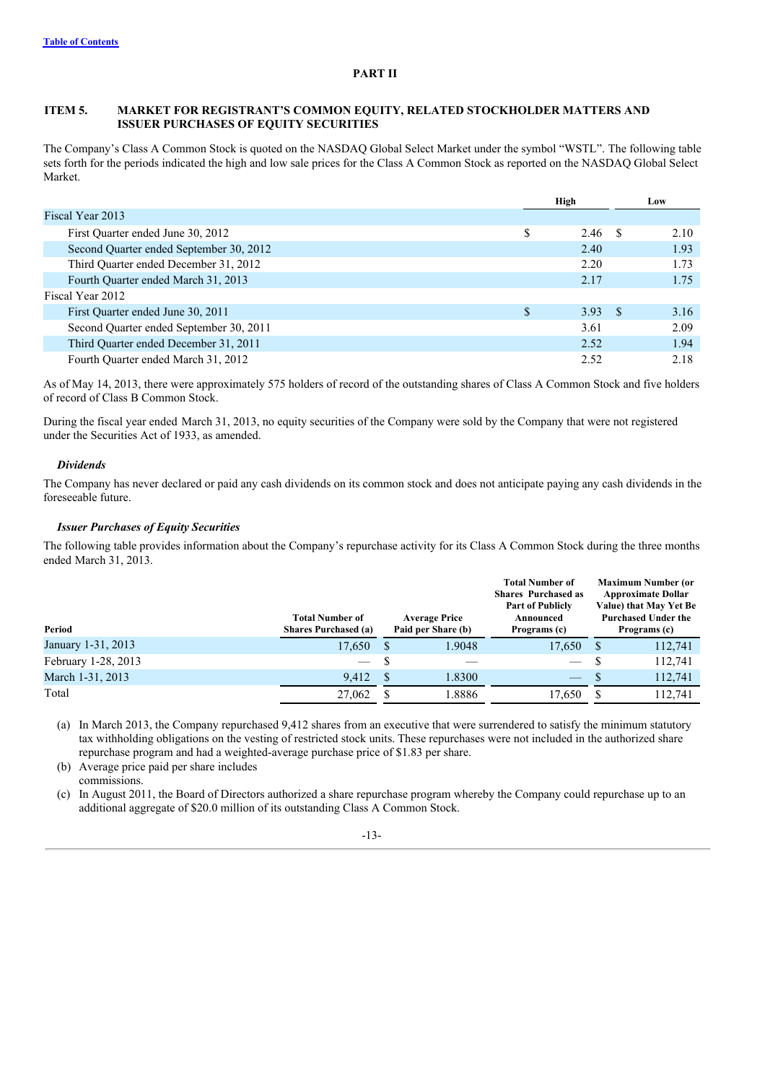## **PART II**

## **ITEM 5. MARKET FOR REGISTRANT'S COMMON EQUITY, RELATED STOCKHOLDER MATTERS AND ISSUER PURCHASES OF EQUITY SECURITIES**

The Company's Class A Common Stock is quoted on the NASDAQ Global Select Market under the symbol "WSTL". The following table sets forth for the periods indicated the high and low sale prices for the Class A Common Stock as reported on the NASDAQ Global Select Market.

|                                         | High |      |      | Low  |
|-----------------------------------------|------|------|------|------|
| Fiscal Year 2013                        |      |      |      |      |
| First Ouarter ended June 30, 2012       | S    | 2.46 | -8   | 2.10 |
| Second Quarter ended September 30, 2012 |      | 2.40 |      | 1.93 |
| Third Ouarter ended December 31, 2012   |      | 2.20 |      | 1.73 |
| Fourth Quarter ended March 31, 2013     |      | 2.17 |      | 1.75 |
| Fiscal Year 2012                        |      |      |      |      |
| First Ouarter ended June 30, 2011       |      | 3.93 | - \$ | 3.16 |
| Second Quarter ended September 30, 2011 |      | 3.61 |      | 2.09 |
| Third Ouarter ended December 31, 2011   |      | 2.52 |      | 1.94 |
| Fourth Ouarter ended March 31, 2012     |      | 2.52 |      | 2.18 |

As of May 14, 2013, there were approximately 575 holders of record of the outstanding shares of Class A Common Stock and five holders of record of Class B Common Stock.

During the fiscal year ended March 31, 2013, no equity securities of the Company were sold by the Company that were not registered under the Securities Act of 1933, as amended.

## *Dividends*

The Company has never declared or paid any cash dividends on its common stock and does not anticipate paying any cash dividends in the foreseeable future.

## *Issuer Purchases of Equity Securities*

The following table provides information about the Company's repurchase activity for its Class A Common Stock during the three months ended March 31, 2013.

| Period              | <b>Total Number of</b><br><b>Shares Purchased (a)</b> |      | <b>Average Price</b><br>Paid per Share (b) | <b>Total Number of</b><br><b>Shares Purchased as</b><br><b>Part of Publicly</b><br>Announced<br>Programs (c) | <b>Maximum Number (or</b><br><b>Approximate Dollar</b><br>Value) that May Yet Be<br><b>Purchased Under the</b><br>Programs (c) |         |  |
|---------------------|-------------------------------------------------------|------|--------------------------------------------|--------------------------------------------------------------------------------------------------------------|--------------------------------------------------------------------------------------------------------------------------------|---------|--|
| January 1-31, 2013  | 17,650                                                |      | 1.9048                                     | 17,650                                                                                                       |                                                                                                                                | 112,741 |  |
| February 1-28, 2013 |                                                       | - \$ |                                            | $-$ S                                                                                                        |                                                                                                                                | 112,741 |  |
| March 1-31, 2013    | 9,412                                                 |      | 1.8300                                     |                                                                                                              |                                                                                                                                | 112,741 |  |
| Total               | 27,062                                                |      | 1.8886                                     | 17,650                                                                                                       |                                                                                                                                | 112.741 |  |

(a) In March 2013, the Company repurchased 9,412 shares from an executive that were surrendered to satisfy the minimum statutory tax withholding obligations on the vesting of restricted stock units. These repurchases were not included in the authorized share repurchase program and had a weighted-average purchase price of \$1.83 per share.

(b) Average price paid per share includes commissions.

(c) In August 2011, the Board of Directors authorized a share repurchase program whereby the Company could repurchase up to an additional aggregate of \$20.0 million of its outstanding Class A Common Stock.

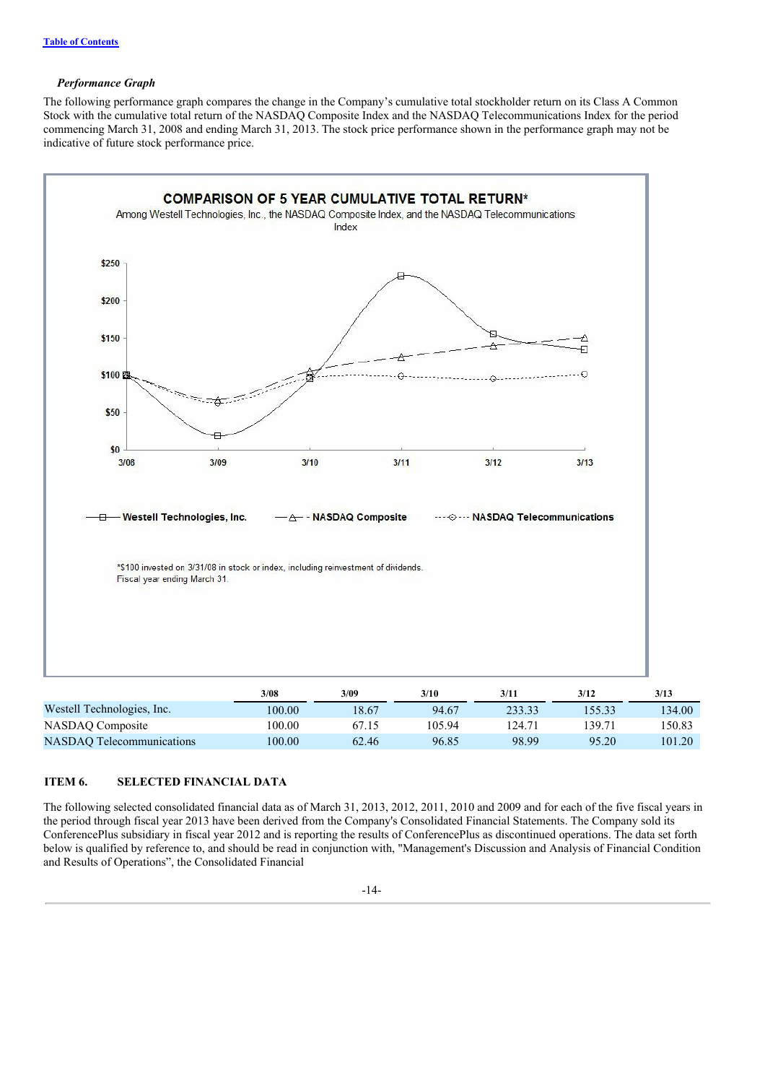## *Performance Graph*

The following performance graph compares the change in the Company's cumulative total stockholder return on its Class A Common Stock with the cumulative total return of the NASDAQ Composite Index and the NASDAQ Telecommunications Index for the period commencing March 31, 2008 and ending March 31, 2013. The stock price performance shown in the performance graph may not be indicative of future stock performance price.



## **ITEM 6. SELECTED FINANCIAL DATA**

The following selected consolidated financial data as of March 31, 2013, 2012, 2011, 2010 and 2009 and for each of the five fiscal years in the period through fiscal year 2013 have been derived from the Company's Consolidated Financial Statements. The Company sold its ConferencePlus subsidiary in fiscal year 2012 and is reporting the results of ConferencePlus as discontinued operations. The data set forth below is qualified by reference to, and should be read in conjunction with, "Management's Discussion and Analysis of Financial Condition and Results of Operations", the Consolidated Financial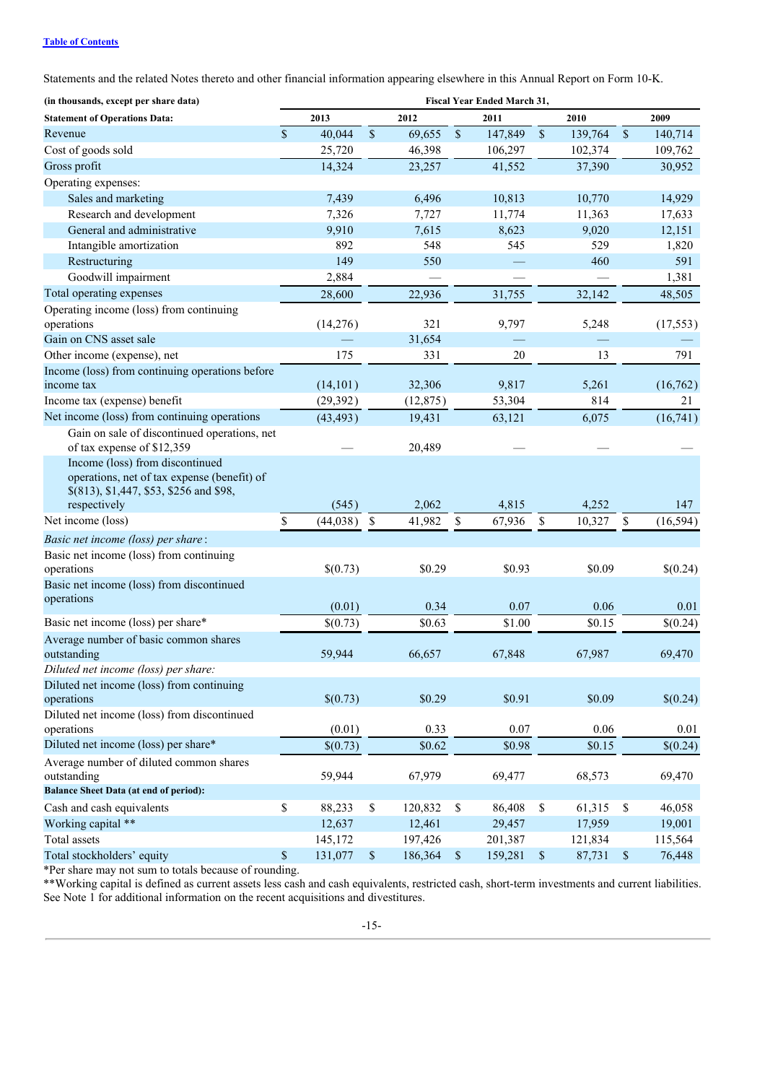## **Table of Contents**

Statements and the related Notes thereto and other financial information appearing elsewhere in this Annual Report on Form 10-K.

| (in thousands, except per share data)                                                                                     | <b>Fiscal Year Ended March 31,</b> |           |              |           |    |         |              |         |              |           |  |  |  |
|---------------------------------------------------------------------------------------------------------------------------|------------------------------------|-----------|--------------|-----------|----|---------|--------------|---------|--------------|-----------|--|--|--|
| <b>Statement of Operations Data:</b>                                                                                      |                                    | 2013      |              | 2012      |    | 2011    |              | 2010    |              | 2009      |  |  |  |
| Revenue                                                                                                                   | $\mathbf{\hat{S}}$                 | 40,044    | \$           | 69,655    | \$ | 147,849 | $\mathbb{S}$ | 139,764 | $\sqrt{\ }$  | 140,714   |  |  |  |
| Cost of goods sold                                                                                                        |                                    | 25,720    |              | 46,398    |    | 106,297 |              | 102,374 |              | 109,762   |  |  |  |
| Gross profit                                                                                                              |                                    | 14,324    |              | 23,257    |    | 41,552  |              | 37,390  |              | 30,952    |  |  |  |
| Operating expenses:                                                                                                       |                                    |           |              |           |    |         |              |         |              |           |  |  |  |
| Sales and marketing                                                                                                       |                                    | 7,439     |              | 6,496     |    | 10,813  |              | 10,770  |              | 14,929    |  |  |  |
| Research and development                                                                                                  |                                    | 7,326     |              | 7,727     |    | 11,774  |              | 11,363  |              | 17,633    |  |  |  |
| General and administrative                                                                                                |                                    | 9,910     |              | 7,615     |    | 8,623   |              | 9,020   |              | 12,151    |  |  |  |
| Intangible amortization                                                                                                   |                                    | 892       |              | 548       |    | 545     |              | 529     |              | 1,820     |  |  |  |
| Restructuring                                                                                                             |                                    | 149       |              | 550       |    |         |              | 460     |              | 591       |  |  |  |
| Goodwill impairment                                                                                                       |                                    | 2,884     |              |           |    |         |              |         |              | 1,381     |  |  |  |
| Total operating expenses                                                                                                  |                                    | 28,600    |              | 22,936    |    | 31,755  |              | 32,142  |              | 48,505    |  |  |  |
| Operating income (loss) from continuing                                                                                   |                                    |           |              |           |    |         |              |         |              |           |  |  |  |
| operations                                                                                                                |                                    | (14,276)  |              | 321       |    | 9,797   |              | 5,248   |              | (17, 553) |  |  |  |
| Gain on CNS asset sale                                                                                                    |                                    |           |              | 31,654    |    |         |              |         |              |           |  |  |  |
| Other income (expense), net                                                                                               |                                    | 175       |              | 331       |    | 20      |              | 13      |              | 791       |  |  |  |
| Income (loss) from continuing operations before                                                                           |                                    |           |              |           |    |         |              |         |              |           |  |  |  |
| income tax                                                                                                                |                                    | (14, 101) |              | 32,306    |    | 9,817   |              | 5,261   |              | (16,762)  |  |  |  |
| Income tax (expense) benefit                                                                                              |                                    | (29, 392) |              | (12, 875) |    | 53,304  |              | 814     |              | 21        |  |  |  |
| Net income (loss) from continuing operations                                                                              |                                    | (43, 493) |              | 19,431    |    | 63,121  |              | 6,075   |              | (16,741)  |  |  |  |
| Gain on sale of discontinued operations, net<br>of tax expense of \$12,359                                                |                                    |           |              | 20,489    |    |         |              |         |              |           |  |  |  |
| Income (loss) from discontinued<br>operations, net of tax expense (benefit) of<br>\$(813), \$1,447, \$53, \$256 and \$98, |                                    |           |              |           |    |         |              |         |              |           |  |  |  |
| respectively                                                                                                              |                                    | (545)     |              | 2,062     |    | 4,815   |              | 4,252   |              | 147       |  |  |  |
| Net income (loss)                                                                                                         | \$                                 | (44, 038) | $\mathbb{S}$ | 41,982    | \$ | 67,936  | $\mathbb S$  | 10,327  | \$           | (16, 594) |  |  |  |
| Basic net income (loss) per share:                                                                                        |                                    |           |              |           |    |         |              |         |              |           |  |  |  |
| Basic net income (loss) from continuing<br>operations                                                                     |                                    | \$(0.73)  |              | \$0.29    |    | \$0.93  |              | \$0.09  |              | \$(0.24)  |  |  |  |
| Basic net income (loss) from discontinued<br>operations                                                                   |                                    | (0.01)    |              | 0.34      |    | 0.07    |              | 0.06    |              | 0.01      |  |  |  |
| Basic net income (loss) per share*                                                                                        |                                    | \$(0.73)  |              | \$0.63    |    | \$1.00  |              | \$0.15  |              | \$(0.24)  |  |  |  |
| Average number of basic common shares<br>outstanding                                                                      |                                    | 59,944    |              | 66,657    |    | 67,848  |              | 67,987  |              | 69,470    |  |  |  |
| Diluted net income (loss) per share:                                                                                      |                                    |           |              |           |    |         |              |         |              |           |  |  |  |
| Diluted net income (loss) from continuing<br>operations                                                                   |                                    | \$(0.73)  |              | \$0.29    |    | \$0.91  |              | \$0.09  |              | \$(0.24)  |  |  |  |
| Diluted net income (loss) from discontinued<br>operations                                                                 |                                    | (0.01)    |              | 0.33      |    | 0.07    |              | 0.06    |              | 0.01      |  |  |  |
| Diluted net income (loss) per share*                                                                                      |                                    | \$(0.73)  |              | \$0.62    |    | \$0.98  |              | \$0.15  |              | \$(0.24)  |  |  |  |
| Average number of diluted common shares<br>outstanding                                                                    |                                    | 59,944    |              | 67,979    |    | 69,477  |              | 68,573  |              | 69,470    |  |  |  |
| <b>Balance Sheet Data (at end of period):</b>                                                                             |                                    |           |              |           |    |         |              |         |              |           |  |  |  |
| Cash and cash equivalents                                                                                                 | \$                                 | 88,233    | \$           | 120,832   | \$ | 86,408  | \$           | 61,315  | \$           | 46,058    |  |  |  |
| Working capital **                                                                                                        |                                    | 12,637    |              | 12,461    |    | 29,457  |              | 17,959  |              | 19,001    |  |  |  |
| Total assets                                                                                                              |                                    | 145,172   |              | 197,426   |    | 201,387 |              | 121,834 |              | 115,564   |  |  |  |
| Total stockholders' equity                                                                                                | $\$$                               | 131,077   | $\mathbb{S}$ | 186,364   | \$ | 159,281 | $\sqrt{3}$   | 87,731  | $\mathbb{S}$ | 76,448    |  |  |  |

\*Per share may not sum to totals because of rounding.

\*\*Working capital is defined as current assets less cash and cash equivalents, restricted cash, short-term investments and current liabilities. See Note 1 for additional information on the recent acquisitions and divestitures.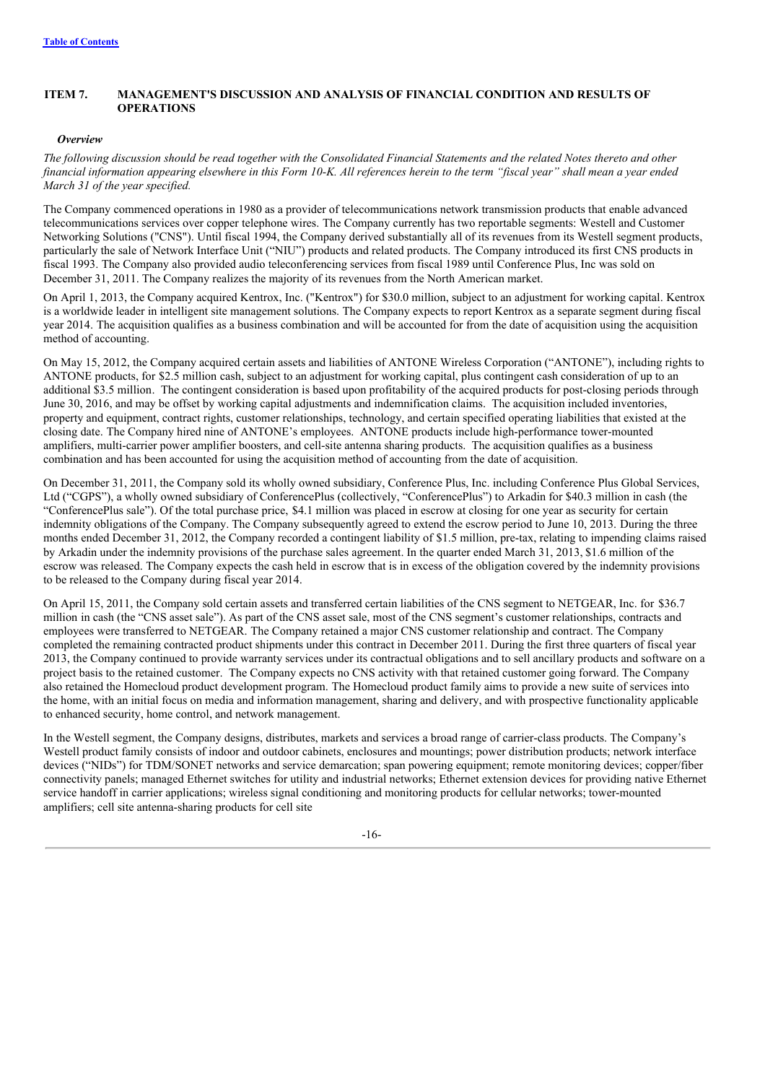## **ITEM 7. MANAGEMENT'S DISCUSSION AND ANALYSIS OF FINANCIAL CONDITION AND RESULTS OF OPERATIONS**

#### *Overview*

The following discussion should be read together with the Consolidated Financial Statements and the related Notes thereto and other financial information appearing elsewhere in this Form 10-K. All references herein to the term "fiscal year" shall mean a year ended *March 31 of the year specified.*

The Company commenced operations in 1980 as a provider of telecommunications network transmission products that enable advanced telecommunications services over copper telephone wires. The Company currently has two reportable segments: Westell and Customer Networking Solutions ("CNS"). Until fiscal 1994, the Company derived substantially all of its revenues from its Westell segment products, particularly the sale of Network Interface Unit ("NIU") products and related products. The Company introduced its first CNS products in fiscal 1993. The Company also provided audio teleconferencing services from fiscal 1989 until Conference Plus, Inc was sold on December 31, 2011. The Company realizes the majority of its revenues from the North American market.

On April 1, 2013, the Company acquired Kentrox, Inc. ("Kentrox") for \$30.0 million, subject to an adjustment for working capital. Kentrox is a worldwide leader in intelligent site management solutions. The Company expects to report Kentrox as a separate segment during fiscal year 2014. The acquisition qualifies as a business combination and will be accounted for from the date of acquisition using the acquisition method of accounting.

On May 15, 2012, the Company acquired certain assets and liabilities of ANTONE Wireless Corporation ("ANTONE"), including rights to ANTONE products, for \$2.5 million cash, subject to an adjustment for working capital, plus contingent cash consideration of up to an additional \$3.5 million. The contingent consideration is based upon profitability of the acquired products for post-closing periods through June 30, 2016, and may be offset by working capital adjustments and indemnification claims. The acquisition included inventories, property and equipment, contract rights, customer relationships, technology, and certain specified operating liabilities that existed at the closing date. The Company hired nine of ANTONE's employees. ANTONE products include high-performance tower-mounted amplifiers, multi-carrier power amplifier boosters, and cell-site antenna sharing products. The acquisition qualifies as a business combination and has been accounted for using the acquisition method of accounting from the date of acquisition.

On December 31, 2011, the Company sold its wholly owned subsidiary, Conference Plus, Inc. including Conference Plus Global Services, Ltd ("CGPS"), a wholly owned subsidiary of ConferencePlus (collectively, "ConferencePlus") to Arkadin for \$40.3 million in cash (the "ConferencePlus sale"). Of the total purchase price, \$4.1 million was placed in escrow at closing for one year as security for certain indemnity obligations of the Company. The Company subsequently agreed to extend the escrow period to June 10, 2013. During the three months ended December 31, 2012, the Company recorded a contingent liability of \$1.5 million, pre-tax, relating to impending claims raised by Arkadin under the indemnity provisions of the purchase sales agreement. In the quarter ended March 31, 2013, \$1.6 million of the escrow was released. The Company expects the cash held in escrow that is in excess of the obligation covered by the indemnity provisions to be released to the Company during fiscal year 2014.

On April 15, 2011, the Company sold certain assets and transferred certain liabilities of the CNS segment to NETGEAR, Inc. for \$36.7 million in cash (the "CNS asset sale"). As part of the CNS asset sale, most of the CNS segment's customer relationships, contracts and employees were transferred to NETGEAR. The Company retained a major CNS customer relationship and contract. The Company completed the remaining contracted product shipments under this contract in December 2011. During the first three quarters of fiscal year 2013, the Company continued to provide warranty services under its contractual obligations and to sell ancillary products and software on a project basis to the retained customer. The Company expects no CNS activity with that retained customer going forward. The Company also retained the Homecloud product development program. The Homecloud product family aims to provide a new suite of services into the home, with an initial focus on media and information management, sharing and delivery, and with prospective functionality applicable to enhanced security, home control, and network management.

In the Westell segment, the Company designs, distributes, markets and services a broad range of carrier-class products. The Company's Westell product family consists of indoor and outdoor cabinets, enclosures and mountings; power distribution products; network interface devices ("NIDs") for TDM/SONET networks and service demarcation; span powering equipment; remote monitoring devices; copper/fiber connectivity panels; managed Ethernet switches for utility and industrial networks; Ethernet extension devices for providing native Ethernet service handoff in carrier applications; wireless signal conditioning and monitoring products for cellular networks; tower-mounted amplifiers; cell site antenna-sharing products for cell site

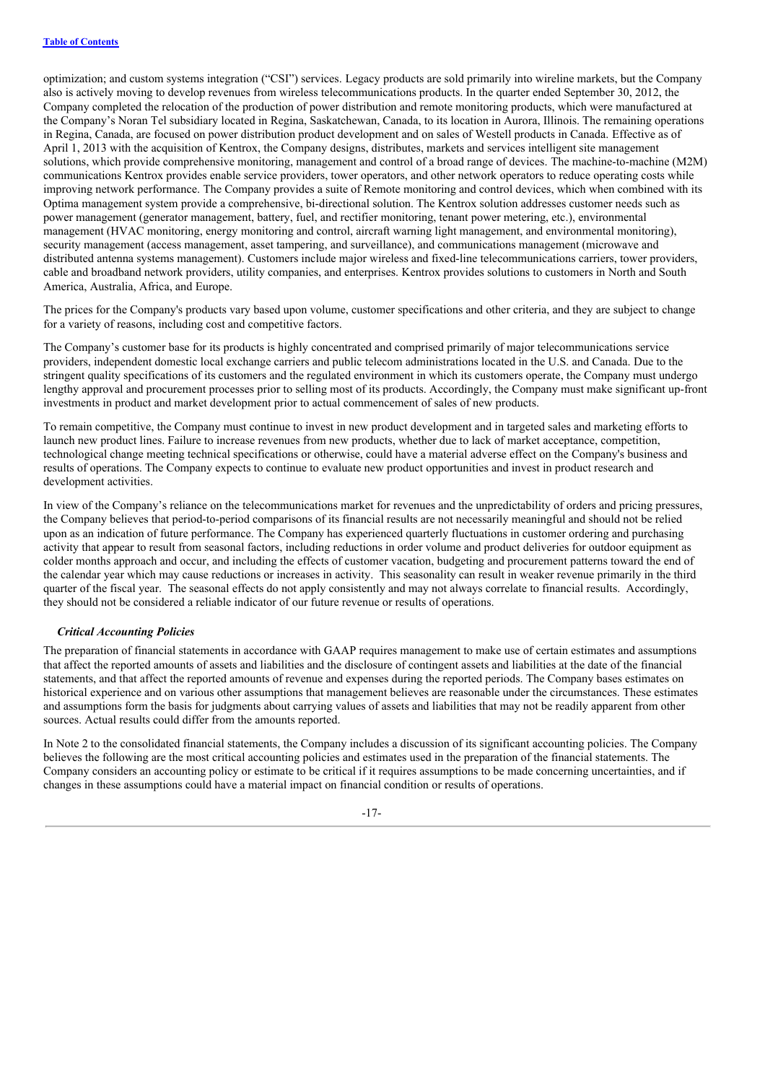optimization; and custom systems integration ("CSI") services. Legacy products are sold primarily into wireline markets, but the Company also is actively moving to develop revenues from wireless telecommunications products. In the quarter ended September 30, 2012, the Company completed the relocation of the production of power distribution and remote monitoring products, which were manufactured at the Company's Noran Tel subsidiary located in Regina, Saskatchewan, Canada, to its location in Aurora, Illinois. The remaining operations in Regina, Canada, are focused on power distribution product development and on sales of Westell products in Canada. Effective as of April 1, 2013 with the acquisition of Kentrox, the Company designs, distributes, markets and services intelligent site management solutions, which provide comprehensive monitoring, management and control of a broad range of devices. The machine-to-machine (M2M) communications Kentrox provides enable service providers, tower operators, and other network operators to reduce operating costs while improving network performance. The Company provides a suite of Remote monitoring and control devices, which when combined with its Optima management system provide a comprehensive, bi-directional solution. The Kentrox solution addresses customer needs such as power management (generator management, battery, fuel, and rectifier monitoring, tenant power metering, etc.), environmental management (HVAC monitoring, energy monitoring and control, aircraft warning light management, and environmental monitoring), security management (access management, asset tampering, and surveillance), and communications management (microwave and distributed antenna systems management). Customers include major wireless and fixed-line telecommunications carriers, tower providers, cable and broadband network providers, utility companies, and enterprises. Kentrox provides solutions to customers in North and South America, Australia, Africa, and Europe.

The prices for the Company's products vary based upon volume, customer specifications and other criteria, and they are subject to change for a variety of reasons, including cost and competitive factors.

The Company's customer base for its products is highly concentrated and comprised primarily of major telecommunications service providers, independent domestic local exchange carriers and public telecom administrations located in the U.S. and Canada. Due to the stringent quality specifications of its customers and the regulated environment in which its customers operate, the Company must undergo lengthy approval and procurement processes prior to selling most of its products. Accordingly, the Company must make significant up-front investments in product and market development prior to actual commencement of sales of new products.

To remain competitive, the Company must continue to invest in new product development and in targeted sales and marketing efforts to launch new product lines. Failure to increase revenues from new products, whether due to lack of market acceptance, competition, technological change meeting technical specifications or otherwise, could have a material adverse effect on the Company's business and results of operations. The Company expects to continue to evaluate new product opportunities and invest in product research and development activities.

In view of the Company's reliance on the telecommunications market for revenues and the unpredictability of orders and pricing pressures, the Company believes that period-to-period comparisons of its financial results are not necessarily meaningful and should not be relied upon as an indication of future performance. The Company has experienced quarterly fluctuations in customer ordering and purchasing activity that appear to result from seasonal factors, including reductions in order volume and product deliveries for outdoor equipment as colder months approach and occur, and including the effects of customer vacation, budgeting and procurement patterns toward the end of the calendar year which may cause reductions or increases in activity. This seasonality can result in weaker revenue primarily in the third quarter of the fiscal year. The seasonal effects do not apply consistently and may not always correlate to financial results. Accordingly, they should not be considered a reliable indicator of our future revenue or results of operations.

#### *Critical Accounting Policies*

The preparation of financial statements in accordance with GAAP requires management to make use of certain estimates and assumptions that affect the reported amounts of assets and liabilities and the disclosure of contingent assets and liabilities at the date of the financial statements, and that affect the reported amounts of revenue and expenses during the reported periods. The Company bases estimates on historical experience and on various other assumptions that management believes are reasonable under the circumstances. These estimates and assumptions form the basis for judgments about carrying values of assets and liabilities that may not be readily apparent from other sources. Actual results could differ from the amounts reported.

In Note 2 to the consolidated financial statements, the Company includes a discussion of its significant accounting policies. The Company believes the following are the most critical accounting policies and estimates used in the preparation of the financial statements. The Company considers an accounting policy or estimate to be critical if it requires assumptions to be made concerning uncertainties, and if changes in these assumptions could have a material impact on financial condition or results of operations.

-17-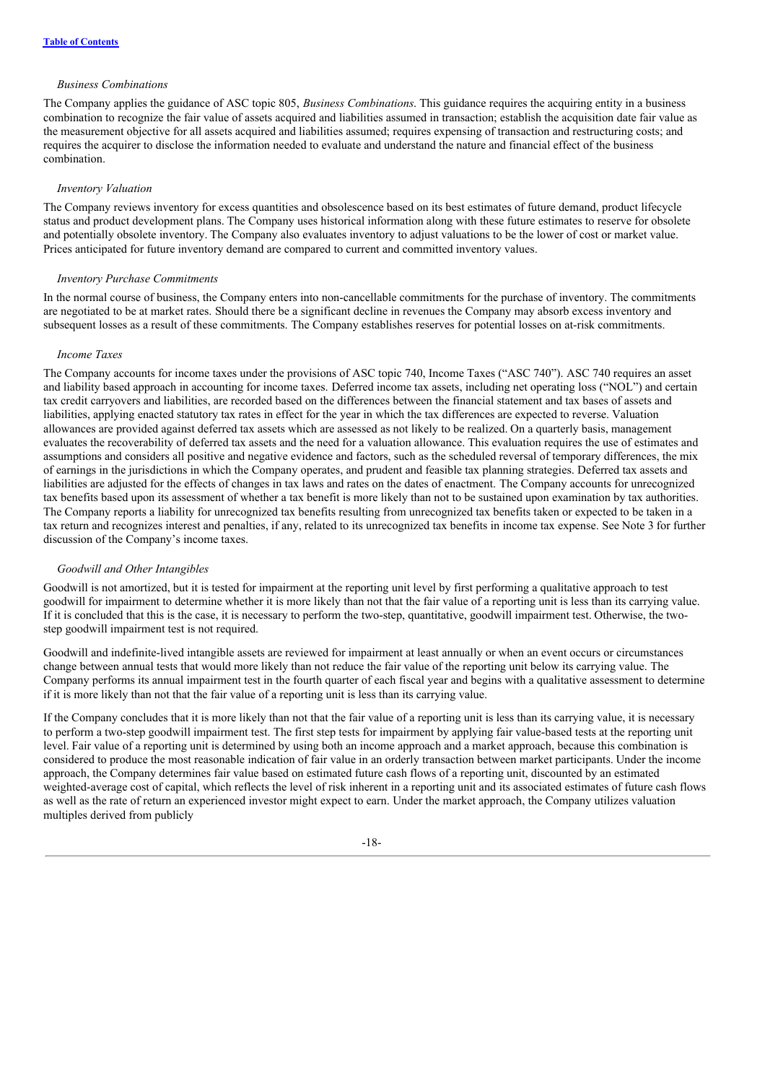#### *Business Combinations*

The Company applies the guidance of ASC topic 805, *Business Combinations*. This guidance requires the acquiring entity in a business combination to recognize the fair value of assets acquired and liabilities assumed in transaction; establish the acquisition date fair value as the measurement objective for all assets acquired and liabilities assumed; requires expensing of transaction and restructuring costs; and requires the acquirer to disclose the information needed to evaluate and understand the nature and financial effect of the business combination.

## *Inventory Valuation*

The Company reviews inventory for excess quantities and obsolescence based on its best estimates of future demand, product lifecycle status and product development plans. The Company uses historical information along with these future estimates to reserve for obsolete and potentially obsolete inventory. The Company also evaluates inventory to adjust valuations to be the lower of cost or market value. Prices anticipated for future inventory demand are compared to current and committed inventory values.

#### *Inventory Purchase Commitments*

In the normal course of business, the Company enters into non-cancellable commitments for the purchase of inventory. The commitments are negotiated to be at market rates. Should there be a significant decline in revenues the Company may absorb excess inventory and subsequent losses as a result of these commitments. The Company establishes reserves for potential losses on at-risk commitments.

#### *Income Taxes*

The Company accounts for income taxes under the provisions of ASC topic 740, Income Taxes ("ASC 740"). ASC 740 requires an asset and liability based approach in accounting for income taxes. Deferred income tax assets, including net operating loss ("NOL") and certain tax credit carryovers and liabilities, are recorded based on the differences between the financial statement and tax bases of assets and liabilities, applying enacted statutory tax rates in effect for the year in which the tax differences are expected to reverse. Valuation allowances are provided against deferred tax assets which are assessed as not likely to be realized. On a quarterly basis, management evaluates the recoverability of deferred tax assets and the need for a valuation allowance. This evaluation requires the use of estimates and assumptions and considers all positive and negative evidence and factors, such as the scheduled reversal of temporary differences, the mix of earnings in the jurisdictions in which the Company operates, and prudent and feasible tax planning strategies. Deferred tax assets and liabilities are adjusted for the effects of changes in tax laws and rates on the dates of enactment. The Company accounts for unrecognized tax benefits based upon its assessment of whether a tax benefit is more likely than not to be sustained upon examination by tax authorities. The Company reports a liability for unrecognized tax benefits resulting from unrecognized tax benefits taken or expected to be taken in a tax return and recognizes interest and penalties, if any, related to its unrecognized tax benefits in income tax expense. See Note 3 for further discussion of the Company's income taxes.

#### *Goodwill and Other Intangibles*

Goodwill is not amortized, but it is tested for impairment at the reporting unit level by first performing a qualitative approach to test goodwill for impairment to determine whether it is more likely than not that the fair value of a reporting unit is less than its carrying value. If it is concluded that this is the case, it is necessary to perform the two-step, quantitative, goodwill impairment test. Otherwise, the twostep goodwill impairment test is not required.

Goodwill and indefinite-lived intangible assets are reviewed for impairment at least annually or when an event occurs or circumstances change between annual tests that would more likely than not reduce the fair value of the reporting unit below its carrying value. The Company performs its annual impairment test in the fourth quarter of each fiscal year and begins with a qualitative assessment to determine if it is more likely than not that the fair value of a reporting unit is less than its carrying value.

If the Company concludes that it is more likely than not that the fair value of a reporting unit is less than its carrying value, it is necessary to perform a two-step goodwill impairment test. The first step tests for impairment by applying fair value-based tests at the reporting unit level. Fair value of a reporting unit is determined by using both an income approach and a market approach, because this combination is considered to produce the most reasonable indication of fair value in an orderly transaction between market participants. Under the income approach, the Company determines fair value based on estimated future cash flows of a reporting unit, discounted by an estimated weighted-average cost of capital, which reflects the level of risk inherent in a reporting unit and its associated estimates of future cash flows as well as the rate of return an experienced investor might expect to earn. Under the market approach, the Company utilizes valuation multiples derived from publicly

-18-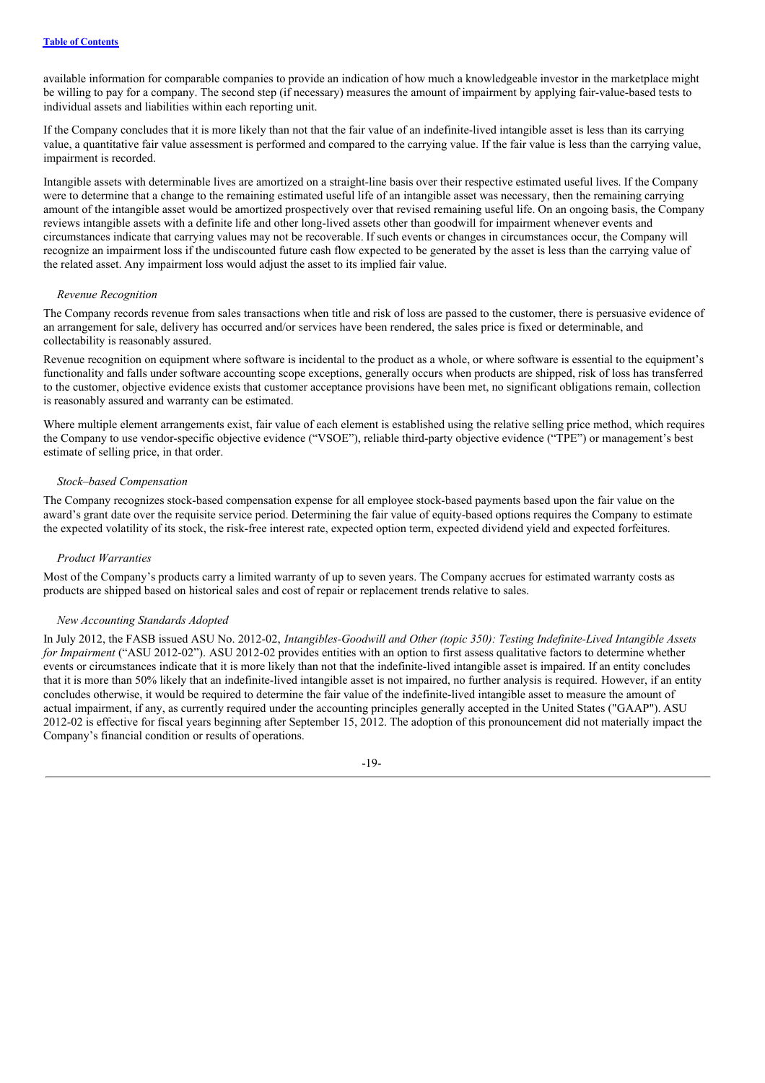available information for comparable companies to provide an indication of how much a knowledgeable investor in the marketplace might be willing to pay for a company. The second step (if necessary) measures the amount of impairment by applying fair-value-based tests to individual assets and liabilities within each reporting unit.

If the Company concludes that it is more likely than not that the fair value of an indefinite-lived intangible asset is less than its carrying value, a quantitative fair value assessment is performed and compared to the carrying value. If the fair value is less than the carrying value, impairment is recorded.

Intangible assets with determinable lives are amortized on a straight-line basis over their respective estimated useful lives. If the Company were to determine that a change to the remaining estimated useful life of an intangible asset was necessary, then the remaining carrying amount of the intangible asset would be amortized prospectively over that revised remaining useful life. On an ongoing basis, the Company reviews intangible assets with a definite life and other long-lived assets other than goodwill for impairment whenever events and circumstances indicate that carrying values may not be recoverable. If such events or changes in circumstances occur, the Company will recognize an impairment loss if the undiscounted future cash flow expected to be generated by the asset is less than the carrying value of the related asset. Any impairment loss would adjust the asset to its implied fair value.

#### *Revenue Recognition*

The Company records revenue from sales transactions when title and risk of loss are passed to the customer, there is persuasive evidence of an arrangement for sale, delivery has occurred and/or services have been rendered, the sales price is fixed or determinable, and collectability is reasonably assured.

Revenue recognition on equipment where software is incidental to the product as a whole, or where software is essential to the equipment's functionality and falls under software accounting scope exceptions, generally occurs when products are shipped, risk of loss has transferred to the customer, objective evidence exists that customer acceptance provisions have been met, no significant obligations remain, collection is reasonably assured and warranty can be estimated.

Where multiple element arrangements exist, fair value of each element is established using the relative selling price method, which requires the Company to use vendor-specific objective evidence ("VSOE"), reliable third-party objective evidence ("TPE") or management's best estimate of selling price, in that order.

#### *Stock–based Compensation*

The Company recognizes stock-based compensation expense for all employee stock-based payments based upon the fair value on the award's grant date over the requisite service period. Determining the fair value of equity-based options requires the Company to estimate the expected volatility of its stock, the risk-free interest rate, expected option term, expected dividend yield and expected forfeitures.

#### *Product Warranties*

Most of the Company's products carry a limited warranty of up to seven years. The Company accrues for estimated warranty costs as products are shipped based on historical sales and cost of repair or replacement trends relative to sales.

#### *New Accounting Standards Adopted*

In July 2012, the FASB issued ASU No. 2012-02, *Intangibles-Goodwill and Other (topic 350): Testing Indefinite-Lived Intangible Assets for Impairment* ("ASU 2012-02"). ASU 2012-02 provides entities with an option to first assess qualitative factors to determine whether events or circumstances indicate that it is more likely than not that the indefinite-lived intangible asset is impaired. If an entity concludes that it is more than 50% likely that an indefinite-lived intangible asset is not impaired, no further analysis is required. However, if an entity concludes otherwise, it would be required to determine the fair value of the indefinite-lived intangible asset to measure the amount of actual impairment, if any, as currently required under the accounting principles generally accepted in the United States ("GAAP"). ASU 2012-02 is effective for fiscal years beginning after September 15, 2012. The adoption of this pronouncement did not materially impact the Company's financial condition or results of operations.

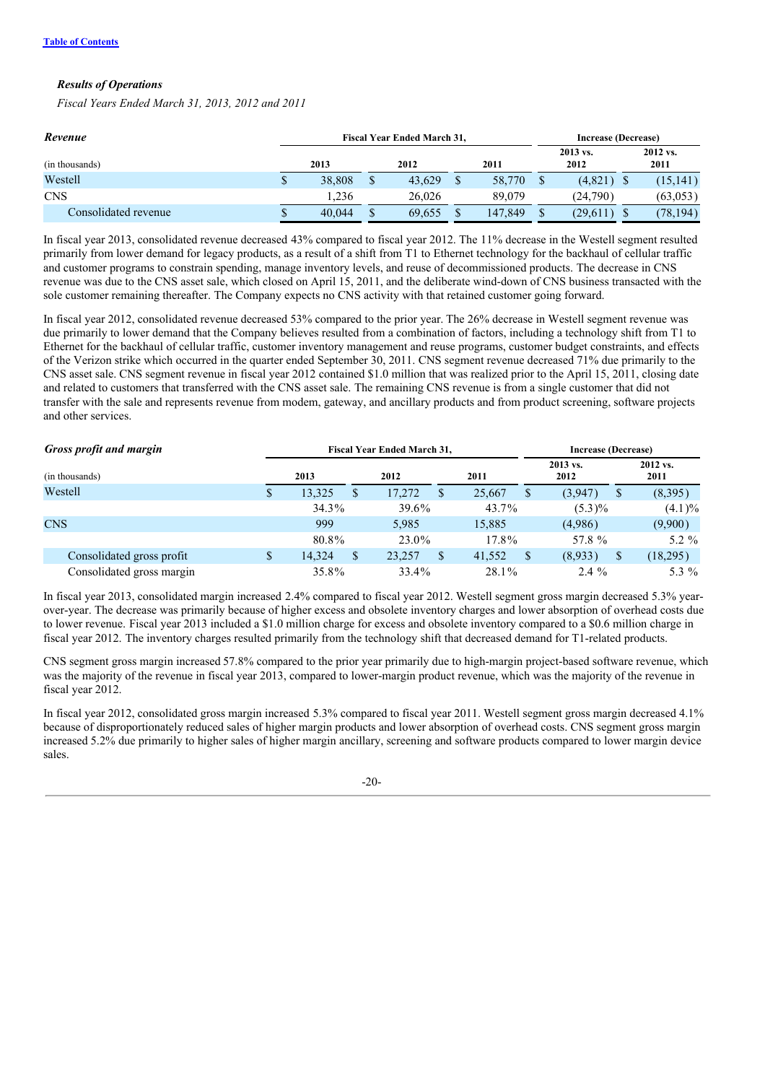## *Results of Operations*

*Fiscal Years Ended March 31, 2013, 2012 and 2011*

| Revenue              |  |        |  | <b>Fiscal Year Ended March 31,</b> | <b>Increase (Decrease)</b> |         |  |                  |  |                  |  |
|----------------------|--|--------|--|------------------------------------|----------------------------|---------|--|------------------|--|------------------|--|
| (in thousands)       |  | 2013   |  | 2012                               |                            | 2011    |  | 2013 vs.<br>2012 |  | 2012 vs.<br>2011 |  |
| Westell              |  | 38,808 |  | 43.629                             |                            | 58,770  |  | (4.821)          |  | (15, 141)        |  |
| <b>CNS</b>           |  | 1.236  |  | 26,026                             |                            | 89.079  |  | (24,790)         |  | (63,053)         |  |
| Consolidated revenue |  | 40,044 |  | 69.655                             |                            | 147,849 |  | (29,611)         |  | (78, 194)        |  |

In fiscal year 2013, consolidated revenue decreased 43% compared to fiscal year 2012. The 11% decrease in the Westell segment resulted primarily from lower demand for legacy products, as a result of a shift from T1 to Ethernet technology for the backhaul of cellular traffic and customer programs to constrain spending, manage inventory levels, and reuse of decommissioned products. The decrease in CNS revenue was due to the CNS asset sale, which closed on April 15, 2011, and the deliberate wind-down of CNS business transacted with the sole customer remaining thereafter. The Company expects no CNS activity with that retained customer going forward.

In fiscal year 2012, consolidated revenue decreased 53% compared to the prior year. The 26% decrease in Westell segment revenue was due primarily to lower demand that the Company believes resulted from a combination of factors, including a technology shift from T1 to Ethernet for the backhaul of cellular traffic, customer inventory management and reuse programs, customer budget constraints, and effects of the Verizon strike which occurred in the quarter ended September 30, 2011. CNS segment revenue decreased 71% due primarily to the CNS asset sale. CNS segment revenue in fiscal year 2012 contained \$1.0 million that was realized prior to the April 15, 2011, closing date and related to customers that transferred with the CNS asset sale. The remaining CNS revenue is from a single customer that did not transfer with the sale and represents revenue from modem, gateway, and ancillary products and from product screening, software projects and other services.

| <b>Gross profit and margin</b> |    |        |       | <b>Fiscal Year Ended March 31,</b> |       | Increase (Decrease) |   |                  |               |                  |
|--------------------------------|----|--------|-------|------------------------------------|-------|---------------------|---|------------------|---------------|------------------|
| (in thousands)                 |    | 2013   |       | 2012                               |       | 2011                |   | 2013 vs.<br>2012 |               | 2012 vs.<br>2011 |
| Westell                        | S  | 13,325 | S     | 17,272                             | S     | 25,667              | S | (3,947)          |               | (8,395)          |
|                                |    |        | 34.3% |                                    | 39.6% | 43.7%               |   | $(5.3)\%$        |               | $(4.1)\%$        |
| <b>CNS</b>                     |    | 999    |       | 5.985                              |       | 15.885              |   | (4,986)          |               | (9,900)          |
|                                |    | 80.8%  |       | 23.0%                              |       | 17.8%               |   | 57.8 %           |               | $5.2 \%$         |
| Consolidated gross profit      | \$ | 14.324 | \$.   | 23,257                             | S     | 41.552              | S | (8,933)          | <sup>\$</sup> | (18,295)         |
| Consolidated gross margin      |    | 35.8%  |       | 33.4%                              |       | $28.1\%$            |   | $2.4\%$          |               | 5.3 $\%$         |

In fiscal year 2013, consolidated margin increased 2.4% compared to fiscal year 2012. Westell segment gross margin decreased 5.3% yearover-year. The decrease was primarily because of higher excess and obsolete inventory charges and lower absorption of overhead costs due to lower revenue. Fiscal year 2013 included a \$1.0 million charge for excess and obsolete inventory compared to a \$0.6 million charge in fiscal year 2012. The inventory charges resulted primarily from the technology shift that decreased demand for T1-related products.

CNS segment gross margin increased 57.8% compared to the prior year primarily due to high-margin project-based software revenue, which was the majority of the revenue in fiscal year 2013, compared to lower-margin product revenue, which was the majority of the revenue in fiscal year 2012.

In fiscal year 2012, consolidated gross margin increased 5.3% compared to fiscal year 2011. Westell segment gross margin decreased 4.1% because of disproportionately reduced sales of higher margin products and lower absorption of overhead costs. CNS segment gross margin increased 5.2% due primarily to higher sales of higher margin ancillary, screening and software products compared to lower margin device sales.

## $-20-$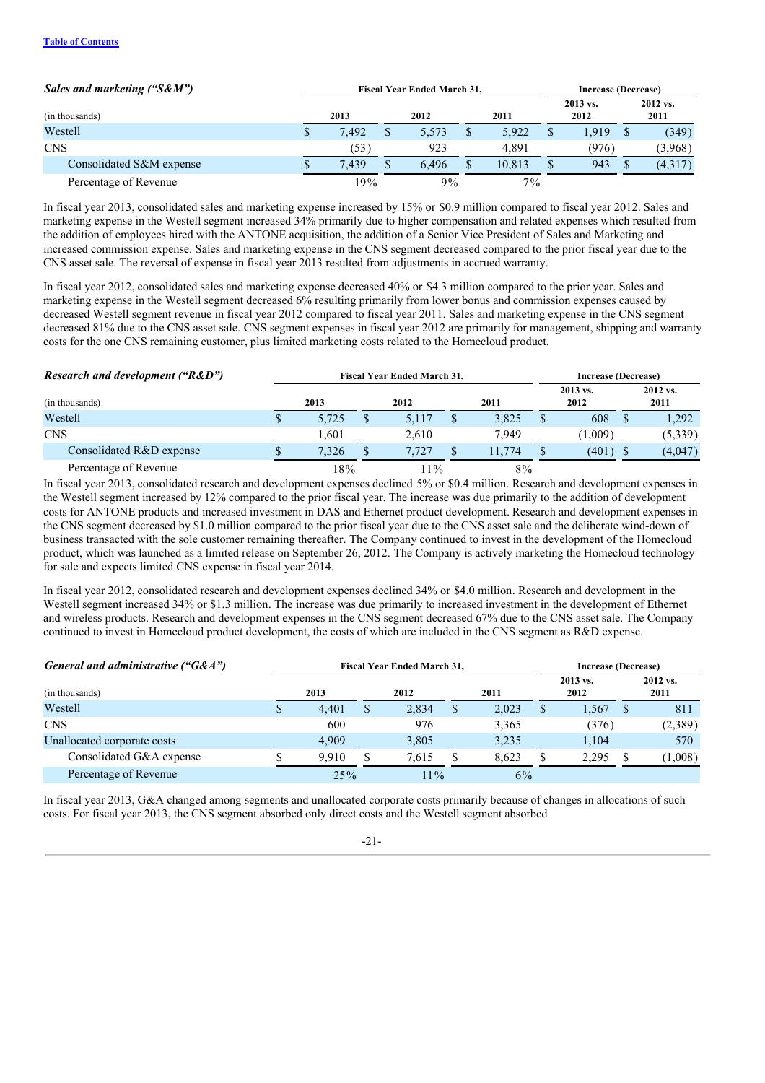#### **Table of Contents**

| Sales and marketing ("S&M") |    |       | <b>Fiscal Year Ended March 31.</b> | Increase (Decrease) |  |        |   |                  |  |                  |  |
|-----------------------------|----|-------|------------------------------------|---------------------|--|--------|---|------------------|--|------------------|--|
| (in thousands)              |    | 2013  |                                    | 2012                |  | 2011   |   | 2013 vs.<br>2012 |  | 2012 vs.<br>2011 |  |
| Westell                     | \$ | 7.492 |                                    | 5.573               |  | 5.922  |   | 1.919            |  | (349)            |  |
| <b>CNS</b>                  |    | (53)  |                                    | 923                 |  | 4.891  |   | (976)            |  | (3,968)          |  |
| Consolidated S&M expense    |    | 7.439 |                                    | 6.496               |  | 10.813 | S | 943              |  | (4,317)          |  |
| Percentage of Revenue       |    | 19%   |                                    | 9%                  |  | $7\%$  |   |                  |  |                  |  |

In fiscal year 2013, consolidated sales and marketing expense increased by 15% or \$0.9 million compared to fiscal year 2012. Sales and marketing expense in the Westell segment increased 34% primarily due to higher compensation and related expenses which resulted from the addition of employees hired with the ANTONE acquisition, the addition of a Senior Vice President of Sales and Marketing and increased commission expense. Sales and marketing expense in the CNS segment decreased compared to the prior fiscal year due to the CNS asset sale. The reversal of expense in fiscal year 2013 resulted from adjustments in accrued warranty.

In fiscal year 2012, consolidated sales and marketing expense decreased 40% or \$4.3 million compared to the prior year. Sales and marketing expense in the Westell segment decreased 6% resulting primarily from lower bonus and commission expenses caused by decreased Westell segment revenue in fiscal year 2012 compared to fiscal year 2011. Sales and marketing expense in the CNS segment decreased 81% due to the CNS asset sale. CNS segment expenses in fiscal year 2012 are primarily for management, shipping and warranty costs for the one CNS remaining customer, plus limited marketing costs related to the Homecloud product.

| Research and development ("R&D") |  |       | <b>Fiscal Year Ended March 31,</b> | Increase (Decrease) |  |        |  |                  |  |                  |  |
|----------------------------------|--|-------|------------------------------------|---------------------|--|--------|--|------------------|--|------------------|--|
| (in thousands)                   |  | 2013  |                                    | 2012                |  | 2011   |  | 2013 vs.<br>2012 |  | 2012 vs.<br>2011 |  |
| Westell                          |  | 5.725 |                                    | 5.117               |  | 3.825  |  | 608              |  | 1,292            |  |
| <b>CNS</b>                       |  | 1.601 |                                    | 2.610               |  | 7.949  |  | (1.009)          |  | (5,339)          |  |
| Consolidated R&D expense         |  | 7.326 |                                    | 7.727               |  | 11.774 |  | (401)            |  | (4,047)          |  |
| Percentage of Revenue            |  | 18%   |                                    | 11%                 |  | 8%     |  |                  |  |                  |  |

In fiscal year 2013, consolidated research and development expenses declined 5% or \$0.4 million. Research and development expenses in the Westell segment increased by 12% compared to the prior fiscal year. The increase was due primarily to the addition of development costs for ANTONE products and increased investment in DAS and Ethernet product development. Research and development expenses in the CNS segment decreased by \$1.0 million compared to the prior fiscal year due to the CNS asset sale and the deliberate wind-down of business transacted with the sole customer remaining thereafter. The Company continued to invest in the development of the Homecloud product, which was launched as a limited release on September 26, 2012. The Company is actively marketing the Homecloud technology for sale and expects limited CNS expense in fiscal year 2014.

In fiscal year 2012, consolidated research and development expenses declined 34% or \$4.0 million. Research and development in the Westell segment increased 34% or \$1.3 million. The increase was due primarily to increased investment in the development of Ethernet and wireless products. Research and development expenses in the CNS segment decreased 67% due to the CNS asset sale. The Company continued to invest in Homecloud product development, the costs of which are included in the CNS segment as R&D expense.

| General and administrative ("G&A") | <b>Fiscal Year Ended March 31.</b> |       |               |        |  | Increase (Decrease) |  |                  |              |                  |  |
|------------------------------------|------------------------------------|-------|---------------|--------|--|---------------------|--|------------------|--------------|------------------|--|
| (in thousands)                     |                                    | 2013  |               | 2012   |  | 2011                |  | 2013 vs.<br>2012 |              | 2012 vs.<br>2011 |  |
| Westell                            |                                    | 4.401 | <sup>\$</sup> | 2.834  |  | 2.023               |  | 1.567            | <sup>S</sup> | 811              |  |
| <b>CNS</b>                         |                                    | 600   |               | 976    |  | 3.365               |  | (376)            |              | (2,389)          |  |
| Unallocated corporate costs        |                                    | 4.909 |               | 3,805  |  | 3,235               |  | 1,104            |              | 570              |  |
| Consolidated G&A expense           |                                    | 9.910 |               | 7.615  |  | 8.623               |  | 2.295            |              | (1,008)          |  |
| Percentage of Revenue              |                                    | 25%   |               | $11\%$ |  | 6%                  |  |                  |              |                  |  |

In fiscal year 2013, G&A changed among segments and unallocated corporate costs primarily because of changes in allocations of such costs. For fiscal year 2013, the CNS segment absorbed only direct costs and the Westell segment absorbed

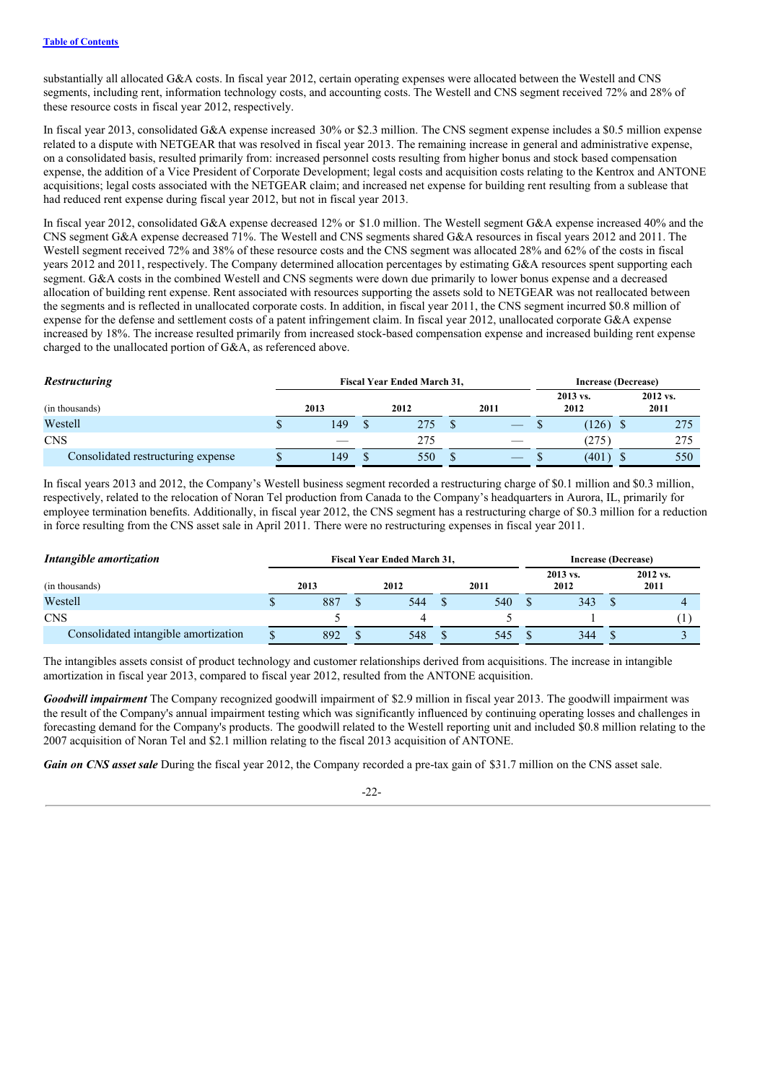substantially all allocated G&A costs. In fiscal year 2012, certain operating expenses were allocated between the Westell and CNS segments, including rent, information technology costs, and accounting costs. The Westell and CNS segment received 72% and 28% of these resource costs in fiscal year 2012, respectively.

In fiscal year 2013, consolidated G&A expense increased 30% or \$2.3 million. The CNS segment expense includes a \$0.5 million expense related to a dispute with NETGEAR that was resolved in fiscal year 2013. The remaining increase in general and administrative expense, on a consolidated basis, resulted primarily from: increased personnel costs resulting from higher bonus and stock based compensation expense, the addition of a Vice President of Corporate Development; legal costs and acquisition costs relating to the Kentrox and ANTONE acquisitions; legal costs associated with the NETGEAR claim; and increased net expense for building rent resulting from a sublease that had reduced rent expense during fiscal year 2012, but not in fiscal year 2013.

In fiscal year 2012, consolidated G&A expense decreased 12% or \$1.0 million. The Westell segment G&A expense increased 40% and the CNS segment G&A expense decreased 71%. The Westell and CNS segments shared G&A resources in fiscal years 2012 and 2011. The Westell segment received 72% and 38% of these resource costs and the CNS segment was allocated 28% and 62% of the costs in fiscal years 2012 and 2011, respectively. The Company determined allocation percentages by estimating G&A resources spent supporting each segment. G&A costs in the combined Westell and CNS segments were down due primarily to lower bonus expense and a decreased allocation of building rent expense. Rent associated with resources supporting the assets sold to NETGEAR was not reallocated between the segments and is reflected in unallocated corporate costs. In addition, in fiscal year 2011, the CNS segment incurred \$0.8 million of expense for the defense and settlement costs of a patent infringement claim. In fiscal year 2012, unallocated corporate G&A expense increased by 18%. The increase resulted primarily from increased stock-based compensation expense and increased building rent expense charged to the unallocated portion of G&A, as referenced above.

| <b>Restructuring</b>               |  |      |  | <b>Fiscal Year Ended March 31.</b> | Increase (Decrease) |      |  |                  |                  |     |
|------------------------------------|--|------|--|------------------------------------|---------------------|------|--|------------------|------------------|-----|
| (in thousands)                     |  | 2013 |  | 2012                               |                     | 2011 |  | 2013 vs.<br>2012 | 2012 vs.<br>2011 |     |
| Westell                            |  | 149  |  | 275                                |                     | __   |  | (126)            |                  | 275 |
| <b>CNS</b>                         |  |      |  | 275                                |                     |      |  | (275)            |                  | 275 |
| Consolidated restructuring expense |  | 149  |  | 550                                |                     |      |  | (401             |                  | 550 |

In fiscal years 2013 and 2012, the Company's Westell business segment recorded a restructuring charge of \$0.1 million and \$0.3 million, respectively, related to the relocation of Noran Tel production from Canada to the Company's headquarters in Aurora, IL, primarily for employee termination benefits. Additionally, in fiscal year 2012, the CNS segment has a restructuring charge of \$0.3 million for a reduction in force resulting from the CNS asset sale in April 2011. There were no restructuring expenses in fiscal year 2011.

| Intangible amortization              |  |      | Fiscal Year Ended March 31, | Increase (Decrease) |      |  |                  |                  |  |  |
|--------------------------------------|--|------|-----------------------------|---------------------|------|--|------------------|------------------|--|--|
| (in thousands)                       |  | 2013 |                             | 2012                | 2011 |  | 2013 vs.<br>2012 | 2012 vs.<br>2011 |  |  |
| Westell                              |  | 887  |                             | 544                 | 540  |  | 343              |                  |  |  |
| <b>CNS</b>                           |  |      |                             |                     |      |  |                  |                  |  |  |
| Consolidated intangible amortization |  | 892  |                             | 548                 | 545  |  | 344              |                  |  |  |

The intangibles assets consist of product technology and customer relationships derived from acquisitions. The increase in intangible amortization in fiscal year 2013, compared to fiscal year 2012, resulted from the ANTONE acquisition.

*Goodwill impairment* The Company recognized goodwill impairment of \$2.9 million in fiscal year 2013. The goodwill impairment was the result of the Company's annual impairment testing which was significantly influenced by continuing operating losses and challenges in forecasting demand for the Company's products. The goodwill related to the Westell reporting unit and included \$0.8 million relating to the 2007 acquisition of Noran Tel and \$2.1 million relating to the fiscal 2013 acquisition of ANTONE.

*Gain on CNS asset sale* During the fiscal year 2012, the Company recorded a pre-tax gain of \$31.7 million on the CNS asset sale.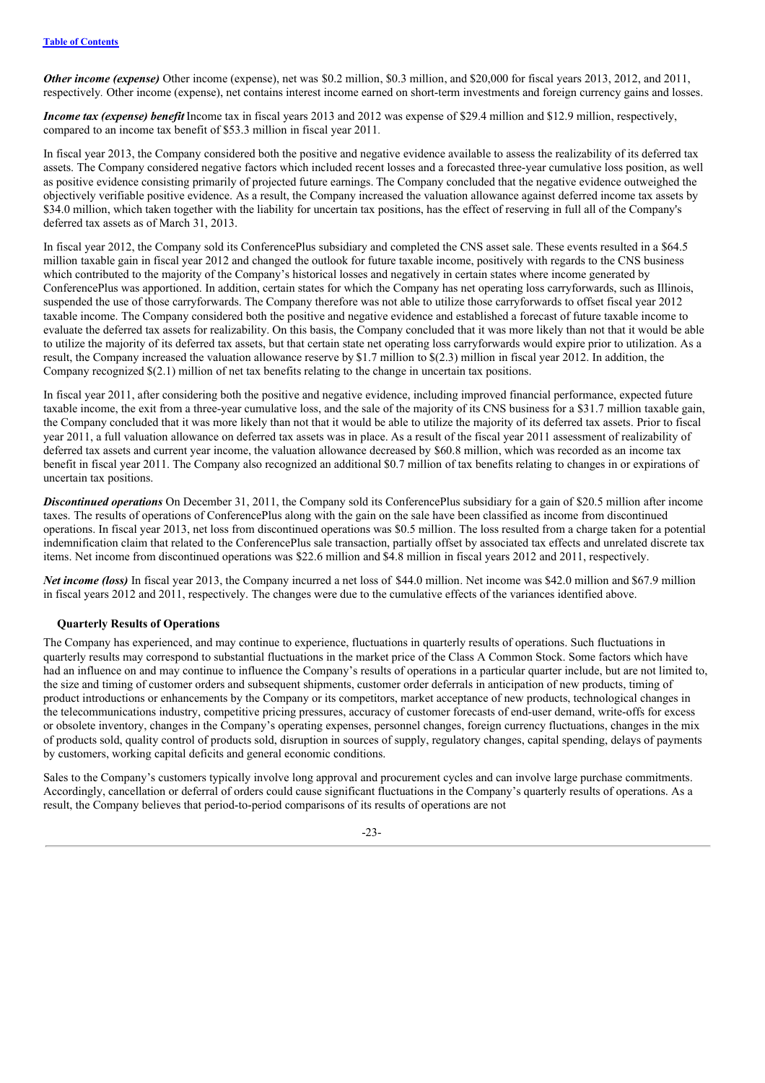*Other income (expense)* Other income (expense), net was \$0.2 million, \$0.3 million, and \$20,000 for fiscal years 2013, 2012, and 2011, respectively*.* Other income (expense), net contains interest income earned on short-term investments and foreign currency gains and losses.

*Income tax (expense) benefit* Income tax in fiscal years 2013 and 2012 was expense of \$29.4 million and \$12.9 million, respectively, compared to an income tax benefit of \$53.3 million in fiscal year 2011*.*

In fiscal year 2013, the Company considered both the positive and negative evidence available to assess the realizability of its deferred tax assets. The Company considered negative factors which included recent losses and a forecasted three-year cumulative loss position, as well as positive evidence consisting primarily of projected future earnings. The Company concluded that the negative evidence outweighed the objectively verifiable positive evidence. As a result, the Company increased the valuation allowance against deferred income tax assets by \$34.0 million, which taken together with the liability for uncertain tax positions, has the effect of reserving in full all of the Company's deferred tax assets as of March 31, 2013.

In fiscal year 2012, the Company sold its ConferencePlus subsidiary and completed the CNS asset sale. These events resulted in a \$64.5 million taxable gain in fiscal year 2012 and changed the outlook for future taxable income, positively with regards to the CNS business which contributed to the majority of the Company's historical losses and negatively in certain states where income generated by ConferencePlus was apportioned. In addition, certain states for which the Company has net operating loss carryforwards, such as Illinois, suspended the use of those carryforwards. The Company therefore was not able to utilize those carryforwards to offset fiscal year 2012 taxable income. The Company considered both the positive and negative evidence and established a forecast of future taxable income to evaluate the deferred tax assets for realizability. On this basis, the Company concluded that it was more likely than not that it would be able to utilize the majority of its deferred tax assets, but that certain state net operating loss carryforwards would expire prior to utilization. As a result, the Company increased the valuation allowance reserve by \$1.7 million to \$(2.3) million in fiscal year 2012. In addition, the Company recognized \$(2.1) million of net tax benefits relating to the change in uncertain tax positions.

In fiscal year 2011, after considering both the positive and negative evidence, including improved financial performance, expected future taxable income, the exit from a three-year cumulative loss, and the sale of the majority of its CNS business for a \$31.7 million taxable gain, the Company concluded that it was more likely than not that it would be able to utilize the majority of its deferred tax assets. Prior to fiscal year 2011, a full valuation allowance on deferred tax assets was in place. As a result of the fiscal year 2011 assessment of realizability of deferred tax assets and current year income, the valuation allowance decreased by \$60.8 million, which was recorded as an income tax benefit in fiscal year 2011. The Company also recognized an additional \$0.7 million of tax benefits relating to changes in or expirations of uncertain tax positions.

*Discontinued operations* On December 31, 2011, the Company sold its ConferencePlus subsidiary for a gain of \$20.5 million after income taxes. The results of operations of ConferencePlus along with the gain on the sale have been classified as income from discontinued operations. In fiscal year 2013, net loss from discontinued operations was \$0.5 million. The loss resulted from a charge taken for a potential indemnification claim that related to the ConferencePlus sale transaction, partially offset by associated tax effects and unrelated discrete tax items. Net income from discontinued operations was \$22.6 million and \$4.8 million in fiscal years 2012 and 2011, respectively.

*Net income (loss)* In fiscal year 2013, the Company incurred a net loss of \$44.0 million. Net income was \$42.0 million and \$67.9 million in fiscal years 2012 and 2011, respectively. The changes were due to the cumulative effects of the variances identified above.

## **Quarterly Results of Operations**

The Company has experienced, and may continue to experience, fluctuations in quarterly results of operations. Such fluctuations in quarterly results may correspond to substantial fluctuations in the market price of the Class A Common Stock. Some factors which have had an influence on and may continue to influence the Company's results of operations in a particular quarter include, but are not limited to, the size and timing of customer orders and subsequent shipments, customer order deferrals in anticipation of new products, timing of product introductions or enhancements by the Company or its competitors, market acceptance of new products, technological changes in the telecommunications industry, competitive pricing pressures, accuracy of customer forecasts of end-user demand, write-offs for excess or obsolete inventory, changes in the Company's operating expenses, personnel changes, foreign currency fluctuations, changes in the mix of products sold, quality control of products sold, disruption in sources of supply, regulatory changes, capital spending, delays of payments by customers, working capital deficits and general economic conditions.

Sales to the Company's customers typically involve long approval and procurement cycles and can involve large purchase commitments. Accordingly, cancellation or deferral of orders could cause significant fluctuations in the Company's quarterly results of operations. As a result, the Company believes that period-to-period comparisons of its results of operations are not

-23-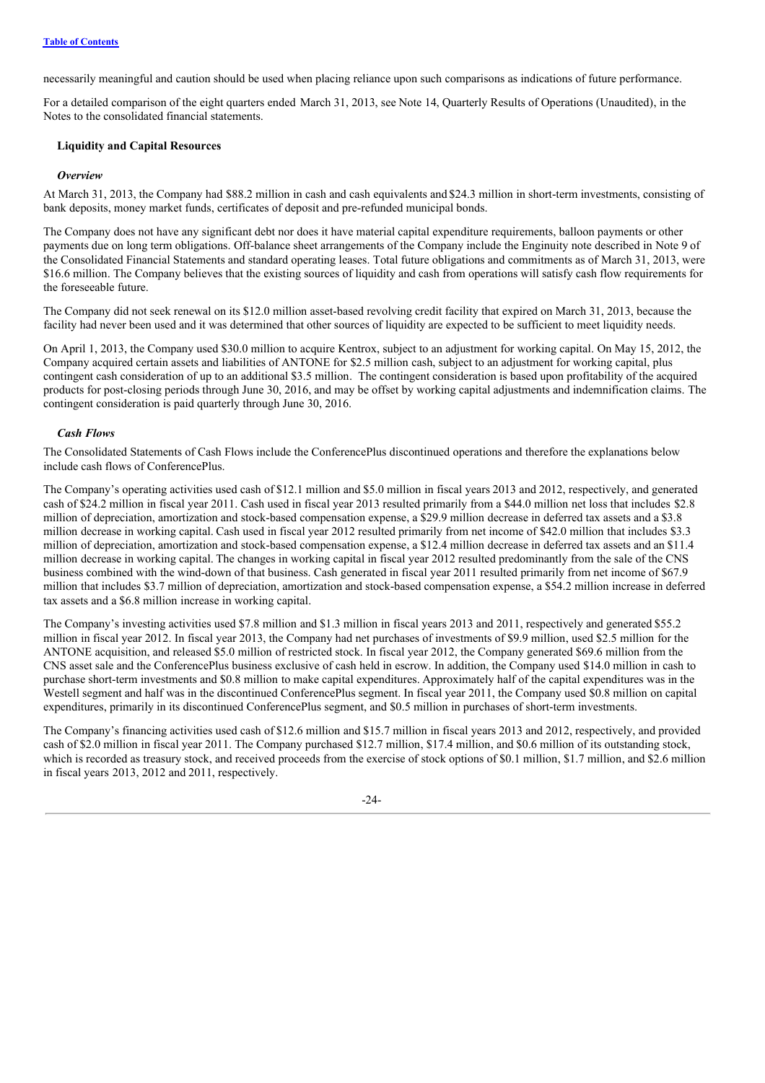necessarily meaningful and caution should be used when placing reliance upon such comparisons as indications of future performance.

For a detailed comparison of the eight quarters ended March 31, 2013, see Note 14, Quarterly Results of Operations (Unaudited), in the Notes to the consolidated financial statements.

#### **Liquidity and Capital Resources**

#### *Overview*

At March 31, 2013, the Company had \$88.2 million in cash and cash equivalents and\$24.3 million in short-term investments, consisting of bank deposits, money market funds, certificates of deposit and pre-refunded municipal bonds.

The Company does not have any significant debt nor does it have material capital expenditure requirements, balloon payments or other payments due on long term obligations. Off-balance sheet arrangements of the Company include the Enginuity note described in Note 9 of the Consolidated Financial Statements and standard operating leases. Total future obligations and commitments as of March 31, 2013, were \$16.6 million. The Company believes that the existing sources of liquidity and cash from operations will satisfy cash flow requirements for the foreseeable future.

The Company did not seek renewal on its \$12.0 million asset-based revolving credit facility that expired on March 31, 2013, because the facility had never been used and it was determined that other sources of liquidity are expected to be sufficient to meet liquidity needs.

On April 1, 2013, the Company used \$30.0 million to acquire Kentrox, subject to an adjustment for working capital. On May 15, 2012, the Company acquired certain assets and liabilities of ANTONE for \$2.5 million cash, subject to an adjustment for working capital, plus contingent cash consideration of up to an additional \$3.5 million. The contingent consideration is based upon profitability of the acquired products for post-closing periods through June 30, 2016, and may be offset by working capital adjustments and indemnification claims. The contingent consideration is paid quarterly through June 30, 2016.

#### *Cash Flows*

The Consolidated Statements of Cash Flows include the ConferencePlus discontinued operations and therefore the explanations below include cash flows of ConferencePlus.

The Company's operating activities used cash of \$12.1 million and \$5.0 million in fiscal years 2013 and 2012, respectively, and generated cash of \$24.2 million in fiscal year 2011. Cash used in fiscal year 2013 resulted primarily from a \$44.0 million net loss that includes \$2.8 million of depreciation, amortization and stock-based compensation expense, a \$29.9 million decrease in deferred tax assets and a \$3.8 million decrease in working capital. Cash used in fiscal year 2012 resulted primarily from net income of \$42.0 million that includes \$3.3 million of depreciation, amortization and stock-based compensation expense, a \$12.4 million decrease in deferred tax assets and an \$11.4 million decrease in working capital. The changes in working capital in fiscal year 2012 resulted predominantly from the sale of the CNS business combined with the wind-down of that business. Cash generated in fiscal year 2011 resulted primarily from net income of \$67.9 million that includes \$3.7 million of depreciation, amortization and stock-based compensation expense, a \$54.2 million increase in deferred tax assets and a \$6.8 million increase in working capital.

The Company's investing activities used \$7.8 million and \$1.3 million in fiscal years 2013 and 2011, respectively and generated \$55.2 million in fiscal year 2012. In fiscal year 2013, the Company had net purchases of investments of \$9.9 million, used \$2.5 million for the ANTONE acquisition, and released \$5.0 million of restricted stock. In fiscal year 2012, the Company generated \$69.6 million from the CNS asset sale and the ConferencePlus business exclusive of cash held in escrow. In addition, the Company used \$14.0 million in cash to purchase short-term investments and \$0.8 million to make capital expenditures. Approximately half of the capital expenditures was in the Westell segment and half was in the discontinued ConferencePlus segment. In fiscal year 2011, the Company used \$0.8 million on capital expenditures, primarily in its discontinued ConferencePlus segment, and \$0.5 million in purchases of short-term investments.

The Company's financing activities used cash of \$12.6 million and \$15.7 million in fiscal years 2013 and 2012, respectively, and provided cash of \$2.0 million in fiscal year 2011. The Company purchased \$12.7 million, \$17.4 million, and \$0.6 million of its outstanding stock, which is recorded as treasury stock, and received proceeds from the exercise of stock options of \$0.1 million, \$1.7 million, and \$2.6 million in fiscal years 2013, 2012 and 2011, respectively.

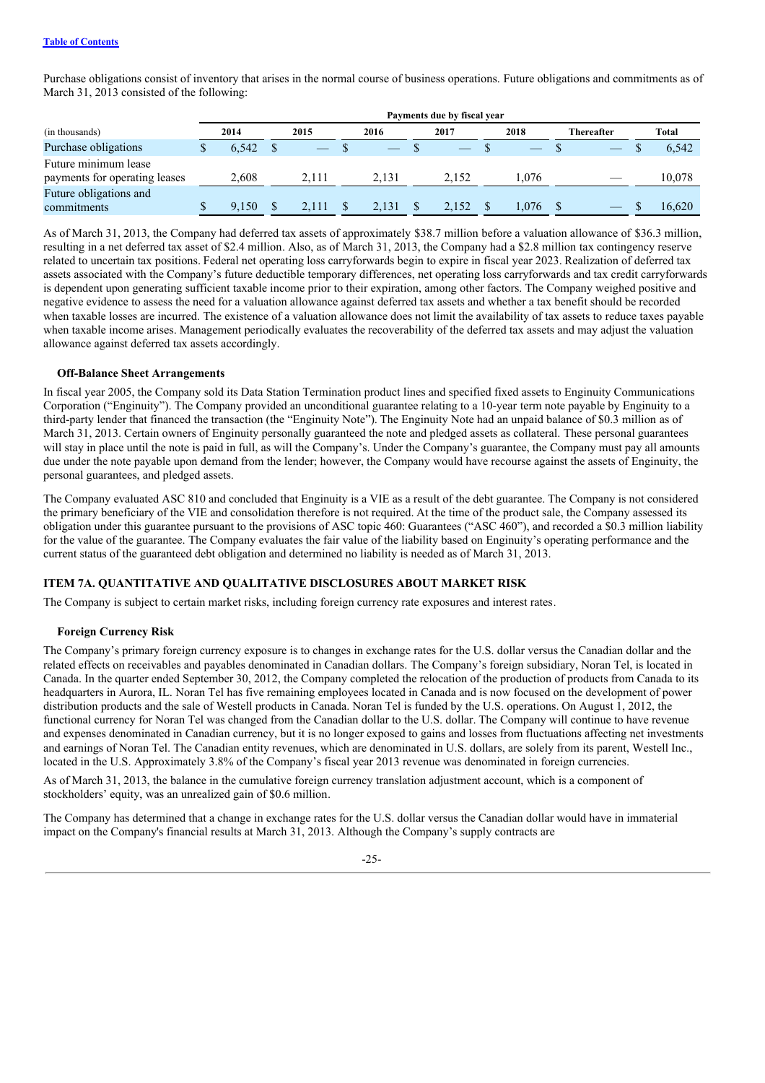Purchase obligations consist of inventory that arises in the normal course of business operations. Future obligations and commitments as of March 31, 2013 consisted of the following:

|                                                       | Payments due by fiscal year |       |  |       |  |       |  |       |  |       |  |                   |        |
|-------------------------------------------------------|-----------------------------|-------|--|-------|--|-------|--|-------|--|-------|--|-------------------|--------|
| (in thousands)                                        |                             | 2014  |  | 2015  |  | 2016  |  | 2017  |  | 2018  |  | <b>Thereafter</b> | Total  |
| Purchase obligations                                  |                             | 6.542 |  | $-$   |  |       |  |       |  |       |  |                   | 6,542  |
| Future minimum lease<br>payments for operating leases |                             | 2,608 |  | 2.111 |  | 2.131 |  | 2.152 |  | .076  |  |                   | 10.078 |
| Future obligations and<br>commitments                 |                             | 9.150 |  | 2.111 |  | 2.131 |  | 2.152 |  | 1.076 |  |                   | 16,620 |

As of March 31, 2013, the Company had deferred tax assets of approximately \$38.7 million before a valuation allowance of \$36.3 million, resulting in a net deferred tax asset of \$2.4 million. Also, as of March 31, 2013, the Company had a \$2.8 million tax contingency reserve related to uncertain tax positions. Federal net operating loss carryforwards begin to expire in fiscal year 2023. Realization of deferred tax assets associated with the Company's future deductible temporary differences, net operating loss carryforwards and tax credit carryforwards is dependent upon generating sufficient taxable income prior to their expiration, among other factors. The Company weighed positive and negative evidence to assess the need for a valuation allowance against deferred tax assets and whether a tax benefit should be recorded when taxable losses are incurred. The existence of a valuation allowance does not limit the availability of tax assets to reduce taxes payable when taxable income arises. Management periodically evaluates the recoverability of the deferred tax assets and may adjust the valuation allowance against deferred tax assets accordingly.

#### **Off-Balance Sheet Arrangements**

In fiscal year 2005, the Company sold its Data Station Termination product lines and specified fixed assets to Enginuity Communications Corporation ("Enginuity"). The Company provided an unconditional guarantee relating to a 10-year term note payable by Enginuity to a third-party lender that financed the transaction (the "Enginuity Note"). The Enginuity Note had an unpaid balance of \$0.3 million as of March 31, 2013. Certain owners of Enginuity personally guaranteed the note and pledged assets as collateral. These personal guarantees will stay in place until the note is paid in full, as will the Company's. Under the Company's guarantee, the Company must pay all amounts due under the note payable upon demand from the lender; however, the Company would have recourse against the assets of Enginuity, the personal guarantees, and pledged assets.

The Company evaluated ASC 810 and concluded that Enginuity is a VIE as a result of the debt guarantee. The Company is not considered the primary beneficiary of the VIE and consolidation therefore is not required. At the time of the product sale, the Company assessed its obligation under this guarantee pursuant to the provisions of ASC topic 460: Guarantees ("ASC 460"), and recorded a \$0.3 million liability for the value of the guarantee. The Company evaluates the fair value of the liability based on Enginuity's operating performance and the current status of the guaranteed debt obligation and determined no liability is needed as of March 31, 2013.

## **ITEM 7A. QUANTITATIVE AND QUALITATIVE DISCLOSURES ABOUT MARKET RISK**

The Company is subject to certain market risks, including foreign currency rate exposures and interest rates*.*

## **Foreign Currency Risk**

The Company's primary foreign currency exposure is to changes in exchange rates for the U.S. dollar versus the Canadian dollar and the related effects on receivables and payables denominated in Canadian dollars. The Company's foreign subsidiary, Noran Tel, is located in Canada. In the quarter ended September 30, 2012, the Company completed the relocation of the production of products from Canada to its headquarters in Aurora, IL. Noran Tel has five remaining employees located in Canada and is now focused on the development of power distribution products and the sale of Westell products in Canada. Noran Tel is funded by the U.S. operations. On August 1, 2012, the functional currency for Noran Tel was changed from the Canadian dollar to the U.S. dollar. The Company will continue to have revenue and expenses denominated in Canadian currency, but it is no longer exposed to gains and losses from fluctuations affecting net investments and earnings of Noran Tel. The Canadian entity revenues, which are denominated in U.S. dollars, are solely from its parent, Westell Inc., located in the U.S. Approximately 3.8% of the Company's fiscal year 2013 revenue was denominated in foreign currencies.

As of March 31, 2013, the balance in the cumulative foreign currency translation adjustment account, which is a component of stockholders' equity, was an unrealized gain of \$0.6 million.

The Company has determined that a change in exchange rates for the U.S. dollar versus the Canadian dollar would have in immaterial impact on the Company's financial results at March 31, 2013. Although the Company's supply contracts are

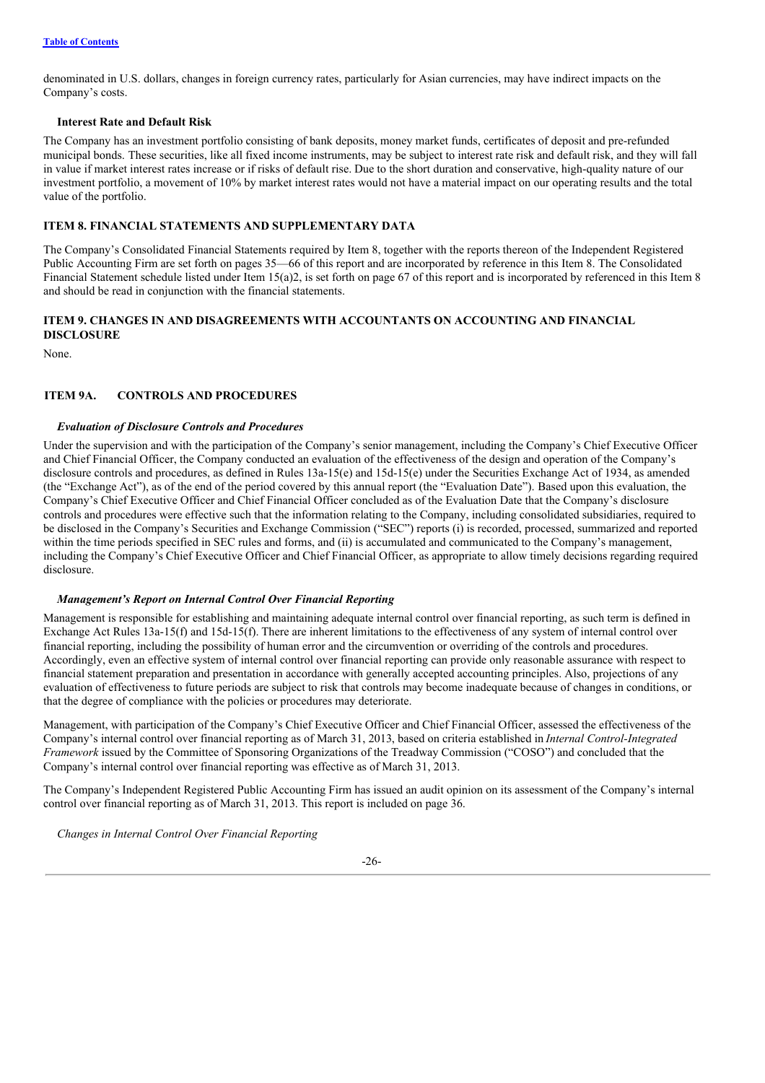denominated in U.S. dollars, changes in foreign currency rates, particularly for Asian currencies, may have indirect impacts on the Company's costs.

## **Interest Rate and Default Risk**

The Company has an investment portfolio consisting of bank deposits, money market funds, certificates of deposit and pre-refunded municipal bonds. These securities, like all fixed income instruments, may be subject to interest rate risk and default risk, and they will fall in value if market interest rates increase or if risks of default rise. Due to the short duration and conservative, high-quality nature of our investment portfolio, a movement of 10% by market interest rates would not have a material impact on our operating results and the total value of the portfolio.

## **ITEM 8. FINANCIAL STATEMENTS AND SUPPLEMENTARY DATA**

The Company's Consolidated Financial Statements required by Item 8, together with the reports thereon of the Independent Registered Public Accounting Firm are set forth on pages 35—66 of this report and are incorporated by reference in this Item 8. The Consolidated Financial Statement schedule listed under Item 15(a)2, is set forth on page 67 of this report and is incorporated by referenced in this Item 8 and should be read in conjunction with the financial statements.

#### **ITEM 9. CHANGES IN AND DISAGREEMENTS WITH ACCOUNTANTS ON ACCOUNTING AND FINANCIAL DISCLOSURE**

None.

## **ITEM 9A. CONTROLS AND PROCEDURES**

## *Evaluation of Disclosure Controls and Procedures*

Under the supervision and with the participation of the Company's senior management, including the Company's Chief Executive Officer and Chief Financial Officer, the Company conducted an evaluation of the effectiveness of the design and operation of the Company's disclosure controls and procedures, as defined in Rules 13a-15(e) and 15d-15(e) under the Securities Exchange Act of 1934, as amended (the "Exchange Act"), as of the end of the period covered by this annual report (the "Evaluation Date"). Based upon this evaluation, the Company's Chief Executive Officer and Chief Financial Officer concluded as of the Evaluation Date that the Company's disclosure controls and procedures were effective such that the information relating to the Company, including consolidated subsidiaries, required to be disclosed in the Company's Securities and Exchange Commission ("SEC") reports (i) is recorded, processed, summarized and reported within the time periods specified in SEC rules and forms, and (ii) is accumulated and communicated to the Company's management, including the Company's Chief Executive Officer and Chief Financial Officer, as appropriate to allow timely decisions regarding required disclosure.

## *Management's Report on Internal Control Over Financial Reporting*

Management is responsible for establishing and maintaining adequate internal control over financial reporting, as such term is defined in Exchange Act Rules 13a-15(f) and 15d-15(f). There are inherent limitations to the effectiveness of any system of internal control over financial reporting, including the possibility of human error and the circumvention or overriding of the controls and procedures. Accordingly, even an effective system of internal control over financial reporting can provide only reasonable assurance with respect to financial statement preparation and presentation in accordance with generally accepted accounting principles. Also, projections of any evaluation of effectiveness to future periods are subject to risk that controls may become inadequate because of changes in conditions, or that the degree of compliance with the policies or procedures may deteriorate.

Management, with participation of the Company's Chief Executive Officer and Chief Financial Officer, assessed the effectiveness of the Company's internal control over financial reporting as of March 31, 2013, based on criteria established in *Internal Control-Integrated Framework* issued by the Committee of Sponsoring Organizations of the Treadway Commission ("COSO") and concluded that the Company's internal control over financial reporting was effective as of March 31, 2013.

The Company's Independent Registered Public Accounting Firm has issued an audit opinion on its assessment of the Company's internal control over financial reporting as of March 31, 2013. This report is included on page 36.

*Changes in Internal Control Over Financial Reporting*

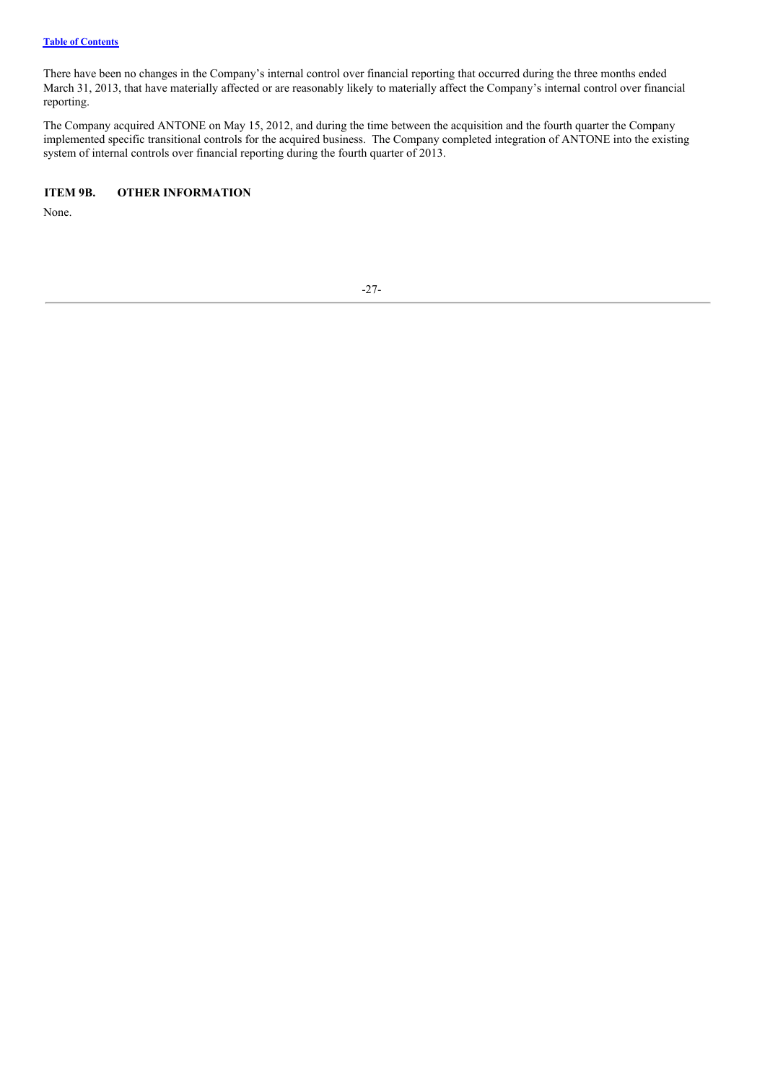There have been no changes in the Company's internal control over financial reporting that occurred during the three months ended March 31, 2013, that have materially affected or are reasonably likely to materially affect the Company's internal control over financial reporting.

The Company acquired ANTONE on May 15, 2012, and during the time between the acquisition and the fourth quarter the Company implemented specific transitional controls for the acquired business. The Company completed integration of ANTONE into the existing system of internal controls over financial reporting during the fourth quarter of 2013.

## **ITEM 9B. OTHER INFORMATION**

None.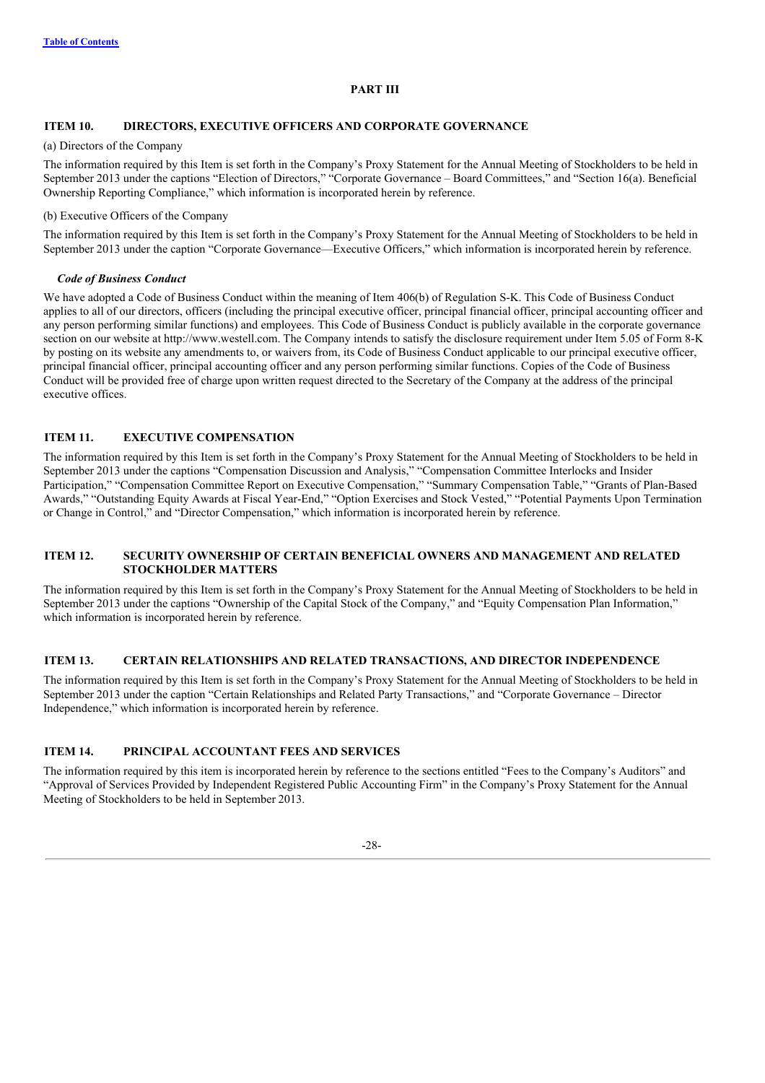## **PART III**

## **ITEM 10. DIRECTORS, EXECUTIVE OFFICERS AND CORPORATE GOVERNANCE**

(a) Directors of the Company

The information required by this Item is set forth in the Company's Proxy Statement for the Annual Meeting of Stockholders to be held in September 2013 under the captions "Election of Directors," "Corporate Governance – Board Committees," and "Section 16(a). Beneficial Ownership Reporting Compliance," which information is incorporated herein by reference.

## (b) Executive Officers of the Company

The information required by this Item is set forth in the Company's Proxy Statement for the Annual Meeting of Stockholders to be held in September 2013 under the caption "Corporate Governance—Executive Officers," which information is incorporated herein by reference.

## *Code of Business Conduct*

We have adopted a Code of Business Conduct within the meaning of Item 406(b) of Regulation S-K. This Code of Business Conduct applies to all of our directors, officers (including the principal executive officer, principal financial officer, principal accounting officer and any person performing similar functions) and employees. This Code of Business Conduct is publicly available in the corporate governance section on our website at http://www.westell.com. The Company intends to satisfy the disclosure requirement under Item 5.05 of Form 8-K by posting on its website any amendments to, or waivers from, its Code of Business Conduct applicable to our principal executive officer, principal financial officer, principal accounting officer and any person performing similar functions. Copies of the Code of Business Conduct will be provided free of charge upon written request directed to the Secretary of the Company at the address of the principal executive offices.

## **ITEM 11. EXECUTIVE COMPENSATION**

The information required by this Item is set forth in the Company's Proxy Statement for the Annual Meeting of Stockholders to be held in September 2013 under the captions "Compensation Discussion and Analysis," "Compensation Committee Interlocks and Insider Participation," "Compensation Committee Report on Executive Compensation," "Summary Compensation Table," "Grants of Plan-Based Awards," "Outstanding Equity Awards at Fiscal Year-End," "Option Exercises and Stock Vested," "Potential Payments Upon Termination or Change in Control," and "Director Compensation," which information is incorporated herein by reference.

## **ITEM 12. SECURITY OWNERSHIP OF CERTAIN BENEFICIAL OWNERS AND MANAGEMENT AND RELATED STOCKHOLDER MATTERS**

The information required by this Item is set forth in the Company's Proxy Statement for the Annual Meeting of Stockholders to be held in September 2013 under the captions "Ownership of the Capital Stock of the Company," and "Equity Compensation Plan Information," which information is incorporated herein by reference.

## **ITEM 13. CERTAIN RELATIONSHIPS AND RELATED TRANSACTIONS, AND DIRECTOR INDEPENDENCE**

The information required by this Item is set forth in the Company's Proxy Statement for the Annual Meeting of Stockholders to be held in September 2013 under the caption "Certain Relationships and Related Party Transactions," and "Corporate Governance – Director Independence," which information is incorporated herein by reference.

## **ITEM 14. PRINCIPAL ACCOUNTANT FEES AND SERVICES**

The information required by this item is incorporated herein by reference to the sections entitled "Fees to the Company's Auditors" and "Approval of Services Provided by Independent Registered Public Accounting Firm" in the Company's Proxy Statement for the Annual Meeting of Stockholders to be held in September 2013.

-28-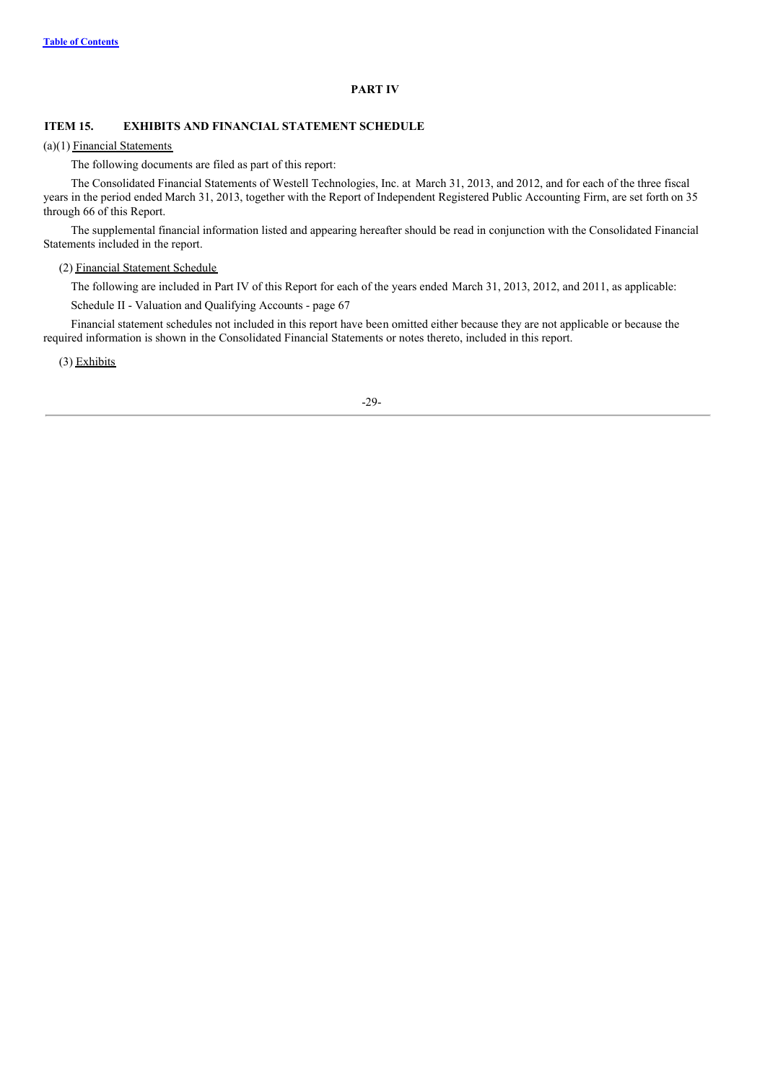## **PART IV**

#### **ITEM 15. EXHIBITS AND FINANCIAL STATEMENT SCHEDULE**

(a)(1) Financial Statements

The following documents are filed as part of this report:

The Consolidated Financial Statements of Westell Technologies, Inc. at March 31, 2013, and 2012, and for each of the three fiscal years in the period ended March 31, 2013, together with the Report of Independent Registered Public Accounting Firm, are set forth on 35 through 66 of this Report.

The supplemental financial information listed and appearing hereafter should be read in conjunction with the Consolidated Financial Statements included in the report.

## (2) Financial Statement Schedule

The following are included in Part IV of this Report for each of the years ended March 31, 2013, 2012, and 2011, as applicable:

Schedule II - Valuation and Qualifying Accounts - page 67

Financial statement schedules not included in this report have been omitted either because they are not applicable or because the required information is shown in the Consolidated Financial Statements or notes thereto, included in this report.

(3) Exhibits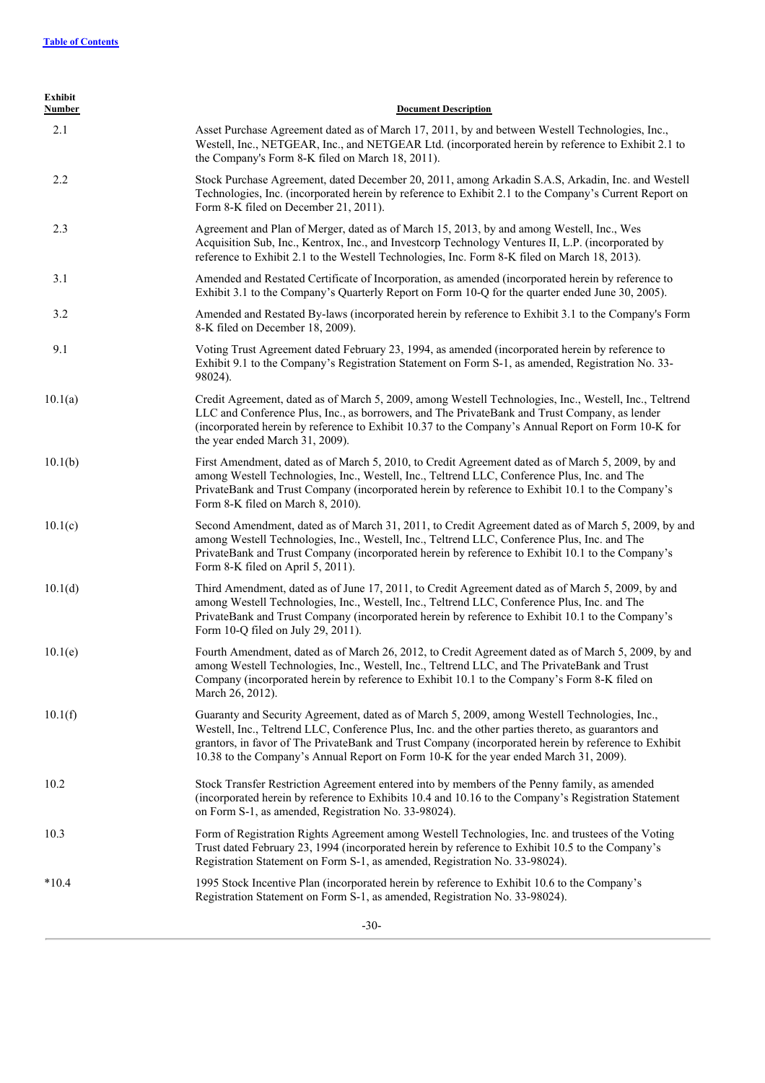| <b>Exhibit</b><br><b>Number</b> | <b>Document Description</b>                                                                                                                                                                                                                                                                                                                                                                           |
|---------------------------------|-------------------------------------------------------------------------------------------------------------------------------------------------------------------------------------------------------------------------------------------------------------------------------------------------------------------------------------------------------------------------------------------------------|
| 2.1                             | Asset Purchase Agreement dated as of March 17, 2011, by and between Westell Technologies, Inc.,<br>Westell, Inc., NETGEAR, Inc., and NETGEAR Ltd. (incorporated herein by reference to Exhibit 2.1 to<br>the Company's Form 8-K filed on March 18, 2011).                                                                                                                                             |
| 2.2                             | Stock Purchase Agreement, dated December 20, 2011, among Arkadin S.A.S, Arkadin, Inc. and Westell<br>Technologies, Inc. (incorporated herein by reference to Exhibit 2.1 to the Company's Current Report on<br>Form 8-K filed on December 21, 2011).                                                                                                                                                  |
| 2.3                             | Agreement and Plan of Merger, dated as of March 15, 2013, by and among Westell, Inc., Wes<br>Acquisition Sub, Inc., Kentrox, Inc., and Investcorp Technology Ventures II, L.P. (incorporated by<br>reference to Exhibit 2.1 to the Westell Technologies, Inc. Form 8-K filed on March 18, 2013).                                                                                                      |
| 3.1                             | Amended and Restated Certificate of Incorporation, as amended (incorporated herein by reference to<br>Exhibit 3.1 to the Company's Quarterly Report on Form 10-Q for the quarter ended June 30, 2005).                                                                                                                                                                                                |
| 3.2                             | Amended and Restated By-laws (incorporated herein by reference to Exhibit 3.1 to the Company's Form<br>8-K filed on December 18, 2009).                                                                                                                                                                                                                                                               |
| 9.1                             | Voting Trust Agreement dated February 23, 1994, as amended (incorporated herein by reference to<br>Exhibit 9.1 to the Company's Registration Statement on Form S-1, as amended, Registration No. 33-<br>98024).                                                                                                                                                                                       |
| 10.1(a)                         | Credit Agreement, dated as of March 5, 2009, among Westell Technologies, Inc., Westell, Inc., Teltrend<br>LLC and Conference Plus, Inc., as borrowers, and The PrivateBank and Trust Company, as lender<br>(incorporated herein by reference to Exhibit 10.37 to the Company's Annual Report on Form 10-K for<br>the year ended March 31, 2009).                                                      |
| 10.1(b)                         | First Amendment, dated as of March 5, 2010, to Credit Agreement dated as of March 5, 2009, by and<br>among Westell Technologies, Inc., Westell, Inc., Teltrend LLC, Conference Plus, Inc. and The<br>PrivateBank and Trust Company (incorporated herein by reference to Exhibit 10.1 to the Company's<br>Form 8-K filed on March 8, 2010).                                                            |
| 10.1(c)                         | Second Amendment, dated as of March 31, 2011, to Credit Agreement dated as of March 5, 2009, by and<br>among Westell Technologies, Inc., Westell, Inc., Teltrend LLC, Conference Plus, Inc. and The<br>PrivateBank and Trust Company (incorporated herein by reference to Exhibit 10.1 to the Company's<br>Form 8-K filed on April 5, 2011).                                                          |
| 10.1(d)                         | Third Amendment, dated as of June 17, 2011, to Credit Agreement dated as of March 5, 2009, by and<br>among Westell Technologies, Inc., Westell, Inc., Teltrend LLC, Conference Plus, Inc. and The<br>PrivateBank and Trust Company (incorporated herein by reference to Exhibit 10.1 to the Company's<br>Form 10-Q filed on July 29, 2011).                                                           |
| 10.1(e)                         | Fourth Amendment, dated as of March 26, 2012, to Credit Agreement dated as of March 5, 2009, by and<br>among Westell Technologies, Inc., Westell, Inc., Teltrend LLC, and The PrivateBank and Trust<br>Company (incorporated herein by reference to Exhibit 10.1 to the Company's Form 8-K filed on<br>March 26, 2012).                                                                               |
| 10.1(f)                         | Guaranty and Security Agreement, dated as of March 5, 2009, among Westell Technologies, Inc.,<br>Westell, Inc., Teltrend LLC, Conference Plus, Inc. and the other parties thereto, as guarantors and<br>grantors, in favor of The PrivateBank and Trust Company (incorporated herein by reference to Exhibit<br>10.38 to the Company's Annual Report on Form 10-K for the year ended March 31, 2009). |
| 10.2                            | Stock Transfer Restriction Agreement entered into by members of the Penny family, as amended<br>(incorporated herein by reference to Exhibits 10.4 and 10.16 to the Company's Registration Statement<br>on Form S-1, as amended, Registration No. 33-98024).                                                                                                                                          |
| 10.3                            | Form of Registration Rights Agreement among Westell Technologies, Inc. and trustees of the Voting<br>Trust dated February 23, 1994 (incorporated herein by reference to Exhibit 10.5 to the Company's<br>Registration Statement on Form S-1, as amended, Registration No. 33-98024).                                                                                                                  |
| $*10.4$                         | 1995 Stock Incentive Plan (incorporated herein by reference to Exhibit 10.6 to the Company's<br>Registration Statement on Form S-1, as amended, Registration No. 33-98024).                                                                                                                                                                                                                           |
|                                 | $-30-$                                                                                                                                                                                                                                                                                                                                                                                                |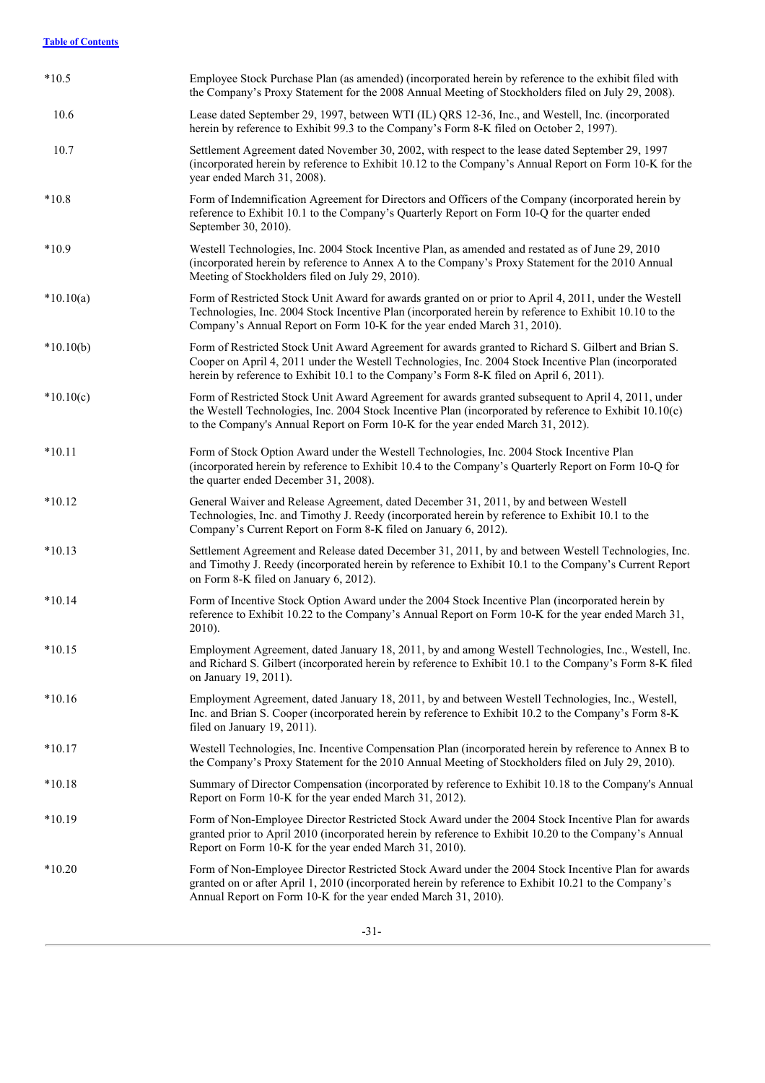## **Table of Contents**

| $*10.5$     | Employee Stock Purchase Plan (as amended) (incorporated herein by reference to the exhibit filed with<br>the Company's Proxy Statement for the 2008 Annual Meeting of Stockholders filed on July 29, 2008).                                                                                           |
|-------------|-------------------------------------------------------------------------------------------------------------------------------------------------------------------------------------------------------------------------------------------------------------------------------------------------------|
| 10.6        | Lease dated September 29, 1997, between WTI (IL) QRS 12-36, Inc., and Westell, Inc. (incorporated<br>herein by reference to Exhibit 99.3 to the Company's Form 8-K filed on October 2, 1997).                                                                                                         |
| 10.7        | Settlement Agreement dated November 30, 2002, with respect to the lease dated September 29, 1997<br>(incorporated herein by reference to Exhibit 10.12 to the Company's Annual Report on Form 10-K for the<br>year ended March 31, 2008).                                                             |
| $*10.8$     | Form of Indemnification Agreement for Directors and Officers of the Company (incorporated herein by<br>reference to Exhibit 10.1 to the Company's Quarterly Report on Form 10-Q for the quarter ended<br>September 30, 2010).                                                                         |
| $*10.9$     | Westell Technologies, Inc. 2004 Stock Incentive Plan, as amended and restated as of June 29, 2010<br>(incorporated herein by reference to Annex A to the Company's Proxy Statement for the 2010 Annual<br>Meeting of Stockholders filed on July 29, 2010).                                            |
| $*10.10(a)$ | Form of Restricted Stock Unit Award for awards granted on or prior to April 4, 2011, under the Westell<br>Technologies, Inc. 2004 Stock Incentive Plan (incorporated herein by reference to Exhibit 10.10 to the<br>Company's Annual Report on Form 10-K for the year ended March 31, 2010).          |
| $*10.10(b)$ | Form of Restricted Stock Unit Award Agreement for awards granted to Richard S. Gilbert and Brian S.<br>Cooper on April 4, 2011 under the Westell Technologies, Inc. 2004 Stock Incentive Plan (incorporated<br>herein by reference to Exhibit 10.1 to the Company's Form 8-K filed on April 6, 2011). |
| $*10.10(c)$ | Form of Restricted Stock Unit Award Agreement for awards granted subsequent to April 4, 2011, under<br>the Westell Technologies, Inc. 2004 Stock Incentive Plan (incorporated by reference to Exhibit 10.10(c)<br>to the Company's Annual Report on Form 10-K for the year ended March 31, 2012).     |
| $*10.11$    | Form of Stock Option Award under the Westell Technologies, Inc. 2004 Stock Incentive Plan<br>(incorporated herein by reference to Exhibit 10.4 to the Company's Quarterly Report on Form 10-Q for<br>the quarter ended December 31, 2008).                                                            |
| $*10.12$    | General Waiver and Release Agreement, dated December 31, 2011, by and between Westell<br>Technologies, Inc. and Timothy J. Reedy (incorporated herein by reference to Exhibit 10.1 to the<br>Company's Current Report on Form 8-K filed on January 6, 2012).                                          |
| $*10.13$    | Settlement Agreement and Release dated December 31, 2011, by and between Westell Technologies, Inc.<br>and Timothy J. Reedy (incorporated herein by reference to Exhibit 10.1 to the Company's Current Report<br>on Form 8-K filed on January 6, 2012).                                               |
| $*10.14$    | Form of Incentive Stock Option Award under the 2004 Stock Incentive Plan (incorporated herein by<br>reference to Exhibit 10.22 to the Company's Annual Report on Form 10-K for the year ended March 31,<br>2010).                                                                                     |
| $*10.15$    | Employment Agreement, dated January 18, 2011, by and among Westell Technologies, Inc., Westell, Inc.<br>and Richard S. Gilbert (incorporated herein by reference to Exhibit 10.1 to the Company's Form 8-K filed<br>on January 19, 2011).                                                             |
| $*10.16$    | Employment Agreement, dated January 18, 2011, by and between Westell Technologies, Inc., Westell,<br>Inc. and Brian S. Cooper (incorporated herein by reference to Exhibit 10.2 to the Company's Form 8-K<br>filed on January 19, 2011).                                                              |
| $*10.17$    | Westell Technologies, Inc. Incentive Compensation Plan (incorporated herein by reference to Annex B to<br>the Company's Proxy Statement for the 2010 Annual Meeting of Stockholders filed on July 29, 2010).                                                                                          |
| $*10.18$    | Summary of Director Compensation (incorporated by reference to Exhibit 10.18 to the Company's Annual<br>Report on Form 10-K for the year ended March 31, 2012).                                                                                                                                       |
| $*10.19$    | Form of Non-Employee Director Restricted Stock Award under the 2004 Stock Incentive Plan for awards<br>granted prior to April 2010 (incorporated herein by reference to Exhibit 10.20 to the Company's Annual<br>Report on Form 10-K for the year ended March 31, 2010).                              |
| $*10.20$    | Form of Non-Employee Director Restricted Stock Award under the 2004 Stock Incentive Plan for awards<br>granted on or after April 1, 2010 (incorporated herein by reference to Exhibit 10.21 to the Company's<br>Annual Report on Form 10-K for the year ended March 31, 2010).                        |
|             |                                                                                                                                                                                                                                                                                                       |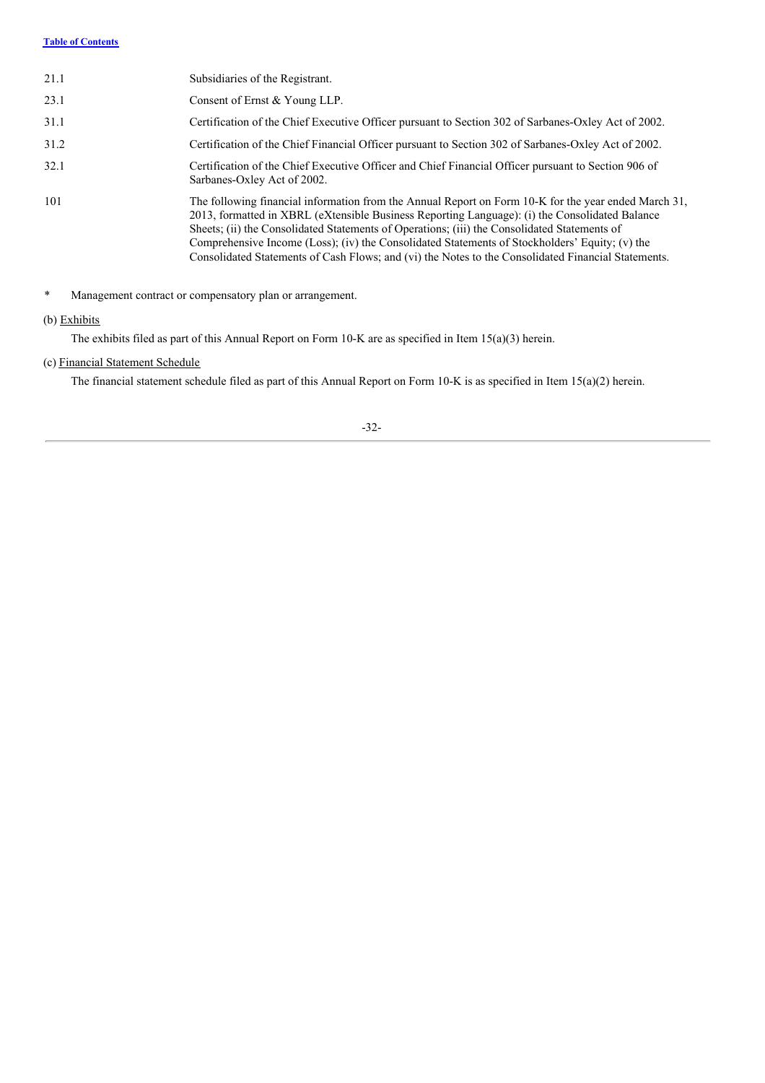## **Table of Contents**

| 21.1 | Subsidiaries of the Registrant.                                                                                                                                                                                                                                                                                                                                                                                                                                                                                 |
|------|-----------------------------------------------------------------------------------------------------------------------------------------------------------------------------------------------------------------------------------------------------------------------------------------------------------------------------------------------------------------------------------------------------------------------------------------------------------------------------------------------------------------|
| 23.1 | Consent of Ernst & Young LLP.                                                                                                                                                                                                                                                                                                                                                                                                                                                                                   |
| 31.1 | Certification of the Chief Executive Officer pursuant to Section 302 of Sarbanes-Oxley Act of 2002.                                                                                                                                                                                                                                                                                                                                                                                                             |
| 31.2 | Certification of the Chief Financial Officer pursuant to Section 302 of Sarbanes-Oxley Act of 2002.                                                                                                                                                                                                                                                                                                                                                                                                             |
| 32.1 | Certification of the Chief Executive Officer and Chief Financial Officer pursuant to Section 906 of<br>Sarbanes-Oxley Act of 2002.                                                                                                                                                                                                                                                                                                                                                                              |
| 101  | The following financial information from the Annual Report on Form 10-K for the year ended March 31,<br>2013, formatted in XBRL (eXtensible Business Reporting Language): (i) the Consolidated Balance<br>Sheets; (ii) the Consolidated Statements of Operations; (iii) the Consolidated Statements of<br>Comprehensive Income (Loss); (iv) the Consolidated Statements of Stockholders' Equity; (v) the<br>Consolidated Statements of Cash Flows; and (vi) the Notes to the Consolidated Financial Statements. |

\* Management contract or compensatory plan or arrangement.

## (b) Exhibits

The exhibits filed as part of this Annual Report on Form 10-K are as specified in Item 15(a)(3) herein.

## (c) Financial Statement Schedule

The financial statement schedule filed as part of this Annual Report on Form 10-K is as specified in Item 15(a)(2) herein.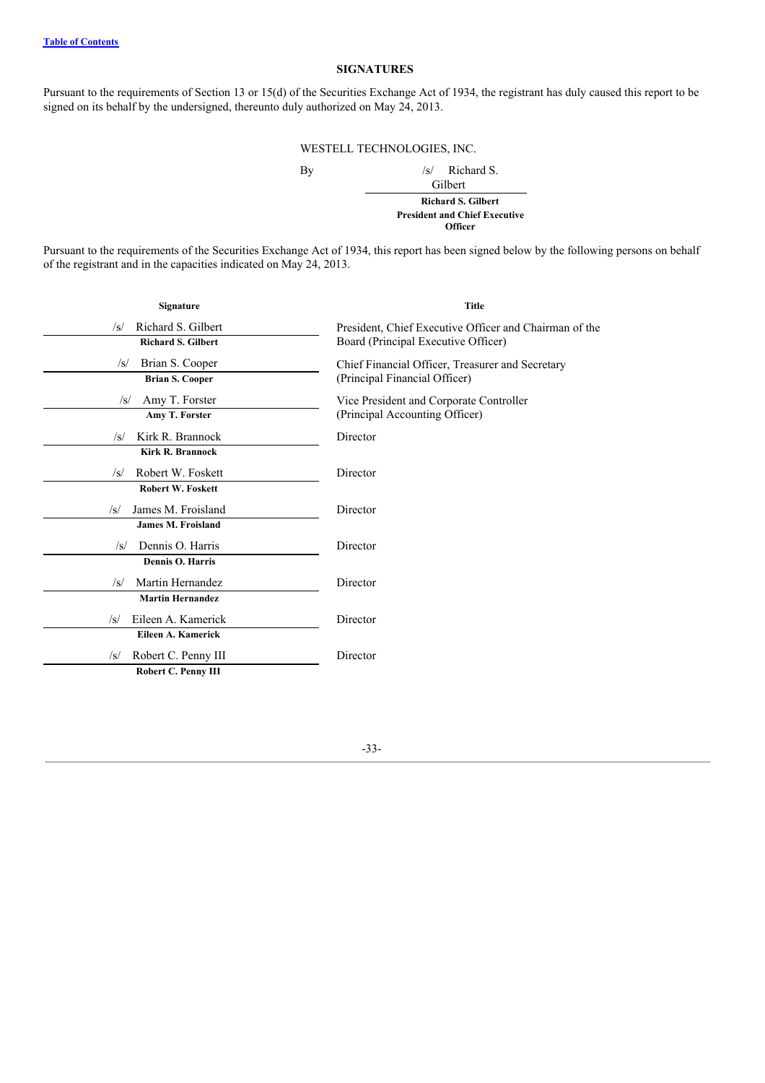## **SIGNATURES**

Pursuant to the requirements of Section 13 or 15(d) of the Securities Exchange Act of 1934, the registrant has duly caused this report to be signed on its behalf by the undersigned, thereunto duly authorized on May 24, 2013.

## WESTELL TECHNOLOGIES, INC.

By /s/ Richard S. Gilbert **Richard S. Gilbert President and Chief Executive**

**Officer**

Pursuant to the requirements of the Securities Exchange Act of 1934, this report has been signed below by the following persons on behalf of the registrant and in the capacities indicated on May 24, 2013.

| Signature                         | <b>Title</b>                                           |
|-----------------------------------|--------------------------------------------------------|
| Richard S. Gilbert<br>$\sqrt{s}$  | President, Chief Executive Officer and Chairman of the |
| <b>Richard S. Gilbert</b>         | Board (Principal Executive Officer)                    |
| Brian S. Cooper<br>$\sqrt{s}$     | Chief Financial Officer, Treasurer and Secretary       |
| <b>Brian S. Cooper</b>            | (Principal Financial Officer)                          |
| Amy T. Forster<br>$\sqrt{s}$      | Vice President and Corporate Controller                |
| Amy T. Forster                    | (Principal Accounting Officer)                         |
| Kirk R. Brannock<br>$\sqrt{s}$    | Director                                               |
| <b>Kirk R. Brannock</b>           |                                                        |
| Robert W. Foskett<br>$\sqrt{s}$   | Director                                               |
| <b>Robert W. Foskett</b>          |                                                        |
| James M. Froisland<br>$\sqrt{s}$  | Director                                               |
| <b>James M. Froisland</b>         |                                                        |
| Dennis O. Harris<br>/s/           | Director                                               |
| <b>Dennis O. Harris</b>           |                                                        |
| Martin Hernandez<br>$\sqrt{s}$    | Director                                               |
| <b>Martin Hernandez</b>           |                                                        |
| Eileen A. Kamerick<br>$\sqrt{s}$  | Director                                               |
| Eileen A. Kamerick                |                                                        |
| Robert C. Penny III<br>$\sqrt{s}$ | Director                                               |
| <b>Robert C. Penny III</b>        |                                                        |

-33-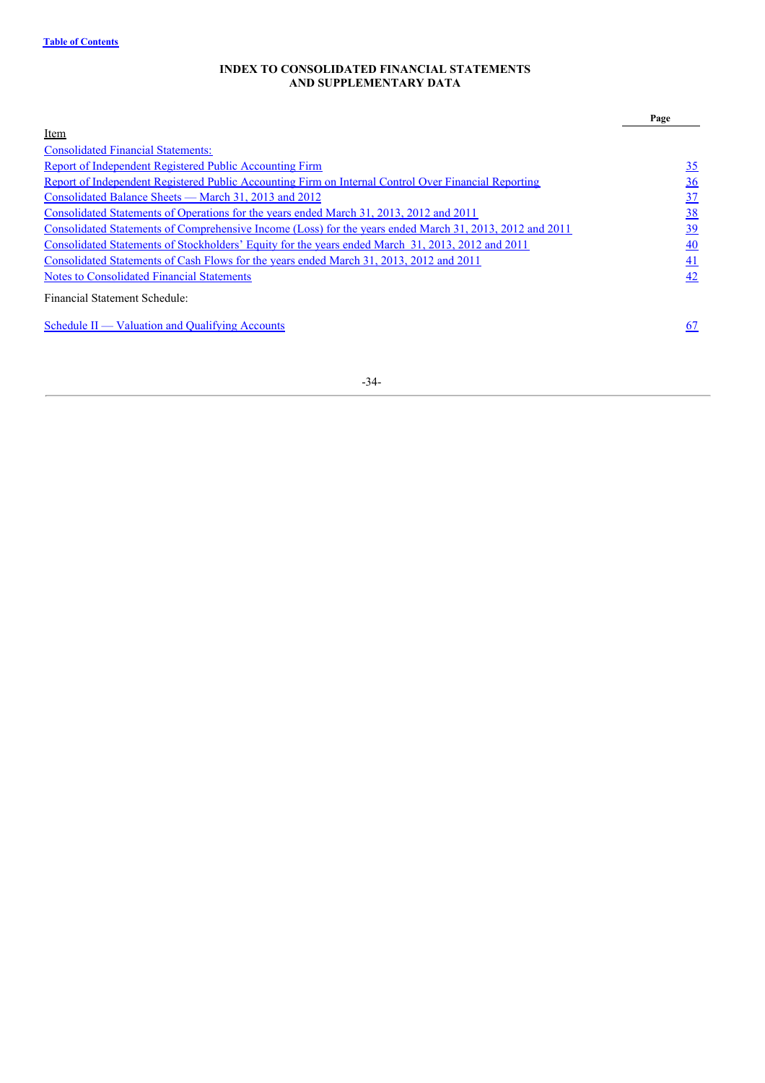## **INDEX TO CONSOLIDATED FINANCIAL STATEMENTS AND SUPPLEMENTARY DATA**

|                                                                                                          | Page      |
|----------------------------------------------------------------------------------------------------------|-----------|
| Item                                                                                                     |           |
| <b>Consolidated Financial Statements:</b>                                                                |           |
| Report of Independent Registered Public Accounting Firm                                                  | 35        |
| Report of Independent Registered Public Accounting Firm on Internal Control Over Financial Reporting     | <u>36</u> |
| Consolidated Balance Sheets — March 31, 2013 and 2012                                                    | 37        |
| Consolidated Statements of Operations for the years ended March 31, 2013, 2012 and 2011                  | 38        |
| Consolidated Statements of Comprehensive Income (Loss) for the years ended March 31, 2013, 2012 and 2011 | <u>39</u> |
| Consolidated Statements of Stockholders' Equity for the years ended March 31, 2013, 2012 and 2011        | 40        |
| Consolidated Statements of Cash Flows for the years ended March 31, 2013, 2012 and 2011                  | 41        |
| <b>Notes to Consolidated Financial Statements</b>                                                        | 42        |
| Financial Statement Schedule:                                                                            |           |
| Schedule II — Valuation and Qualifying Accounts                                                          | 67        |

-34-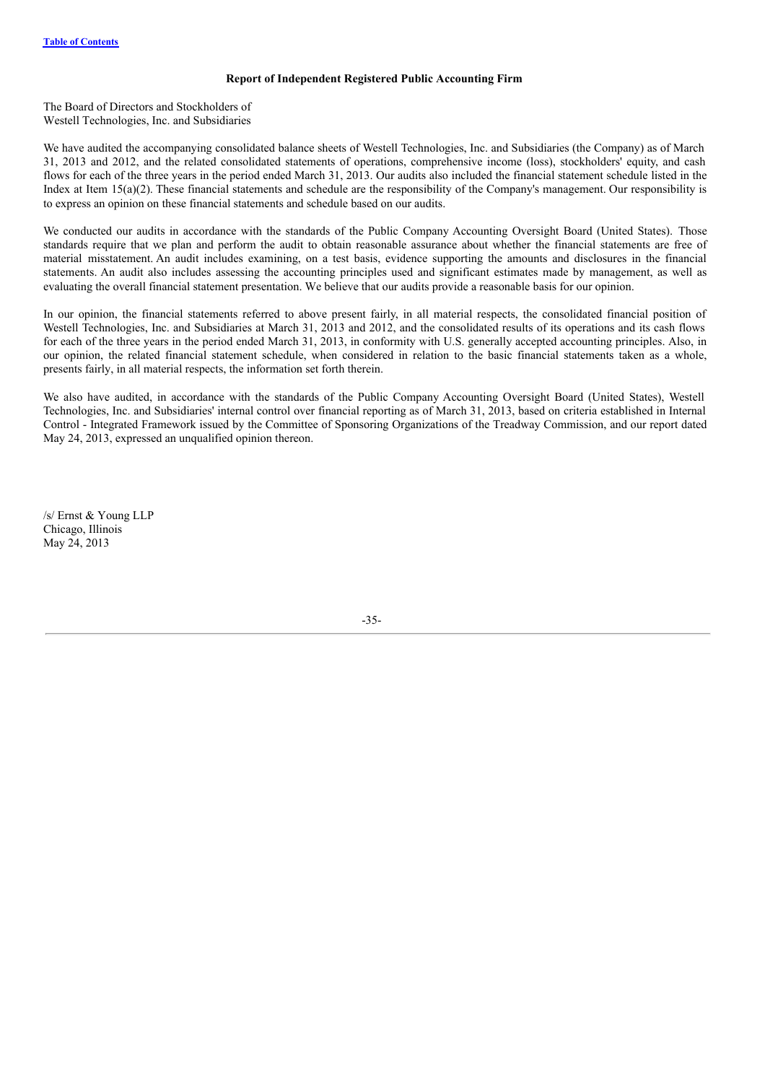### **Report of Independent Registered Public Accounting Firm**

The Board of Directors and Stockholders of Westell Technologies, Inc. and Subsidiaries

We have audited the accompanying consolidated balance sheets of Westell Technologies, Inc. and Subsidiaries (the Company) as of March 31, 2013 and 2012, and the related consolidated statements of operations, comprehensive income (loss), stockholders' equity, and cash flows for each of the three years in the period ended March 31, 2013. Our audits also included the financial statement schedule listed in the Index at Item 15(a)(2). These financial statements and schedule are the responsibility of the Company's management. Our responsibility is to express an opinion on these financial statements and schedule based on our audits.

We conducted our audits in accordance with the standards of the Public Company Accounting Oversight Board (United States). Those standards require that we plan and perform the audit to obtain reasonable assurance about whether the financial statements are free of material misstatement. An audit includes examining, on a test basis, evidence supporting the amounts and disclosures in the financial statements. An audit also includes assessing the accounting principles used and significant estimates made by management, as well as evaluating the overall financial statement presentation. We believe that our audits provide a reasonable basis for our opinion.

In our opinion, the financial statements referred to above present fairly, in all material respects, the consolidated financial position of Westell Technologies, Inc. and Subsidiaries at March 31, 2013 and 2012, and the consolidated results of its operations and its cash flows for each of the three years in the period ended March 31, 2013, in conformity with U.S. generally accepted accounting principles. Also, in our opinion, the related financial statement schedule, when considered in relation to the basic financial statements taken as a whole, presents fairly, in all material respects, the information set forth therein.

We also have audited, in accordance with the standards of the Public Company Accounting Oversight Board (United States), Westell Technologies, Inc. and Subsidiaries' internal control over financial reporting as of March 31, 2013, based on criteria established in Internal Control - Integrated Framework issued by the Committee of Sponsoring Organizations of the Treadway Commission, and our report dated May 24, 2013, expressed an unqualified opinion thereon.

/s/ Ernst & Young LLP Chicago, Illinois May 24, 2013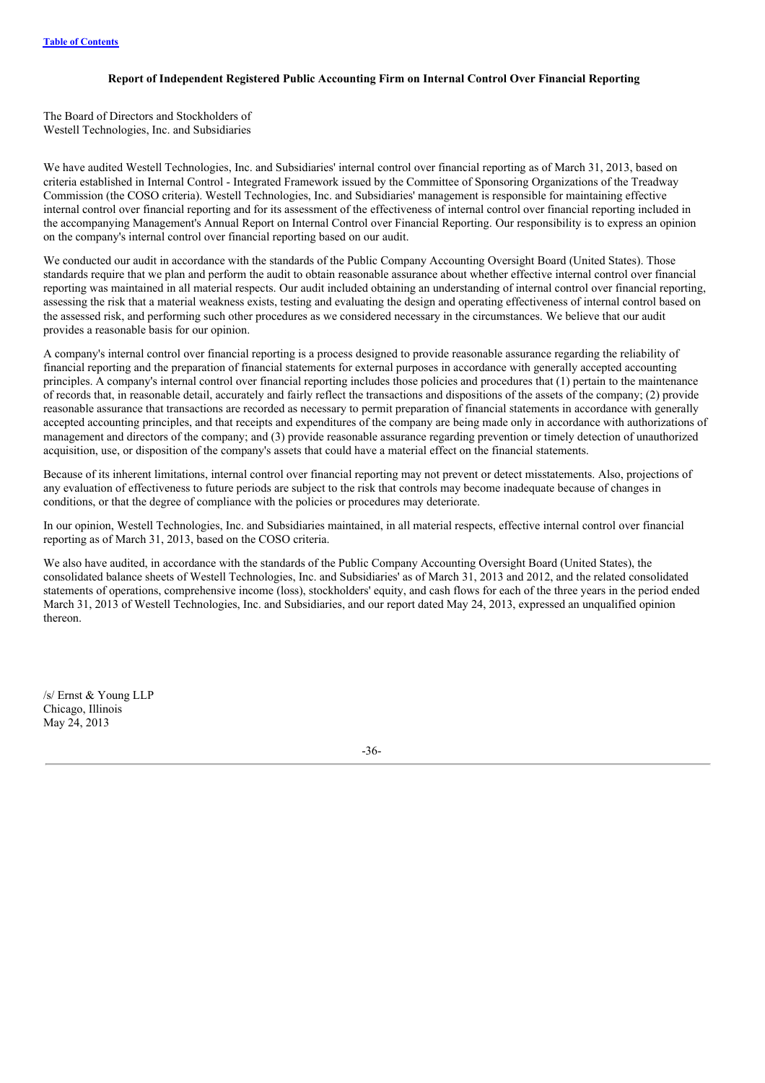### **Report of Independent Registered Public Accounting Firm on Internal Control Over Financial Reporting**

The Board of Directors and Stockholders of Westell Technologies, Inc. and Subsidiaries

We have audited Westell Technologies, Inc. and Subsidiaries' internal control over financial reporting as of March 31, 2013, based on criteria established in Internal Control - Integrated Framework issued by the Committee of Sponsoring Organizations of the Treadway Commission (the COSO criteria). Westell Technologies, Inc. and Subsidiaries' management is responsible for maintaining effective internal control over financial reporting and for its assessment of the effectiveness of internal control over financial reporting included in the accompanying Management's Annual Report on Internal Control over Financial Reporting. Our responsibility is to express an opinion on the company's internal control over financial reporting based on our audit.

We conducted our audit in accordance with the standards of the Public Company Accounting Oversight Board (United States). Those standards require that we plan and perform the audit to obtain reasonable assurance about whether effective internal control over financial reporting was maintained in all material respects. Our audit included obtaining an understanding of internal control over financial reporting, assessing the risk that a material weakness exists, testing and evaluating the design and operating effectiveness of internal control based on the assessed risk, and performing such other procedures as we considered necessary in the circumstances. We believe that our audit provides a reasonable basis for our opinion.

A company's internal control over financial reporting is a process designed to provide reasonable assurance regarding the reliability of financial reporting and the preparation of financial statements for external purposes in accordance with generally accepted accounting principles. A company's internal control over financial reporting includes those policies and procedures that (1) pertain to the maintenance of records that, in reasonable detail, accurately and fairly reflect the transactions and dispositions of the assets of the company; (2) provide reasonable assurance that transactions are recorded as necessary to permit preparation of financial statements in accordance with generally accepted accounting principles, and that receipts and expenditures of the company are being made only in accordance with authorizations of management and directors of the company; and (3) provide reasonable assurance regarding prevention or timely detection of unauthorized acquisition, use, or disposition of the company's assets that could have a material effect on the financial statements.

Because of its inherent limitations, internal control over financial reporting may not prevent or detect misstatements. Also, projections of any evaluation of effectiveness to future periods are subject to the risk that controls may become inadequate because of changes in conditions, or that the degree of compliance with the policies or procedures may deteriorate.

In our opinion, Westell Technologies, Inc. and Subsidiaries maintained, in all material respects, effective internal control over financial reporting as of March 31, 2013, based on the COSO criteria.

We also have audited, in accordance with the standards of the Public Company Accounting Oversight Board (United States), the consolidated balance sheets of Westell Technologies, Inc. and Subsidiaries' as of March 31, 2013 and 2012, and the related consolidated statements of operations, comprehensive income (loss), stockholders' equity, and cash flows for each of the three years in the period ended March 31, 2013 of Westell Technologies, Inc. and Subsidiaries, and our report dated May 24, 2013, expressed an unqualified opinion thereon.

/s/ Ernst & Young LLP Chicago, Illinois May 24, 2013

-36-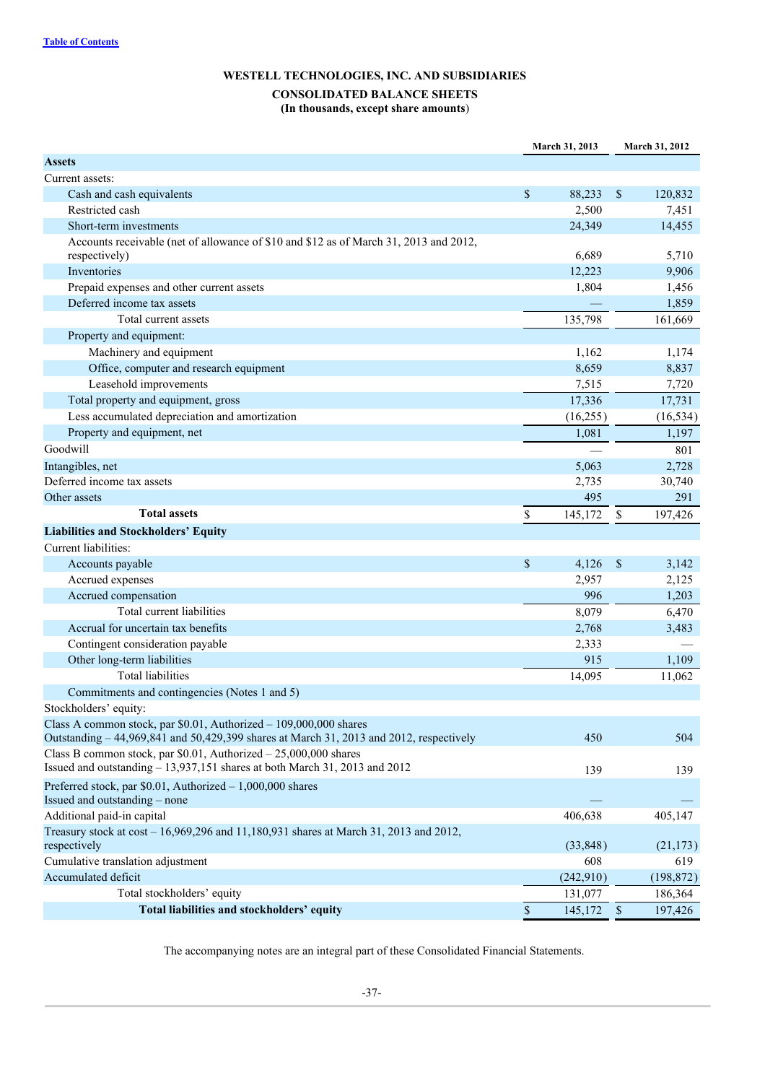# **WESTELL TECHNOLOGIES, INC. AND SUBSIDIARIES CONSOLIDATED BALANCE SHEETS (In thousands, except share amounts**)

|                                                                                         |              | March 31, 2013 |               | March 31, 2012 |
|-----------------------------------------------------------------------------------------|--------------|----------------|---------------|----------------|
| <b>Assets</b>                                                                           |              |                |               |                |
| Current assets:                                                                         |              |                |               |                |
| Cash and cash equivalents                                                               | \$           | 88,233         | $\sqrt{S}$    | 120,832        |
| Restricted cash                                                                         |              | 2,500          |               | 7,451          |
| Short-term investments                                                                  |              | 24,349         |               | 14,455         |
| Accounts receivable (net of allowance of \$10 and \$12 as of March 31, 2013 and 2012,   |              |                |               |                |
| respectively)                                                                           |              | 6,689          |               | 5,710          |
| Inventories                                                                             |              | 12,223         |               | 9,906          |
| Prepaid expenses and other current assets                                               |              | 1,804          |               | 1,456          |
| Deferred income tax assets                                                              |              |                |               | 1,859          |
| Total current assets                                                                    |              | 135,798        |               | 161,669        |
| Property and equipment:                                                                 |              |                |               |                |
| Machinery and equipment                                                                 |              | 1,162          |               | 1,174          |
| Office, computer and research equipment                                                 |              | 8,659          |               | 8,837          |
| Leasehold improvements                                                                  |              | 7,515          |               | 7,720          |
| Total property and equipment, gross                                                     |              | 17,336         |               | 17,731         |
| Less accumulated depreciation and amortization                                          |              | (16, 255)      |               | (16, 534)      |
| Property and equipment, net                                                             |              | 1,081          |               | 1,197          |
| Goodwill                                                                                |              |                |               | 801            |
| Intangibles, net                                                                        |              | 5,063          |               | 2,728          |
| Deferred income tax assets                                                              |              | 2,735          |               | 30,740         |
| Other assets                                                                            |              | 495            |               | 291            |
| <b>Total assets</b>                                                                     | \$           | 145,172        | $\mathbb{S}$  | 197,426        |
| <b>Liabilities and Stockholders' Equity</b>                                             |              |                |               |                |
| Current liabilities:                                                                    |              |                |               |                |
| Accounts payable                                                                        | $\mathbb{S}$ | 4,126          | <sup>\$</sup> | 3,142          |
| Accrued expenses                                                                        |              | 2,957          |               | 2,125          |
| Accrued compensation                                                                    |              | 996            |               | 1,203          |
| Total current liabilities                                                               |              | 8,079          |               | 6,470          |
| Accrual for uncertain tax benefits                                                      |              | 2,768          |               | 3,483          |
| Contingent consideration payable                                                        |              | 2,333          |               |                |
| Other long-term liabilities                                                             |              | 915            |               | 1,109          |
| <b>Total liabilities</b>                                                                |              | 14,095         |               | 11,062         |
| Commitments and contingencies (Notes 1 and 5)                                           |              |                |               |                |
| Stockholders' equity:                                                                   |              |                |               |                |
| Class A common stock, par \$0.01, Authorized - 109,000,000 shares                       |              |                |               |                |
| Outstanding - 44,969,841 and 50,429,399 shares at March 31, 2013 and 2012, respectively |              | 450            |               | 504            |
| Class B common stock, par $$0.01$ , Authorized $-25,000,000$ shares                     |              |                |               |                |
| Issued and outstanding - 13,937,151 shares at both March 31, 2013 and 2012              |              | 139            |               | 139            |
| Preferred stock, par $$0.01$ , Authorized - 1,000,000 shares                            |              |                |               |                |
| Issued and outstanding – none                                                           |              |                |               |                |
| Additional paid-in capital                                                              |              | 406,638        |               | 405,147        |
| Treasury stock at cost - 16,969,296 and 11,180,931 shares at March 31, 2013 and 2012,   |              |                |               |                |
| respectively                                                                            |              | (33, 848)      |               | (21, 173)      |
| Cumulative translation adjustment                                                       |              | 608            |               | 619            |
| Accumulated deficit                                                                     |              | (242,910)      |               | (198, 872)     |
| Total stockholders' equity                                                              |              | 131,077        |               | 186,364        |
| Total liabilities and stockholders' equity                                              | $\mathbb{S}$ | 145,172        | $\mathcal{S}$ | 197,426        |

The accompanying notes are an integral part of these Consolidated Financial Statements.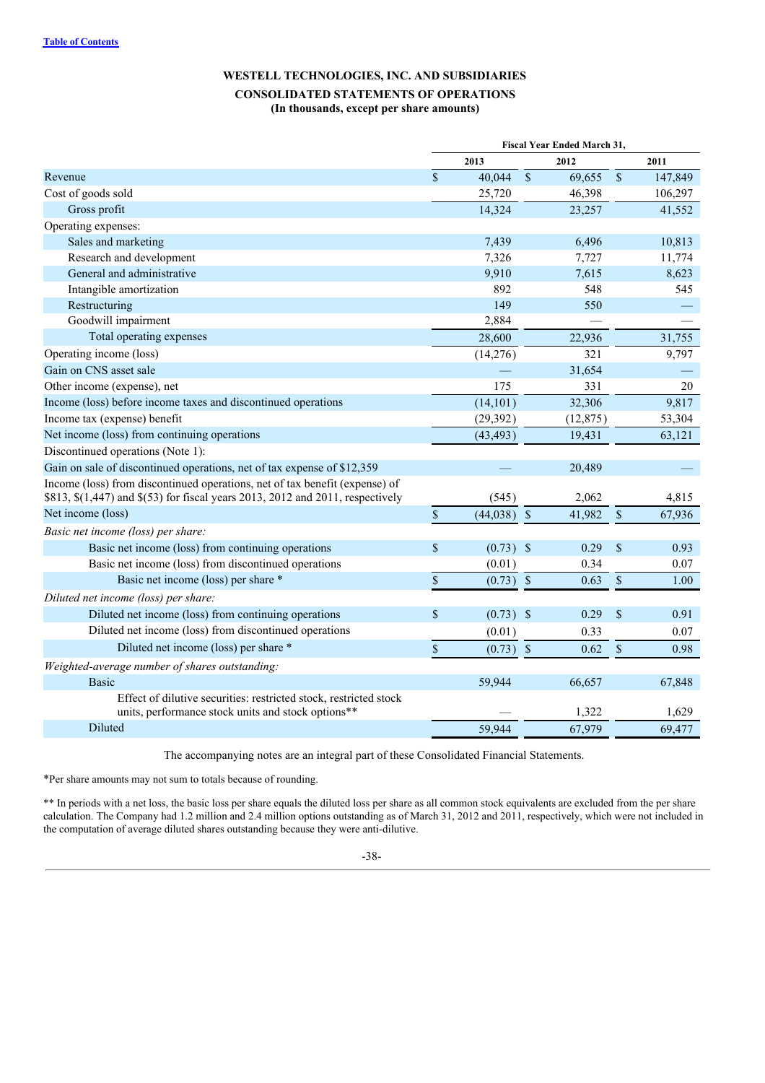# **WESTELL TECHNOLOGIES, INC. AND SUBSIDIARIES CONSOLIDATED STATEMENTS OF OPERATIONS (In thousands, except per share amounts)**

|                                                                                                                                                               | <b>Fiscal Year Ended March 31,</b> |             |                    |           |               |         |  |
|---------------------------------------------------------------------------------------------------------------------------------------------------------------|------------------------------------|-------------|--------------------|-----------|---------------|---------|--|
|                                                                                                                                                               |                                    | 2013        |                    | 2012      |               | 2011    |  |
| Revenue                                                                                                                                                       | $\mathbf{\$}$                      | 40,044      | $\mathbf{\hat{S}}$ | 69,655    | $\mathcal{S}$ | 147,849 |  |
| Cost of goods sold                                                                                                                                            |                                    | 25,720      |                    | 46,398    |               | 106,297 |  |
| Gross profit                                                                                                                                                  |                                    | 14,324      |                    | 23,257    |               | 41,552  |  |
| Operating expenses:                                                                                                                                           |                                    |             |                    |           |               |         |  |
| Sales and marketing                                                                                                                                           |                                    | 7,439       |                    | 6,496     |               | 10,813  |  |
| Research and development                                                                                                                                      |                                    | 7,326       |                    | 7,727     |               | 11,774  |  |
| General and administrative                                                                                                                                    |                                    | 9,910       |                    | 7,615     |               | 8,623   |  |
| Intangible amortization                                                                                                                                       |                                    | 892         |                    | 548       |               | 545     |  |
| Restructuring                                                                                                                                                 |                                    | 149         |                    | 550       |               |         |  |
| Goodwill impairment                                                                                                                                           |                                    | 2,884       |                    |           |               |         |  |
| Total operating expenses                                                                                                                                      |                                    | 28,600      |                    | 22.936    |               | 31.755  |  |
| Operating income (loss)                                                                                                                                       |                                    | (14,276)    |                    | 321       |               | 9,797   |  |
| Gain on CNS asset sale                                                                                                                                        |                                    |             |                    | 31,654    |               |         |  |
| Other income (expense), net                                                                                                                                   |                                    | 175         |                    | 331       |               | 20      |  |
| Income (loss) before income taxes and discontinued operations                                                                                                 |                                    | (14, 101)   |                    | 32,306    |               | 9,817   |  |
| Income tax (expense) benefit                                                                                                                                  |                                    | (29, 392)   |                    | (12, 875) |               | 53,304  |  |
| Net income (loss) from continuing operations                                                                                                                  |                                    | (43, 493)   |                    | 19,431    |               | 63,121  |  |
| Discontinued operations (Note 1):                                                                                                                             |                                    |             |                    |           |               |         |  |
| Gain on sale of discontinued operations, net of tax expense of \$12,359                                                                                       |                                    |             |                    | 20,489    |               |         |  |
| Income (loss) from discontinued operations, net of tax benefit (expense) of<br>\$813, \$(1,447) and \$(53) for fiscal years 2013, 2012 and 2011, respectively |                                    | (545)       |                    | 2,062     |               | 4,815   |  |
| Net income (loss)                                                                                                                                             | \$                                 | (44, 038)   | $\mathcal{S}$      | 41,982    | $\mathbb{S}$  | 67,936  |  |
| Basic net income (loss) per share:                                                                                                                            |                                    |             |                    |           |               |         |  |
| Basic net income (loss) from continuing operations                                                                                                            | \$                                 | $(0.73)$ \$ |                    | 0.29      | $\mathbb{S}$  | 0.93    |  |
| Basic net income (loss) from discontinued operations                                                                                                          |                                    | (0.01)      |                    | 0.34      |               | 0.07    |  |
| Basic net income (loss) per share *                                                                                                                           | \$                                 | $(0.73)$ \$ |                    | 0.63      | $\mathcal{S}$ | 1.00    |  |
| Diluted net income (loss) per share:                                                                                                                          |                                    |             |                    |           |               |         |  |
| Diluted net income (loss) from continuing operations                                                                                                          | $\mathbb{S}$                       | (0.73)      | $\sqrt{3}$         | 0.29      | $\mathbf{s}$  | 0.91    |  |
| Diluted net income (loss) from discontinued operations                                                                                                        |                                    | (0.01)      |                    | 0.33      |               | 0.07    |  |
| Diluted net income (loss) per share *                                                                                                                         | \$                                 | $(0.73)$ \$ |                    | 0.62      | $\mathbb{S}$  | 0.98    |  |
| Weighted-average number of shares outstanding:                                                                                                                |                                    |             |                    |           |               |         |  |
| <b>Basic</b>                                                                                                                                                  |                                    | 59,944      |                    | 66,657    |               | 67,848  |  |
| Effect of dilutive securities: restricted stock, restricted stock                                                                                             |                                    |             |                    |           |               |         |  |
| units, performance stock units and stock options**                                                                                                            |                                    |             |                    | 1,322     |               | 1,629   |  |
| Diluted                                                                                                                                                       |                                    | 59,944      |                    | 67,979    |               | 69,477  |  |
|                                                                                                                                                               |                                    |             |                    |           |               |         |  |

The accompanying notes are an integral part of these Consolidated Financial Statements.

\*Per share amounts may not sum to totals because of rounding.

\*\* In periods with a net loss, the basic loss per share equals the diluted loss per share as all common stock equivalents are excluded from the per share calculation. The Company had 1.2 million and 2.4 million options outstanding as of March 31, 2012 and 2011, respectively, which were not included in the computation of average diluted shares outstanding because they were anti-dilutive.

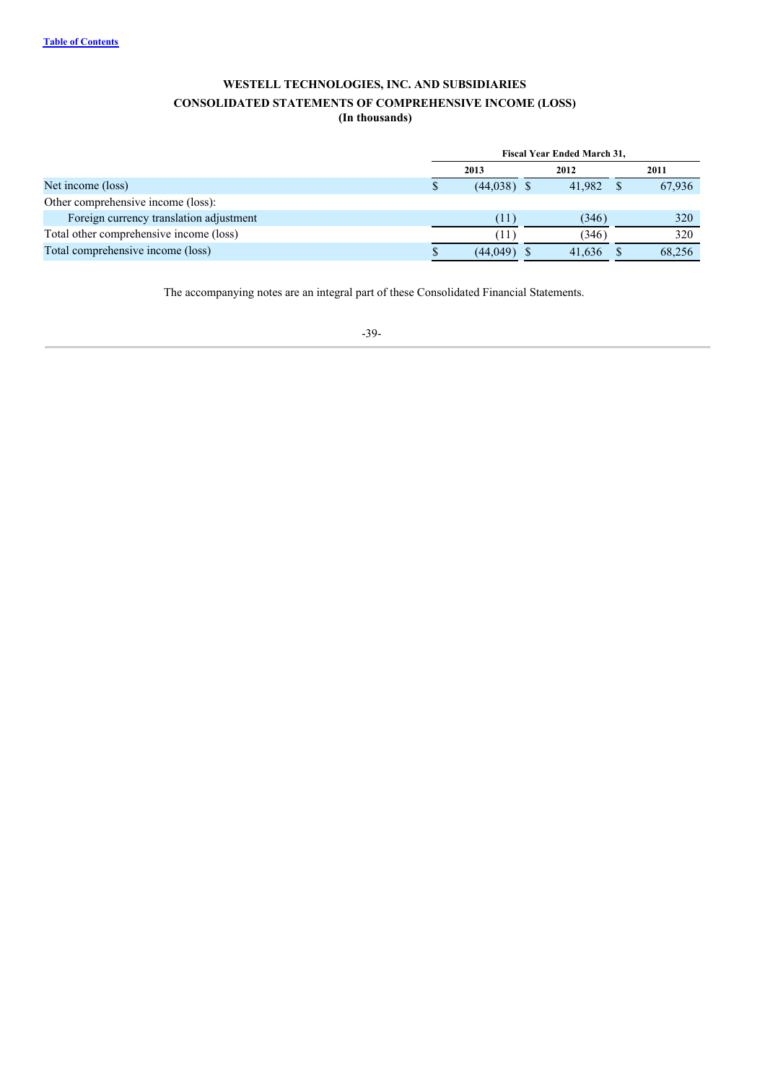# **WESTELL TECHNOLOGIES, INC. AND SUBSIDIARIES CONSOLIDATED STATEMENTS OF COMPREHENSIVE INCOME (LOSS) (In thousands)**

|                                         | <b>Fiscal Year Ended March 31,</b> |               |  |        |  |        |  |  |  |
|-----------------------------------------|------------------------------------|---------------|--|--------|--|--------|--|--|--|
|                                         | 2013                               |               |  | 2012   |  | 2011   |  |  |  |
| Net income (loss)                       |                                    | $(44,038)$ \$ |  | 41.982 |  | 67,936 |  |  |  |
| Other comprehensive income (loss):      |                                    |               |  |        |  |        |  |  |  |
| Foreign currency translation adjustment |                                    | (11)          |  | (346)  |  | 320    |  |  |  |
| Total other comprehensive income (loss) |                                    | (11)          |  | (346)  |  | 320    |  |  |  |
| Total comprehensive income (loss)       |                                    | (44,049)      |  | 41,636 |  | 68,256 |  |  |  |

The accompanying notes are an integral part of these Consolidated Financial Statements.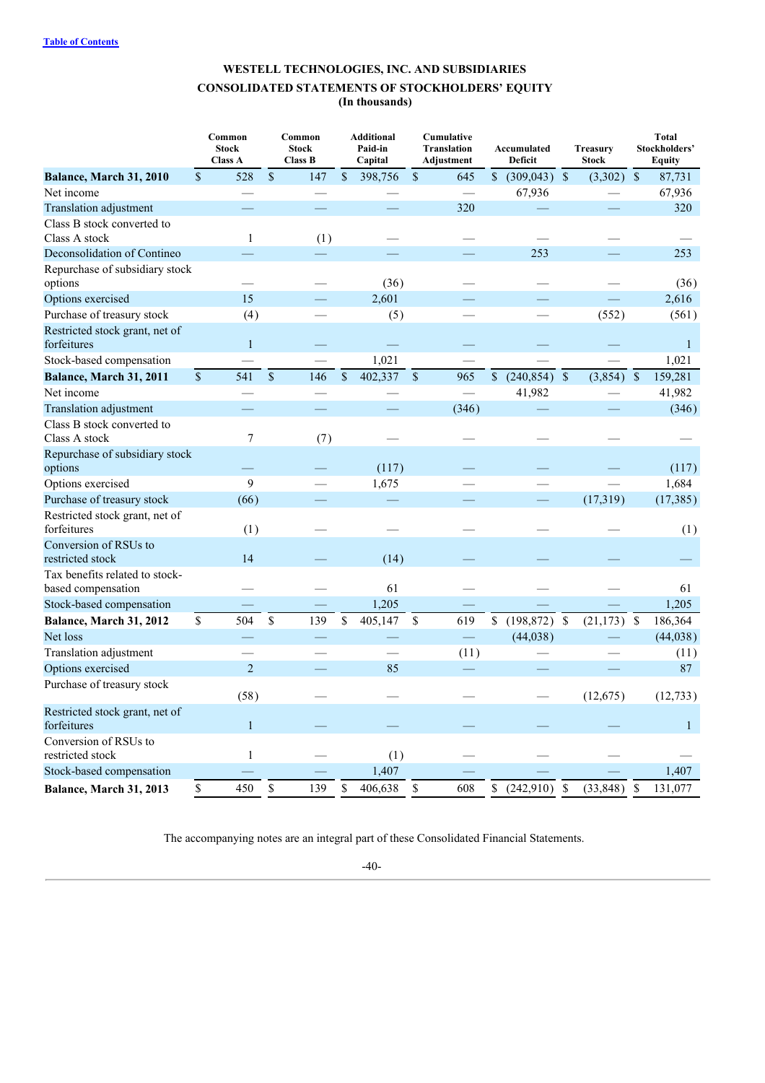# **WESTELL TECHNOLOGIES, INC. AND SUBSIDIARIES CONSOLIDATED STATEMENTS OF STOCKHOLDERS' EQUITY (In thousands)**

|                                                      |              | Common<br><b>Stock</b><br><b>Class A</b> |              | Common<br><b>Stock</b><br><b>Class B</b> |               | <b>Additional</b><br>Paid-in<br>Capital |               | Cumulative<br><b>Translation</b><br>Adjustment |      | Accumulated<br><b>Deficit</b> |               | <b>Treasury</b><br><b>Stock</b> |               | <b>Total</b><br>Stockholders'<br>Equity |
|------------------------------------------------------|--------------|------------------------------------------|--------------|------------------------------------------|---------------|-----------------------------------------|---------------|------------------------------------------------|------|-------------------------------|---------------|---------------------------------|---------------|-----------------------------------------|
| Balance, March 31, 2010                              | \$           | 528                                      | $\mathbb{S}$ | 147                                      | $\mathbf S$   | 398,756                                 | $\mathsf{\$}$ | 645                                            |      | \$ (309,043) \$               |               | (3,302)                         | $\mathcal{S}$ | 87,731                                  |
| Net income                                           |              |                                          |              |                                          |               |                                         |               |                                                |      | 67,936                        |               |                                 |               | 67,936                                  |
| <b>Translation adjustment</b>                        |              |                                          |              |                                          |               |                                         |               | 320                                            |      |                               |               |                                 |               | 320                                     |
| Class B stock converted to                           |              |                                          |              |                                          |               |                                         |               |                                                |      |                               |               |                                 |               |                                         |
| Class A stock                                        |              | $\mathbf{1}$                             |              | (1)                                      |               |                                         |               |                                                |      |                               |               |                                 |               |                                         |
| Deconsolidation of Contineo                          |              |                                          |              |                                          |               |                                         |               |                                                |      | 253                           |               |                                 |               | 253                                     |
| Repurchase of subsidiary stock<br>options            |              |                                          |              |                                          |               | (36)                                    |               |                                                |      |                               |               |                                 |               | (36)                                    |
| Options exercised                                    |              | 15                                       |              |                                          |               | 2,601                                   |               |                                                |      |                               |               |                                 |               | 2,616                                   |
| Purchase of treasury stock                           |              | (4)                                      |              |                                          |               | (5)                                     |               |                                                |      |                               |               | (552)                           |               | (561)                                   |
| Restricted stock grant, net of<br>forfeitures        |              | $\mathbf{1}$                             |              |                                          |               |                                         |               |                                                |      |                               |               |                                 |               | $\mathbf{1}$                            |
| Stock-based compensation                             |              |                                          |              |                                          |               | 1,021                                   |               |                                                |      |                               |               |                                 |               | 1,021                                   |
| Balance, March 31, 2011                              | $\mathbb{S}$ | 541                                      | \$           | 146                                      | $\mathsf{\$}$ | 402,337                                 | \$            | 965                                            | $\$$ | (240, 854)                    | $\mathcal{S}$ | (3,854)                         | $\mathcal{S}$ | 159,281                                 |
| Net income                                           |              |                                          |              |                                          |               |                                         |               |                                                |      | 41,982                        |               |                                 |               | 41,982                                  |
| Translation adjustment                               |              |                                          |              |                                          |               |                                         |               | (346)                                          |      |                               |               |                                 |               | (346)                                   |
| Class B stock converted to                           |              |                                          |              |                                          |               |                                         |               |                                                |      |                               |               |                                 |               |                                         |
| Class A stock                                        |              | $\overline{7}$                           |              | (7)                                      |               |                                         |               |                                                |      |                               |               |                                 |               |                                         |
| Repurchase of subsidiary stock                       |              |                                          |              |                                          |               |                                         |               |                                                |      |                               |               |                                 |               |                                         |
| options                                              |              |                                          |              |                                          |               | (117)                                   |               |                                                |      |                               |               |                                 |               | (117)                                   |
| Options exercised                                    |              | 9                                        |              |                                          |               | 1,675                                   |               |                                                |      |                               |               |                                 |               | 1,684                                   |
| Purchase of treasury stock                           |              | (66)                                     |              |                                          |               |                                         |               |                                                |      |                               |               | (17, 319)                       |               | (17, 385)                               |
| Restricted stock grant, net of<br>forfeitures        |              | (1)                                      |              |                                          |               |                                         |               |                                                |      |                               |               |                                 |               | (1)                                     |
| Conversion of RSUs to<br>restricted stock            |              | 14                                       |              |                                          |               | (14)                                    |               |                                                |      |                               |               |                                 |               |                                         |
| Tax benefits related to stock-<br>based compensation |              |                                          |              |                                          |               | 61                                      |               |                                                |      |                               |               |                                 |               | 61                                      |
| Stock-based compensation                             |              |                                          |              |                                          |               | 1,205                                   |               |                                                |      |                               |               |                                 |               | 1.205                                   |
| Balance, March 31, 2012                              | \$           | 504                                      | \$           | 139                                      | \$            | 405,147                                 | \$            | 619                                            | \$   | $(198,872)$ \$                |               | $(21, 173)$ \$                  |               | 186,364                                 |
| Net loss                                             |              |                                          |              |                                          |               |                                         |               |                                                |      | (44, 038)                     |               |                                 |               | (44, 038)                               |
| Translation adjustment                               |              |                                          |              |                                          |               |                                         |               | (11)                                           |      |                               |               |                                 |               | (11)                                    |
| Options exercised                                    |              | $\overline{2}$                           |              |                                          |               | 85                                      |               | $\overline{\phantom{0}}$                       |      |                               |               |                                 |               | 87                                      |
| Purchase of treasury stock                           |              | (58)                                     |              |                                          |               |                                         |               |                                                |      |                               |               | (12,675)                        |               | (12, 733)                               |
| Restricted stock grant, net of<br>forfeitures        |              | 1                                        |              |                                          |               |                                         |               |                                                |      |                               |               |                                 |               | 1                                       |
| Conversion of RSUs to<br>restricted stock            |              | $\mathbf{1}$                             |              |                                          |               | (1)                                     |               |                                                |      |                               |               |                                 |               |                                         |
| Stock-based compensation                             |              |                                          |              |                                          |               | 1,407                                   |               |                                                |      |                               |               |                                 |               | 1,407                                   |
| Balance, March 31, 2013                              | \$           | 450                                      | \$           | 139                                      | \$            | 406,638                                 | \$            | 608                                            | \$   | (242,910)                     | \$            | (33, 848)                       | \$            | 131,077                                 |

The accompanying notes are an integral part of these Consolidated Financial Statements.

-40-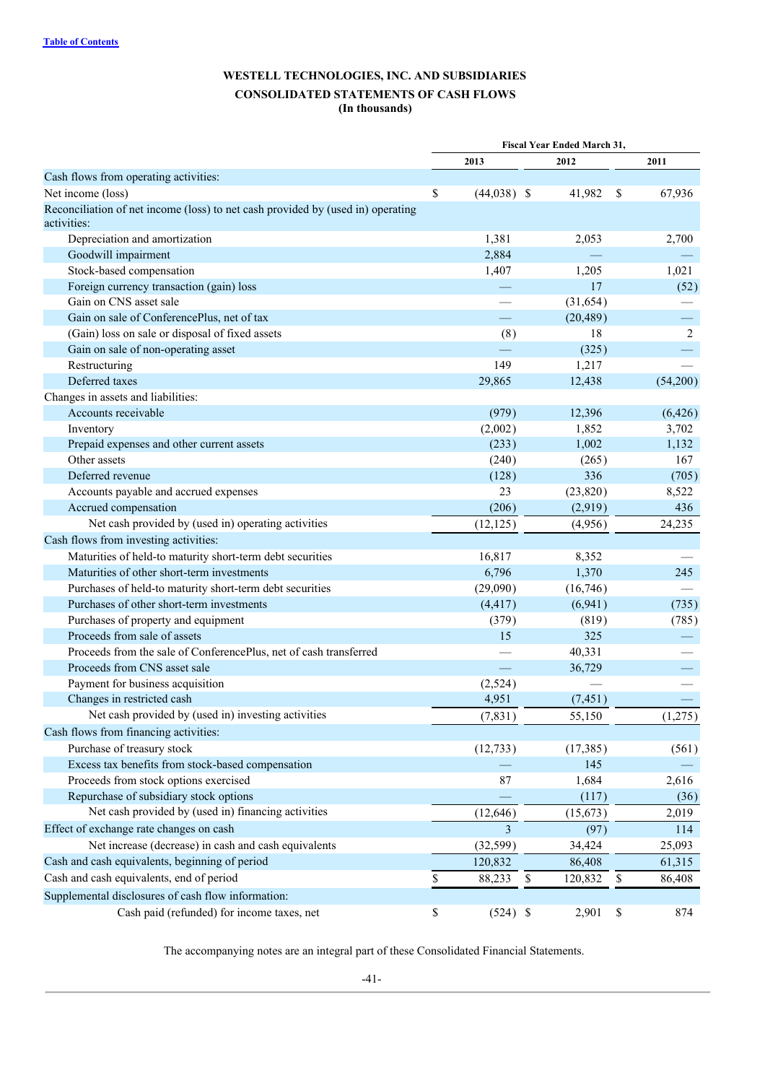# **WESTELL TECHNOLOGIES, INC. AND SUBSIDIARIES CONSOLIDATED STATEMENTS OF CASH FLOWS (In thousands)**

|                                                                                                | <b>Fiscal Year Ended March 31,</b> |                |    |           |               |          |
|------------------------------------------------------------------------------------------------|------------------------------------|----------------|----|-----------|---------------|----------|
|                                                                                                |                                    | 2013           |    | 2012      |               | 2011     |
| Cash flows from operating activities:                                                          |                                    |                |    |           |               |          |
| Net income (loss)                                                                              | \$                                 | $(44,038)$ \$  |    | 41,982    | <sup>\$</sup> | 67,936   |
| Reconciliation of net income (loss) to net cash provided by (used in) operating<br>activities: |                                    |                |    |           |               |          |
| Depreciation and amortization                                                                  |                                    | 1,381          |    | 2,053     |               | 2,700    |
| Goodwill impairment                                                                            |                                    | 2,884          |    |           |               |          |
| Stock-based compensation                                                                       |                                    | 1,407          |    | 1,205     |               | 1,021    |
| Foreign currency transaction (gain) loss                                                       |                                    |                |    | 17        |               | (52)     |
| Gain on CNS asset sale                                                                         |                                    |                |    | (31, 654) |               |          |
| Gain on sale of ConferencePlus, net of tax                                                     |                                    |                |    | (20, 489) |               |          |
| (Gain) loss on sale or disposal of fixed assets                                                |                                    | (8)            |    | 18        |               | 2        |
| Gain on sale of non-operating asset                                                            |                                    |                |    | (325)     |               |          |
| Restructuring                                                                                  |                                    | 149            |    | 1,217     |               |          |
| Deferred taxes                                                                                 |                                    | 29,865         |    | 12,438    |               | (54,200) |
| Changes in assets and liabilities:                                                             |                                    |                |    |           |               |          |
| Accounts receivable                                                                            |                                    | (979)          |    | 12,396    |               | (6,426)  |
| Inventory                                                                                      |                                    | (2,002)        |    | 1,852     |               | 3,702    |
| Prepaid expenses and other current assets                                                      |                                    | (233)          |    | 1,002     |               | 1,132    |
| Other assets                                                                                   |                                    | (240)          |    | (265)     |               | 167      |
| Deferred revenue                                                                               |                                    | (128)          |    | 336       |               | (705)    |
| Accounts payable and accrued expenses                                                          |                                    | 23             |    | (23, 820) |               | 8,522    |
| Accrued compensation                                                                           |                                    | (206)          |    | (2,919)   |               | 436      |
| Net cash provided by (used in) operating activities                                            |                                    | (12, 125)      |    | (4,956)   |               | 24,235   |
| Cash flows from investing activities:                                                          |                                    |                |    |           |               |          |
| Maturities of held-to maturity short-term debt securities                                      |                                    | 16,817         |    | 8,352     |               |          |
| Maturities of other short-term investments                                                     |                                    | 6,796          |    | 1,370     |               | 245      |
| Purchases of held-to maturity short-term debt securities                                       |                                    | (29,090)       |    | (16,746)  |               |          |
| Purchases of other short-term investments                                                      |                                    | (4, 417)       |    | (6,941)   |               | (735)    |
| Purchases of property and equipment                                                            |                                    | (379)          |    | (819)     |               | (785)    |
| Proceeds from sale of assets                                                                   |                                    | 15             |    | 325       |               |          |
| Proceeds from the sale of ConferencePlus, net of cash transferred                              |                                    |                |    | 40,331    |               |          |
| Proceeds from CNS asset sale                                                                   |                                    |                |    | 36,729    |               |          |
| Payment for business acquisition                                                               |                                    | (2,524)        |    |           |               |          |
| Changes in restricted cash                                                                     |                                    | 4,951          |    | (7, 451)  |               |          |
| Net cash provided by (used in) investing activities                                            |                                    | (7, 831)       |    | 55,150    |               | (1,275)  |
| Cash flows from financing activities:                                                          |                                    |                |    |           |               |          |
| Purchase of treasury stock                                                                     |                                    | (12, 733)      |    | (17, 385) |               | (561)    |
| Excess tax benefits from stock-based compensation                                              |                                    |                |    | 145       |               |          |
| Proceeds from stock options exercised                                                          |                                    | 87             |    | 1,684     |               | 2,616    |
| Repurchase of subsidiary stock options                                                         |                                    |                |    | (117)     |               | (36)     |
| Net cash provided by (used in) financing activities                                            |                                    | (12, 646)      |    | (15, 673) |               | 2,019    |
| Effect of exchange rate changes on cash                                                        |                                    | $\overline{3}$ |    | (97)      |               | 114      |
| Net increase (decrease) in cash and cash equivalents                                           |                                    | (32, 599)      |    | 34,424    |               | 25,093   |
| Cash and cash equivalents, beginning of period                                                 |                                    | 120,832        |    | 86,408    |               | 61,315   |
| Cash and cash equivalents, end of period                                                       | \$                                 | 88,233         | \$ | 120,832   | $\$$          | 86,408   |
| Supplemental disclosures of cash flow information:                                             |                                    |                |    |           |               |          |
| Cash paid (refunded) for income taxes, net                                                     | \$                                 | $(524)$ \$     |    | 2,901     | $\$$          | 874      |

The accompanying notes are an integral part of these Consolidated Financial Statements.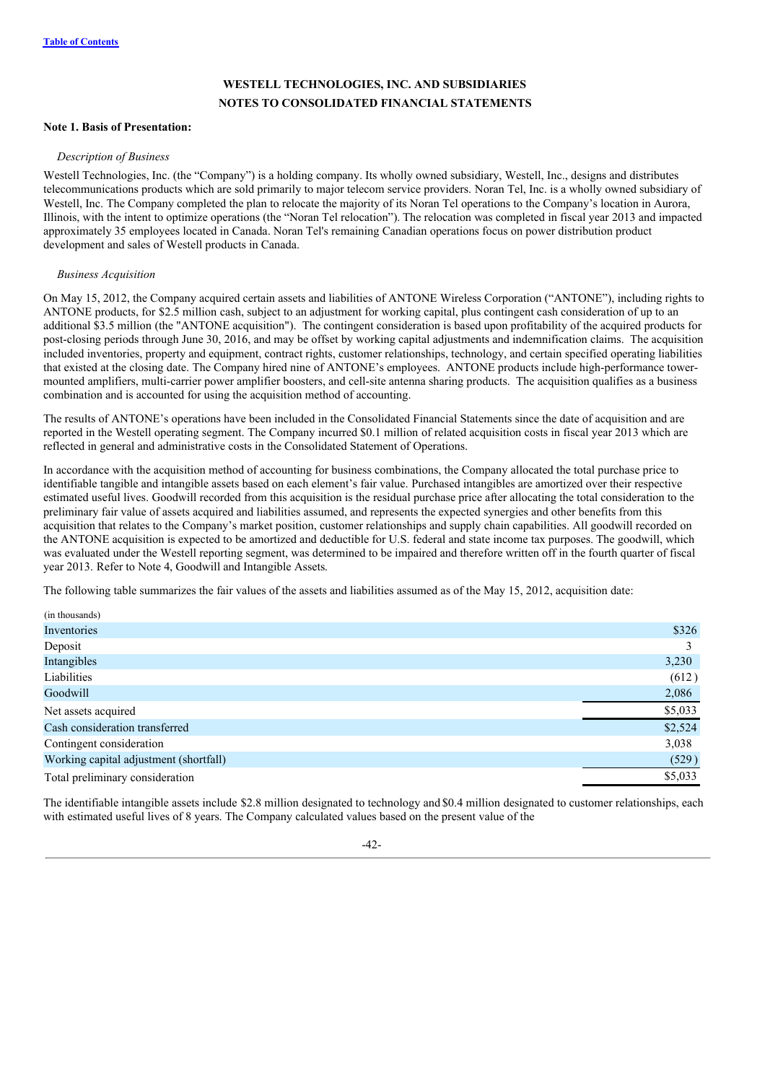# **WESTELL TECHNOLOGIES, INC. AND SUBSIDIARIES NOTES TO CONSOLIDATED FINANCIAL STATEMENTS**

### **Note 1. Basis of Presentation:**

#### *Description of Business*

Westell Technologies, Inc. (the "Company") is a holding company. Its wholly owned subsidiary, Westell, Inc., designs and distributes telecommunications products which are sold primarily to major telecom service providers. Noran Tel, Inc. is a wholly owned subsidiary of Westell, Inc. The Company completed the plan to relocate the majority of its Noran Tel operations to the Company's location in Aurora, Illinois, with the intent to optimize operations (the "Noran Tel relocation"). The relocation was completed in fiscal year 2013 and impacted approximately 35 employees located in Canada. Noran Tel's remaining Canadian operations focus on power distribution product development and sales of Westell products in Canada.

### *Business Acquisition*

On May 15, 2012, the Company acquired certain assets and liabilities of ANTONE Wireless Corporation ("ANTONE"), including rights to ANTONE products, for \$2.5 million cash, subject to an adjustment for working capital, plus contingent cash consideration of up to an additional \$3.5 million (the "ANTONE acquisition"). The contingent consideration is based upon profitability of the acquired products for post-closing periods through June 30, 2016, and may be offset by working capital adjustments and indemnification claims. The acquisition included inventories, property and equipment, contract rights, customer relationships, technology, and certain specified operating liabilities that existed at the closing date. The Company hired nine of ANTONE's employees. ANTONE products include high-performance towermounted amplifiers, multi-carrier power amplifier boosters, and cell-site antenna sharing products. The acquisition qualifies as a business combination and is accounted for using the acquisition method of accounting.

The results of ANTONE's operations have been included in the Consolidated Financial Statements since the date of acquisition and are reported in the Westell operating segment. The Company incurred \$0.1 million of related acquisition costs in fiscal year 2013 which are reflected in general and administrative costs in the Consolidated Statement of Operations.

In accordance with the acquisition method of accounting for business combinations, the Company allocated the total purchase price to identifiable tangible and intangible assets based on each element's fair value. Purchased intangibles are amortized over their respective estimated useful lives. Goodwill recorded from this acquisition is the residual purchase price after allocating the total consideration to the preliminary fair value of assets acquired and liabilities assumed, and represents the expected synergies and other benefits from this acquisition that relates to the Company's market position, customer relationships and supply chain capabilities. All goodwill recorded on the ANTONE acquisition is expected to be amortized and deductible for U.S. federal and state income tax purposes. The goodwill, which was evaluated under the Westell reporting segment, was determined to be impaired and therefore written off in the fourth quarter of fiscal year 2013. Refer to Note 4, Goodwill and Intangible Assets.

The following table summarizes the fair values of the assets and liabilities assumed as of the May 15, 2012, acquisition date:

| (in thousands)                         |         |
|----------------------------------------|---------|
| Inventories                            | \$326   |
| Deposit                                |         |
| Intangibles                            | 3,230   |
| Liabilities                            | (612)   |
| Goodwill                               | 2,086   |
| Net assets acquired                    | \$5,033 |
| Cash consideration transferred         | \$2,524 |
| Contingent consideration               | 3,038   |
| Working capital adjustment (shortfall) | (529)   |
| Total preliminary consideration        | \$5,033 |
|                                        |         |

The identifiable intangible assets include \$2.8 million designated to technology and\$0.4 million designated to customer relationships, each with estimated useful lives of 8 years. The Company calculated values based on the present value of the

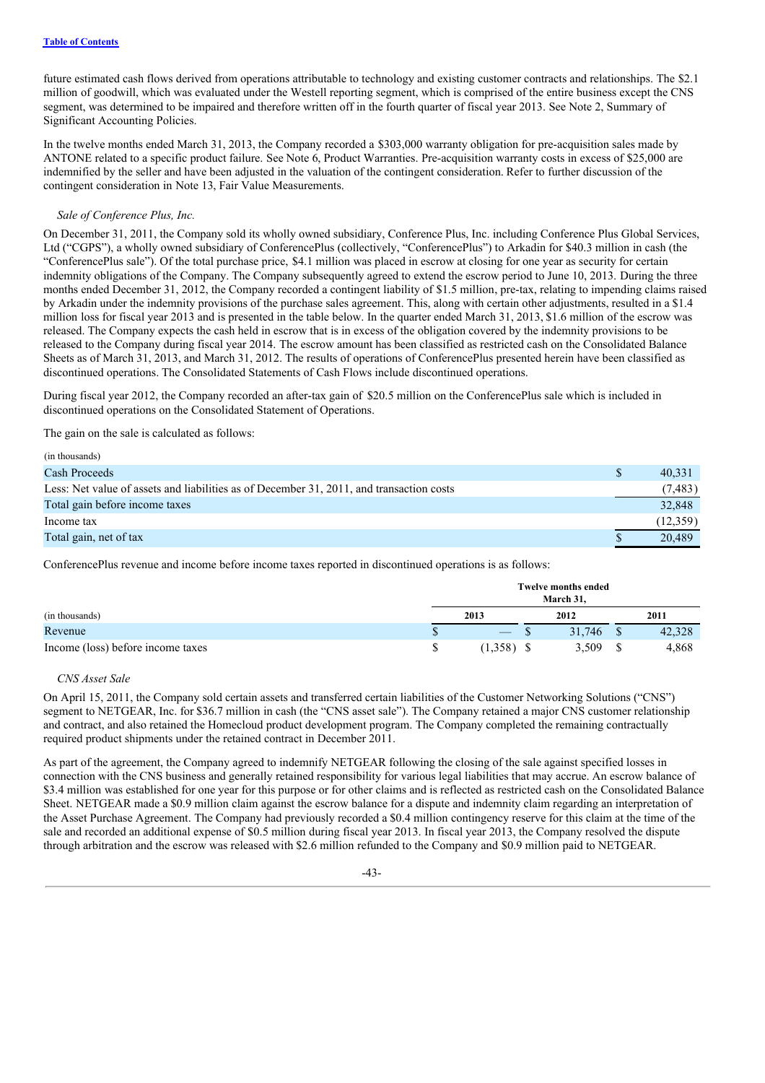future estimated cash flows derived from operations attributable to technology and existing customer contracts and relationships. The \$2.1 million of goodwill, which was evaluated under the Westell reporting segment, which is comprised of the entire business except the CNS segment, was determined to be impaired and therefore written off in the fourth quarter of fiscal year 2013. See Note 2, Summary of Significant Accounting Policies.

In the twelve months ended March 31, 2013, the Company recorded a \$303,000 warranty obligation for pre-acquisition sales made by ANTONE related to a specific product failure. See Note 6, Product Warranties. Pre-acquisition warranty costs in excess of \$25,000 are indemnified by the seller and have been adjusted in the valuation of the contingent consideration. Refer to further discussion of the contingent consideration in Note 13, Fair Value Measurements.

#### *Sale of Conference Plus, Inc.*

On December 31, 2011, the Company sold its wholly owned subsidiary, Conference Plus, Inc. including Conference Plus Global Services, Ltd ("CGPS"), a wholly owned subsidiary of ConferencePlus (collectively, "ConferencePlus") to Arkadin for \$40.3 million in cash (the "ConferencePlus sale"). Of the total purchase price, \$4.1 million was placed in escrow at closing for one year as security for certain indemnity obligations of the Company. The Company subsequently agreed to extend the escrow period to June 10, 2013. During the three months ended December 31, 2012, the Company recorded a contingent liability of \$1.5 million, pre-tax, relating to impending claims raised by Arkadin under the indemnity provisions of the purchase sales agreement. This, along with certain other adjustments, resulted in a \$1.4 million loss for fiscal year 2013 and is presented in the table below. In the quarter ended March 31, 2013, \$1.6 million of the escrow was released. The Company expects the cash held in escrow that is in excess of the obligation covered by the indemnity provisions to be released to the Company during fiscal year 2014. The escrow amount has been classified as restricted cash on the Consolidated Balance Sheets as of March 31, 2013, and March 31, 2012. The results of operations of ConferencePlus presented herein have been classified as discontinued operations. The Consolidated Statements of Cash Flows include discontinued operations.

During fiscal year 2012, the Company recorded an after-tax gain of \$20.5 million on the ConferencePlus sale which is included in discontinued operations on the Consolidated Statement of Operations.

The gain on the sale is calculated as follows:

| (in thousands)                                                                           |          |
|------------------------------------------------------------------------------------------|----------|
| <b>Cash Proceeds</b>                                                                     | 40.331   |
| Less: Net value of assets and liabilities as of December 31, 2011, and transaction costs | (7, 483) |
| Total gain before income taxes                                                           | 32,848   |
| Income tax                                                                               | (12,359) |
| Total gain, net of tax                                                                   | 20.489   |

ConferencePlus revenue and income before income taxes reported in discontinued operations is as follows:

|                                   |  |                   | <b>Twelve months ended</b><br>March 31. |      |        |
|-----------------------------------|--|-------------------|-----------------------------------------|------|--------|
| (in thousands)                    |  | 2013              | 2012                                    | 2011 |        |
| Revenue                           |  | $\qquad \qquad -$ | 31,746                                  |      | 42,328 |
| Income (loss) before income taxes |  | 1,358)            | 3.509                                   |      | 4,868  |

#### *CNS Asset Sale*

On April 15, 2011, the Company sold certain assets and transferred certain liabilities of the Customer Networking Solutions ("CNS") segment to NETGEAR, Inc. for \$36.7 million in cash (the "CNS asset sale"). The Company retained a major CNS customer relationship and contract, and also retained the Homecloud product development program. The Company completed the remaining contractually required product shipments under the retained contract in December 2011.

As part of the agreement, the Company agreed to indemnify NETGEAR following the closing of the sale against specified losses in connection with the CNS business and generally retained responsibility for various legal liabilities that may accrue. An escrow balance of \$3.4 million was established for one year for this purpose or for other claims and is reflected as restricted cash on the Consolidated Balance Sheet. NETGEAR made a \$0.9 million claim against the escrow balance for a dispute and indemnity claim regarding an interpretation of the Asset Purchase Agreement. The Company had previously recorded a \$0.4 million contingency reserve for this claim at the time of the sale and recorded an additional expense of \$0.5 million during fiscal year 2013. In fiscal year 2013, the Company resolved the dispute through arbitration and the escrow was released with \$2.6 million refunded to the Company and \$0.9 million paid to NETGEAR.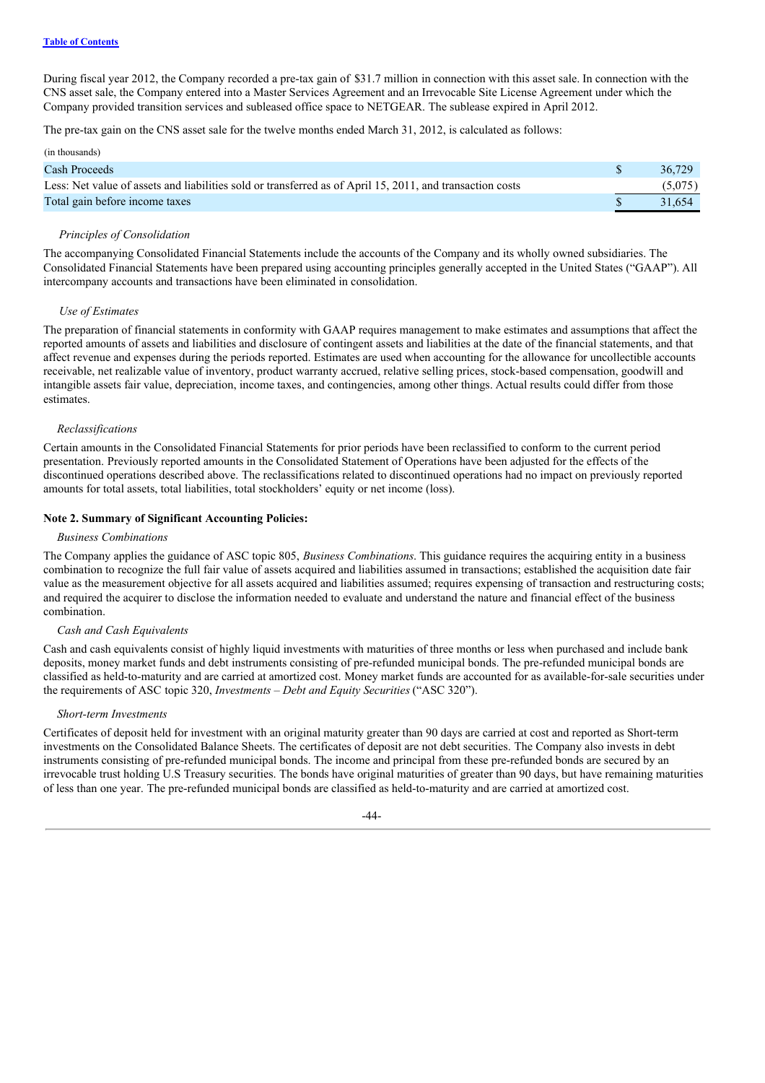(in thousands)

During fiscal year 2012, the Company recorded a pre-tax gain of \$31.7 million in connection with this asset sale. In connection with the CNS asset sale, the Company entered into a Master Services Agreement and an Irrevocable Site License Agreement under which the Company provided transition services and subleased office space to NETGEAR. The sublease expired in April 2012.

The pre-tax gain on the CNS asset sale for the twelve months ended March 31, 2012, is calculated as follows:

| TIIL UIOUSAIIUS J                                                                                         |         |
|-----------------------------------------------------------------------------------------------------------|---------|
| <b>Cash Proceeds</b>                                                                                      | 36.729  |
| Less: Net value of assets and liabilities sold or transferred as of April 15, 2011, and transaction costs | (5,075) |
| Total gain before income taxes                                                                            | 31.654  |

#### *Principles of Consolidation*

The accompanying Consolidated Financial Statements include the accounts of the Company and its wholly owned subsidiaries. The Consolidated Financial Statements have been prepared using accounting principles generally accepted in the United States ("GAAP"). All intercompany accounts and transactions have been eliminated in consolidation.

### *Use of Estimates*

The preparation of financial statements in conformity with GAAP requires management to make estimates and assumptions that affect the reported amounts of assets and liabilities and disclosure of contingent assets and liabilities at the date of the financial statements, and that affect revenue and expenses during the periods reported. Estimates are used when accounting for the allowance for uncollectible accounts receivable, net realizable value of inventory, product warranty accrued, relative selling prices, stock-based compensation, goodwill and intangible assets fair value, depreciation, income taxes, and contingencies, among other things. Actual results could differ from those estimates.

#### *Reclassifications*

Certain amounts in the Consolidated Financial Statements for prior periods have been reclassified to conform to the current period presentation. Previously reported amounts in the Consolidated Statement of Operations have been adjusted for the effects of the discontinued operations described above. The reclassifications related to discontinued operations had no impact on previously reported amounts for total assets, total liabilities, total stockholders' equity or net income (loss).

#### **Note 2. Summary of Significant Accounting Policies:**

#### *Business Combinations*

The Company applies the guidance of ASC topic 805, *Business Combinations*. This guidance requires the acquiring entity in a business combination to recognize the full fair value of assets acquired and liabilities assumed in transactions; established the acquisition date fair value as the measurement objective for all assets acquired and liabilities assumed; requires expensing of transaction and restructuring costs; and required the acquirer to disclose the information needed to evaluate and understand the nature and financial effect of the business combination.

#### *Cash and Cash Equivalents*

Cash and cash equivalents consist of highly liquid investments with maturities of three months or less when purchased and include bank deposits, money market funds and debt instruments consisting of pre-refunded municipal bonds. The pre-refunded municipal bonds are classified as held-to-maturity and are carried at amortized cost. Money market funds are accounted for as available-for-sale securities under the requirements of ASC topic 320, *Investments – Debt and Equity Securities* ("ASC 320").

#### *Short-term Investments*

Certificates of deposit held for investment with an original maturity greater than 90 days are carried at cost and reported as Short-term investments on the Consolidated Balance Sheets. The certificates of deposit are not debt securities. The Company also invests in debt instruments consisting of pre-refunded municipal bonds. The income and principal from these pre-refunded bonds are secured by an irrevocable trust holding U.S Treasury securities. The bonds have original maturities of greater than 90 days, but have remaining maturities of less than one year. The pre-refunded municipal bonds are classified as held-to-maturity and are carried at amortized cost.

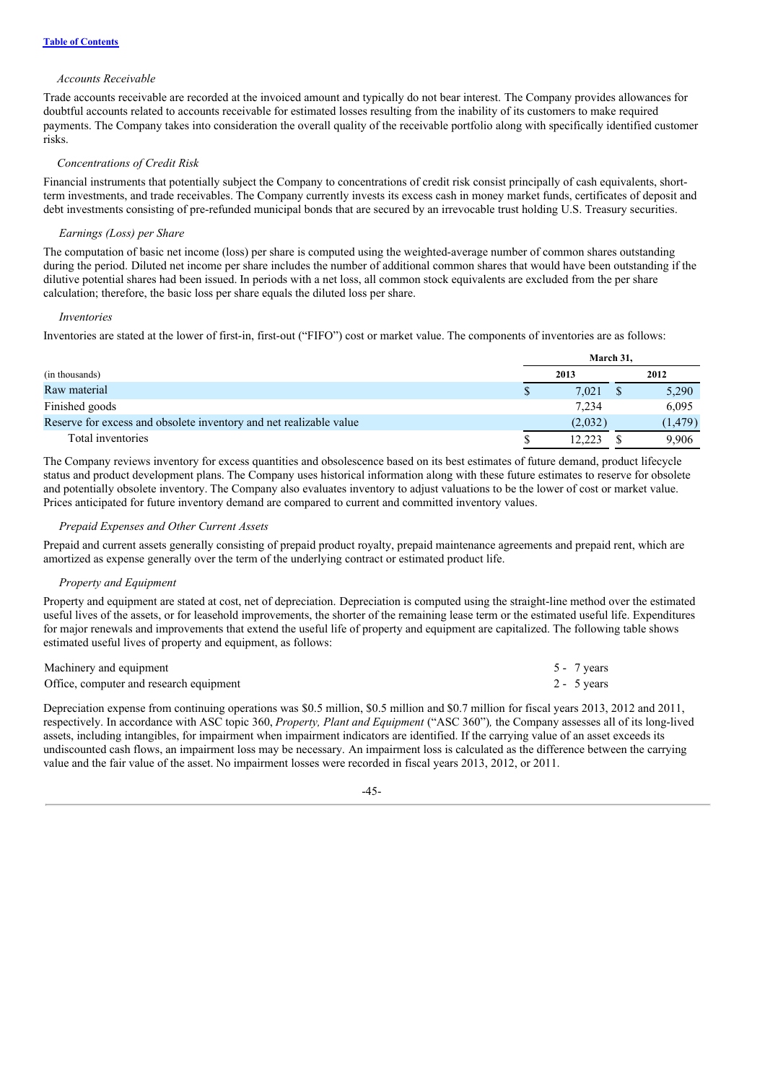### *Accounts Receivable*

Trade accounts receivable are recorded at the invoiced amount and typically do not bear interest. The Company provides allowances for doubtful accounts related to accounts receivable for estimated losses resulting from the inability of its customers to make required payments. The Company takes into consideration the overall quality of the receivable portfolio along with specifically identified customer risks.

### *Concentrations of Credit Risk*

Financial instruments that potentially subject the Company to concentrations of credit risk consist principally of cash equivalents, shortterm investments, and trade receivables. The Company currently invests its excess cash in money market funds, certificates of deposit and debt investments consisting of pre-refunded municipal bonds that are secured by an irrevocable trust holding U.S. Treasury securities.

#### *Earnings (Loss) per Share*

The computation of basic net income (loss) per share is computed using the weighted-average number of common shares outstanding during the period. Diluted net income per share includes the number of additional common shares that would have been outstanding if the dilutive potential shares had been issued. In periods with a net loss, all common stock equivalents are excluded from the per share calculation; therefore, the basic loss per share equals the diluted loss per share.

#### *Inventories*

Inventories are stated at the lower of first-in, first-out ("FIFO") cost or market value. The components of inventories are as follows:

|                                                                    | March 31, |  |          |  |
|--------------------------------------------------------------------|-----------|--|----------|--|
| (in thousands)                                                     | 2013      |  | 2012     |  |
| Raw material                                                       | 7.021     |  | 5,290    |  |
| Finished goods                                                     | 7.234     |  | 6.095    |  |
| Reserve for excess and obsolete inventory and net realizable value | (2,032)   |  | (1, 479) |  |
| Total inventories                                                  | 12.223    |  | 9.906    |  |
|                                                                    |           |  |          |  |

The Company reviews inventory for excess quantities and obsolescence based on its best estimates of future demand, product lifecycle status and product development plans. The Company uses historical information along with these future estimates to reserve for obsolete and potentially obsolete inventory. The Company also evaluates inventory to adjust valuations to be the lower of cost or market value. Prices anticipated for future inventory demand are compared to current and committed inventory values.

#### *Prepaid Expenses and Other Current Assets*

Prepaid and current assets generally consisting of prepaid product royalty, prepaid maintenance agreements and prepaid rent, which are amortized as expense generally over the term of the underlying contract or estimated product life.

#### *Property and Equipment*

Property and equipment are stated at cost, net of depreciation. Depreciation is computed using the straight-line method over the estimated useful lives of the assets, or for leasehold improvements, the shorter of the remaining lease term or the estimated useful life. Expenditures for major renewals and improvements that extend the useful life of property and equipment are capitalized. The following table shows estimated useful lives of property and equipment, as follows:

| Machinery and equipment                 | $5 - 7$ years |
|-----------------------------------------|---------------|
| Office, computer and research equipment | $2 - 5$ years |

Depreciation expense from continuing operations was \$0.5 million, \$0.5 million and \$0.7 million for fiscal years 2013, 2012 and 2011, respectively. In accordance with ASC topic 360, *Property, Plant and Equipment* ("ASC 360")*,* the Company assesses all of its long-lived assets, including intangibles, for impairment when impairment indicators are identified. If the carrying value of an asset exceeds its undiscounted cash flows, an impairment loss may be necessary. An impairment loss is calculated as the difference between the carrying value and the fair value of the asset. No impairment losses were recorded in fiscal years 2013, 2012, or 2011.

#### $-45-$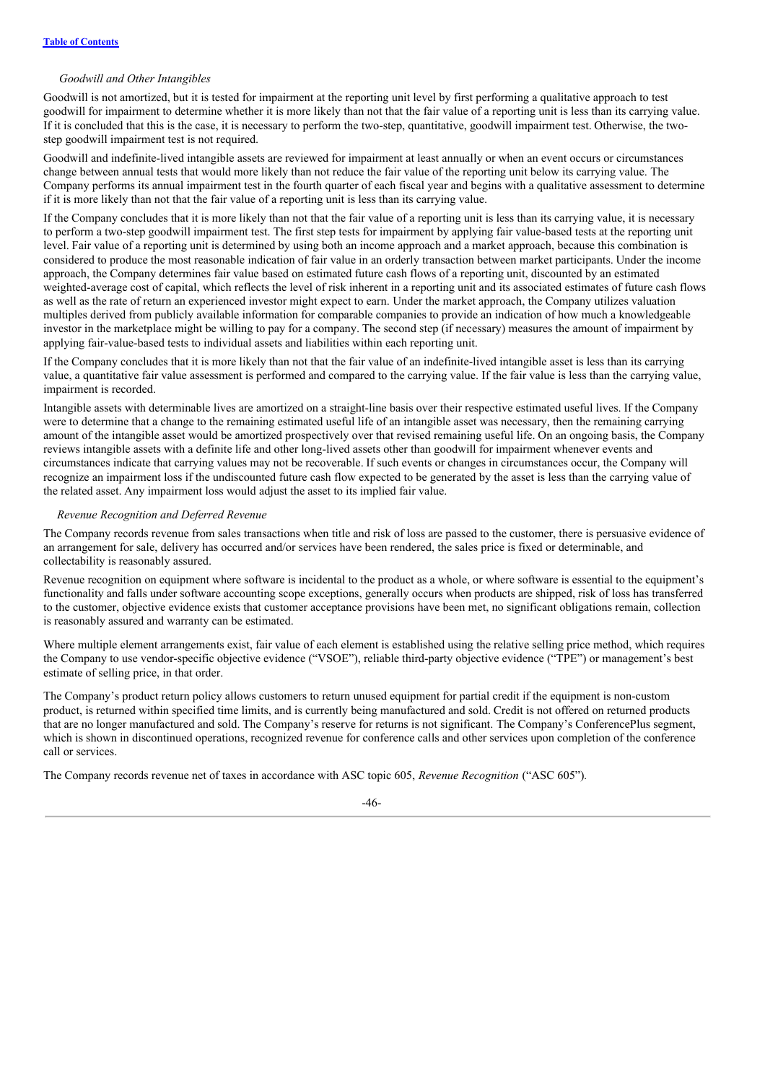### *Goodwill and Other Intangibles*

Goodwill is not amortized, but it is tested for impairment at the reporting unit level by first performing a qualitative approach to test goodwill for impairment to determine whether it is more likely than not that the fair value of a reporting unit is less than its carrying value. If it is concluded that this is the case, it is necessary to perform the two-step, quantitative, goodwill impairment test. Otherwise, the twostep goodwill impairment test is not required.

Goodwill and indefinite-lived intangible assets are reviewed for impairment at least annually or when an event occurs or circumstances change between annual tests that would more likely than not reduce the fair value of the reporting unit below its carrying value. The Company performs its annual impairment test in the fourth quarter of each fiscal year and begins with a qualitative assessment to determine if it is more likely than not that the fair value of a reporting unit is less than its carrying value.

If the Company concludes that it is more likely than not that the fair value of a reporting unit is less than its carrying value, it is necessary to perform a two-step goodwill impairment test. The first step tests for impairment by applying fair value-based tests at the reporting unit level. Fair value of a reporting unit is determined by using both an income approach and a market approach, because this combination is considered to produce the most reasonable indication of fair value in an orderly transaction between market participants. Under the income approach, the Company determines fair value based on estimated future cash flows of a reporting unit, discounted by an estimated weighted-average cost of capital, which reflects the level of risk inherent in a reporting unit and its associated estimates of future cash flows as well as the rate of return an experienced investor might expect to earn. Under the market approach, the Company utilizes valuation multiples derived from publicly available information for comparable companies to provide an indication of how much a knowledgeable investor in the marketplace might be willing to pay for a company. The second step (if necessary) measures the amount of impairment by applying fair-value-based tests to individual assets and liabilities within each reporting unit.

If the Company concludes that it is more likely than not that the fair value of an indefinite-lived intangible asset is less than its carrying value, a quantitative fair value assessment is performed and compared to the carrying value. If the fair value is less than the carrying value, impairment is recorded.

Intangible assets with determinable lives are amortized on a straight-line basis over their respective estimated useful lives. If the Company were to determine that a change to the remaining estimated useful life of an intangible asset was necessary, then the remaining carrying amount of the intangible asset would be amortized prospectively over that revised remaining useful life. On an ongoing basis, the Company reviews intangible assets with a definite life and other long-lived assets other than goodwill for impairment whenever events and circumstances indicate that carrying values may not be recoverable. If such events or changes in circumstances occur, the Company will recognize an impairment loss if the undiscounted future cash flow expected to be generated by the asset is less than the carrying value of the related asset. Any impairment loss would adjust the asset to its implied fair value.

#### *Revenue Recognition and Deferred Revenue*

The Company records revenue from sales transactions when title and risk of loss are passed to the customer, there is persuasive evidence of an arrangement for sale, delivery has occurred and/or services have been rendered, the sales price is fixed or determinable, and collectability is reasonably assured.

Revenue recognition on equipment where software is incidental to the product as a whole, or where software is essential to the equipment's functionality and falls under software accounting scope exceptions, generally occurs when products are shipped, risk of loss has transferred to the customer, objective evidence exists that customer acceptance provisions have been met, no significant obligations remain, collection is reasonably assured and warranty can be estimated.

Where multiple element arrangements exist, fair value of each element is established using the relative selling price method, which requires the Company to use vendor-specific objective evidence ("VSOE"), reliable third-party objective evidence ("TPE") or management's best estimate of selling price, in that order.

The Company's product return policy allows customers to return unused equipment for partial credit if the equipment is non-custom product, is returned within specified time limits, and is currently being manufactured and sold. Credit is not offered on returned products that are no longer manufactured and sold. The Company's reserve for returns is not significant. The Company's ConferencePlus segment, which is shown in discontinued operations, recognized revenue for conference calls and other services upon completion of the conference call or services.

The Company records revenue net of taxes in accordance with ASC topic 605, *Revenue Recognition* ("ASC 605")*.*

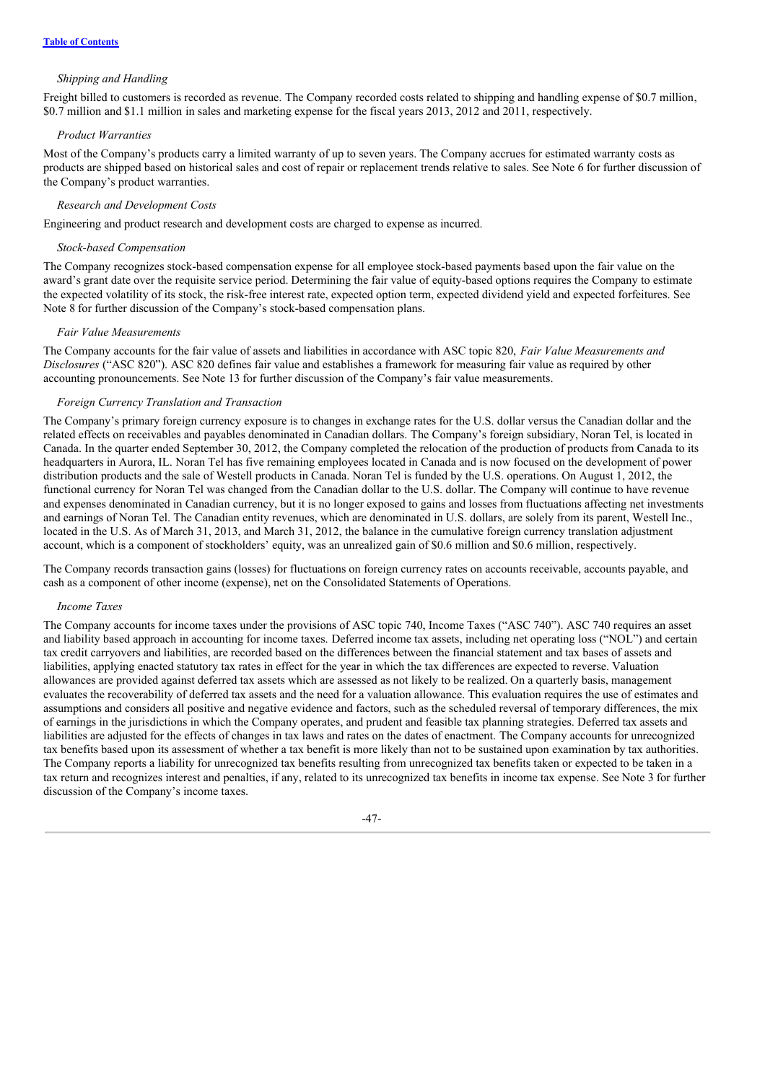### *Shipping and Handling*

Freight billed to customers is recorded as revenue. The Company recorded costs related to shipping and handling expense of \$0.7 million, \$0.7 million and \$1.1 million in sales and marketing expense for the fiscal years 2013, 2012 and 2011, respectively.

#### *Product Warranties*

Most of the Company's products carry a limited warranty of up to seven years. The Company accrues for estimated warranty costs as products are shipped based on historical sales and cost of repair or replacement trends relative to sales. See Note 6 for further discussion of the Company's product warranties.

### *Research and Development Costs*

Engineering and product research and development costs are charged to expense as incurred.

#### *Stock-based Compensation*

The Company recognizes stock-based compensation expense for all employee stock-based payments based upon the fair value on the award's grant date over the requisite service period. Determining the fair value of equity-based options requires the Company to estimate the expected volatility of its stock, the risk-free interest rate, expected option term, expected dividend yield and expected forfeitures. See Note 8 for further discussion of the Company's stock-based compensation plans.

#### *Fair Value Measurements*

The Company accounts for the fair value of assets and liabilities in accordance with ASC topic 820, *Fair Value Measurements and Disclosures* ("ASC 820"). ASC 820 defines fair value and establishes a framework for measuring fair value as required by other accounting pronouncements. See Note 13 for further discussion of the Company's fair value measurements.

#### *Foreign Currency Translation and Transaction*

The Company's primary foreign currency exposure is to changes in exchange rates for the U.S. dollar versus the Canadian dollar and the related effects on receivables and payables denominated in Canadian dollars. The Company's foreign subsidiary, Noran Tel, is located in Canada. In the quarter ended September 30, 2012, the Company completed the relocation of the production of products from Canada to its headquarters in Aurora, IL. Noran Tel has five remaining employees located in Canada and is now focused on the development of power distribution products and the sale of Westell products in Canada. Noran Tel is funded by the U.S. operations. On August 1, 2012, the functional currency for Noran Tel was changed from the Canadian dollar to the U.S. dollar. The Company will continue to have revenue and expenses denominated in Canadian currency, but it is no longer exposed to gains and losses from fluctuations affecting net investments and earnings of Noran Tel. The Canadian entity revenues, which are denominated in U.S. dollars, are solely from its parent, Westell Inc., located in the U.S. As of March 31, 2013, and March 31, 2012, the balance in the cumulative foreign currency translation adjustment account, which is a component of stockholders' equity, was an unrealized gain of \$0.6 million and \$0.6 million, respectively.

The Company records transaction gains (losses) for fluctuations on foreign currency rates on accounts receivable, accounts payable, and cash as a component of other income (expense), net on the Consolidated Statements of Operations.

#### *Income Taxes*

The Company accounts for income taxes under the provisions of ASC topic 740, Income Taxes ("ASC 740"). ASC 740 requires an asset and liability based approach in accounting for income taxes. Deferred income tax assets, including net operating loss ("NOL") and certain tax credit carryovers and liabilities, are recorded based on the differences between the financial statement and tax bases of assets and liabilities, applying enacted statutory tax rates in effect for the year in which the tax differences are expected to reverse. Valuation allowances are provided against deferred tax assets which are assessed as not likely to be realized. On a quarterly basis, management evaluates the recoverability of deferred tax assets and the need for a valuation allowance. This evaluation requires the use of estimates and assumptions and considers all positive and negative evidence and factors, such as the scheduled reversal of temporary differences, the mix of earnings in the jurisdictions in which the Company operates, and prudent and feasible tax planning strategies. Deferred tax assets and liabilities are adjusted for the effects of changes in tax laws and rates on the dates of enactment. The Company accounts for unrecognized tax benefits based upon its assessment of whether a tax benefit is more likely than not to be sustained upon examination by tax authorities. The Company reports a liability for unrecognized tax benefits resulting from unrecognized tax benefits taken or expected to be taken in a tax return and recognizes interest and penalties, if any, related to its unrecognized tax benefits in income tax expense. See Note 3 for further discussion of the Company's income taxes.

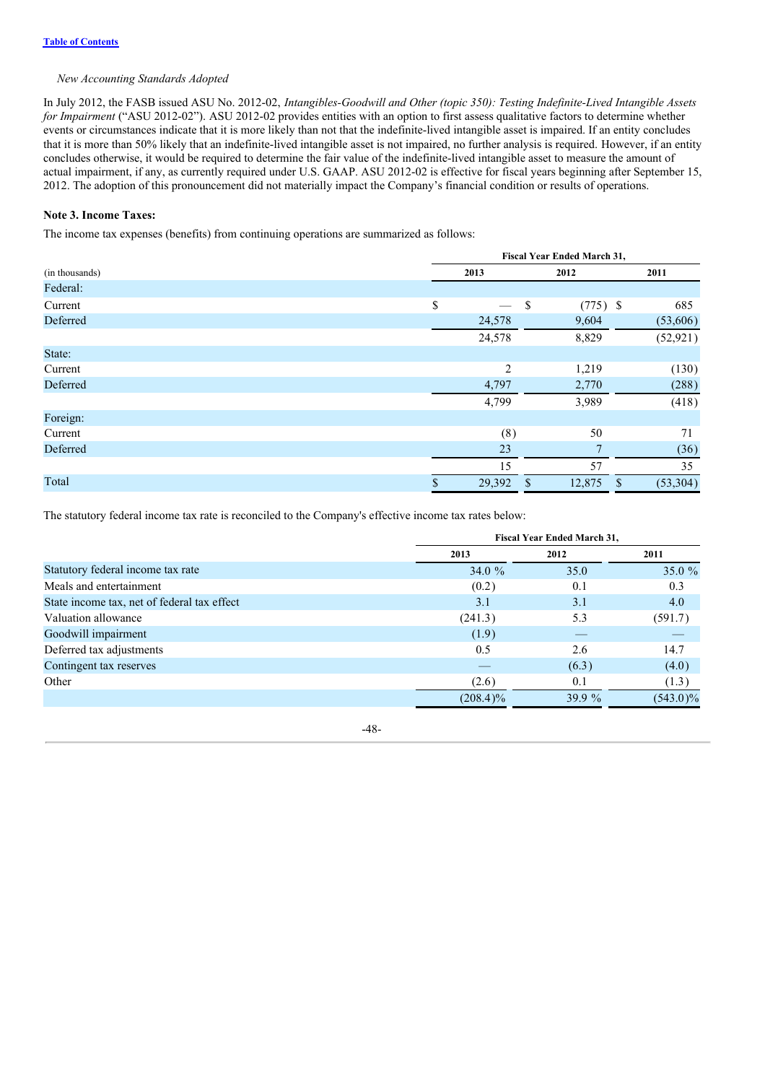### *New Accounting Standards Adopted*

In July 2012, the FASB issued ASU No. 2012-02, *Intangibles-Goodwill and Other (topic 350): Testing Indefinite-Lived Intangible Assets for Impairment* ("ASU 2012-02"). ASU 2012-02 provides entities with an option to first assess qualitative factors to determine whether events or circumstances indicate that it is more likely than not that the indefinite-lived intangible asset is impaired. If an entity concludes that it is more than 50% likely that an indefinite-lived intangible asset is not impaired, no further analysis is required. However, if an entity concludes otherwise, it would be required to determine the fair value of the indefinite-lived intangible asset to measure the amount of actual impairment, if any, as currently required under U.S. GAAP. ASU 2012-02 is effective for fiscal years beginning after September 15, 2012. The adoption of this pronouncement did not materially impact the Company's financial condition or results of operations.

### **Note 3. Income Taxes:**

The income tax expenses (benefits) from continuing operations are summarized as follows:

|                | Fiscal Year Ended March 31, |                          |    |            |    |           |  |
|----------------|-----------------------------|--------------------------|----|------------|----|-----------|--|
| (in thousands) |                             | 2013                     |    | 2012       |    | 2011      |  |
| Federal:       |                             |                          |    |            |    |           |  |
| Current        | \$                          | $\overline{\phantom{0}}$ | \$ | $(775)$ \$ |    | 685       |  |
| Deferred       |                             | 24,578                   |    | 9,604      |    | (53,606)  |  |
|                |                             | 24,578                   |    | 8,829      |    | (52, 921) |  |
| State:         |                             |                          |    |            |    |           |  |
| Current        |                             | $\overline{2}$           |    | 1,219      |    | (130)     |  |
| Deferred       |                             | 4,797                    |    | 2,770      |    | (288)     |  |
|                |                             | 4,799                    |    | 3,989      |    | (418)     |  |
| Foreign:       |                             |                          |    |            |    |           |  |
| Current        |                             | (8)                      |    | 50         |    | 71        |  |
| Deferred       |                             | 23                       |    |            |    | (36)      |  |
|                |                             | 15                       |    | 57         |    | 35        |  |
| Total          |                             | 29,392                   | \$ | 12,875     | \$ | (53, 304) |  |

The statutory federal income tax rate is reconciled to the Company's effective income tax rates below:

|                                             | <b>Fiscal Year Ended March 31,</b> |          |             |  |  |  |
|---------------------------------------------|------------------------------------|----------|-------------|--|--|--|
|                                             | 2013                               | 2012     | 2011        |  |  |  |
| Statutory federal income tax rate           | 34.0 $%$                           | 35.0     | 35.0 $%$    |  |  |  |
| Meals and entertainment                     | (0.2)                              | 0.1      | 0.3         |  |  |  |
| State income tax, net of federal tax effect | 3.1                                | 3.1      | 4.0         |  |  |  |
| Valuation allowance                         | (241.3)                            | 5.3      | (591.7)     |  |  |  |
| Goodwill impairment                         | (1.9)                              |          |             |  |  |  |
| Deferred tax adjustments                    | 0.5                                | 2.6      | 14.7        |  |  |  |
| Contingent tax reserves                     | _                                  | (6.3)    | (4.0)       |  |  |  |
| Other                                       | (2.6)                              | 0.1      | (1.3)       |  |  |  |
|                                             | $(208.4)\%$                        | 39.9 $%$ | $(543.0)\%$ |  |  |  |

-48-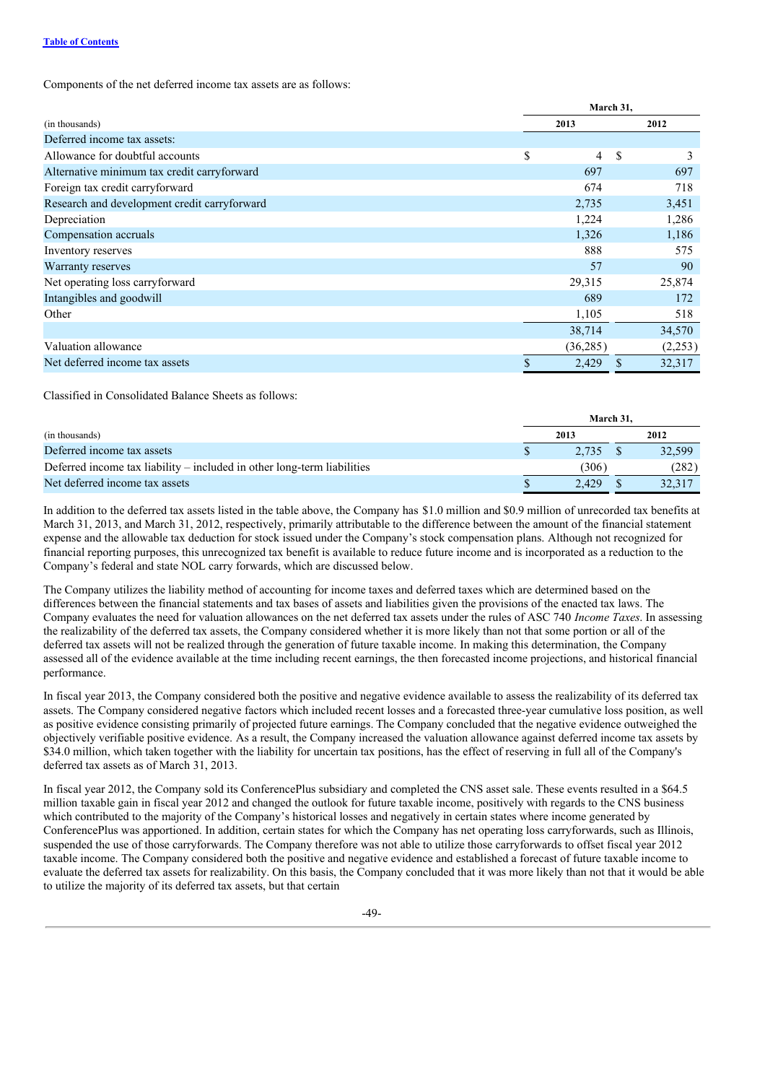Components of the net deferred income tax assets are as follows:

|                                              |                      | March 31,     |         |  |
|----------------------------------------------|----------------------|---------------|---------|--|
| (in thousands)                               | 2013                 |               | 2012    |  |
| Deferred income tax assets:                  |                      |               |         |  |
| Allowance for doubtful accounts              | \$<br>$\overline{4}$ | S             | 3       |  |
| Alternative minimum tax credit carryforward  | 697                  |               | 697     |  |
| Foreign tax credit carryforward              | 674                  |               | 718     |  |
| Research and development credit carryforward | 2,735                |               | 3,451   |  |
| Depreciation                                 | 1,224                |               | 1,286   |  |
| Compensation accruals                        | 1,326                |               | 1,186   |  |
| Inventory reserves                           | 888                  |               | 575     |  |
| Warranty reserves                            | 57                   |               | 90      |  |
| Net operating loss carryforward              | 29,315               |               | 25,874  |  |
| Intangibles and goodwill                     | 689                  |               | 172     |  |
| Other                                        | 1,105                |               | 518     |  |
|                                              | 38,714               |               | 34,570  |  |
| Valuation allowance                          | (36, 285)            |               | (2,253) |  |
| Net deferred income tax assets               | 2,429                | <sup>\$</sup> | 32,317  |  |

Classified in Consolidated Balance Sheets as follows:

|                                                                         | March 31. |  |        |  |  |
|-------------------------------------------------------------------------|-----------|--|--------|--|--|
| (in thousands)                                                          | 2013      |  | 2012   |  |  |
| Deferred income tax assets                                              | 2.735     |  | 32.599 |  |  |
| Deferred income tax liability – included in other long-term liabilities | (306)     |  | (282)  |  |  |
| Net deferred income tax assets                                          | 2.429     |  | 32.317 |  |  |

In addition to the deferred tax assets listed in the table above, the Company has \$1.0 million and \$0.9 million of unrecorded tax benefits at March 31, 2013, and March 31, 2012, respectively, primarily attributable to the difference between the amount of the financial statement expense and the allowable tax deduction for stock issued under the Company's stock compensation plans. Although not recognized for financial reporting purposes, this unrecognized tax benefit is available to reduce future income and is incorporated as a reduction to the Company's federal and state NOL carry forwards, which are discussed below.

The Company utilizes the liability method of accounting for income taxes and deferred taxes which are determined based on the differences between the financial statements and tax bases of assets and liabilities given the provisions of the enacted tax laws. The Company evaluates the need for valuation allowances on the net deferred tax assets under the rules of ASC 740 *Income Taxes*. In assessing the realizability of the deferred tax assets, the Company considered whether it is more likely than not that some portion or all of the deferred tax assets will not be realized through the generation of future taxable income. In making this determination, the Company assessed all of the evidence available at the time including recent earnings, the then forecasted income projections, and historical financial performance.

In fiscal year 2013, the Company considered both the positive and negative evidence available to assess the realizability of its deferred tax assets. The Company considered negative factors which included recent losses and a forecasted three-year cumulative loss position, as well as positive evidence consisting primarily of projected future earnings. The Company concluded that the negative evidence outweighed the objectively verifiable positive evidence. As a result, the Company increased the valuation allowance against deferred income tax assets by \$34.0 million, which taken together with the liability for uncertain tax positions, has the effect of reserving in full all of the Company's deferred tax assets as of March 31, 2013.

In fiscal year 2012, the Company sold its ConferencePlus subsidiary and completed the CNS asset sale. These events resulted in a \$64.5 million taxable gain in fiscal year 2012 and changed the outlook for future taxable income, positively with regards to the CNS business which contributed to the majority of the Company's historical losses and negatively in certain states where income generated by ConferencePlus was apportioned. In addition, certain states for which the Company has net operating loss carryforwards, such as Illinois, suspended the use of those carryforwards. The Company therefore was not able to utilize those carryforwards to offset fiscal year 2012 taxable income. The Company considered both the positive and negative evidence and established a forecast of future taxable income to evaluate the deferred tax assets for realizability. On this basis, the Company concluded that it was more likely than not that it would be able to utilize the majority of its deferred tax assets, but that certain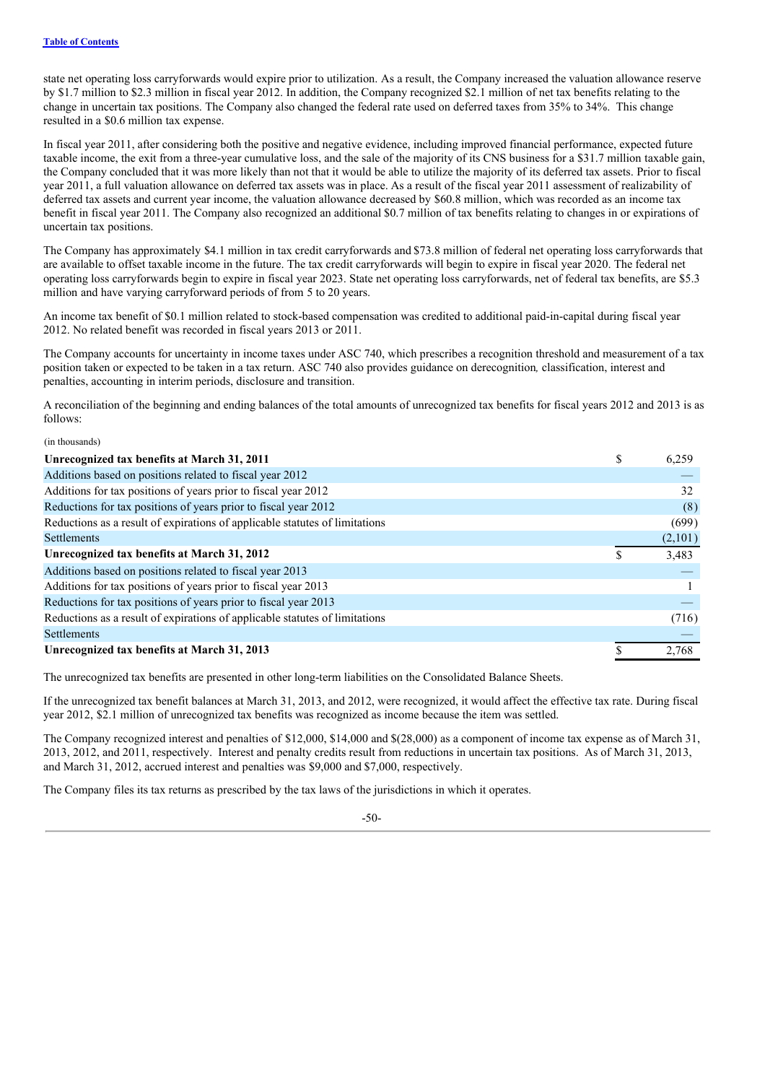state net operating loss carryforwards would expire prior to utilization. As a result, the Company increased the valuation allowance reserve by \$1.7 million to \$2.3 million in fiscal year 2012. In addition, the Company recognized \$2.1 million of net tax benefits relating to the change in uncertain tax positions. The Company also changed the federal rate used on deferred taxes from 35% to 34%. This change resulted in a \$0.6 million tax expense.

In fiscal year 2011, after considering both the positive and negative evidence, including improved financial performance, expected future taxable income, the exit from a three-year cumulative loss, and the sale of the majority of its CNS business for a \$31.7 million taxable gain, the Company concluded that it was more likely than not that it would be able to utilize the majority of its deferred tax assets. Prior to fiscal year 2011, a full valuation allowance on deferred tax assets was in place. As a result of the fiscal year 2011 assessment of realizability of deferred tax assets and current year income, the valuation allowance decreased by \$60.8 million, which was recorded as an income tax benefit in fiscal year 2011. The Company also recognized an additional \$0.7 million of tax benefits relating to changes in or expirations of uncertain tax positions.

The Company has approximately \$4.1 million in tax credit carryforwards and \$73.8 million of federal net operating loss carryforwards that are available to offset taxable income in the future. The tax credit carryforwards will begin to expire in fiscal year 2020. The federal net operating loss carryforwards begin to expire in fiscal year 2023. State net operating loss carryforwards, net of federal tax benefits, are \$5.3 million and have varying carryforward periods of from 5 to 20 years.

An income tax benefit of \$0.1 million related to stock-based compensation was credited to additional paid-in-capital during fiscal year 2012. No related benefit was recorded in fiscal years 2013 or 2011.

The Company accounts for uncertainty in income taxes under ASC 740, which prescribes a recognition threshold and measurement of a tax position taken or expected to be taken in a tax return. ASC 740 also provides guidance on derecognition*,* classification, interest and penalties, accounting in interim periods, disclosure and transition.

A reconciliation of the beginning and ending balances of the total amounts of unrecognized tax benefits for fiscal years 2012 and 2013 is as follows:

#### (in thousands)

| Unrecognized tax benefits at March 31, 2011                                 | \$ | 6.259   |
|-----------------------------------------------------------------------------|----|---------|
| Additions based on positions related to fiscal year 2012                    |    |         |
| Additions for tax positions of years prior to fiscal year 2012              |    | 32      |
| Reductions for tax positions of years prior to fiscal year 2012             |    | (8)     |
| Reductions as a result of expirations of applicable statutes of limitations |    | (699)   |
| <b>Settlements</b>                                                          |    | (2,101) |
| Unrecognized tax benefits at March 31, 2012                                 | ъ  | 3,483   |
| Additions based on positions related to fiscal year 2013                    |    |         |
| Additions for tax positions of years prior to fiscal year 2013              |    |         |
| Reductions for tax positions of years prior to fiscal year 2013             |    |         |
| Reductions as a result of expirations of applicable statutes of limitations |    | (716)   |
| <b>Settlements</b>                                                          |    |         |
| Unrecognized tax benefits at March 31, 2013                                 |    | 2,768   |

The unrecognized tax benefits are presented in other long-term liabilities on the Consolidated Balance Sheets.

If the unrecognized tax benefit balances at March 31, 2013, and 2012, were recognized, it would affect the effective tax rate. During fiscal year 2012, \$2.1 million of unrecognized tax benefits was recognized as income because the item was settled.

The Company recognized interest and penalties of \$12,000, \$14,000 and \$(28,000) as a component of income tax expense as of March 31, 2013, 2012, and 2011, respectively. Interest and penalty credits result from reductions in uncertain tax positions. As of March 31, 2013, and March 31, 2012, accrued interest and penalties was \$9,000 and \$7,000, respectively.

The Company files its tax returns as prescribed by the tax laws of the jurisdictions in which it operates.

-50-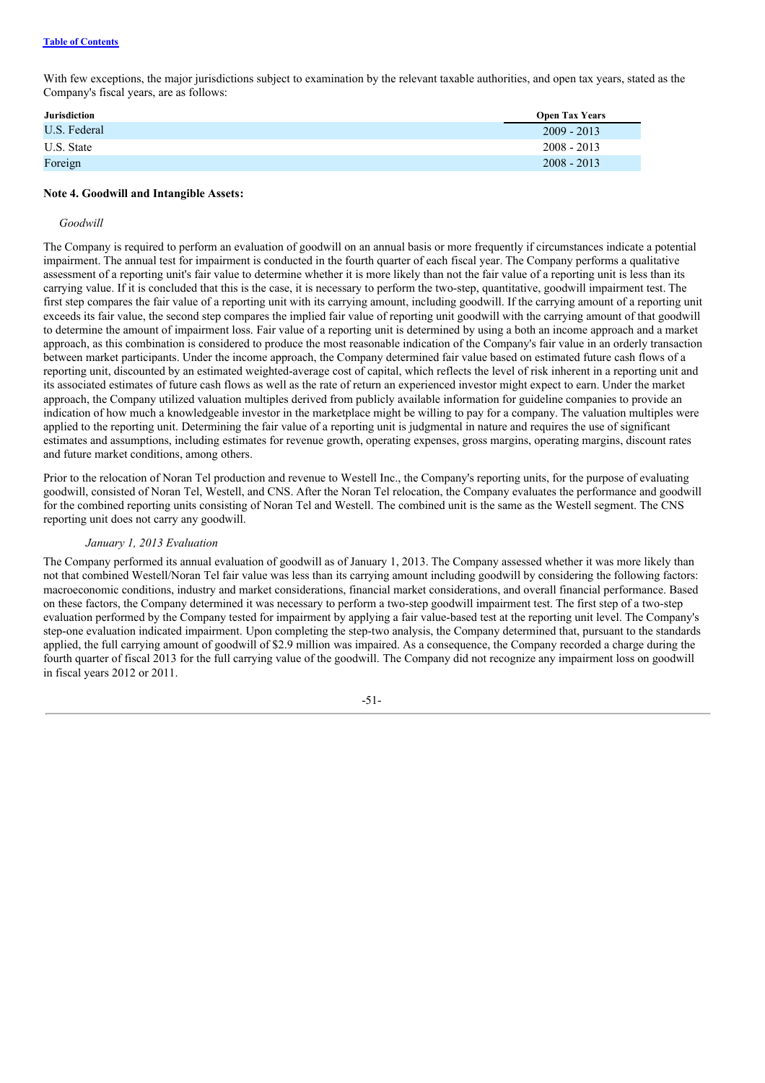With few exceptions, the major jurisdictions subject to examination by the relevant taxable authorities, and open tax years, stated as the Company's fiscal years, are as follows:

| Jurisdiction | <b>Open Tax Years</b> |
|--------------|-----------------------|
| U.S. Federal | $2009 - 2013$         |
| U.S. State   | $2008 - 2013$         |
| Foreign      | $2008 - 2013$         |
|              |                       |

#### **Note 4. Goodwill and Intangible Assets:**

#### *Goodwill*

The Company is required to perform an evaluation of goodwill on an annual basis or more frequently if circumstances indicate a potential impairment. The annual test for impairment is conducted in the fourth quarter of each fiscal year. The Company performs a qualitative assessment of a reporting unit's fair value to determine whether it is more likely than not the fair value of a reporting unit is less than its carrying value. If it is concluded that this is the case, it is necessary to perform the two-step, quantitative, goodwill impairment test. The first step compares the fair value of a reporting unit with its carrying amount, including goodwill. If the carrying amount of a reporting unit exceeds its fair value, the second step compares the implied fair value of reporting unit goodwill with the carrying amount of that goodwill to determine the amount of impairment loss. Fair value of a reporting unit is determined by using a both an income approach and a market approach, as this combination is considered to produce the most reasonable indication of the Company's fair value in an orderly transaction between market participants. Under the income approach, the Company determined fair value based on estimated future cash flows of a reporting unit, discounted by an estimated weighted-average cost of capital, which reflects the level of risk inherent in a reporting unit and its associated estimates of future cash flows as well as the rate of return an experienced investor might expect to earn. Under the market approach, the Company utilized valuation multiples derived from publicly available information for guideline companies to provide an indication of how much a knowledgeable investor in the marketplace might be willing to pay for a company. The valuation multiples were applied to the reporting unit. Determining the fair value of a reporting unit is judgmental in nature and requires the use of significant estimates and assumptions, including estimates for revenue growth, operating expenses, gross margins, operating margins, discount rates and future market conditions, among others.

Prior to the relocation of Noran Tel production and revenue to Westell Inc., the Company's reporting units, for the purpose of evaluating goodwill, consisted of Noran Tel, Westell, and CNS. After the Noran Tel relocation, the Company evaluates the performance and goodwill for the combined reporting units consisting of Noran Tel and Westell. The combined unit is the same as the Westell segment. The CNS reporting unit does not carry any goodwill.

#### *January 1, 2013 Evaluation*

The Company performed its annual evaluation of goodwill as of January 1, 2013. The Company assessed whether it was more likely than not that combined Westell/Noran Tel fair value was less than its carrying amount including goodwill by considering the following factors: macroeconomic conditions, industry and market considerations, financial market considerations, and overall financial performance. Based on these factors, the Company determined it was necessary to perform a two-step goodwill impairment test. The first step of a two-step evaluation performed by the Company tested for impairment by applying a fair value-based test at the reporting unit level. The Company's step-one evaluation indicated impairment. Upon completing the step-two analysis, the Company determined that, pursuant to the standards applied, the full carrying amount of goodwill of \$2.9 million was impaired. As a consequence, the Company recorded a charge during the fourth quarter of fiscal 2013 for the full carrying value of the goodwill. The Company did not recognize any impairment loss on goodwill in fiscal years 2012 or 2011.

-51-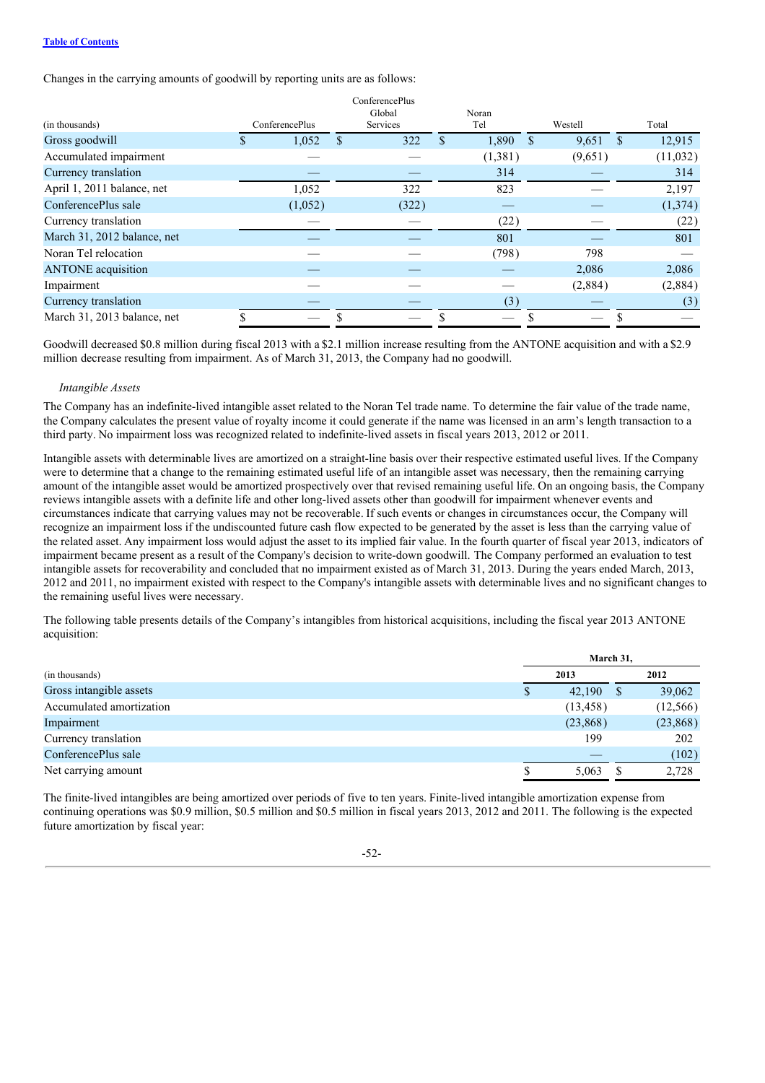#### **Table of Contents**

Changes in the carrying amounts of goodwill by reporting units are as follows:

|                             |                |         |               | ConferencePlus<br>Global | Noran       |                        |     |           |
|-----------------------------|----------------|---------|---------------|--------------------------|-------------|------------------------|-----|-----------|
| (in thousands)              | ConferencePlus |         |               | <b>Services</b>          | Tel         | Westell                |     | Total     |
| Gross goodwill              | S.             | 1,052   | <sup>\$</sup> | 322                      | \$<br>1,890 | 9,651<br><sup>\$</sup> | \$. | 12,915    |
| Accumulated impairment      |                |         |               |                          | (1,381)     | (9,651)                |     | (11, 032) |
| Currency translation        |                |         |               |                          | 314         |                        |     | 314       |
| April 1, 2011 balance, net  |                | 1,052   |               | 322                      | 823         |                        |     | 2,197     |
| ConferencePlus sale         |                | (1,052) |               | (322)                    |             |                        |     | (1,374)   |
| Currency translation        |                |         |               |                          | (22)        |                        |     | (22)      |
| March 31, 2012 balance, net |                |         |               |                          | 801         |                        |     | 801       |
| Noran Tel relocation        |                |         |               |                          | (798)       | 798                    |     |           |
| <b>ANTONE</b> acquisition   |                |         |               |                          |             | 2,086                  |     | 2,086     |
| Impairment                  |                |         |               |                          |             | (2,884)                |     | (2,884)   |
| Currency translation        |                |         |               |                          | (3)         |                        |     | (3)       |
| March 31, 2013 balance, net |                |         |               |                          |             |                        |     |           |

Goodwill decreased \$0.8 million during fiscal 2013 with a\$2.1 million increase resulting from the ANTONE acquisition and with a\$2.9 million decrease resulting from impairment. As of March 31, 2013, the Company had no goodwill.

### *Intangible Assets*

The Company has an indefinite-lived intangible asset related to the Noran Tel trade name. To determine the fair value of the trade name, the Company calculates the present value of royalty income it could generate if the name was licensed in an arm's length transaction to a third party. No impairment loss was recognized related to indefinite-lived assets in fiscal years 2013, 2012 or 2011.

Intangible assets with determinable lives are amortized on a straight-line basis over their respective estimated useful lives. If the Company were to determine that a change to the remaining estimated useful life of an intangible asset was necessary, then the remaining carrying amount of the intangible asset would be amortized prospectively over that revised remaining useful life. On an ongoing basis, the Company reviews intangible assets with a definite life and other long-lived assets other than goodwill for impairment whenever events and circumstances indicate that carrying values may not be recoverable. If such events or changes in circumstances occur, the Company will recognize an impairment loss if the undiscounted future cash flow expected to be generated by the asset is less than the carrying value of the related asset. Any impairment loss would adjust the asset to its implied fair value. In the fourth quarter of fiscal year 2013, indicators of impairment became present as a result of the Company's decision to write-down goodwill. The Company performed an evaluation to test intangible assets for recoverability and concluded that no impairment existed as of March 31, 2013. During the years ended March, 2013, 2012 and 2011, no impairment existed with respect to the Company's intangible assets with determinable lives and no significant changes to the remaining useful lives were necessary.

The following table presents details of the Company's intangibles from historical acquisitions, including the fiscal year 2013 ANTONE acquisition:

|                          | March 31, |           |    |           |  |  |  |
|--------------------------|-----------|-----------|----|-----------|--|--|--|
| (in thousands)           |           | 2013      |    | 2012      |  |  |  |
| Gross intangible assets  |           | 42,190    | -S | 39,062    |  |  |  |
| Accumulated amortization |           | (13, 458) |    | (12, 566) |  |  |  |
| Impairment               |           | (23, 868) |    | (23, 868) |  |  |  |
| Currency translation     |           | 199       |    | 202       |  |  |  |
| ConferencePlus sale      |           |           |    | (102)     |  |  |  |
| Net carrying amount      |           | 5,063     |    | 2,728     |  |  |  |

The finite-lived intangibles are being amortized over periods of five to ten years. Finite-lived intangible amortization expense from continuing operations was \$0.9 million, \$0.5 million and \$0.5 million in fiscal years 2013, 2012 and 2011. The following is the expected future amortization by fiscal year:

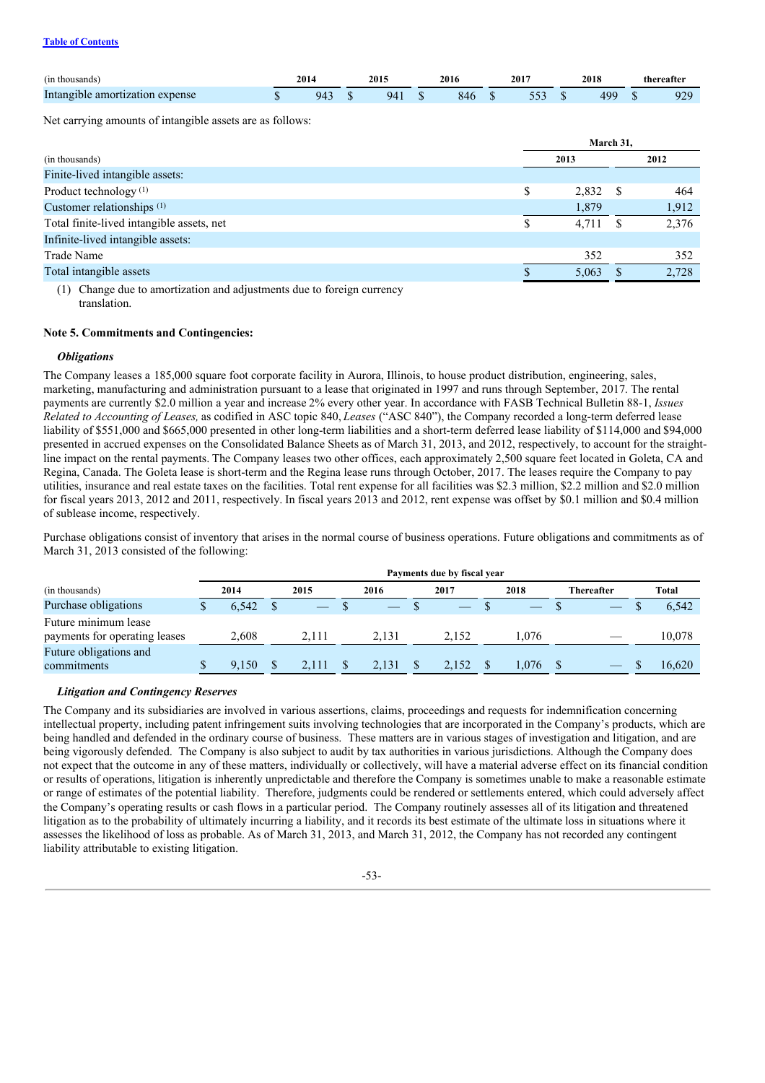| (in thousands)                  | 2014   | 2015   | 2016             | 2017   | 2018 | thereafteı |
|---------------------------------|--------|--------|------------------|--------|------|------------|
| Intangible amortization expense | 943 \$ | 941 \$ | 846 <sup>°</sup> | 553 \$ | 499  | 929        |
|                                 |        |        |                  |        |      |            |

Net carrying amounts of intangible assets are as follows:

|                                                                                                                                                                                                                                |       | March 31, |       |  |  |  |
|--------------------------------------------------------------------------------------------------------------------------------------------------------------------------------------------------------------------------------|-------|-----------|-------|--|--|--|
| (in thousands)                                                                                                                                                                                                                 | 2013  |           | 2012  |  |  |  |
| Finite-lived intangible assets:                                                                                                                                                                                                |       |           |       |  |  |  |
| Product technology <sup>(1)</sup>                                                                                                                                                                                              | 2,832 | -S        | 464   |  |  |  |
| Customer relationships <sup>(1)</sup>                                                                                                                                                                                          | 1,879 |           | 1,912 |  |  |  |
| Total finite-lived intangible assets, net                                                                                                                                                                                      | 4,711 |           | 2,376 |  |  |  |
| Infinite-lived intangible assets:                                                                                                                                                                                              |       |           |       |  |  |  |
| Trade Name                                                                                                                                                                                                                     | 352   |           | 352   |  |  |  |
| Total intangible assets                                                                                                                                                                                                        | 5,063 |           | 2,728 |  |  |  |
| the second contract of the contract of the contract of the contract of the contract of the contract of the contract of the contract of the contract of the contract of the contract of the contract of the contract of the con |       |           |       |  |  |  |

(1) Change due to amortization and adjustments due to foreign currency translation.

### **Note 5. Commitments and Contingencies:**

### *Obligations*

The Company leases a 185,000 square foot corporate facility in Aurora, Illinois, to house product distribution, engineering, sales, marketing, manufacturing and administration pursuant to a lease that originated in 1997 and runs through September, 2017. The rental payments are currently \$2.0 million a year and increase 2% every other year. In accordance with FASB Technical Bulletin 88-1, *Issues Related to Accounting of Leases,* as codified in ASC topic 840, *Leases* ("ASC 840"), the Company recorded a long-term deferred lease liability of \$551,000 and \$665,000 presented in other long-term liabilities and a short-term deferred lease liability of \$114,000 and \$94,000 presented in accrued expenses on the Consolidated Balance Sheets as of March 31, 2013, and 2012, respectively, to account for the straightline impact on the rental payments. The Company leases two other offices, each approximately 2,500 square feet located in Goleta, CA and Regina, Canada. The Goleta lease is short-term and the Regina lease runs through October, 2017. The leases require the Company to pay utilities, insurance and real estate taxes on the facilities. Total rent expense for all facilities was \$2.3 million, \$2.2 million and \$2.0 million for fiscal years 2013, 2012 and 2011, respectively. In fiscal years 2013 and 2012, rent expense was offset by \$0.1 million and \$0.4 million of sublease income, respectively.

Purchase obligations consist of inventory that arises in the normal course of business operations. Future obligations and commitments as of March 31, 2013 consisted of the following:

|                                                       |       |       |       | Payments due by fiscal year |       |                   |        |
|-------------------------------------------------------|-------|-------|-------|-----------------------------|-------|-------------------|--------|
| (in thousands)                                        | 2014  | 2015  | 2016  | 2017                        | 2018  | <b>Thereafter</b> | Total  |
| Purchase obligations                                  | 6.542 |       |       |                             |       |                   | 6,542  |
| Future minimum lease<br>payments for operating leases | 2.608 | 2.111 | 2.131 | 2.152                       | 1.076 |                   | 10.078 |
| Future obligations and<br>commitments                 | 9.150 | 2.111 | 2.131 | 2.152                       | 1.076 |                   | 16,620 |

#### *Litigation and Contingency Reserves*

The Company and its subsidiaries are involved in various assertions, claims, proceedings and requests for indemnification concerning intellectual property, including patent infringement suits involving technologies that are incorporated in the Company's products, which are being handled and defended in the ordinary course of business. These matters are in various stages of investigation and litigation, and are being vigorously defended. The Company is also subject to audit by tax authorities in various jurisdictions. Although the Company does not expect that the outcome in any of these matters, individually or collectively, will have a material adverse effect on its financial condition or results of operations, litigation is inherently unpredictable and therefore the Company is sometimes unable to make a reasonable estimate or range of estimates of the potential liability. Therefore, judgments could be rendered or settlements entered, which could adversely affect the Company's operating results or cash flows in a particular period. The Company routinely assesses all of its litigation and threatened litigation as to the probability of ultimately incurring a liability, and it records its best estimate of the ultimate loss in situations where it assesses the likelihood of loss as probable. As of March 31, 2013, and March 31, 2012, the Company has not recorded any contingent liability attributable to existing litigation.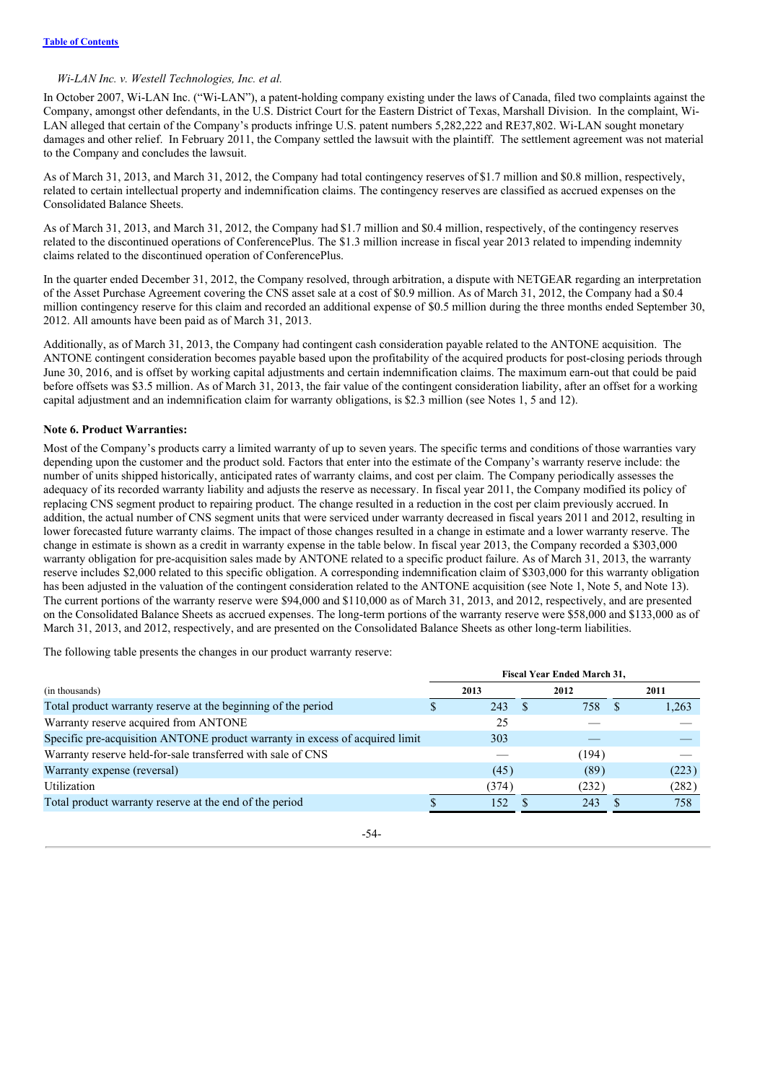### *Wi-LAN Inc. v. Westell Technologies, Inc. et al.*

In October 2007, Wi-LAN Inc. ("Wi-LAN"), a patent-holding company existing under the laws of Canada, filed two complaints against the Company, amongst other defendants, in the U.S. District Court for the Eastern District of Texas, Marshall Division. In the complaint, Wi-LAN alleged that certain of the Company's products infringe U.S. patent numbers 5,282,222 and RE37,802. Wi-LAN sought monetary damages and other relief. In February 2011, the Company settled the lawsuit with the plaintiff. The settlement agreement was not material to the Company and concludes the lawsuit.

As of March 31, 2013, and March 31, 2012, the Company had total contingency reserves of\$1.7 million and \$0.8 million, respectively, related to certain intellectual property and indemnification claims. The contingency reserves are classified as accrued expenses on the Consolidated Balance Sheets.

As of March 31, 2013, and March 31, 2012, the Company had \$1.7 million and \$0.4 million, respectively, of the contingency reserves related to the discontinued operations of ConferencePlus. The \$1.3 million increase in fiscal year 2013 related to impending indemnity claims related to the discontinued operation of ConferencePlus.

In the quarter ended December 31, 2012, the Company resolved, through arbitration, a dispute with NETGEAR regarding an interpretation of the Asset Purchase Agreement covering the CNS asset sale at a cost of \$0.9 million. As of March 31, 2012, the Company had a \$0.4 million contingency reserve for this claim and recorded an additional expense of \$0.5 million during the three months ended September 30, 2012. All amounts have been paid as of March 31, 2013.

Additionally, as of March 31, 2013, the Company had contingent cash consideration payable related to the ANTONE acquisition. The ANTONE contingent consideration becomes payable based upon the profitability of the acquired products for post-closing periods through June 30, 2016, and is offset by working capital adjustments and certain indemnification claims. The maximum earn-out that could be paid before offsets was \$3.5 million. As of March 31, 2013, the fair value of the contingent consideration liability, after an offset for a working capital adjustment and an indemnification claim for warranty obligations, is \$2.3 million (see Notes 1, 5 and 12).

#### **Note 6. Product Warranties:**

Most of the Company's products carry a limited warranty of up to seven years. The specific terms and conditions of those warranties vary depending upon the customer and the product sold. Factors that enter into the estimate of the Company's warranty reserve include: the number of units shipped historically, anticipated rates of warranty claims, and cost per claim. The Company periodically assesses the adequacy of its recorded warranty liability and adjusts the reserve as necessary. In fiscal year 2011, the Company modified its policy of replacing CNS segment product to repairing product. The change resulted in a reduction in the cost per claim previously accrued. In addition, the actual number of CNS segment units that were serviced under warranty decreased in fiscal years 2011 and 2012, resulting in lower forecasted future warranty claims. The impact of those changes resulted in a change in estimate and a lower warranty reserve. The change in estimate is shown as a credit in warranty expense in the table below. In fiscal year 2013, the Company recorded a \$303,000 warranty obligation for pre-acquisition sales made by ANTONE related to a specific product failure. As of March 31, 2013, the warranty reserve includes \$2,000 related to this specific obligation. A corresponding indemnification claim of \$303,000 for this warranty obligation has been adjusted in the valuation of the contingent consideration related to the ANTONE acquisition (see Note 1, Note 5, and Note 13). The current portions of the warranty reserve were \$94,000 and \$110,000 as of March 31, 2013, and 2012, respectively, and are presented on the Consolidated Balance Sheets as accrued expenses. The long-term portions of the warranty reserve were \$58,000 and \$133,000 as of March 31, 2013, and 2012, respectively, and are presented on the Consolidated Balance Sheets as other long-term liabilities.

The following table presents the changes in our product warranty reserve:

|                                                                              | <b>Fiscal Year Ended March 31,</b> |       |  |       |    |       |  |  |
|------------------------------------------------------------------------------|------------------------------------|-------|--|-------|----|-------|--|--|
| (in thousands)                                                               |                                    | 2013  |  | 2012  |    | 2011  |  |  |
| Total product warranty reserve at the beginning of the period                | D                                  | 243   |  | 758.  | -8 | 1.263 |  |  |
| Warranty reserve acquired from ANTONE                                        |                                    | 25    |  |       |    |       |  |  |
| Specific pre-acquisition ANTONE product warranty in excess of acquired limit |                                    | 303   |  |       |    |       |  |  |
| Warranty reserve held-for-sale transferred with sale of CNS                  |                                    |       |  | (194) |    |       |  |  |
| Warranty expense (reversal)                                                  |                                    | (45)  |  | (89)  |    | (223) |  |  |
| Utilization                                                                  |                                    | (374) |  | (232) |    | (282) |  |  |
| Total product warranty reserve at the end of the period                      |                                    | 152   |  | 243   |    | 758   |  |  |

-54-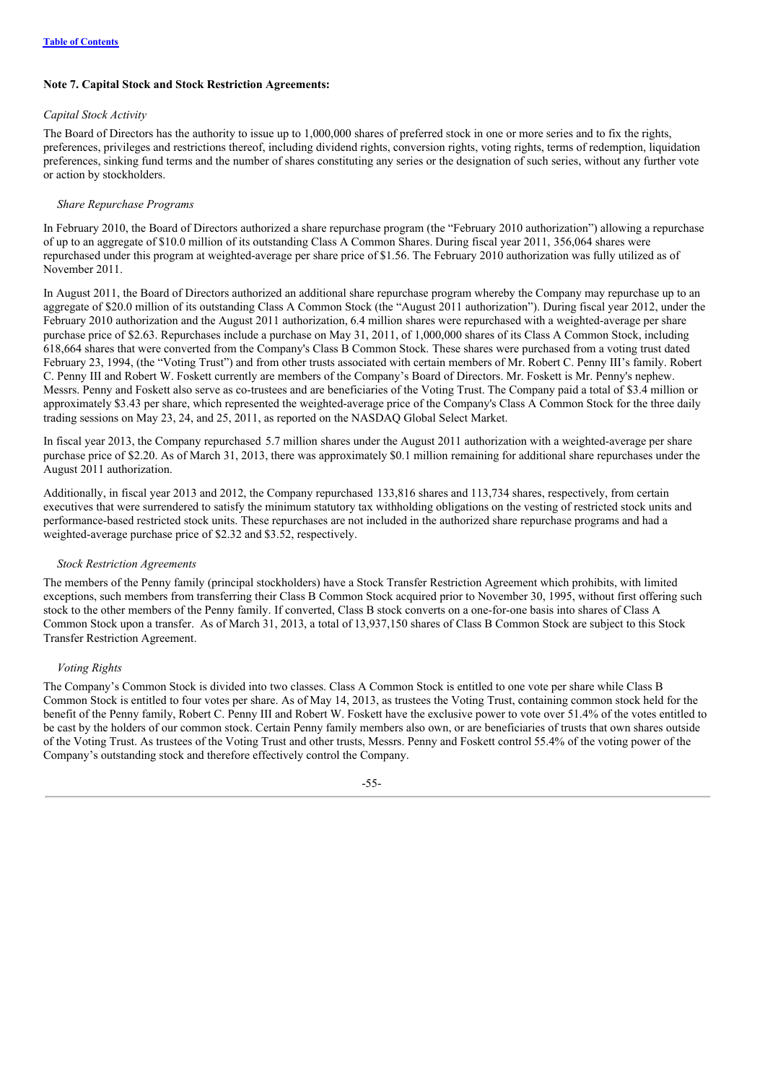### **Note 7. Capital Stock and Stock Restriction Agreements:**

### *Capital Stock Activity*

The Board of Directors has the authority to issue up to 1,000,000 shares of preferred stock in one or more series and to fix the rights, preferences, privileges and restrictions thereof, including dividend rights, conversion rights, voting rights, terms of redemption, liquidation preferences, sinking fund terms and the number of shares constituting any series or the designation of such series, without any further vote or action by stockholders.

### *Share Repurchase Programs*

In February 2010, the Board of Directors authorized a share repurchase program (the "February 2010 authorization") allowing a repurchase of up to an aggregate of \$10.0 million of its outstanding Class A Common Shares. During fiscal year 2011, 356,064 shares were repurchased under this program at weighted-average per share price of \$1.56. The February 2010 authorization was fully utilized as of November 2011.

In August 2011, the Board of Directors authorized an additional share repurchase program whereby the Company may repurchase up to an aggregate of \$20.0 million of its outstanding Class A Common Stock (the "August 2011 authorization"). During fiscal year 2012, under the February 2010 authorization and the August 2011 authorization, 6.4 million shares were repurchased with a weighted-average per share purchase price of \$2.63. Repurchases include a purchase on May 31, 2011, of 1,000,000 shares of its Class A Common Stock, including 618,664 shares that were converted from the Company's Class B Common Stock. These shares were purchased from a voting trust dated February 23, 1994, (the "Voting Trust") and from other trusts associated with certain members of Mr. Robert C. Penny III's family. Robert C. Penny III and Robert W. Foskett currently are members of the Company's Board of Directors. Mr. Foskett is Mr. Penny's nephew. Messrs. Penny and Foskett also serve as co-trustees and are beneficiaries of the Voting Trust. The Company paid a total of \$3.4 million or approximately \$3.43 per share, which represented the weighted-average price of the Company's Class A Common Stock for the three daily trading sessions on May 23, 24, and 25, 2011, as reported on the NASDAQ Global Select Market.

In fiscal year 2013, the Company repurchased 5.7 million shares under the August 2011 authorization with a weighted-average per share purchase price of \$2.20. As of March 31, 2013, there was approximately \$0.1 million remaining for additional share repurchases under the August 2011 authorization.

Additionally, in fiscal year 2013 and 2012, the Company repurchased 133,816 shares and 113,734 shares, respectively, from certain executives that were surrendered to satisfy the minimum statutory tax withholding obligations on the vesting of restricted stock units and performance-based restricted stock units. These repurchases are not included in the authorized share repurchase programs and had a weighted-average purchase price of \$2.32 and \$3.52, respectively.

### *Stock Restriction Agreements*

The members of the Penny family (principal stockholders) have a Stock Transfer Restriction Agreement which prohibits, with limited exceptions, such members from transferring their Class B Common Stock acquired prior to November 30, 1995, without first offering such stock to the other members of the Penny family. If converted, Class B stock converts on a one-for-one basis into shares of Class A Common Stock upon a transfer. As of March 31, 2013, a total of 13,937,150 shares of Class B Common Stock are subject to this Stock Transfer Restriction Agreement.

### *Voting Rights*

The Company's Common Stock is divided into two classes. Class A Common Stock is entitled to one vote per share while Class B Common Stock is entitled to four votes per share. As of May 14, 2013, as trustees the Voting Trust, containing common stock held for the benefit of the Penny family, Robert C. Penny III and Robert W. Foskett have the exclusive power to vote over 51.4% of the votes entitled to be cast by the holders of our common stock. Certain Penny family members also own, or are beneficiaries of trusts that own shares outside of the Voting Trust. As trustees of the Voting Trust and other trusts, Messrs. Penny and Foskett control 55.4% of the voting power of the Company's outstanding stock and therefore effectively control the Company.

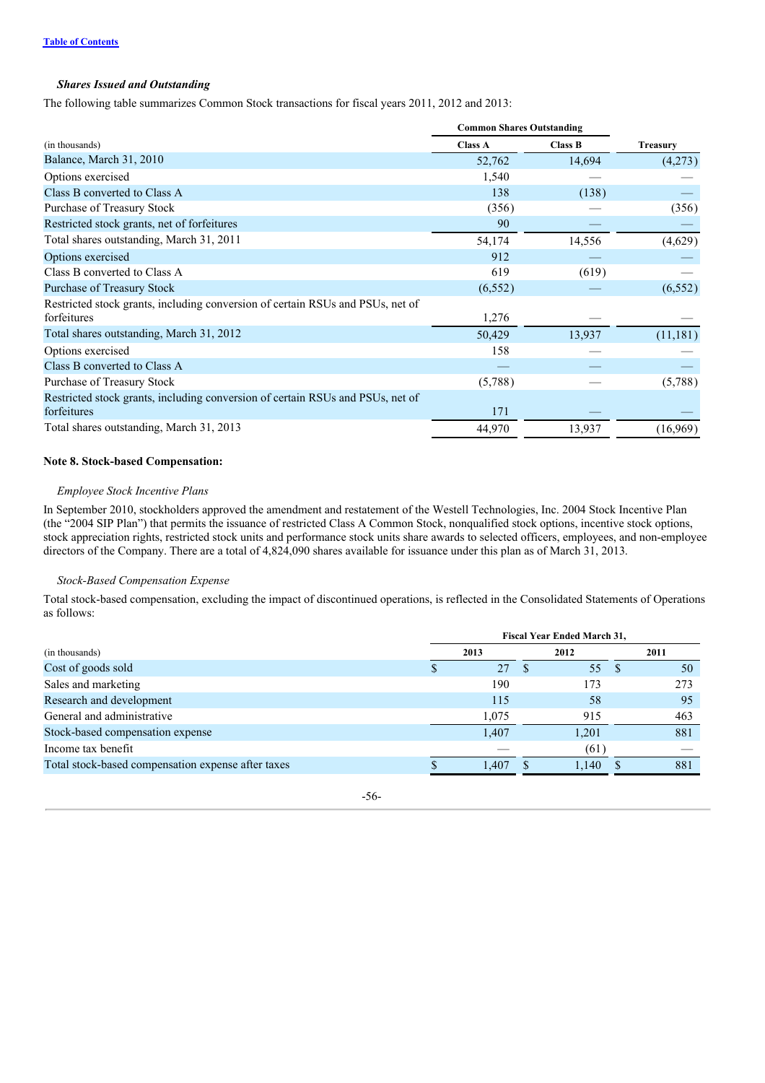### **Table of Contents**

### *Shares Issued and Outstanding*

The following table summarizes Common Stock transactions for fiscal years 2011, 2012 and 2013:

|                                                                                               | <b>Common Shares Outstanding</b> |                |                 |
|-----------------------------------------------------------------------------------------------|----------------------------------|----------------|-----------------|
| (in thousands)                                                                                | <b>Class A</b>                   | <b>Class B</b> | <b>Treasury</b> |
| Balance, March 31, 2010                                                                       | 52,762                           | 14,694         | (4,273)         |
| Options exercised                                                                             | 1,540                            |                |                 |
| Class B converted to Class A                                                                  | 138                              | (138)          |                 |
| Purchase of Treasury Stock                                                                    | (356)                            |                | (356)           |
| Restricted stock grants, net of forfeitures                                                   | 90                               |                |                 |
| Total shares outstanding, March 31, 2011                                                      | 54,174                           | 14,556         | (4,629)         |
| Options exercised                                                                             | 912                              |                |                 |
| Class B converted to Class A                                                                  | 619                              | (619)          |                 |
| <b>Purchase of Treasury Stock</b>                                                             | (6, 552)                         |                | (6, 552)        |
| Restricted stock grants, including conversion of certain RSUs and PSUs, net of<br>forfeitures | 1,276                            |                |                 |
| Total shares outstanding, March 31, 2012                                                      | 50,429                           | 13,937         | (11, 181)       |
| Options exercised                                                                             | 158                              |                |                 |
| Class B converted to Class A                                                                  |                                  |                |                 |
| Purchase of Treasury Stock                                                                    | (5,788)                          |                | (5,788)         |
| Restricted stock grants, including conversion of certain RSUs and PSUs, net of<br>forfeitures | 171                              |                |                 |
| Total shares outstanding, March 31, 2013                                                      | 44,970                           | 13,937         | (16,969)        |

#### **Note 8. Stock-based Compensation:**

#### *Employee Stock Incentive Plans*

In September 2010, stockholders approved the amendment and restatement of the Westell Technologies, Inc. 2004 Stock Incentive Plan (the "2004 SIP Plan") that permits the issuance of restricted Class A Common Stock, nonqualified stock options, incentive stock options, stock appreciation rights, restricted stock units and performance stock units share awards to selected officers, employees, and non-employee directors of the Company. There are a total of 4,824,090 shares available for issuance under this plan as of March 31, 2013.

#### *Stock-Based Compensation Expense*

Total stock-based compensation, excluding the impact of discontinued operations, is reflected in the Consolidated Statements of Operations as follows:

|                                                    | <b>Fiscal Year Ended March 31,</b> |       |  |       |      |      |  |  |
|----------------------------------------------------|------------------------------------|-------|--|-------|------|------|--|--|
| (in thousands)                                     |                                    | 2013  |  | 2012  |      | 2011 |  |  |
| Cost of goods sold                                 |                                    | 27    |  | 55    | - \$ | 50   |  |  |
| Sales and marketing                                |                                    | 190   |  | 173   |      | 273  |  |  |
| Research and development                           |                                    | 115   |  | 58    |      | 95   |  |  |
| General and administrative                         |                                    | 1.075 |  | 915   |      | 463  |  |  |
| Stock-based compensation expense                   |                                    | 1,407 |  | 1,201 |      | 881  |  |  |
| Income tax benefit                                 |                                    |       |  | (61)  |      |      |  |  |
| Total stock-based compensation expense after taxes |                                    | 1,407 |  | 1,140 |      | 881  |  |  |

-56-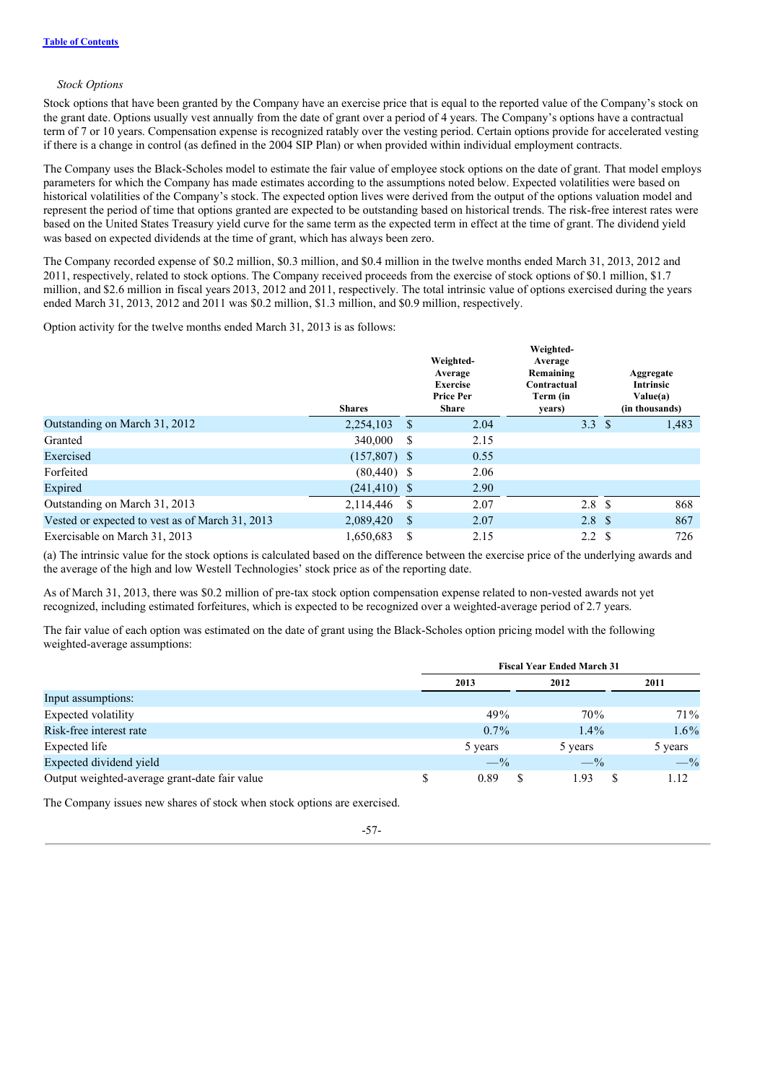#### *Stock Options*

Stock options that have been granted by the Company have an exercise price that is equal to the reported value of the Company's stock on the grant date. Options usually vest annually from the date of grant over a period of 4 years. The Company's options have a contractual term of 7 or 10 years. Compensation expense is recognized ratably over the vesting period. Certain options provide for accelerated vesting if there is a change in control (as defined in the 2004 SIP Plan) or when provided within individual employment contracts.

The Company uses the Black-Scholes model to estimate the fair value of employee stock options on the date of grant. That model employs parameters for which the Company has made estimates according to the assumptions noted below. Expected volatilities were based on historical volatilities of the Company's stock. The expected option lives were derived from the output of the options valuation model and represent the period of time that options granted are expected to be outstanding based on historical trends. The risk-free interest rates were based on the United States Treasury yield curve for the same term as the expected term in effect at the time of grant. The dividend yield was based on expected dividends at the time of grant, which has always been zero.

The Company recorded expense of \$0.2 million, \$0.3 million, and \$0.4 million in the twelve months ended March 31, 2013, 2012 and 2011, respectively, related to stock options. The Company received proceeds from the exercise of stock options of \$0.1 million, \$1.7 million, and \$2.6 million in fiscal years 2013, 2012 and 2011, respectively. The total intrinsic value of options exercised during the years ended March 31, 2013, 2012 and 2011 was \$0.2 million, \$1.3 million, and \$0.9 million, respectively.

Option activity for the twelve months ended March 31, 2013 is as follows:

|                                                 | <b>Shares</b>   |               | Weighted-<br>Average<br><b>Exercise</b><br><b>Price Per</b><br><b>Share</b> | Weighted-<br>Average<br>Remaining<br>Contractual<br>Term (in<br>years) | Aggregate<br><b>Intrinsic</b><br>Value(a)<br>(in thousands) |
|-------------------------------------------------|-----------------|---------------|-----------------------------------------------------------------------------|------------------------------------------------------------------------|-------------------------------------------------------------|
| Outstanding on March 31, 2012                   | 2,254,103       | - \$          | 2.04                                                                        | 3.3 <sup>°</sup>                                                       | 1,483                                                       |
| Granted                                         | 340,000         | -\$           | 2.15                                                                        |                                                                        |                                                             |
| Exercised                                       | $(157,807)$ \$  |               | 0.55                                                                        |                                                                        |                                                             |
| Forfeited                                       | $(80,440)$ \$   |               | 2.06                                                                        |                                                                        |                                                             |
| Expired                                         | $(241, 410)$ \$ |               | 2.90                                                                        |                                                                        |                                                             |
| Outstanding on March 31, 2013                   | 2,114,446       | <sup>S</sup>  | 2.07                                                                        | 2.8 <sup>°</sup>                                                       | 868                                                         |
| Vested or expected to vest as of March 31, 2013 | 2,089,420       | <sup>\$</sup> | 2.07                                                                        | 2.8 <sup>°</sup>                                                       | 867                                                         |
| Exercisable on March 31, 2013                   | 1,650,683       | -S            | 2.15                                                                        | 2.2 <sup>5</sup>                                                       | 726                                                         |

(a) The intrinsic value for the stock options is calculated based on the difference between the exercise price of the underlying awards and the average of the high and low Westell Technologies' stock price as of the reporting date.

As of March 31, 2013, there was \$0.2 million of pre-tax stock option compensation expense related to non-vested awards not yet recognized, including estimated forfeitures, which is expected to be recognized over a weighted-average period of 2.7 years.

The fair value of each option was estimated on the date of grant using the Black-Scholes option pricing model with the following weighted-average assumptions:

|                                               | <b>Fiscal Year Ended March 31</b> |         |            |  |  |  |  |
|-----------------------------------------------|-----------------------------------|---------|------------|--|--|--|--|
|                                               | 2013                              | 2012    | 2011       |  |  |  |  |
| Input assumptions:                            |                                   |         |            |  |  |  |  |
| Expected volatility                           | 49%                               | 70%     | <b>71%</b> |  |  |  |  |
| Risk-free interest rate                       | $0.7\%$                           | $1.4\%$ | $1.6\%$    |  |  |  |  |
| Expected life                                 | 5 years                           | 5 years | 5 years    |  |  |  |  |
| Expected dividend yield                       | $-$ %                             | $-$ %   | $-$ %      |  |  |  |  |
| Output weighted-average grant-date fair value | 0.89<br>S                         | $-93$   | 1.12       |  |  |  |  |

The Company issues new shares of stock when stock options are exercised.

-57-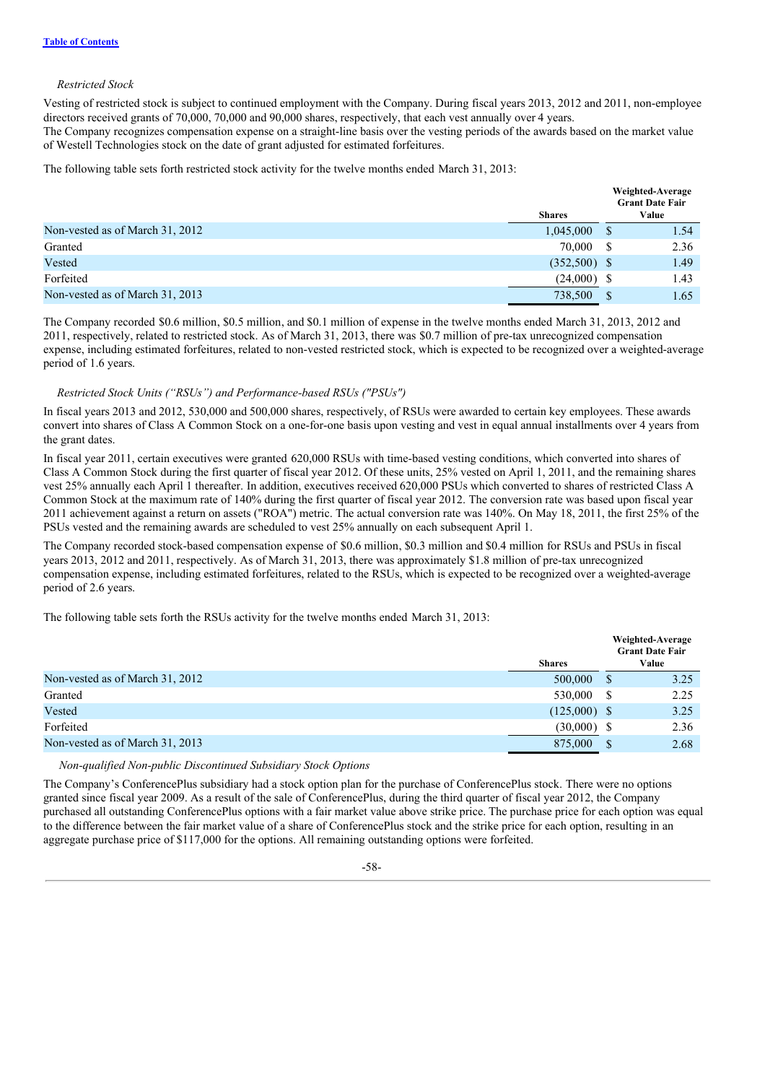### *Restricted Stock*

Vesting of restricted stock is subject to continued employment with the Company. During fiscal years 2013, 2012 and 2011, non-employee directors received grants of 70,000, 70,000 and 90,000 shares, respectively, that each vest annually over 4 years.

The Company recognizes compensation expense on a straight-line basis over the vesting periods of the awards based on the market value of Westell Technologies stock on the date of grant adjusted for estimated forfeitures.

The following table sets forth restricted stock activity for the twelve months ended March 31, 2013:

|                                 | <b>Shares</b>  |    | Weighted-Average<br><b>Grant Date Fair</b><br>Value |
|---------------------------------|----------------|----|-----------------------------------------------------|
| Non-vested as of March 31, 2012 | 1,045,000      |    | 1.54                                                |
| Granted                         | 70,000         |    | 2.36                                                |
| Vested                          | $(352,500)$ \$ |    | 1.49                                                |
| Forfeited                       | (24,000)       | -S | 1.43                                                |
| Non-vested as of March 31, 2013 | 738,500        |    | 1.65                                                |

The Company recorded \$0.6 million, \$0.5 million, and \$0.1 million of expense in the twelve months ended March 31, 2013, 2012 and 2011, respectively, related to restricted stock. As of March 31, 2013, there was \$0.7 million of pre-tax unrecognized compensation expense, including estimated forfeitures, related to non-vested restricted stock, which is expected to be recognized over a weighted-average period of 1.6 years.

#### *Restricted Stock Units ("RSUs") and Performance-based RSUs ("PSUs")*

In fiscal years 2013 and 2012, 530,000 and 500,000 shares, respectively, of RSUs were awarded to certain key employees. These awards convert into shares of Class A Common Stock on a one-for-one basis upon vesting and vest in equal annual installments over 4 years from the grant dates.

In fiscal year 2011, certain executives were granted 620,000 RSUs with time-based vesting conditions, which converted into shares of Class A Common Stock during the first quarter of fiscal year 2012. Of these units, 25% vested on April 1, 2011, and the remaining shares vest 25% annually each April 1 thereafter. In addition, executives received 620,000 PSUs which converted to shares of restricted Class A Common Stock at the maximum rate of 140% during the first quarter of fiscal year 2012. The conversion rate was based upon fiscal year 2011 achievement against a return on assets ("ROA") metric. The actual conversion rate was 140%. On May 18, 2011, the first 25% of the PSUs vested and the remaining awards are scheduled to vest 25% annually on each subsequent April 1.

The Company recorded stock-based compensation expense of \$0.6 million, \$0.3 million and \$0.4 million for RSUs and PSUs in fiscal years 2013, 2012 and 2011, respectively. As of March 31, 2013, there was approximately \$1.8 million of pre-tax unrecognized compensation expense, including estimated forfeitures, related to the RSUs, which is expected to be recognized over a weighted-average period of 2.6 years.

The following table sets forth the RSUs activity for the twelve months ended March 31, 2013:

|                                 | <b>Shares</b> |     | Weighted-Average<br><b>Grant Date Fair</b><br>Value |
|---------------------------------|---------------|-----|-----------------------------------------------------|
| Non-vested as of March 31, 2012 | 500,000       |     | 3.25                                                |
| Granted                         | 530,000       |     | 2.25                                                |
| Vested                          | (125,000)     | - S | 3.25                                                |
| Forfeited                       | (30,000)      |     | 2.36                                                |
| Non-vested as of March 31, 2013 | 875,000       |     | 2.68                                                |

*Non-qualified Non-public Discontinued Subsidiary Stock Options*

The Company's ConferencePlus subsidiary had a stock option plan for the purchase of ConferencePlus stock. There were no options granted since fiscal year 2009. As a result of the sale of ConferencePlus, during the third quarter of fiscal year 2012, the Company purchased all outstanding ConferencePlus options with a fair market value above strike price. The purchase price for each option was equal to the difference between the fair market value of a share of ConferencePlus stock and the strike price for each option, resulting in an aggregate purchase price of \$117,000 for the options. All remaining outstanding options were forfeited.

-58-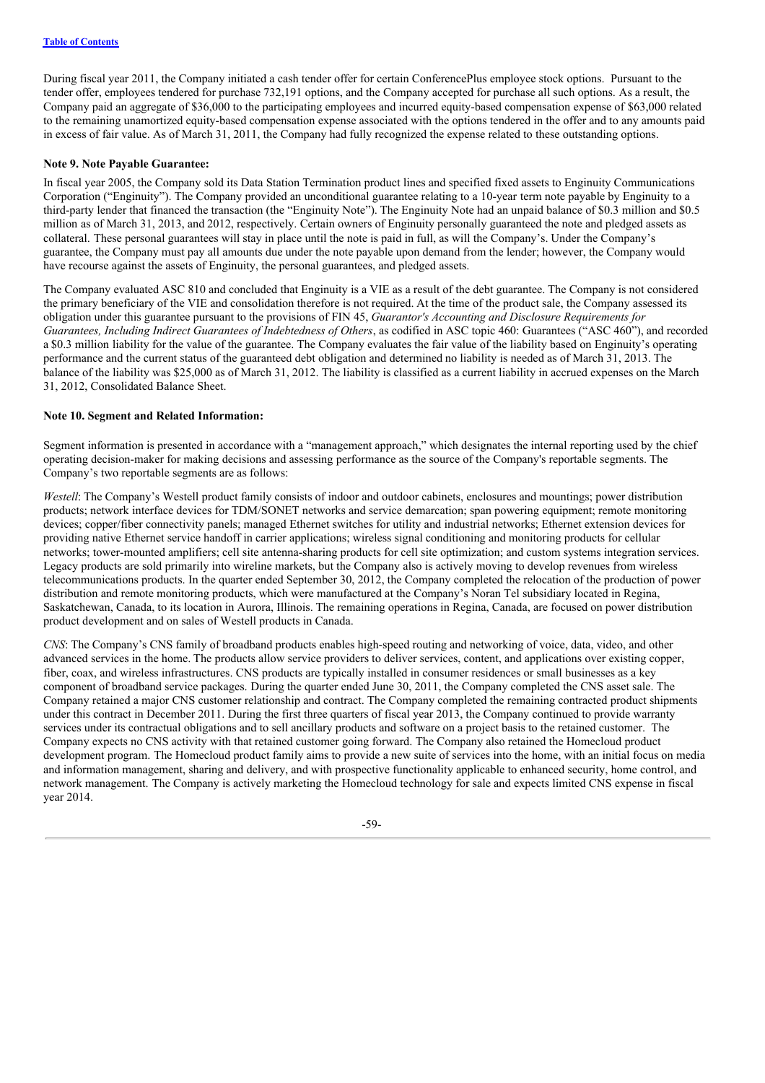During fiscal year 2011, the Company initiated a cash tender offer for certain ConferencePlus employee stock options. Pursuant to the tender offer, employees tendered for purchase 732,191 options, and the Company accepted for purchase all such options. As a result, the Company paid an aggregate of \$36,000 to the participating employees and incurred equity-based compensation expense of \$63,000 related to the remaining unamortized equity-based compensation expense associated with the options tendered in the offer and to any amounts paid in excess of fair value. As of March 31, 2011, the Company had fully recognized the expense related to these outstanding options.

#### **Note 9. Note Payable Guarantee:**

In fiscal year 2005, the Company sold its Data Station Termination product lines and specified fixed assets to Enginuity Communications Corporation ("Enginuity"). The Company provided an unconditional guarantee relating to a 10-year term note payable by Enginuity to a third-party lender that financed the transaction (the "Enginuity Note"). The Enginuity Note had an unpaid balance of \$0.3 million and \$0.5 million as of March 31, 2013, and 2012, respectively. Certain owners of Enginuity personally guaranteed the note and pledged assets as collateral. These personal guarantees will stay in place until the note is paid in full, as will the Company's. Under the Company's guarantee, the Company must pay all amounts due under the note payable upon demand from the lender; however, the Company would have recourse against the assets of Enginuity, the personal guarantees, and pledged assets.

The Company evaluated ASC 810 and concluded that Enginuity is a VIE as a result of the debt guarantee. The Company is not considered the primary beneficiary of the VIE and consolidation therefore is not required. At the time of the product sale, the Company assessed its obligation under this guarantee pursuant to the provisions of FIN 45, *Guarantor's Accounting and Disclosure Requirements for Guarantees, Including Indirect Guarantees of Indebtedness of Others*, as codified in ASC topic 460: Guarantees ("ASC 460"), and recorded a \$0.3 million liability for the value of the guarantee. The Company evaluates the fair value of the liability based on Enginuity's operating performance and the current status of the guaranteed debt obligation and determined no liability is needed as of March 31, 2013. The balance of the liability was \$25,000 as of March 31, 2012. The liability is classified as a current liability in accrued expenses on the March 31, 2012, Consolidated Balance Sheet.

### **Note 10. Segment and Related Information:**

Segment information is presented in accordance with a "management approach," which designates the internal reporting used by the chief operating decision-maker for making decisions and assessing performance as the source of the Company's reportable segments. The Company's two reportable segments are as follows:

*Westell*: The Company's Westell product family consists of indoor and outdoor cabinets, enclosures and mountings; power distribution products; network interface devices for TDM/SONET networks and service demarcation; span powering equipment; remote monitoring devices; copper/fiber connectivity panels; managed Ethernet switches for utility and industrial networks; Ethernet extension devices for providing native Ethernet service handoff in carrier applications; wireless signal conditioning and monitoring products for cellular networks; tower-mounted amplifiers; cell site antenna-sharing products for cell site optimization; and custom systems integration services. Legacy products are sold primarily into wireline markets, but the Company also is actively moving to develop revenues from wireless telecommunications products. In the quarter ended September 30, 2012, the Company completed the relocation of the production of power distribution and remote monitoring products, which were manufactured at the Company's Noran Tel subsidiary located in Regina, Saskatchewan, Canada, to its location in Aurora, Illinois. The remaining operations in Regina, Canada, are focused on power distribution product development and on sales of Westell products in Canada.

*CNS*: The Company's CNS family of broadband products enables high-speed routing and networking of voice, data, video, and other advanced services in the home. The products allow service providers to deliver services, content, and applications over existing copper, fiber, coax, and wireless infrastructures. CNS products are typically installed in consumer residences or small businesses as a key component of broadband service packages. During the quarter ended June 30, 2011, the Company completed the CNS asset sale. The Company retained a major CNS customer relationship and contract. The Company completed the remaining contracted product shipments under this contract in December 2011. During the first three quarters of fiscal year 2013, the Company continued to provide warranty services under its contractual obligations and to sell ancillary products and software on a project basis to the retained customer. The Company expects no CNS activity with that retained customer going forward. The Company also retained the Homecloud product development program. The Homecloud product family aims to provide a new suite of services into the home, with an initial focus on media and information management, sharing and delivery, and with prospective functionality applicable to enhanced security, home control, and network management. The Company is actively marketing the Homecloud technology for sale and expects limited CNS expense in fiscal year 2014.

-59-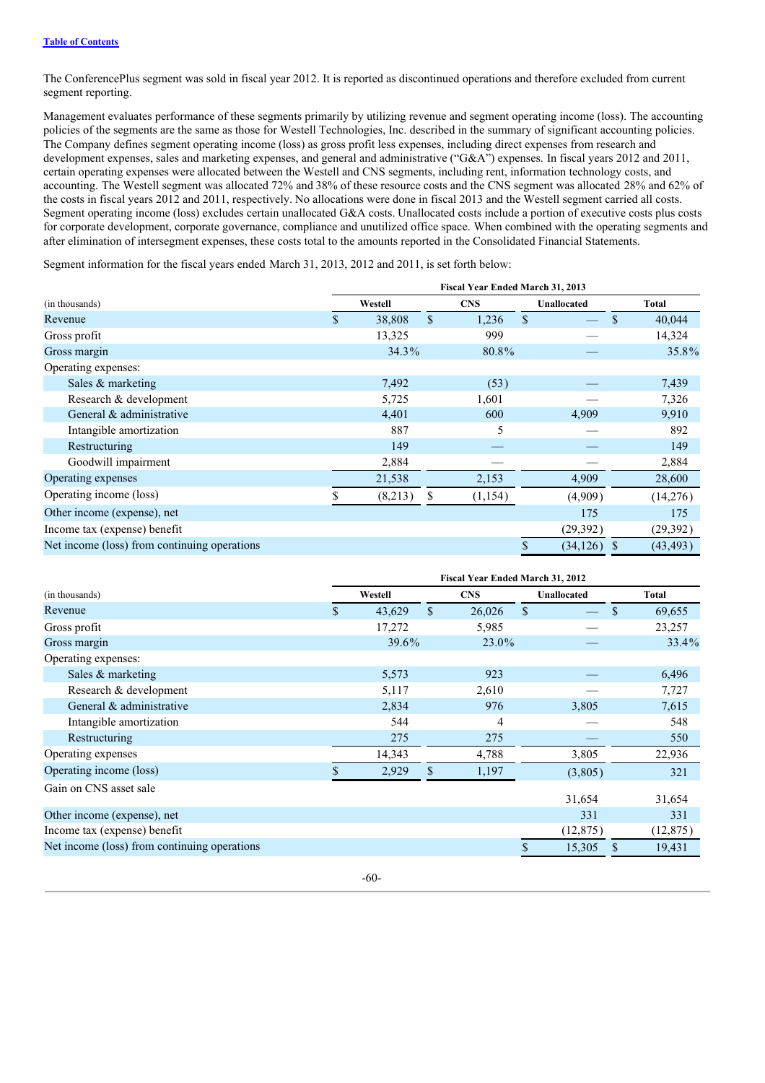The ConferencePlus segment was sold in fiscal year 2012. It is reported as discontinued operations and therefore excluded from current segment reporting.

Management evaluates performance of these segments primarily by utilizing revenue and segment operating income (loss). The accounting policies of the segments are the same as those for Westell Technologies, Inc. described in the summary of significant accounting policies. The Company defines segment operating income (loss) as gross profit less expenses, including direct expenses from research and development expenses, sales and marketing expenses, and general and administrative ("G&A") expenses. In fiscal years 2012 and 2011, certain operating expenses were allocated between the Westell and CNS segments, including rent, information technology costs, and accounting. The Westell segment was allocated 72% and 38% of these resource costs and the CNS segment was allocated 28% and 62% of the costs in fiscal years 2012 and 2011, respectively. No allocations were done in fiscal 2013 and the Westell segment carried all costs. Segment operating income (loss) excludes certain unallocated G&A costs. Unallocated costs include a portion of executive costs plus costs for corporate development, corporate governance, compliance and unutilized office space. When combined with the operating segments and after elimination of intersegment expenses, these costs total to the amounts reported in the Consolidated Financial Statements.

Segment information for the fiscal years ended March 31, 2013, 2012 and 2011, is set forth below:

|                                              | Fiscal Year Ended March 31, 2013 |         |    |            |               |                    |     |           |
|----------------------------------------------|----------------------------------|---------|----|------------|---------------|--------------------|-----|-----------|
| (in thousands)                               |                                  | Westell |    | <b>CNS</b> |               | <b>Unallocated</b> |     | Total     |
| Revenue                                      | S.                               | 38,808  | \$ | 1,236      | <sup>\$</sup> |                    | \$. | 40,044    |
| Gross profit                                 |                                  | 13,325  |    | 999        |               |                    |     | 14,324    |
| Gross margin                                 |                                  | 34.3%   |    | 80.8%      |               |                    |     | 35.8%     |
| Operating expenses:                          |                                  |         |    |            |               |                    |     |           |
| Sales & marketing                            |                                  | 7,492   |    | (53)       |               |                    |     | 7,439     |
| Research & development                       |                                  | 5,725   |    | 1,601      |               |                    |     | 7,326     |
| General & administrative                     |                                  | 4,401   |    | 600        |               | 4,909              |     | 9,910     |
| Intangible amortization                      |                                  | 887     |    | 5          |               |                    |     | 892       |
| Restructuring                                |                                  | 149     |    |            |               |                    |     | 149       |
| Goodwill impairment                          |                                  | 2,884   |    |            |               |                    |     | 2,884     |
| Operating expenses                           |                                  | 21,538  |    | 2,153      |               | 4,909              |     | 28,600    |
| Operating income (loss)                      |                                  | (8,213) | S  | (1, 154)   |               | (4,909)            |     | (14,276)  |
| Other income (expense), net                  |                                  |         |    |            |               | 175                |     | 175       |
| Income tax (expense) benefit                 |                                  |         |    |            |               | (29, 392)          |     | (29, 392) |
| Net income (loss) from continuing operations |                                  |         |    |            |               | (34, 126)          | S   | (43, 493) |

|                                              | Fiscal Year Ended March 31, 2012 |         |              |            |                    |    |           |
|----------------------------------------------|----------------------------------|---------|--------------|------------|--------------------|----|-----------|
| (in thousands)                               |                                  | Westell |              | <b>CNS</b> | <b>Unallocated</b> |    | Total     |
| Revenue                                      | S.                               | 43,629  | $\mathbb{S}$ | 26,026     | $\mathbb{S}$       | \$ | 69,655    |
| Gross profit                                 |                                  | 17,272  |              | 5,985      |                    |    | 23,257    |
| Gross margin                                 |                                  | 39.6%   |              | $23.0\%$   |                    |    | 33.4%     |
| Operating expenses:                          |                                  |         |              |            |                    |    |           |
| Sales & marketing                            |                                  | 5,573   |              | 923        |                    |    | 6,496     |
| Research & development                       |                                  | 5,117   |              | 2,610      |                    |    | 7,727     |
| General & administrative                     |                                  | 2,834   |              | 976        | 3,805              |    | 7,615     |
| Intangible amortization                      |                                  | 544     |              | 4          |                    |    | 548       |
| Restructuring                                |                                  | 275     |              | 275        |                    |    | 550       |
| Operating expenses                           |                                  | 14,343  |              | 4,788      | 3,805              |    | 22,936    |
| Operating income (loss)                      |                                  | 2,929   | \$           | 1,197      | (3,805)            |    | 321       |
| Gain on CNS asset sale                       |                                  |         |              |            |                    |    |           |
|                                              |                                  |         |              |            | 31,654             |    | 31,654    |
| Other income (expense), net                  |                                  |         |              |            | 331                |    | 331       |
| Income tax (expense) benefit                 |                                  |         |              |            | (12, 875)          |    | (12, 875) |
| Net income (loss) from continuing operations |                                  |         |              |            | 15,305             | S  | 19,431    |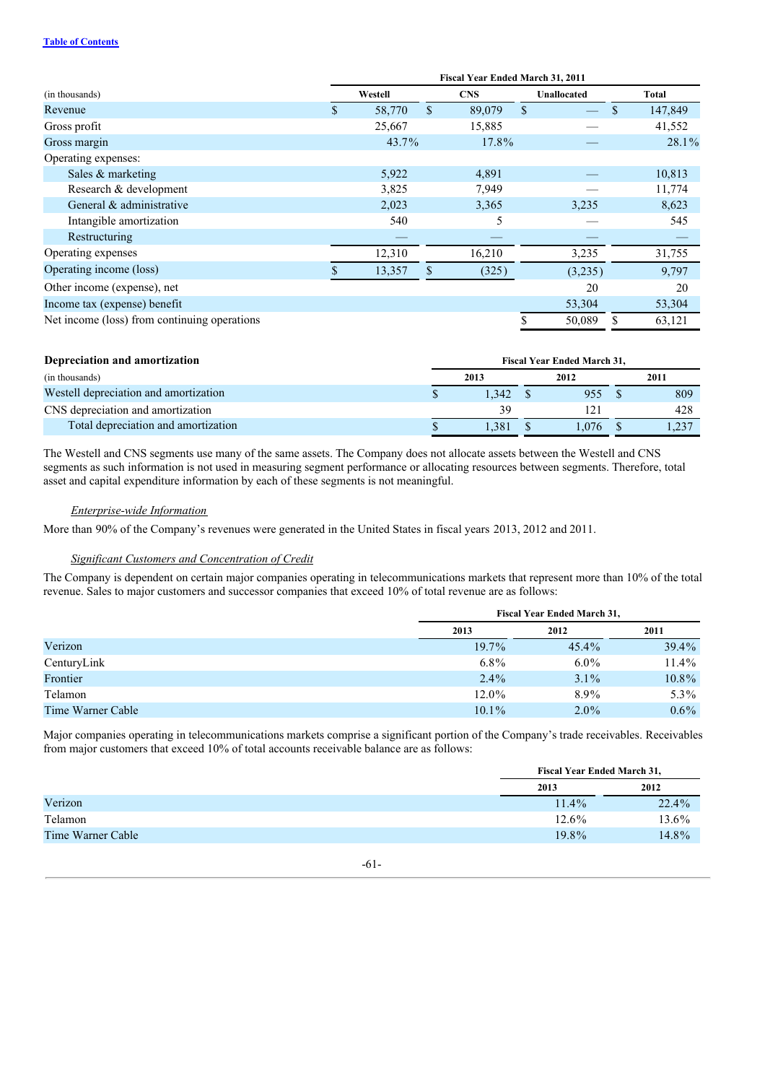#### **Table of Contents**

|                                              | Fiscal Year Ended March 31, 2011 |         |               |            |              |                    |               |          |
|----------------------------------------------|----------------------------------|---------|---------------|------------|--------------|--------------------|---------------|----------|
| (in thousands)                               |                                  | Westell |               | <b>CNS</b> |              | <b>Unallocated</b> |               | Total    |
| Revenue                                      |                                  | 58,770  | <sup>\$</sup> | 89,079     | $\mathbb{S}$ |                    | <sup>\$</sup> | 147,849  |
| Gross profit                                 |                                  | 25,667  |               | 15,885     |              |                    |               | 41,552   |
| Gross margin                                 |                                  | 43.7%   |               | 17.8%      |              |                    |               | $28.1\%$ |
| Operating expenses:                          |                                  |         |               |            |              |                    |               |          |
| Sales & marketing                            |                                  | 5,922   |               | 4,891      |              |                    |               | 10,813   |
| Research & development                       |                                  | 3,825   |               | 7,949      |              |                    |               | 11,774   |
| General & administrative                     |                                  | 2,023   |               | 3,365      |              | 3,235              |               | 8,623    |
| Intangible amortization                      |                                  | 540     |               | 5          |              |                    |               | 545      |
| Restructuring                                |                                  |         |               |            |              |                    |               |          |
| Operating expenses                           |                                  | 12,310  |               | 16,210     |              | 3,235              |               | 31,755   |
| Operating income (loss)                      |                                  | 13,357  | \$            | (325)      |              | (3,235)            |               | 9,797    |
| Other income (expense), net                  |                                  |         |               |            |              | 20                 |               | 20       |
| Income tax (expense) benefit                 |                                  |         |               |            |              | 53,304             |               | 53,304   |
| Net income (loss) from continuing operations |                                  |         |               |            | \$           | 50,089             |               | 63,121   |

| Depreciation and amortization         | <b>Fiscal Year Ended March 31.</b> |       |  |      |  |      |
|---------------------------------------|------------------------------------|-------|--|------|--|------|
| (in thousands)                        |                                    | 2013  |  | 2012 |  | 2011 |
| Westell depreciation and amortization |                                    | 1.342 |  | 955  |  | 809  |
| CNS depreciation and amortization     |                                    | 39    |  |      |  | 428  |
| Total depreciation and amortization   |                                    | .381  |  | .076 |  |      |

The Westell and CNS segments use many of the same assets. The Company does not allocate assets between the Westell and CNS segments as such information is not used in measuring segment performance or allocating resources between segments. Therefore, total asset and capital expenditure information by each of these segments is not meaningful.

### *Enterprise-wide Information*

More than 90% of the Company's revenues were generated in the United States in fiscal years 2013, 2012 and 2011.

### *Significant Customers and Concentration of Credit*

The Company is dependent on certain major companies operating in telecommunications markets that represent more than 10% of the total revenue. Sales to major customers and successor companies that exceed 10% of total revenue are as follows:

|                   |          | <b>Fiscal Year Ended March 31,</b> |          |  |  |  |  |
|-------------------|----------|------------------------------------|----------|--|--|--|--|
|                   | 2013     | 2012                               | 2011     |  |  |  |  |
| Verizon           | $19.7\%$ | $45.4\%$                           | $39.4\%$ |  |  |  |  |
| CenturyLink       | $6.8\%$  | $6.0\%$                            | $11.4\%$ |  |  |  |  |
| Frontier          | $2.4\%$  | $3.1\%$                            | $10.8\%$ |  |  |  |  |
| Telamon           | $12.0\%$ | 8.9%                               | $5.3\%$  |  |  |  |  |
| Time Warner Cable | $10.1\%$ | $2.0\%$                            | $0.6\%$  |  |  |  |  |

Major companies operating in telecommunications markets comprise a significant portion of the Company's trade receivables. Receivables from major customers that exceed 10% of total accounts receivable balance are as follows:

|                   | <b>Fiscal Year Ended March 31,</b> |          |
|-------------------|------------------------------------|----------|
|                   | 2013                               | 2012     |
| Verizon           | $11.4\%$                           | 22.4%    |
| Telamon           | $12.6\%$                           | $13.6\%$ |
| Time Warner Cable | 19.8%                              | 14.8%    |
|                   |                                    |          |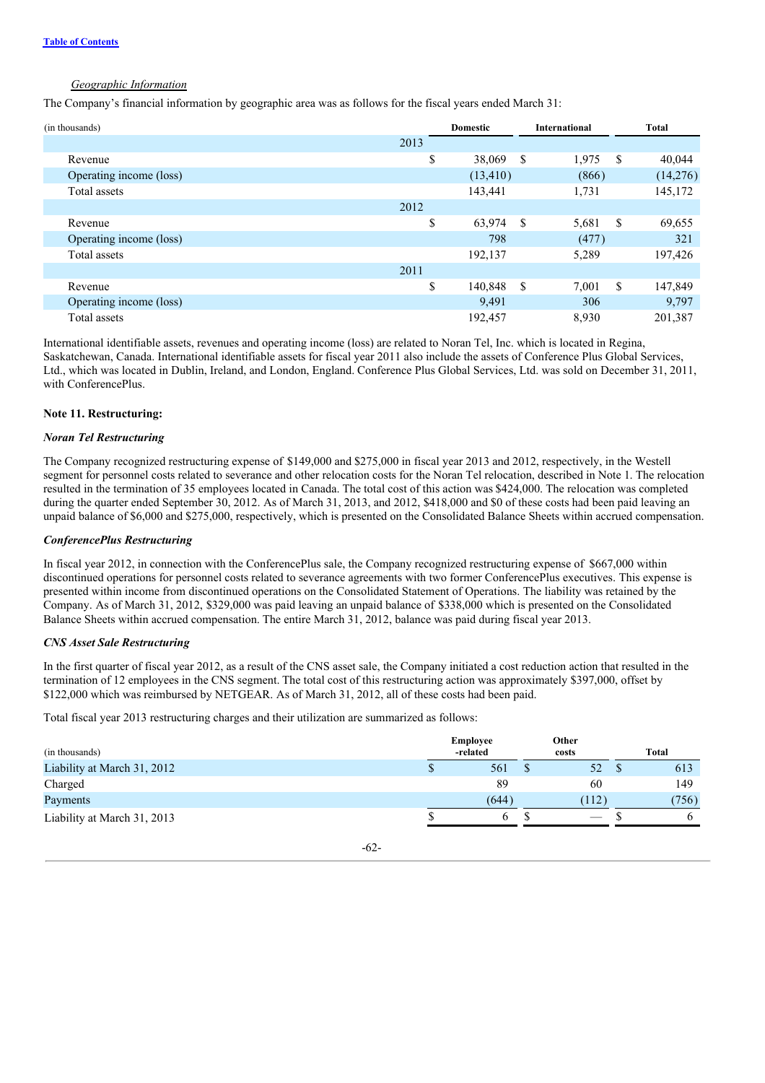### *Geographic Information*

The Company's financial information by geographic area was as follows for the fiscal years ended March 31:

| (in thousands)          |      | <b>Domestic</b> |      | <b>International</b> |    | Total    |
|-------------------------|------|-----------------|------|----------------------|----|----------|
|                         | 2013 |                 |      |                      |    |          |
| Revenue                 |      | \$<br>38,069    | -S   | 1,975                | -S | 40,044   |
| Operating income (loss) |      | (13, 410)       |      | (866)                |    | (14,276) |
| Total assets            |      | 143,441         |      | 1,731                |    | 145,172  |
|                         | 2012 |                 |      |                      |    |          |
| Revenue                 |      | \$<br>63,974    | - \$ | 5,681                | S  | 69,655   |
| Operating income (loss) |      | 798             |      | (477)                |    | 321      |
| Total assets            |      | 192,137         |      | 5,289                |    | 197,426  |
|                         | 2011 |                 |      |                      |    |          |
| Revenue                 |      | \$<br>140,848   | -S   | 7,001                | S  | 147,849  |
| Operating income (loss) |      | 9,491           |      | 306                  |    | 9,797    |
| Total assets            |      | 192,457         |      | 8,930                |    | 201,387  |

International identifiable assets, revenues and operating income (loss) are related to Noran Tel, Inc. which is located in Regina, Saskatchewan, Canada. International identifiable assets for fiscal year 2011 also include the assets of Conference Plus Global Services, Ltd., which was located in Dublin, Ireland, and London, England. Conference Plus Global Services, Ltd. was sold on December 31, 2011, with ConferencePlus.

### **Note 11. Restructuring:**

#### *Noran Tel Restructuring*

The Company recognized restructuring expense of \$149,000 and \$275,000 in fiscal year 2013 and 2012, respectively, in the Westell segment for personnel costs related to severance and other relocation costs for the Noran Tel relocation, described in Note 1. The relocation resulted in the termination of 35 employees located in Canada. The total cost of this action was \$424,000. The relocation was completed during the quarter ended September 30, 2012. As of March 31, 2013, and 2012, \$418,000 and \$0 of these costs had been paid leaving an unpaid balance of \$6,000 and \$275,000, respectively, which is presented on the Consolidated Balance Sheets within accrued compensation.

#### *ConferencePlus Restructuring*

In fiscal year 2012, in connection with the ConferencePlus sale, the Company recognized restructuring expense of \$667,000 within discontinued operations for personnel costs related to severance agreements with two former ConferencePlus executives. This expense is presented within income from discontinued operations on the Consolidated Statement of Operations. The liability was retained by the Company. As of March 31, 2012, \$329,000 was paid leaving an unpaid balance of \$338,000 which is presented on the Consolidated Balance Sheets within accrued compensation. The entire March 31, 2012, balance was paid during fiscal year 2013.

### *CNS Asset Sale Restructuring*

In the first quarter of fiscal year 2012, as a result of the CNS asset sale, the Company initiated a cost reduction action that resulted in the termination of 12 employees in the CNS segment. The total cost of this restructuring action was approximately \$397,000, offset by \$122,000 which was reimbursed by NETGEAR. As of March 31, 2012, all of these costs had been paid.

Total fiscal year 2013 restructuring charges and their utilization are summarized as follows:

|    | <b>Employee</b><br>-related |   | Other<br>costs                 |              | <b>Total</b> |
|----|-----------------------------|---|--------------------------------|--------------|--------------|
| ۰D | 561                         | D | 52                             | <sup>S</sup> | 613          |
|    | 89                          |   | 60                             |              | 149          |
|    | (644)                       |   | (112)                          |              | (756)        |
|    | 6                           |   | $\overbrace{\hspace{25mm}}^{}$ |              |              |
|    |                             |   |                                |              |              |

-62-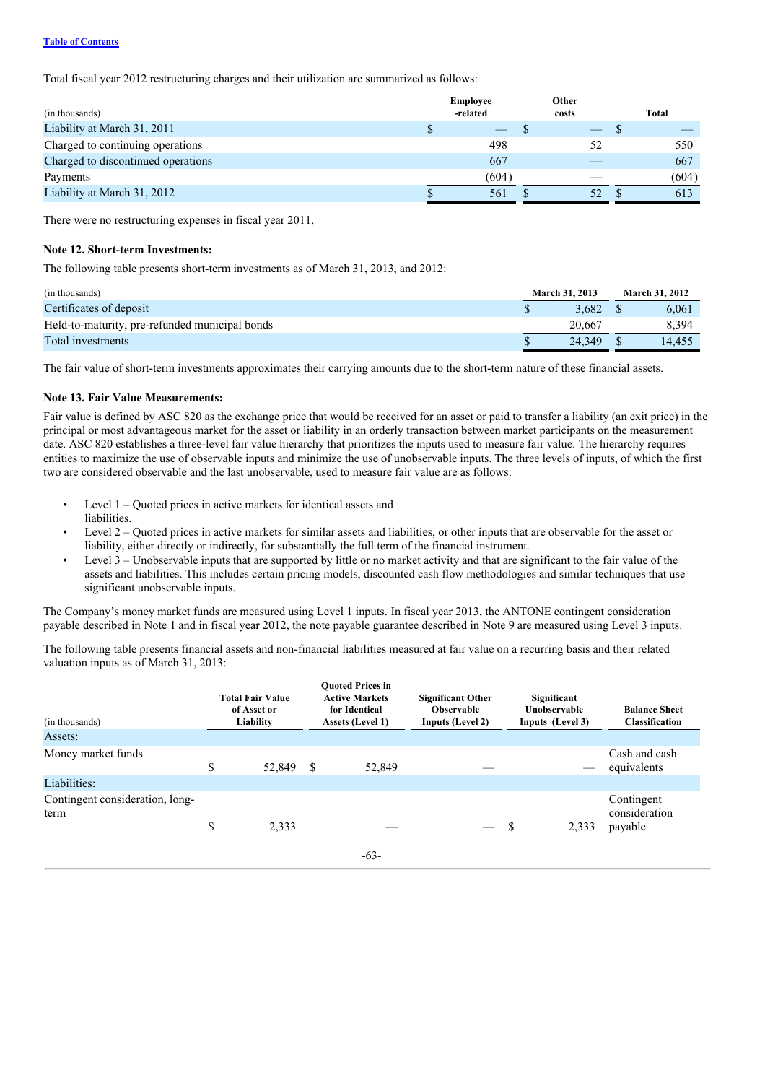#### **Table of Contents**

Total fiscal year 2012 restructuring charges and their utilization are summarized as follows:

| (in thousands)                     | <b>Employee</b><br>-related | Other<br>costs | Total |
|------------------------------------|-----------------------------|----------------|-------|
| Liability at March 31, 2011        |                             |                |       |
| Charged to continuing operations   | 498                         | 52             | 550   |
| Charged to discontinued operations | 667                         |                | 667   |
| Payments                           | (604)                       |                | (604) |
| Liability at March 31, 2012        | 561                         | 52             | 613   |

There were no restructuring expenses in fiscal year 2011.

### **Note 12. Short-term Investments:**

The following table presents short-term investments as of March 31, 2013, and 2012:

| (in thousands)                                 | <b>March 31, 2013</b> | <b>March 31, 2012</b> |
|------------------------------------------------|-----------------------|-----------------------|
| Certificates of deposit                        | 3.682                 | 6.061                 |
| Held-to-maturity, pre-refunded municipal bonds | 20.667                | 8.394                 |
| Total investments                              | 24.349                | 14.455                |

The fair value of short-term investments approximates their carrying amounts due to the short-term nature of these financial assets.

#### **Note 13. Fair Value Measurements:**

Fair value is defined by ASC 820 as the exchange price that would be received for an asset or paid to transfer a liability (an exit price) in the principal or most advantageous market for the asset or liability in an orderly transaction between market participants on the measurement date. ASC 820 establishes a three-level fair value hierarchy that prioritizes the inputs used to measure fair value. The hierarchy requires entities to maximize the use of observable inputs and minimize the use of unobservable inputs. The three levels of inputs, of which the first two are considered observable and the last unobservable, used to measure fair value are as follows:

- Level  $1 -$ Quoted prices in active markets for identical assets and
- liabilities.
- Level 2 Quoted prices in active markets for similar assets and liabilities, or other inputs that are observable for the asset or liability, either directly or indirectly, for substantially the full term of the financial instrument.
- Level 3 Unobservable inputs that are supported by little or no market activity and that are significant to the fair value of the assets and liabilities. This includes certain pricing models, discounted cash flow methodologies and similar techniques that use significant unobservable inputs.

The Company's money market funds are measured using Level 1 inputs. In fiscal year 2013, the ANTONE contingent consideration payable described in Note 1 and in fiscal year 2012, the note payable guarantee described in Note 9 are measured using Level 3 inputs.

The following table presents financial assets and non-financial liabilities measured at fair value on a recurring basis and their related valuation inputs as of March 31, 2013:

| (in thousands)                          |    | <b>Total Fair Value</b><br>of Asset or<br>Liability |    | <b>Ouoted Prices in</b><br><b>Active Markets</b><br>for Identical<br>Assets (Level 1) | <b>Significant Other</b><br><b>Observable</b><br><b>Inputs (Level 2)</b> |   | Significant<br><b>Unobservable</b><br>Inputs (Level 3) | <b>Balance Sheet</b><br><b>Classification</b> |  |
|-----------------------------------------|----|-----------------------------------------------------|----|---------------------------------------------------------------------------------------|--------------------------------------------------------------------------|---|--------------------------------------------------------|-----------------------------------------------|--|
| Assets:                                 |    |                                                     |    |                                                                                       |                                                                          |   |                                                        |                                               |  |
| Money market funds                      | S  | 52,849                                              | -S | 52,849                                                                                |                                                                          |   |                                                        | Cash and cash<br>equivalents                  |  |
| Liabilities:                            |    |                                                     |    |                                                                                       |                                                                          |   |                                                        |                                               |  |
| Contingent consideration, long-<br>term | \$ | 2,333                                               |    |                                                                                       | $\overline{\phantom{a}}$                                                 | S | 2,333                                                  | Contingent<br>consideration<br>payable        |  |
|                                         |    |                                                     |    | $-63-$                                                                                |                                                                          |   |                                                        |                                               |  |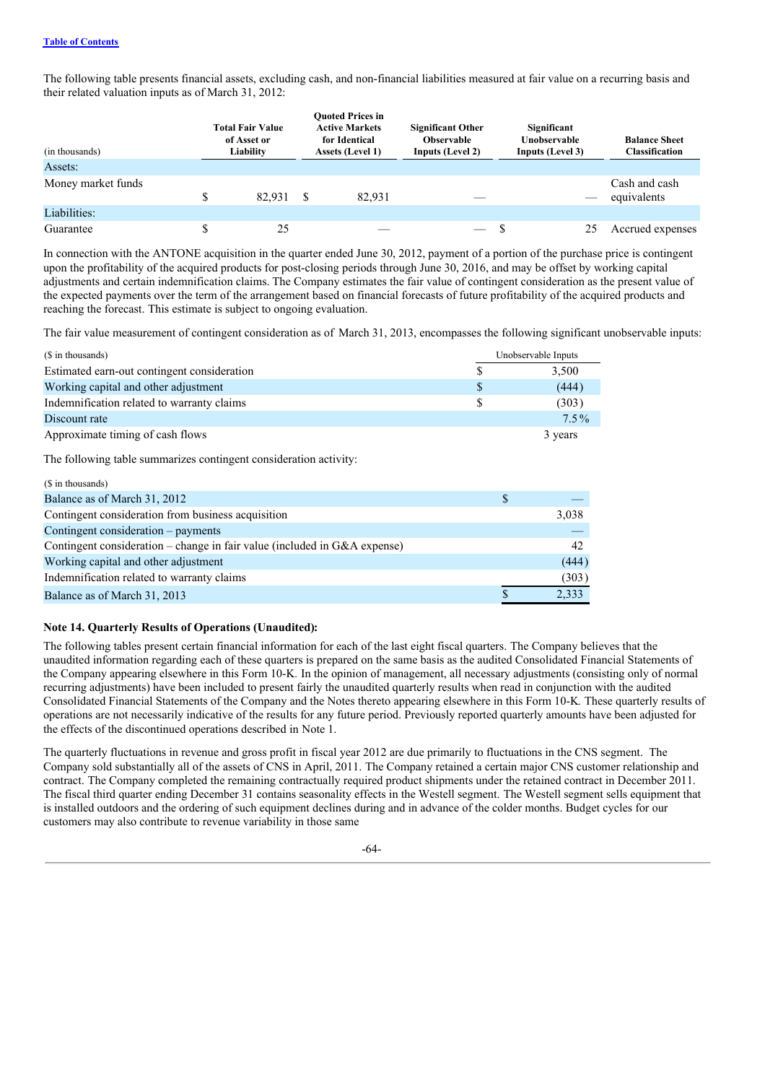The following table presents financial assets, excluding cash, and non-financial liabilities measured at fair value on a recurring basis and their related valuation inputs as of March 31, 2012:

| (in thousands)     | <b>Total Fair Value</b><br>of Asset or<br>Liability | <b>Ouoted Prices in</b><br><b>Active Markets</b><br>for Identical<br>Assets (Level 1) |        | <b>Significant Other</b><br><b>Observable</b><br><b>Inputs (Level 2)</b> | Significant<br>Unobservable<br>Inputs (Level 3) |    | <b>Balance Sheet</b><br><b>Classification</b> |  |
|--------------------|-----------------------------------------------------|---------------------------------------------------------------------------------------|--------|--------------------------------------------------------------------------|-------------------------------------------------|----|-----------------------------------------------|--|
| Assets:            |                                                     |                                                                                       |        |                                                                          |                                                 |    |                                               |  |
| Money market funds | \$<br>82.931                                        |                                                                                       | 82.931 | __                                                                       |                                                 |    | Cash and cash<br>equivalents                  |  |
| Liabilities:       |                                                     |                                                                                       |        |                                                                          |                                                 |    |                                               |  |
| Guarantee          | 25                                                  |                                                                                       |        |                                                                          |                                                 | 25 | Accrued expenses                              |  |

In connection with the ANTONE acquisition in the quarter ended June 30, 2012, payment of a portion of the purchase price is contingent upon the profitability of the acquired products for post-closing periods through June 30, 2016, and may be offset by working capital adjustments and certain indemnification claims. The Company estimates the fair value of contingent consideration as the present value of the expected payments over the term of the arrangement based on financial forecasts of future profitability of the acquired products and reaching the forecast. This estimate is subject to ongoing evaluation.

The fair value measurement of contingent consideration as of March 31, 2013, encompasses the following significant unobservable inputs:

| (\$ in thousands)                           | Unobservable Inputs |         |  |  |  |  |
|---------------------------------------------|---------------------|---------|--|--|--|--|
| Estimated earn-out contingent consideration |                     | 3,500   |  |  |  |  |
| Working capital and other adjustment        |                     | (444)   |  |  |  |  |
| Indemnification related to warranty claims  |                     | (303)   |  |  |  |  |
| Discount rate                               |                     | $7.5\%$ |  |  |  |  |
| Approximate timing of cash flows            |                     | 3 years |  |  |  |  |

The following table summarizes contingent consideration activity:

| (\$ in thousands)                                                         |       |
|---------------------------------------------------------------------------|-------|
| Balance as of March 31, 2012                                              |       |
| Contingent consideration from business acquisition                        | 3,038 |
| Contingent consideration $-$ payments                                     |       |
| Contingent consideration – change in fair value (included in G&A expense) | 42    |
| Working capital and other adjustment                                      | (444) |
| Indemnification related to warranty claims                                | (303) |
| Balance as of March 31, 2013                                              | 2.333 |

### **Note 14. Quarterly Results of Operations (Unaudited):**

The following tables present certain financial information for each of the last eight fiscal quarters. The Company believes that the unaudited information regarding each of these quarters is prepared on the same basis as the audited Consolidated Financial Statements of the Company appearing elsewhere in this Form 10-K*.* In the opinion of management, all necessary adjustments (consisting only of normal recurring adjustments) have been included to present fairly the unaudited quarterly results when read in conjunction with the audited Consolidated Financial Statements of the Company and the Notes thereto appearing elsewhere in this Form 10-K*.* These quarterly results of operations are not necessarily indicative of the results for any future period. Previously reported quarterly amounts have been adjusted for the effects of the discontinued operations described in Note 1.

The quarterly fluctuations in revenue and gross profit in fiscal year 2012 are due primarily to fluctuations in the CNS segment. The Company sold substantially all of the assets of CNS in April, 2011. The Company retained a certain major CNS customer relationship and contract. The Company completed the remaining contractually required product shipments under the retained contract in December 2011. The fiscal third quarter ending December 31 contains seasonality effects in the Westell segment. The Westell segment sells equipment that is installed outdoors and the ordering of such equipment declines during and in advance of the colder months. Budget cycles for our customers may also contribute to revenue variability in those same

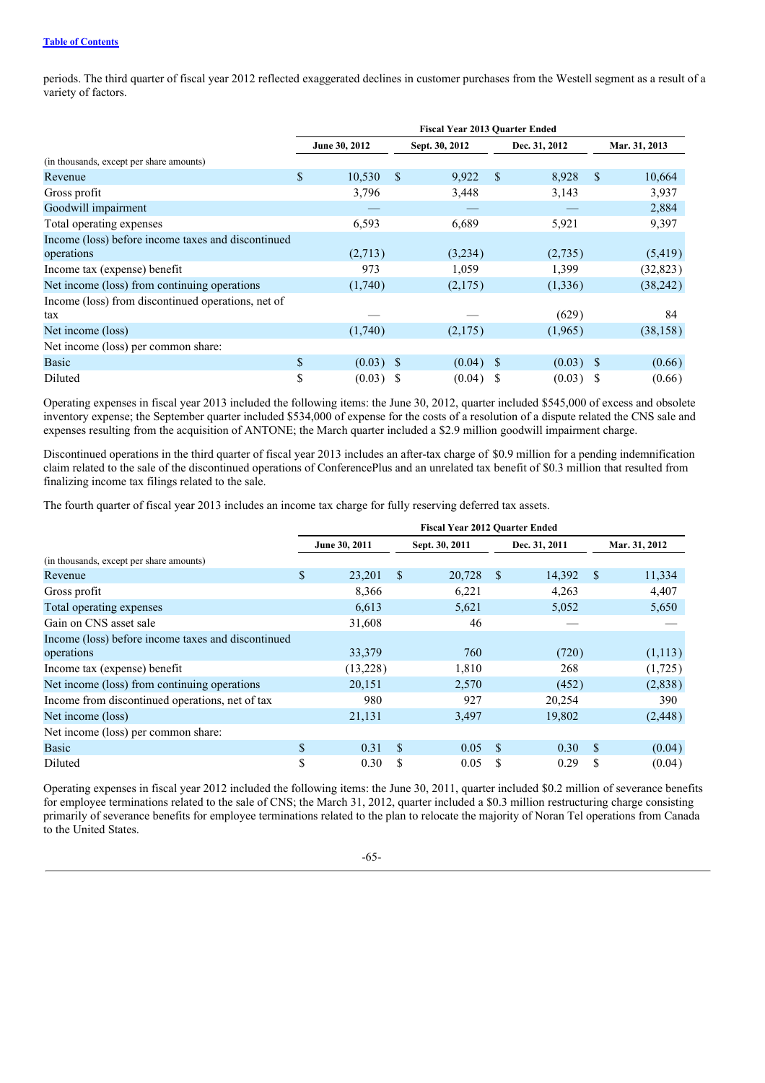periods. The third quarter of fiscal year 2012 reflected exaggerated declines in customer purchases from the Westell segment as a result of a variety of factors.

|                                                    | <b>Fiscal Year 2013 Quarter Ended</b> |               |                |             |               |             |               |               |
|----------------------------------------------------|---------------------------------------|---------------|----------------|-------------|---------------|-------------|---------------|---------------|
|                                                    |                                       | June 30, 2012 | Sept. 30, 2012 |             | Dec. 31, 2012 |             |               | Mar. 31, 2013 |
| (in thousands, except per share amounts)           |                                       |               |                |             |               |             |               |               |
| Revenue                                            | \$                                    | 10,530        | <sup>\$</sup>  | 9,922       | $\mathbf{s}$  | 8,928       | <sup>\$</sup> | 10,664        |
| Gross profit                                       |                                       | 3,796         |                | 3,448       |               | 3,143       |               | 3,937         |
| Goodwill impairment                                |                                       |               |                |             |               |             |               | 2,884         |
| Total operating expenses                           |                                       | 6,593         |                | 6,689       |               | 5,921       |               | 9,397         |
| Income (loss) before income taxes and discontinued |                                       |               |                |             |               |             |               |               |
| operations                                         |                                       | (2,713)       |                | (3,234)     |               | (2,735)     |               | (5, 419)      |
| Income tax (expense) benefit                       |                                       | 973           |                | 1,059       |               | 1,399       |               | (32, 823)     |
| Net income (loss) from continuing operations       |                                       | (1,740)       |                | (2,175)     |               | (1,336)     |               | (38,242)      |
| Income (loss) from discontinued operations, net of |                                       |               |                |             |               |             |               |               |
| tax                                                |                                       |               |                |             |               | (629)       |               | 84            |
| Net income (loss)                                  |                                       | (1,740)       |                | (2,175)     |               | (1,965)     |               | (38, 158)     |
| Net income (loss) per common share:                |                                       |               |                |             |               |             |               |               |
| <b>Basic</b>                                       | \$                                    | $(0.03)$ \$   |                | $(0.04)$ \$ |               | $(0.03)$ \$ |               | (0.66)        |
| Diluted                                            | \$                                    | $(0.03)$ \$   |                | (0.04)      | S             | (0.03)      | -S            | (0.66)        |

Operating expenses in fiscal year 2013 included the following items: the June 30, 2012, quarter included \$545,000 of excess and obsolete inventory expense; the September quarter included \$534,000 of expense for the costs of a resolution of a dispute related the CNS sale and expenses resulting from the acquisition of ANTONE; the March quarter included a \$2.9 million goodwill impairment charge.

Discontinued operations in the third quarter of fiscal year 2013 includes an after-tax charge of \$0.9 million for a pending indemnification claim related to the sale of the discontinued operations of ConferencePlus and an unrelated tax benefit of \$0.3 million that resulted from finalizing income tax filings related to the sale.

The fourth quarter of fiscal year 2013 includes an income tax charge for fully reserving deferred tax assets.

|                                                    | <b>Fiscal Year 2012 Ouarter Ended</b> |               |                |        |      |               |               |          |
|----------------------------------------------------|---------------------------------------|---------------|----------------|--------|------|---------------|---------------|----------|
|                                                    |                                       | June 30, 2011 | Sept. 30, 2011 |        |      | Dec. 31, 2011 | Mar. 31, 2012 |          |
| (in thousands, except per share amounts)           |                                       |               |                |        |      |               |               |          |
| Revenue                                            | \$                                    | 23,201        | \$             | 20,728 | -S   | 14,392        | <sup>\$</sup> | 11,334   |
| Gross profit                                       |                                       | 8,366         |                | 6,221  |      | 4,263         |               | 4,407    |
| Total operating expenses                           |                                       | 6,613         |                | 5,621  |      | 5,052         |               | 5,650    |
| Gain on CNS asset sale                             |                                       | 31,608        |                | 46     |      |               |               |          |
| Income (loss) before income taxes and discontinued |                                       |               |                |        |      |               |               |          |
| operations                                         |                                       | 33,379        |                | 760    |      | (720)         |               | (1,113)  |
| Income tax (expense) benefit                       |                                       | (13,228)      |                | 1,810  |      | 268           |               | (1,725)  |
| Net income (loss) from continuing operations       |                                       | 20,151        |                | 2,570  |      | (452)         |               | (2,838)  |
| Income from discontinued operations, net of tax    |                                       | 980           |                | 927    |      | 20,254        |               | 390      |
| Net income (loss)                                  |                                       | 21,131        |                | 3,497  |      | 19,802        |               | (2, 448) |
| Net income (loss) per common share:                |                                       |               |                |        |      |               |               |          |
| Basic                                              | \$                                    | 0.31          | -S             | 0.05   | - \$ | 0.30          | S             | (0.04)   |
| Diluted                                            | \$                                    | 0.30          | \$             | 0.05   | -S   | 0.29          | \$            | (0.04)   |

Operating expenses in fiscal year 2012 included the following items: the June 30, 2011, quarter included \$0.2 million of severance benefits for employee terminations related to the sale of CNS; the March 31, 2012, quarter included a \$0.3 million restructuring charge consisting primarily of severance benefits for employee terminations related to the plan to relocate the majority of Noran Tel operations from Canada to the United States.

-65-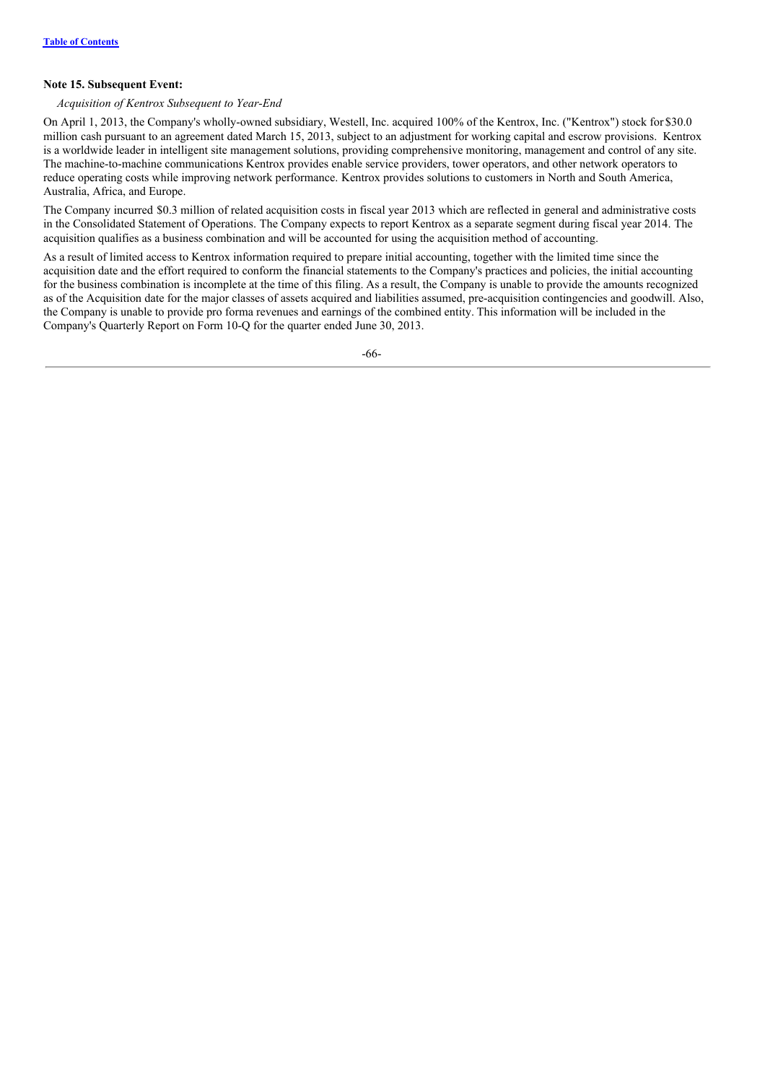#### **Note 15. Subsequent Event:**

#### *Acquisition of Kentrox Subsequent to Year-End*

On April 1, 2013, the Company's wholly-owned subsidiary, Westell, Inc. acquired 100% of the Kentrox, Inc. ("Kentrox") stock for\$30.0 million cash pursuant to an agreement dated March 15, 2013, subject to an adjustment for working capital and escrow provisions. Kentrox is a worldwide leader in intelligent site management solutions, providing comprehensive monitoring, management and control of any site. The machine-to-machine communications Kentrox provides enable service providers, tower operators, and other network operators to reduce operating costs while improving network performance. Kentrox provides solutions to customers in North and South America, Australia, Africa, and Europe.

The Company incurred \$0.3 million of related acquisition costs in fiscal year 2013 which are reflected in general and administrative costs in the Consolidated Statement of Operations. The Company expects to report Kentrox as a separate segment during fiscal year 2014. The acquisition qualifies as a business combination and will be accounted for using the acquisition method of accounting.

As a result of limited access to Kentrox information required to prepare initial accounting, together with the limited time since the acquisition date and the effort required to conform the financial statements to the Company's practices and policies, the initial accounting for the business combination is incomplete at the time of this filing. As a result, the Company is unable to provide the amounts recognized as of the Acquisition date for the major classes of assets acquired and liabilities assumed, pre-acquisition contingencies and goodwill. Also, the Company is unable to provide pro forma revenues and earnings of the combined entity. This information will be included in the Company's Quarterly Report on Form 10-Q for the quarter ended June 30, 2013.

-66-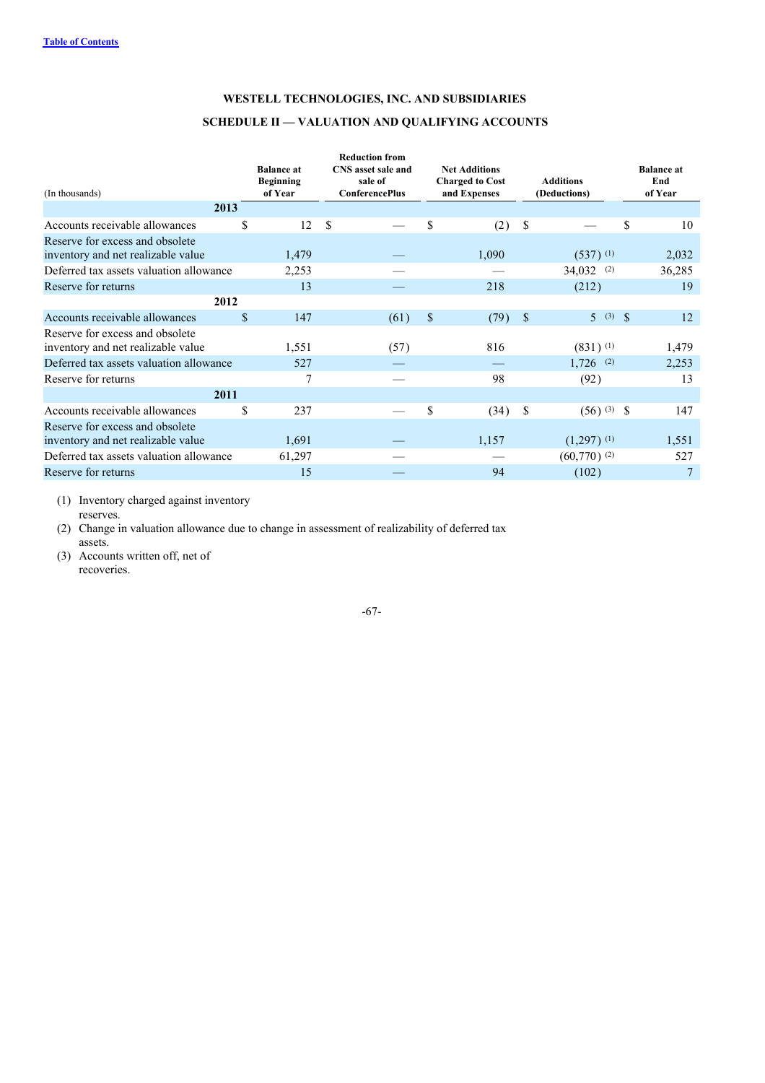## **WESTELL TECHNOLOGIES, INC. AND SUBSIDIARIES**

# **SCHEDULE II — VALUATION AND QUALIFYING ACCOUNTS**

| (In thousands)                                                        |      | <b>Balance at</b><br><b>Beginning</b><br>of Year |   | <b>Reduction from</b><br>CNS asset sale and<br>sale of<br><b>ConferencePlus</b> |    | <b>Net Additions</b><br><b>Charged to Cost</b><br>and Expenses |               | <b>Additions</b><br>(Deductions) | <b>Balance at</b><br>End<br>of Year |
|-----------------------------------------------------------------------|------|--------------------------------------------------|---|---------------------------------------------------------------------------------|----|----------------------------------------------------------------|---------------|----------------------------------|-------------------------------------|
|                                                                       | 2013 |                                                  |   |                                                                                 |    |                                                                |               |                                  |                                     |
| Accounts receivable allowances                                        | \$   | 12                                               | S |                                                                                 | S  | (2)                                                            | S             |                                  | \$<br>10                            |
| Reserve for excess and obsolete<br>inventory and net realizable value |      | 1,479                                            |   |                                                                                 |    | 1,090                                                          |               | $(537)$ <sup>(1)</sup>           | 2,032                               |
| Deferred tax assets valuation allowance                               |      | 2,253                                            |   |                                                                                 |    |                                                                |               | 34,032<br>(2)                    | 36,285                              |
| Reserve for returns                                                   |      | 13                                               |   |                                                                                 |    | 218                                                            |               | (212)                            | 19                                  |
|                                                                       | 2012 |                                                  |   |                                                                                 |    |                                                                |               |                                  |                                     |
| Accounts receivable allowances                                        | \$   | 147                                              |   | (61)                                                                            | \$ | (79)                                                           | <sup>\$</sup> | $5^{(3)}$ \$                     | 12                                  |
| Reserve for excess and obsolete<br>inventory and net realizable value |      | 1,551                                            |   | (57)                                                                            |    | 816                                                            |               | $(831)$ <sup>(1)</sup>           | 1,479                               |
| Deferred tax assets valuation allowance                               |      | 527                                              |   |                                                                                 |    |                                                                |               | $1,726$ (2)                      | 2,253                               |
| Reserve for returns                                                   |      | $\overline{7}$                                   |   |                                                                                 |    | 98                                                             |               | (92)                             | 13                                  |
|                                                                       | 2011 |                                                  |   |                                                                                 |    |                                                                |               |                                  |                                     |
| Accounts receivable allowances                                        | \$   | 237                                              |   |                                                                                 | \$ | (34)                                                           | <sup>\$</sup> | $(56)$ (3) \$                    | 147                                 |
| Reserve for excess and obsolete                                       |      |                                                  |   |                                                                                 |    |                                                                |               |                                  |                                     |
| inventory and net realizable value                                    |      | 1,691                                            |   |                                                                                 |    | 1,157                                                          |               | $(1,297)$ <sup>(1)</sup>         | 1,551                               |
| Deferred tax assets valuation allowance                               |      | 61,297                                           |   |                                                                                 |    |                                                                |               | $(60,770)$ <sup>(2)</sup>        | 527                                 |
| Reserve for returns                                                   |      | 15                                               |   |                                                                                 |    | 94                                                             |               | (102)                            | 7                                   |

(1) Inventory charged against inventory reserves.

(2) Change in valuation allowance due to change in assessment of realizability of deferred tax assets.

(3) Accounts written off, net of recoveries.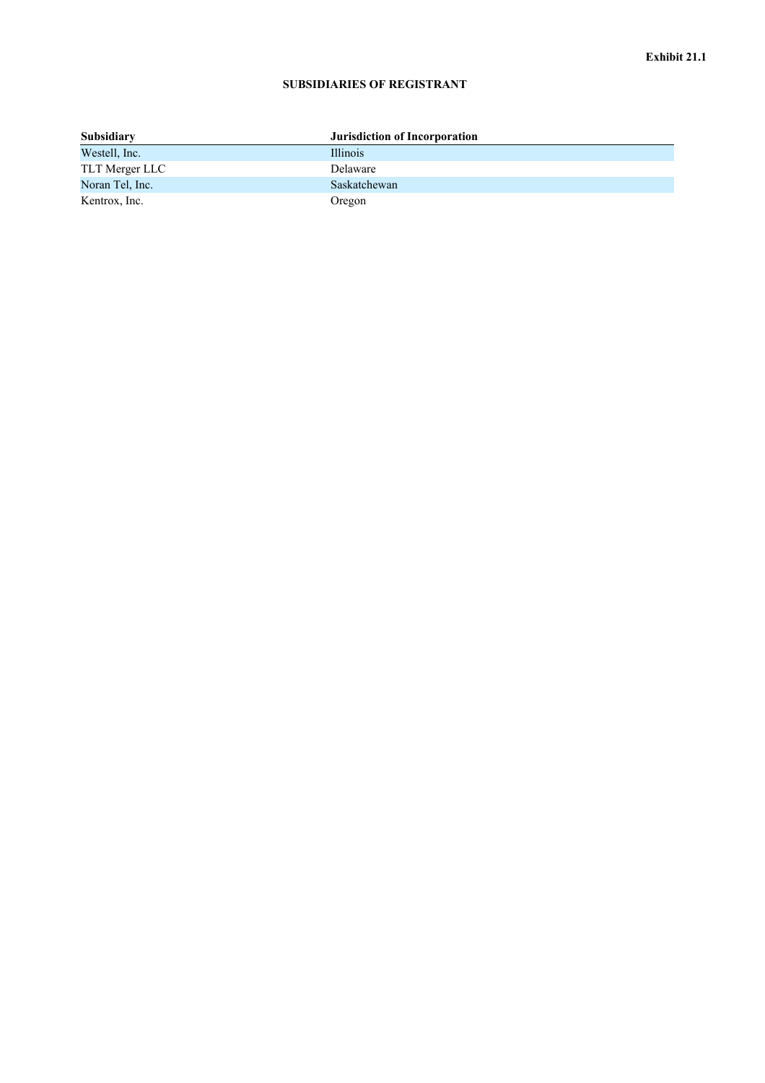# **SUBSIDIARIES OF REGISTRANT**

| Subsidiary      | <b>Jurisdiction of Incorporation</b> |
|-----------------|--------------------------------------|
| Westell, Inc.   | <b>Illinois</b>                      |
| TLT Merger LLC  | Delaware                             |
| Noran Tel, Inc. | Saskatchewan                         |
| Kentrox, Inc.   | Oregon                               |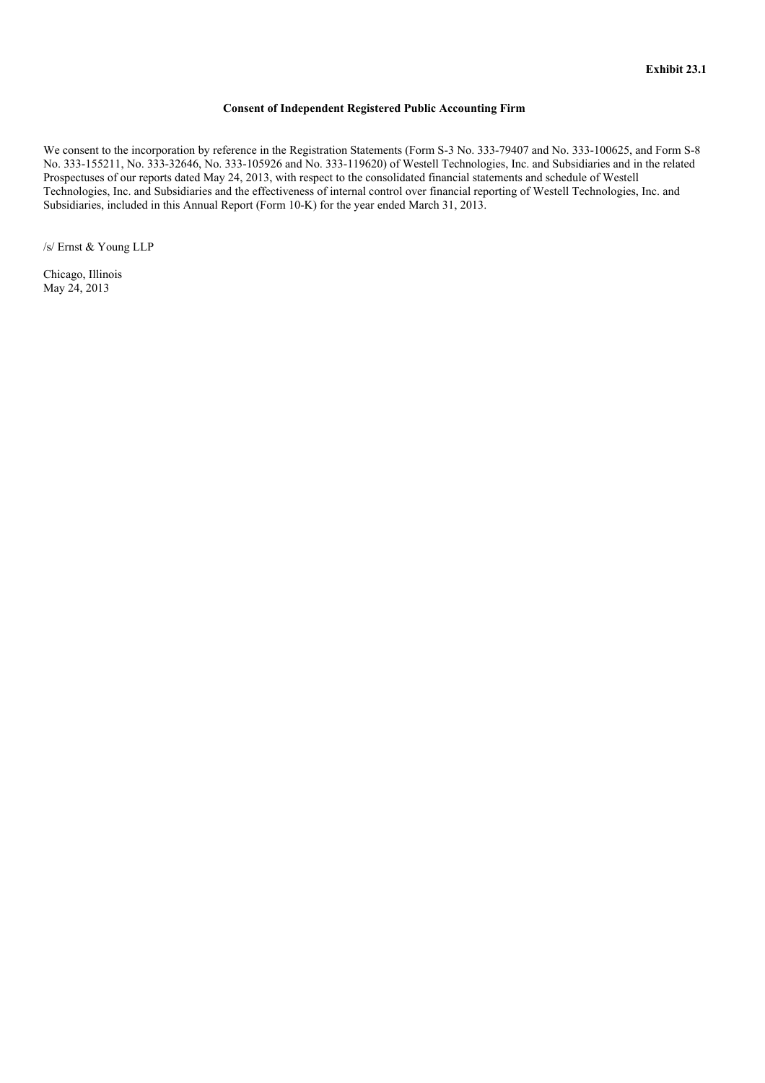### **Consent of Independent Registered Public Accounting Firm**

We consent to the incorporation by reference in the Registration Statements (Form S-3 No. 333-79407 and No. 333-100625, and Form S-8 No. 333-155211, No. 333-32646, No. 333-105926 and No. 333-119620) of Westell Technologies, Inc. and Subsidiaries and in the related Prospectuses of our reports dated May 24, 2013, with respect to the consolidated financial statements and schedule of Westell Technologies, Inc. and Subsidiaries and the effectiveness of internal control over financial reporting of Westell Technologies, Inc. and Subsidiaries, included in this Annual Report (Form 10-K) for the year ended March 31, 2013.

/s/ Ernst & Young LLP

Chicago, Illinois May 24, 2013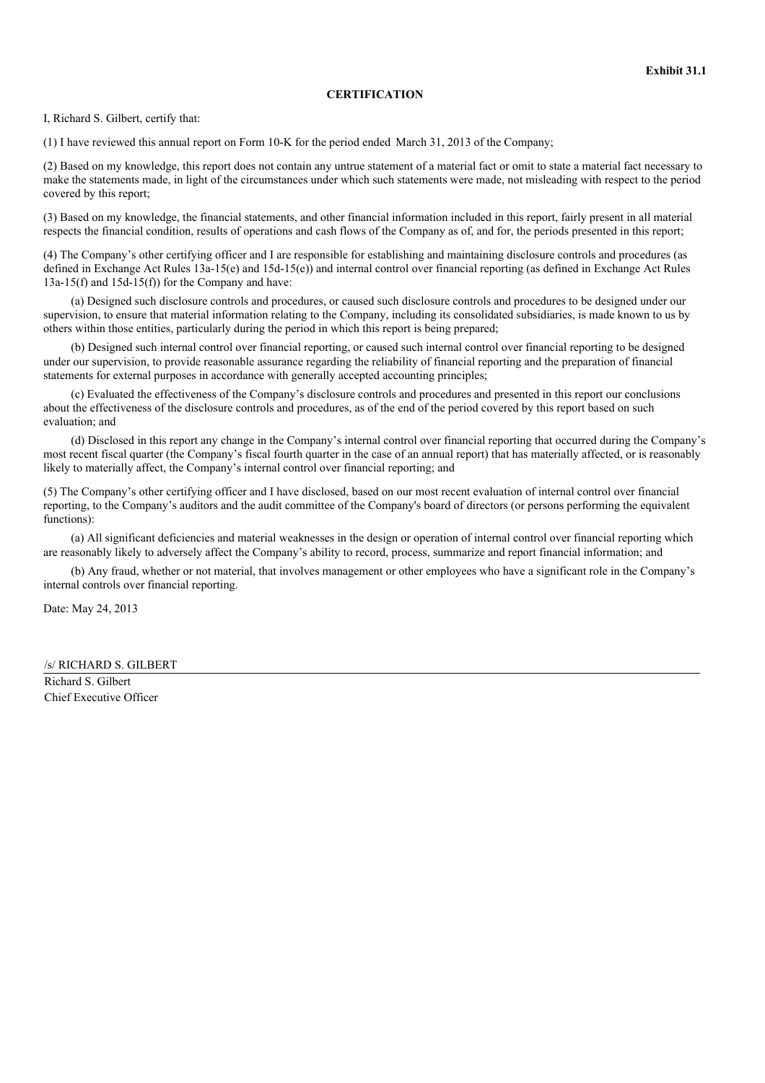## **CERTIFICATION**

I, Richard S. Gilbert, certify that:

(1) I have reviewed this annual report on Form 10-K for the period ended March 31, 2013 of the Company;

(2) Based on my knowledge, this report does not contain any untrue statement of a material fact or omit to state a material fact necessary to make the statements made, in light of the circumstances under which such statements were made, not misleading with respect to the period covered by this report;

(3) Based on my knowledge, the financial statements, and other financial information included in this report, fairly present in all material respects the financial condition, results of operations and cash flows of the Company as of, and for, the periods presented in this report;

(4) The Company's other certifying officer and I are responsible for establishing and maintaining disclosure controls and procedures (as defined in Exchange Act Rules 13a-15(e) and 15d-15(e)) and internal control over financial reporting (as defined in Exchange Act Rules 13a-15(f) and 15d-15(f)) for the Company and have:

(a) Designed such disclosure controls and procedures, or caused such disclosure controls and procedures to be designed under our supervision, to ensure that material information relating to the Company, including its consolidated subsidiaries, is made known to us by others within those entities, particularly during the period in which this report is being prepared;

(b) Designed such internal control over financial reporting, or caused such internal control over financial reporting to be designed under our supervision, to provide reasonable assurance regarding the reliability of financial reporting and the preparation of financial statements for external purposes in accordance with generally accepted accounting principles;

(c) Evaluated the effectiveness of the Company's disclosure controls and procedures and presented in this report our conclusions about the effectiveness of the disclosure controls and procedures, as of the end of the period covered by this report based on such evaluation; and

(d) Disclosed in this report any change in the Company's internal control over financial reporting that occurred during the Company's most recent fiscal quarter (the Company's fiscal fourth quarter in the case of an annual report) that has materially affected, or is reasonably likely to materially affect, the Company's internal control over financial reporting; and

(5) The Company's other certifying officer and I have disclosed, based on our most recent evaluation of internal control over financial reporting, to the Company's auditors and the audit committee of the Company's board of directors (or persons performing the equivalent functions):

(a) All significant deficiencies and material weaknesses in the design or operation of internal control over financial reporting which are reasonably likely to adversely affect the Company's ability to record, process, summarize and report financial information; and

(b) Any fraud, whether or not material, that involves management or other employees who have a significant role in the Company's internal controls over financial reporting.

Date: May 24, 2013

/s/ RICHARD S. GILBERT

Richard S. Gilbert Chief Executive Officer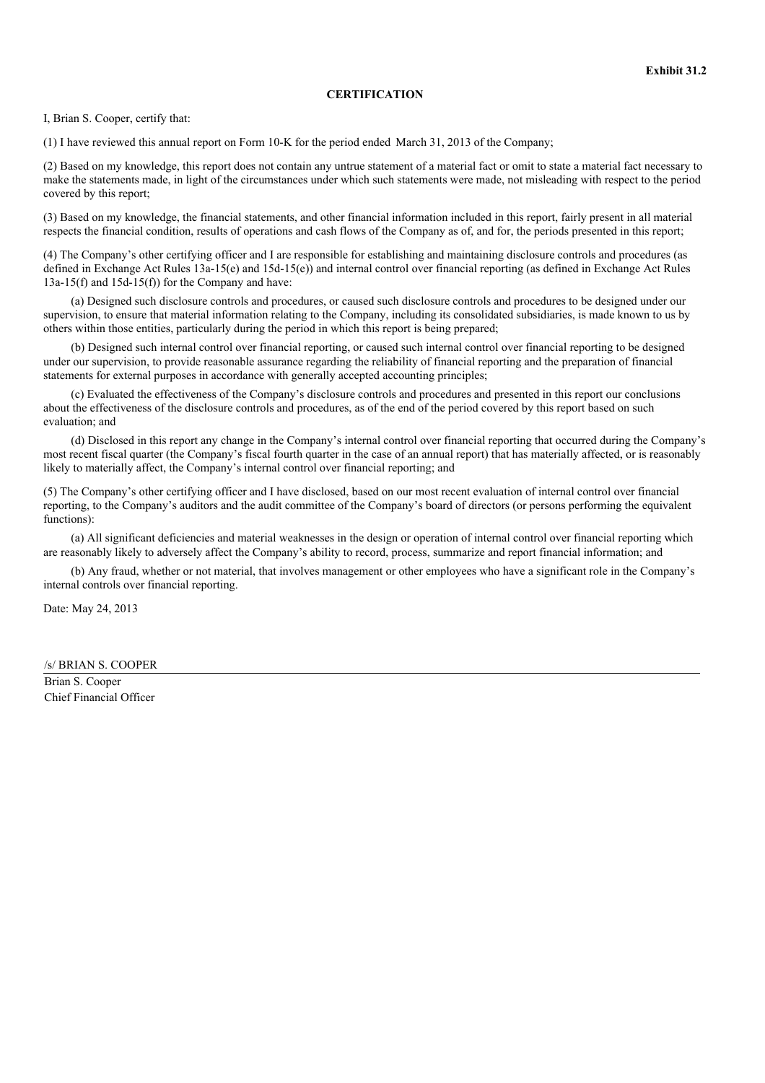## **CERTIFICATION**

I, Brian S. Cooper, certify that:

(1) I have reviewed this annual report on Form 10-K for the period ended March 31, 2013 of the Company;

(2) Based on my knowledge, this report does not contain any untrue statement of a material fact or omit to state a material fact necessary to make the statements made, in light of the circumstances under which such statements were made, not misleading with respect to the period covered by this report;

(3) Based on my knowledge, the financial statements, and other financial information included in this report, fairly present in all material respects the financial condition, results of operations and cash flows of the Company as of, and for, the periods presented in this report;

(4) The Company's other certifying officer and I are responsible for establishing and maintaining disclosure controls and procedures (as defined in Exchange Act Rules 13a-15(e) and 15d-15(e)) and internal control over financial reporting (as defined in Exchange Act Rules 13a-15(f) and 15d-15(f)) for the Company and have:

(a) Designed such disclosure controls and procedures, or caused such disclosure controls and procedures to be designed under our supervision, to ensure that material information relating to the Company, including its consolidated subsidiaries, is made known to us by others within those entities, particularly during the period in which this report is being prepared;

(b) Designed such internal control over financial reporting, or caused such internal control over financial reporting to be designed under our supervision, to provide reasonable assurance regarding the reliability of financial reporting and the preparation of financial statements for external purposes in accordance with generally accepted accounting principles;

(c) Evaluated the effectiveness of the Company's disclosure controls and procedures and presented in this report our conclusions about the effectiveness of the disclosure controls and procedures, as of the end of the period covered by this report based on such evaluation; and

(d) Disclosed in this report any change in the Company's internal control over financial reporting that occurred during the Company's most recent fiscal quarter (the Company's fiscal fourth quarter in the case of an annual report) that has materially affected, or is reasonably likely to materially affect, the Company's internal control over financial reporting; and

(5) The Company's other certifying officer and I have disclosed, based on our most recent evaluation of internal control over financial reporting, to the Company's auditors and the audit committee of the Company's board of directors (or persons performing the equivalent functions):

(a) All significant deficiencies and material weaknesses in the design or operation of internal control over financial reporting which are reasonably likely to adversely affect the Company's ability to record, process, summarize and report financial information; and

(b) Any fraud, whether or not material, that involves management or other employees who have a significant role in the Company's internal controls over financial reporting.

Date: May 24, 2013

/s/ BRIAN S. COOPER

Brian S. Cooper Chief Financial Officer